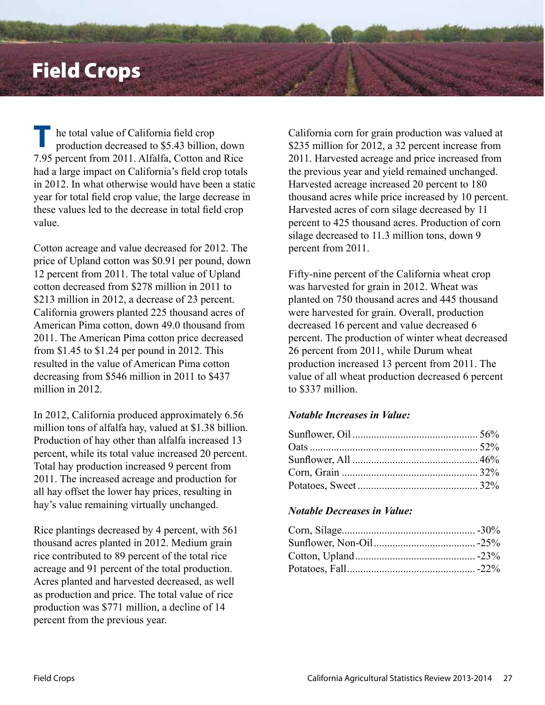## Field Crops

he total value of California field crop production decreased to \$5.43 billion, down 7.95 percent from 2011. Alfalfa, Cotton and Rice had a large impact on California's field crop totals in 2012. In what otherwise would have been a static year for total field crop value, the large decrease in these values led to the decrease in total field crop value. **T**

Cotton acreage and value decreased for 2012. The price of Upland cotton was \$0.91 per pound, down 12 percent from 2011. The total value of Upland cotton decreased from \$278 million in 2011 to \$213 million in 2012, a decrease of 23 percent. California growers planted 225 thousand acres of American Pima cotton, down 49.0 thousand from 2011. The American Pima cotton price decreased from \$1.45 to \$1.24 per pound in 2012. This resulted in the value of American Pima cotton decreasing from \$546 million in 2011 to \$437 million in 2012.

In 2012, California produced approximately 6.56 million tons of alfalfa hay, valued at \$1.38 billion. Production of hay other than alfalfa increased 13 percent, while its total value increased 20 percent. Total hay production increased 9 percent from 2011. The increased acreage and production for all hay offset the lower hay prices, resulting in hay's value remaining virtually unchanged.

Rice plantings decreased by 4 percent, with 561 thousand acres planted in 2012. Medium grain rice contributed to 89 percent of the total rice acreage and 91 percent of the total production. Acres planted and harvested decreased, as well as production and price. The total value of rice production was \$771 million, a decline of 14 percent from the previous year.

California corn for grain production was valued at \$235 million for 2012, a 32 percent increase from 2011. Harvested acreage and price increased from the previous year and yield remained unchanged. Harvested acreage increased 20 percent to 180 thousand acres while price increased by 10 percent. Harvested acres of corn silage decreased by 11 percent to 425 thousand acres. Production of corn silage decreased to 11.3 million tons, down 9 percent from 2011.

Fifty-nine percent of the California wheat crop was harvested for grain in 2012. Wheat was planted on 750 thousand acres and 445 thousand were harvested for grain. Overall, production decreased 16 percent and value decreased 6 percent. The production of winter wheat decreased 26 percent from 2011, while Durum wheat production increased 13 percent from 2011. The value of all wheat production decreased 6 percent to \$337 million.

## *Notable Increases in Value:*

## *Notable Decreases in Value:*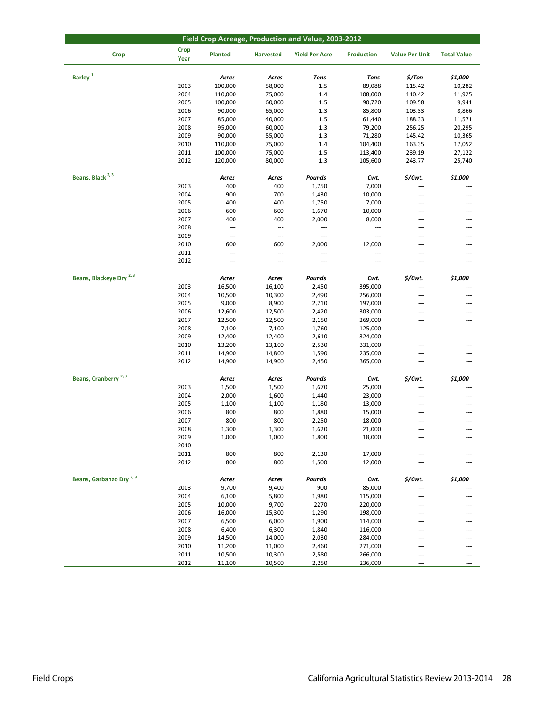| Field Crop Acreage, Production and Value, 2003-2012 |                     |                          |                          |                       |                          |                          |                    |  |  |
|-----------------------------------------------------|---------------------|--------------------------|--------------------------|-----------------------|--------------------------|--------------------------|--------------------|--|--|
| <b>Crop</b>                                         | <b>Crop</b><br>Year | Planted                  | <b>Harvested</b>         | <b>Yield Per Acre</b> | <b>Production</b>        | <b>Value Per Unit</b>    | <b>Total Value</b> |  |  |
| Barley <sup>1</sup>                                 |                     | Acres                    | Acres                    | <b>Tons</b>           | <b>Tons</b>              | $$/$ Ton                 | \$1,000            |  |  |
|                                                     | 2003                | 100,000                  | 58,000                   | $1.5\,$               | 89,088                   | 115.42                   | 10,282             |  |  |
|                                                     | 2004                |                          |                          | 1.4                   |                          |                          |                    |  |  |
|                                                     |                     | 110,000                  | 75,000                   |                       | 108,000                  | 110.42                   | 11,925             |  |  |
|                                                     | 2005                | 100,000                  | 60,000                   | 1.5                   | 90,720                   | 109.58                   | 9,941              |  |  |
|                                                     | 2006                | 90,000                   | 65,000                   | 1.3                   | 85,800                   | 103.33                   | 8,866              |  |  |
|                                                     | 2007                | 85,000                   | 40,000                   | 1.5                   | 61,440                   | 188.33                   | 11,571             |  |  |
|                                                     | 2008                | 95,000                   | 60,000                   | 1.3                   | 79,200                   | 256.25                   | 20,295             |  |  |
|                                                     | 2009                | 90,000                   | 55,000                   | 1.3                   | 71,280                   | 145.42                   | 10,365             |  |  |
|                                                     | 2010                | 110,000                  | 75,000                   | 1.4                   | 104,400                  | 163.35                   | 17,052             |  |  |
|                                                     | 2011                | 100,000                  | 75,000                   | 1.5                   | 113,400                  | 239.19                   | 27,122             |  |  |
|                                                     | 2012                | 120,000                  | 80,000                   | 1.3                   | 105,600                  | 243.77                   | 25,740             |  |  |
| Beans, Black <sup>2, 3</sup>                        |                     | Acres                    | Acres                    | Pounds                | Cwt.                     | \$/Cwt.                  | \$1,000            |  |  |
|                                                     | 2003                | 400                      | 400                      | 1,750                 | 7,000                    |                          |                    |  |  |
|                                                     | 2004                | 900                      | 700                      | 1,430                 | 10,000                   | ---                      | ---                |  |  |
|                                                     | 2005                | 400                      | 400                      | 1,750                 | 7,000                    | $---$                    | ---                |  |  |
|                                                     | 2006                | 600                      | 600                      | 1,670                 | 10,000                   | $\cdots$                 | ---                |  |  |
|                                                     | 2007                | 400                      | 400                      | 2,000                 | 8,000                    | ---                      | ---                |  |  |
|                                                     | 2008                | $\hspace{0.05cm} \ldots$ | $\overline{\phantom{a}}$ | ---                   | ---                      | ---                      | ---                |  |  |
|                                                     | 2009                | $\cdots$                 | $\cdots$                 | ---                   | $---$                    | ---                      | ---                |  |  |
|                                                     | 2010                | 600                      | 600                      | 2,000                 | 12,000                   | $\overline{a}$           | ---                |  |  |
|                                                     | 2011                | ---                      | ---                      | ---                   | ---                      | $---$                    | $\overline{a}$     |  |  |
|                                                     | 2012                | $\overline{\phantom{a}}$ | ---                      | ---                   | ---                      | $\overline{a}$           | ---                |  |  |
|                                                     |                     |                          |                          |                       |                          |                          |                    |  |  |
| Beans, Blackeye Dry <sup>2,3</sup>                  |                     | Acres                    | Acres                    | Pounds                | Cwt.                     | \$/Cwt.                  | \$1,000            |  |  |
|                                                     | 2003                | 16,500                   | 16,100                   | 2,450                 | 395,000                  | ---                      |                    |  |  |
|                                                     | 2004                | 10,500                   | 10,300                   | 2,490                 | 256,000                  | $---$                    | ---                |  |  |
|                                                     | 2005                | 9,000                    | 8,900                    | 2,210                 | 197,000                  | ---                      | ---                |  |  |
|                                                     | 2006                | 12,600                   | 12,500                   | 2,420                 | 303,000                  | ---                      |                    |  |  |
|                                                     | 2007                | 12,500                   | 12,500                   | 2,150                 | 269,000                  | ---                      | ---                |  |  |
|                                                     | 2008                | 7,100                    | 7,100                    | 1,760                 | 125,000                  | ---                      | ---                |  |  |
|                                                     | 2009                | 12,400                   | 12,400                   | 2,610                 | 324,000                  | $\overline{\phantom{a}}$ | ---                |  |  |
|                                                     | 2010                | 13,200                   | 13,100                   | 2,530                 | 331,000                  | $\overline{\phantom{a}}$ | ---                |  |  |
|                                                     | 2011                | 14,900                   | 14,800                   | 1,590                 | 235,000                  | ---                      | ---                |  |  |
|                                                     | 2012                | 14,900                   | 14,900                   | 2,450                 | 365,000                  | $---$                    | ---                |  |  |
| Beans, Cranberry <sup>2, 3</sup>                    |                     | Acres                    | Acres                    | Pounds                | Cwt.                     | \$/Cwt.                  | \$1,000            |  |  |
|                                                     | 2003                | 1,500                    | 1,500                    | 1,670                 | 25,000                   | ---                      |                    |  |  |
|                                                     | 2004                | 2,000                    | 1,600                    | 1,440                 | 23,000                   | ---                      | ---                |  |  |
|                                                     | 2005                | 1,100                    | 1,100                    | 1,180                 | 13,000                   | ---                      |                    |  |  |
|                                                     | 2006                | 800                      | 800                      | 1,880                 | 15,000                   | ---                      | ---                |  |  |
|                                                     | 2007                | 800                      | 800                      | 2,250                 | 18,000                   | ---                      | ---                |  |  |
|                                                     | 2008                | 1,300                    | 1,300                    | 1,620                 | 21,000                   | $---$                    | $---$              |  |  |
|                                                     | 2009                | 1,000                    | 1,000                    | 1,800                 | 18,000                   |                          |                    |  |  |
|                                                     | 2010                | $\overline{\phantom{a}}$ | ---                      |                       | $\overline{\phantom{a}}$ | ---                      |                    |  |  |
|                                                     | 2011                | 800                      | 800                      | 2,130                 | 17,000                   | ---                      |                    |  |  |
|                                                     | 2012                | 800                      | 800                      | 1,500                 | 12,000                   | $---$                    | ---                |  |  |
|                                                     |                     |                          |                          |                       |                          |                          |                    |  |  |
| Beans, Garbanzo Dry <sup>2,3</sup>                  |                     | Acres                    | Acres                    | Pounds                | Cwt.                     | \$/Cwt.                  | \$1,000            |  |  |
|                                                     | 2003                | 9,700                    | 9,400                    | 900                   | 85,000                   | $\overline{a}$           |                    |  |  |
|                                                     | 2004                | 6,100                    | 5,800                    | 1,980                 | 115,000                  | ---                      |                    |  |  |
|                                                     | 2005                | 10,000                   | 9,700                    | 2270                  | 220,000                  | $---$                    |                    |  |  |
|                                                     | 2006                | 16,000                   | 15,300                   | 1,290                 | 198,000                  | ---                      |                    |  |  |
|                                                     | 2007                | 6,500                    | 6,000                    | 1,900                 | 114,000                  | ---                      |                    |  |  |
|                                                     | 2008                | 6,400                    | 6,300                    | 1,840                 | 116,000                  | ---                      |                    |  |  |
|                                                     | 2009                | 14,500                   | 14,000                   | 2,030                 | 284,000                  | ---                      | ---                |  |  |
|                                                     | 2010                | 11,200                   | 11,000                   | 2,460                 | 271,000                  | $---$                    | ---                |  |  |
|                                                     | 2011                | 10,500                   | 10,300                   | 2,580                 | 266,000                  | $---$                    | ---                |  |  |
|                                                     | 2012                | 11,100                   | 10,500                   | 2,250                 | 236,000                  | $\qquad \qquad - -$      | ---                |  |  |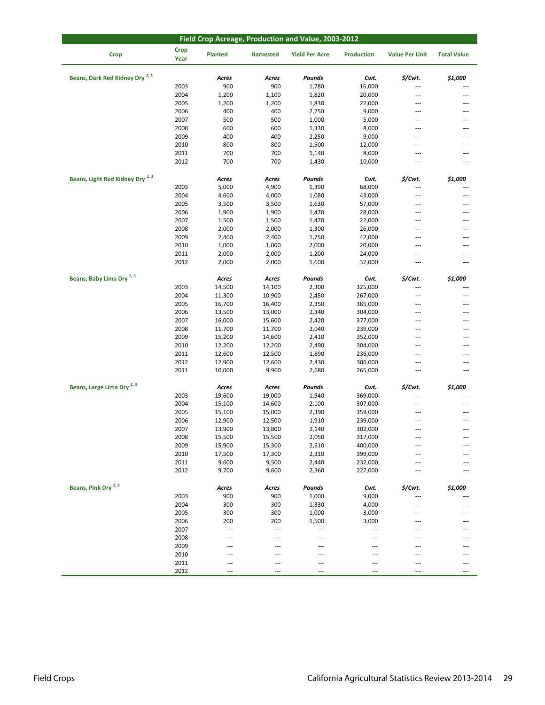| Field Crop Acreage, Production and Value, 2003-2012 |                     |                 |                  |                       |                          |                          |                          |  |  |
|-----------------------------------------------------|---------------------|-----------------|------------------|-----------------------|--------------------------|--------------------------|--------------------------|--|--|
| <b>Crop</b>                                         | <b>Crop</b><br>Year | <b>Planted</b>  | <b>Harvested</b> | <b>Yield Per Acre</b> | <b>Production</b>        | <b>Value Per Unit</b>    | <b>Total Value</b>       |  |  |
| Beans, Dark Red Kidney Dry <sup>2, 3</sup>          |                     | Acres           | Acres            | Pounds                | Cwt.                     | \$/Cwt.                  | \$1,000                  |  |  |
|                                                     | 2003                | 900             | 900              | 1,780                 | 16,000                   | ---                      | ---                      |  |  |
|                                                     | 2004                | 1,200           | 1,100            | 1,820                 | 20,000                   | ---                      | ---                      |  |  |
|                                                     | 2005                | 1,200           | 1,200            | 1,830                 | 22,000                   | ---                      | ---                      |  |  |
|                                                     | 2006                | 400             | 400              | 2,250                 | 9,000                    | ---                      | ---                      |  |  |
|                                                     | 2007                | 500             | 500              | 1,000                 | 5,000                    | $---$                    | $\cdots$                 |  |  |
|                                                     | 2008                | 600             | 600              | 1,330                 | 8,000                    | ---                      | ---                      |  |  |
|                                                     | 2009                | 400             | 400              | 2,250                 | 9,000                    | ---                      | ---                      |  |  |
|                                                     | 2010                | 800             | 800              | 1,500                 | 12,000                   | ---                      | ---                      |  |  |
|                                                     | 2011                | 700             | 700              | 1,140                 | 8,000                    | ---                      | ---                      |  |  |
|                                                     | 2012                | 700             | 700              | 1,430                 | 10,000                   | ---                      | $\sim$                   |  |  |
| Beans, Light Red Kidney Dry <sup>2,3</sup>          |                     | Acres           | Acres            | Pounds                | Cwt.                     | \$/Cwt.                  | \$1,000                  |  |  |
|                                                     | 2003                | 5,000           | 4,900            | 1,390                 | 68,000                   |                          |                          |  |  |
|                                                     | 2004                | 4,600           | 4,000            | 1,080                 | 43,000                   | ---                      | ---                      |  |  |
|                                                     | 2005                | 3,500           | 3,500            | 1,630                 | 57,000                   | ---                      | ---                      |  |  |
|                                                     | 2006                | 1,900           | 1,900            | 1,470                 | 28,000                   | ---                      | ---                      |  |  |
|                                                     | 2007                | 1,500           | 1,500            | 1,470                 | 22,000                   | ---                      | ---                      |  |  |
|                                                     | 2008                | 2,000           | 2,000            | 1,300                 | 26,000                   | $\overline{a}$           | $\overline{a}$           |  |  |
|                                                     | 2009                | 2,400           | 2,400            | 1,750                 | 42,000                   | $\overline{a}$           | $\sim$                   |  |  |
|                                                     | 2010                | 1,000           | 1,000            | 2,000                 | 20,000                   | $---$                    | $---$                    |  |  |
|                                                     | 2011                | 2,000           | 2,000            | 1,200                 | 24,000                   | ---                      | ---                      |  |  |
|                                                     | 2012                | 2,000           | 2,000            | 1,600                 | 32,000                   | ---                      | $\overline{a}$           |  |  |
| Beans, Baby Lima Dry <sup>2, 3</sup>                |                     | Acres           | Acres            | Pounds                | Cwt.                     | \$/Cwt.                  | \$1,000                  |  |  |
|                                                     | 2003                | 14,500          | 14,100           | 2,300                 | 325,000                  | ---                      | ---                      |  |  |
|                                                     | 2004                | 11,300          | 10,900           | 2,450                 | 267,000                  | ---                      | $\overline{\phantom{a}}$ |  |  |
|                                                     | 2005                | 16,700          | 16,400           | 2,350                 | 385,000                  | ---                      | ---                      |  |  |
|                                                     | 2006                | 13,500          | 13,000           | 2,340                 | 304,000                  | $---$                    | $\cdots$                 |  |  |
|                                                     | 2007                | 16,000          | 15,600           | 2,420                 | 377,000                  | ---                      | ---                      |  |  |
|                                                     | 2008                | 11,700          | 11,700           | 2,040                 | 239,000                  | $\overline{a}$           | ---                      |  |  |
|                                                     | 2009                | 15,200          | 14,600           | 2,410                 | 352,000                  | $\overline{a}$           | ---                      |  |  |
|                                                     | 2010                | 12,200          | 12,200           | 2,490                 | 304,000                  | ---                      | ---                      |  |  |
|                                                     | 2011                | 12,600          | 12,500           | 1,890                 | 236,000                  | ---                      | ---                      |  |  |
|                                                     | 2012                | 12,900          | 12,600           | 2,430                 | 306,000                  | ---                      | ---                      |  |  |
|                                                     | 2011                | 10,000          | 9,900            | 2,680                 | 265,000                  | $\overline{\phantom{a}}$ | ---                      |  |  |
| Beans, Large Lima Dry <sup>2, 3</sup>               |                     | Acres           | Acres            | Pounds                | Cwt.                     | \$/Cwt.                  | \$1,000                  |  |  |
|                                                     | 2003                | 19,600          | 19,000           | 1,940                 | 369,000                  |                          |                          |  |  |
|                                                     | 2004                | 15,100          | 14,600           | 2,100                 | 307,000                  | ---                      | ---                      |  |  |
|                                                     | 2005                | 15,100          | 15,000           | 2,390                 | 359,000                  | $---$                    | ---                      |  |  |
|                                                     | 2006                | 12,900          | 12,500           | 1,910                 | 239,000                  | ---                      | ---                      |  |  |
|                                                     | 2007                | 13,900          | 13,800           | 2,140                 | 302,000                  | ---                      | ---                      |  |  |
|                                                     | 2008                | 15,500          | 15,500           | 2,050                 | 317,000                  |                          | ---                      |  |  |
|                                                     | 2009                | 15,900          | 15,300           | 2,610                 | 400,000                  | ---                      | ---                      |  |  |
|                                                     | 2010                | 17,500          | 17,300           | 2,310                 | 399,000                  | ---                      | ---                      |  |  |
|                                                     | 2011                | 9,600           | 9,500            | 2,440                 | 232,000                  |                          |                          |  |  |
|                                                     | 2012                | 9,700           | 9,600            | 2,360                 | 227,000                  | ---                      | ---                      |  |  |
| Beans, Pink Dry <sup>2, 3</sup>                     |                     | Acres           | Acres            | Pounds                | Cwt.                     | \$/Cwt.                  | \$1,000                  |  |  |
|                                                     | 2003                | 900             | 900              | 1,000                 | 9,000                    | ---                      | ---                      |  |  |
|                                                     | 2004                | 300             | 300              | 1,330                 | 4,000                    | $\overline{a}$           | $---$                    |  |  |
|                                                     | 2005                | 300             | 300              | 1,000                 | 3,000                    | ---                      | ---                      |  |  |
|                                                     | 2006                | 200             | 200              | 1,500                 | 3,000                    | ---                      | ---                      |  |  |
|                                                     | 2007                | $\cdots$        | ---              | ---                   | $\overline{\phantom{a}}$ | ---                      | ---                      |  |  |
|                                                     | 2008                | ---             | ---              | ---                   | $---$                    |                          | ---                      |  |  |
|                                                     | 2009<br>2010        | ---<br>$\cdots$ | ---              | ---<br>---            | ---                      | ---                      | ---<br>---               |  |  |
|                                                     | 2011                | ---             | ---              | ---                   | ---                      | $\overline{a}$           | $\cdots$                 |  |  |
|                                                     | 2012                | ---             | ---              | ---                   | $\overline{a}$           | $\overline{a}$           | $---$                    |  |  |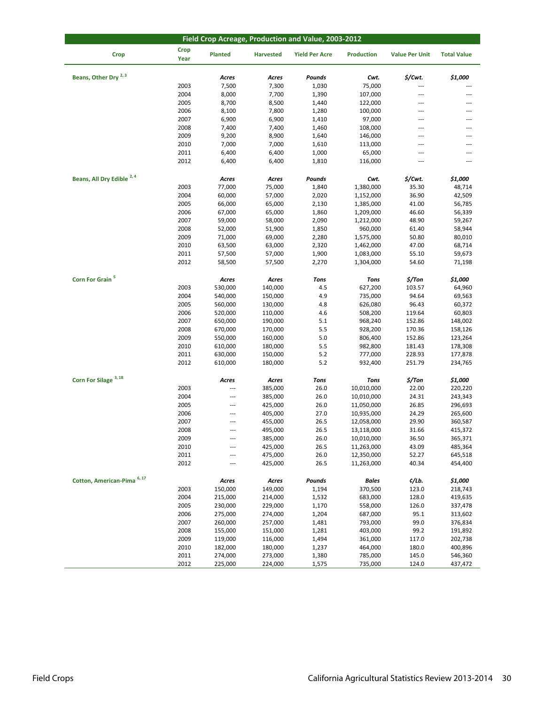| Field Crop Acreage, Production and Value, 2003-2012 |                     |                          |                  |                       |                   |                       |                    |  |
|-----------------------------------------------------|---------------------|--------------------------|------------------|-----------------------|-------------------|-----------------------|--------------------|--|
| <b>Crop</b>                                         | <b>Crop</b><br>Year | Planted                  | <b>Harvested</b> | <b>Yield Per Acre</b> | <b>Production</b> | <b>Value Per Unit</b> | <b>Total Value</b> |  |
| Beans, Other Dry <sup>2, 3</sup>                    |                     | Acres                    | Acres            | Pounds                | Cwt.              | \$/Cwt.               | \$1,000            |  |
|                                                     | 2003                | 7,500                    | 7,300            | 1,030                 | 75,000            |                       |                    |  |
|                                                     | 2004                | 8,000                    | 7,700            | 1,390                 | 107,000           | ---                   | ---                |  |
|                                                     | 2005                | 8,700                    | 8,500            | 1,440                 | 122,000           | ---                   | ---                |  |
|                                                     | 2006                | 8,100                    | 7,800            | 1,280                 | 100,000           | ---                   |                    |  |
|                                                     | 2007                | 6,900                    | 6,900            | 1,410                 | 97,000            | ---                   | ---                |  |
|                                                     | 2008                | 7,400                    | 7,400            | 1,460                 | 108,000           | ---                   | ---                |  |
|                                                     | 2009                | 9,200                    | 8,900            | 1,640                 | 146,000           | $\overline{a}$        | ---                |  |
|                                                     | 2010                | 7,000                    | 7,000            | 1,610                 | 113,000           | ---                   | ---                |  |
|                                                     | 2011                | 6,400                    | 6,400            | 1,000                 | 65,000            | ---                   | ---                |  |
|                                                     | 2012                | 6,400                    | 6,400            | 1,810                 | 116,000           | ---                   | $\overline{a}$     |  |
|                                                     |                     |                          |                  |                       |                   |                       |                    |  |
| Beans, All Dry Edible <sup>2,4</sup>                |                     | Acres                    | Acres            | Pounds                | Cwt.              | \$/Cwt.               | \$1,000            |  |
|                                                     | 2003                | 77,000                   | 75,000           | 1,840                 | 1,380,000         | 35.30                 | 48,714             |  |
|                                                     | 2004                | 60,000                   | 57,000           | 2,020                 | 1,152,000         | 36.90                 | 42,509             |  |
|                                                     | 2005                | 66,000                   | 65,000           | 2,130                 | 1,385,000         | 41.00                 | 56,785             |  |
|                                                     | 2006                | 67,000                   | 65,000           | 1,860                 | 1,209,000         | 46.60                 | 56,339             |  |
|                                                     | 2007                | 59,000                   | 58,000           | 2,090                 | 1,212,000         | 48.90                 | 59,267             |  |
|                                                     | 2008                | 52,000                   | 51,900           | 1,850                 | 960,000           | 61.40                 | 58,944             |  |
|                                                     | 2009                | 71,000                   | 69,000           | 2,280                 | 1,575,000         | 50.80                 | 80,010             |  |
|                                                     | 2010                | 63,500                   | 63,000           | 2,320                 | 1,462,000         | 47.00                 | 68,714             |  |
|                                                     | 2011                | 57,500                   | 57,000           | 1,900                 | 1,083,000         | 55.10                 | 59,673             |  |
|                                                     | 2012                | 58,500                   | 57,500           | 2,270                 | 1,304,000         | 54.60                 | 71,198             |  |
| Corn For Grain <sup>5</sup>                         |                     | Acres                    | Acres            | <b>Tons</b>           | Tons              | \$/Ton                | \$1,000            |  |
|                                                     | 2003                | 530,000                  | 140,000          | 4.5                   | 627,200           | 103.57                | 64,960             |  |
|                                                     | 2004                | 540,000                  | 150,000          | 4.9                   | 735,000           | 94.64                 | 69,563             |  |
|                                                     | 2005                | 560,000                  | 130,000          | 4.8                   | 626,080           | 96.43                 | 60,372             |  |
|                                                     | 2006                | 520,000                  | 110,000          | 4.6                   | 508,200           | 119.64                | 60,803             |  |
|                                                     | 2007                | 650,000                  | 190,000          | 5.1                   | 968,240           | 152.86                | 148,002            |  |
|                                                     | 2008                | 670,000                  | 170,000          | 5.5                   | 928,200           | 170.36                | 158,126            |  |
|                                                     | 2009                | 550,000                  | 160,000          | 5.0                   | 806,400           | 152.86                | 123,264            |  |
|                                                     | 2010                | 610,000                  | 180,000          | 5.5                   | 982,800           | 181.43                | 178,308            |  |
|                                                     | 2011                | 630,000                  | 150,000          | 5.2                   | 777,000           | 228.93                | 177,878            |  |
|                                                     | 2012                | 610,000                  | 180,000          | 5.2                   | 932,400           | 251.79                | 234,765            |  |
| Corn For Silage <sup>3, 18</sup>                    |                     | Acres                    | Acres            | Tons                  | <b>Tons</b>       | \$/Ton                | \$1,000            |  |
|                                                     | 2003                | $\overline{\phantom{a}}$ | 385,000          | 26.0                  | 10,010,000        | 22.00                 | 220,220            |  |
|                                                     | 2004                | $\overline{\phantom{a}}$ | 385,000          | 26.0                  | 10,010,000        | 24.31                 | 243,343            |  |
|                                                     | 2005                | $\cdots$                 | 425,000          | 26.0                  | 11,050,000        | 26.85                 | 296,693            |  |
|                                                     | 2006                | $\overline{a}$           | 405,000          | 27.0                  | 10,935,000        | 24.29                 | 265,600            |  |
|                                                     | 2007                | $\cdots$                 | 455,000          | 26.5                  | 12,058,000        | 29.90                 | 360,587            |  |
|                                                     | 2008                |                          | 495,000          | 26.5                  | 13,118,000        | 31.66                 | 415,372            |  |
|                                                     | 2009                | $\cdots$                 | 385,000          | 26.0                  | 10,010,000        | 36.50                 | 365,371            |  |
|                                                     | 2010                |                          | 425,000          | 26.5                  | 11,263,000        | 43.09                 | 485,364            |  |
|                                                     | 2011                | $---$                    | 475,000          | 26.0                  | 12,350,000        | 52.27                 | 645,518            |  |
|                                                     | 2012                |                          | 425,000          | 26.5                  | 11,263,000        | 40.34                 | 454,400            |  |
| Cotton, American-Pima <sup>6, 17</sup>              |                     | Acres                    | Acres            | Pounds                | <b>Bales</b>      | ¢/Lb.                 | \$1,000            |  |
|                                                     | 2003                | 150,000                  | 149,000          | 1,194                 | 370,500           | 123.0                 | 218,743            |  |
|                                                     | 2004                | 215,000                  | 214,000          | 1,532                 | 683,000           | 128.0                 | 419,635            |  |
|                                                     | 2005                | 230,000                  | 229,000          | 1,170                 | 558,000           | 126.0                 | 337,478            |  |
|                                                     | 2006                | 275,000                  | 274,000          | 1,204                 | 687,000           | 95.1                  | 313,602            |  |
|                                                     | 2007                | 260,000                  | 257,000          | 1,481                 | 793,000           | 99.0                  | 376,834            |  |
|                                                     | 2008                | 155,000                  | 151,000          | 1,281                 | 403,000           | 99.2                  | 191,892            |  |
|                                                     | 2009                | 119,000                  | 116,000          | 1,494                 | 361,000           | 117.0                 | 202,738            |  |
|                                                     | 2010                | 182,000                  | 180,000          | 1,237                 | 464,000           | 180.0                 | 400,896            |  |
|                                                     | 2011                | 274,000                  | 273,000          | 1,380                 | 785,000           | 145.0                 | 546,360            |  |
|                                                     | 2012                | 225,000                  | 224,000          | 1,575                 | 735,000           | 124.0                 | 437,472            |  |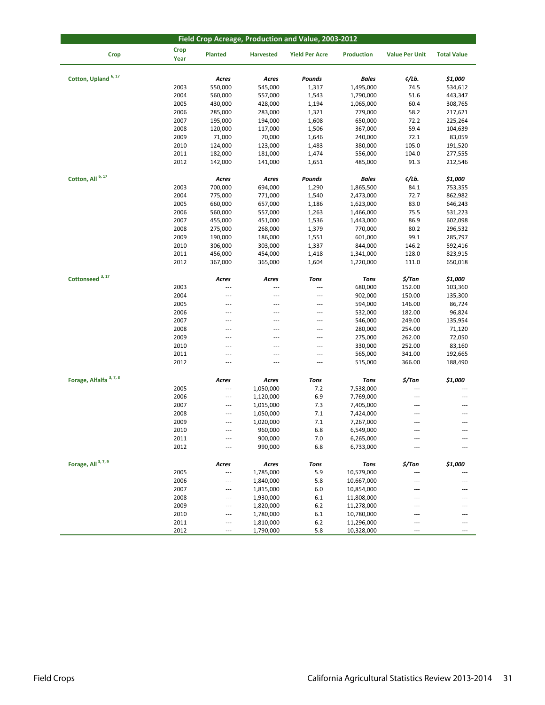| Field Crop Acreage, Production and Value, 2003-2012 |                     |                |                  |                       |                   |                       |                    |  |  |
|-----------------------------------------------------|---------------------|----------------|------------------|-----------------------|-------------------|-----------------------|--------------------|--|--|
| <b>Crop</b>                                         | <b>Crop</b><br>Year | <b>Planted</b> | <b>Harvested</b> | <b>Yield Per Acre</b> | <b>Production</b> | <b>Value Per Unit</b> | <b>Total Value</b> |  |  |
| Cotton, Upland <sup>6, 17</sup>                     |                     | Acres          | Acres            | Pounds                | <b>Bales</b>      | ¢/Lb.                 | \$1,000            |  |  |
|                                                     | 2003                | 550,000        | 545,000          | 1,317                 | 1,495,000         | 74.5                  | 534,612            |  |  |
|                                                     | 2004                |                | 557,000          | 1,543                 | 1,790,000         | 51.6                  |                    |  |  |
|                                                     |                     | 560,000        |                  |                       |                   | 60.4                  | 443,347            |  |  |
|                                                     | 2005                | 430,000        | 428,000          | 1,194                 | 1,065,000         |                       | 308,765            |  |  |
|                                                     | 2006                | 285,000        | 283,000          | 1,321                 | 779,000           | 58.2                  | 217,621            |  |  |
|                                                     | 2007                | 195,000        | 194,000          | 1,608                 | 650,000           | 72.2                  | 225,264            |  |  |
|                                                     | 2008                | 120,000        | 117,000          | 1,506                 | 367,000           | 59.4                  | 104,639            |  |  |
|                                                     | 2009                | 71,000         | 70,000           | 1,646                 | 240,000           | 72.1                  | 83,059             |  |  |
|                                                     | 2010                | 124,000        | 123,000          | 1,483                 | 380,000           | 105.0                 | 191,520            |  |  |
|                                                     | 2011                | 182,000        | 181,000          | 1,474                 | 556,000           | 104.0                 | 277,555            |  |  |
|                                                     | 2012                | 142,000        | 141,000          | 1,651                 | 485,000           | 91.3                  | 212,546            |  |  |
| Cotton, All 6, 17                                   |                     | Acres          | Acres            | Pounds                | <b>Bales</b>      | ¢/Lb.                 | \$1,000            |  |  |
|                                                     | 2003                | 700,000        | 694,000          | 1,290                 | 1,865,500         | 84.1                  | 753,355            |  |  |
|                                                     | 2004                | 775,000        | 771,000          | 1,540                 | 2,473,000         | 72.7                  | 862,982            |  |  |
|                                                     | 2005                | 660,000        | 657,000          | 1,186                 | 1,623,000         | 83.0                  | 646,243            |  |  |
|                                                     | 2006                | 560,000        | 557,000          | 1,263                 | 1,466,000         | 75.5                  | 531,223            |  |  |
|                                                     |                     |                |                  |                       |                   |                       |                    |  |  |
|                                                     | 2007                | 455,000        | 451,000          | 1,536                 | 1,443,000         | 86.9                  | 602,098            |  |  |
|                                                     | 2008                | 275,000        | 268,000          | 1,379                 | 770,000           | 80.2                  | 296,532            |  |  |
|                                                     | 2009                | 190,000        | 186,000          | 1,551                 | 601,000           | 99.1                  | 285,797            |  |  |
|                                                     | 2010                | 306,000        | 303,000          | 1,337                 | 844,000           | 146.2                 | 592,416            |  |  |
|                                                     | 2011                | 456,000        | 454,000          | 1,418                 | 1,341,000         | 128.0                 | 823,915            |  |  |
|                                                     | 2012                | 367,000        | 365,000          | 1,604                 | 1,220,000         | 111.0                 | 650,018            |  |  |
| Cottonseed <sup>3, 17</sup>                         |                     | Acres          | Acres            | <b>Tons</b>           | <b>Tons</b>       | $$/$ Ton              | \$1,000            |  |  |
|                                                     | 2003                | ---            | $\overline{a}$   | ---                   | 680,000           | 152.00                | 103,360            |  |  |
|                                                     | 2004                | ---            | ---              | ---                   | 902,000           | 150.00                | 135,300            |  |  |
|                                                     | 2005                | ---            | ---              | ---                   | 594,000           | 146.00                | 86,724             |  |  |
|                                                     | 2006                | ---            | ---              | ---                   | 532,000           | 182.00                | 96,824             |  |  |
|                                                     | 2007                | ---            | $\overline{a}$   | $\overline{a}$        | 546,000           | 249.00                | 135,954            |  |  |
|                                                     | 2008                | ---            | ---              | ---                   | 280,000           | 254.00                | 71,120             |  |  |
|                                                     | 2009                | ---            | ---              | ---                   | 275,000           | 262.00                | 72,050             |  |  |
|                                                     | 2010                | ---            | $\overline{a}$   | $\overline{a}$        |                   |                       |                    |  |  |
|                                                     |                     |                |                  |                       | 330,000           | 252.00                | 83,160             |  |  |
|                                                     | 2011                | ---            | ---              | ---                   | 565,000           | 341.00                | 192,665            |  |  |
|                                                     | 2012                | ---            | ---              | ---                   | 515,000           | 366.00                | 188,490            |  |  |
| Forage, Alfalfa <sup>3, 7, 8</sup>                  |                     | Acres          | Acres            | <b>Tons</b>           | <b>Tons</b>       | \$/Ton                | \$1,000            |  |  |
|                                                     | 2005                | ---            | 1,050,000        | 7.2                   | 7,538,000         |                       |                    |  |  |
|                                                     | 2006                | ---            | 1,120,000        | 6.9                   | 7,769,000         | ---                   |                    |  |  |
|                                                     | 2007                | ---            | 1,015,000        | 7.3                   | 7,405,000         | ---                   |                    |  |  |
|                                                     | 2008                | ---            | 1,050,000        | 7.1                   | 7,424,000         | ---                   | ---                |  |  |
|                                                     | 2009                | ---            | 1,020,000        | 7.1                   | 7,267,000         | $\overline{a}$        | ---                |  |  |
|                                                     | 2010                | ---            | 960,000          | 6.8                   | 6,549,000         | $---$                 | ---                |  |  |
|                                                     | 2011                | ---            | 900,000          | 7.0                   | 6,265,000         | ---                   |                    |  |  |
|                                                     | 2012                | ---            | 990,000          | 6.8                   | 6,733,000         |                       | ---                |  |  |
|                                                     |                     |                |                  |                       |                   |                       |                    |  |  |
| Forage, All <sup>3, 7, 9</sup>                      |                     | Acres          | Acres            | Tons                  | <b>Tons</b>       | $$/$ Ton              | \$1,000            |  |  |
|                                                     | 2005                | ---            | 1,785,000        | 5.9                   | 10,579,000        | ---                   |                    |  |  |
|                                                     | 2006                | ---            | 1,840,000        | 5.8                   | 10,667,000        | $---$                 | $---$              |  |  |
|                                                     | 2007                | ---            | 1,815,000        | 6.0                   | 10,854,000        | ---                   |                    |  |  |
|                                                     | 2008                | ---            | 1,930,000        | 6.1                   | 11,808,000        | ---                   |                    |  |  |
|                                                     | 2009                | ---            | 1,820,000        | 6.2                   | 11,278,000        | $---$                 | ---                |  |  |
|                                                     | 2010                | ---            | 1,780,000        | 6.1                   | 10,780,000        | $---$                 |                    |  |  |
|                                                     | 2011                | ---            | 1,810,000        | $6.2$                 | 11,296,000        | ---                   | ---                |  |  |
|                                                     | 2012                | ---            | 1,790,000        | 5.8                   | 10,328,000        | $\cdots$              | ---                |  |  |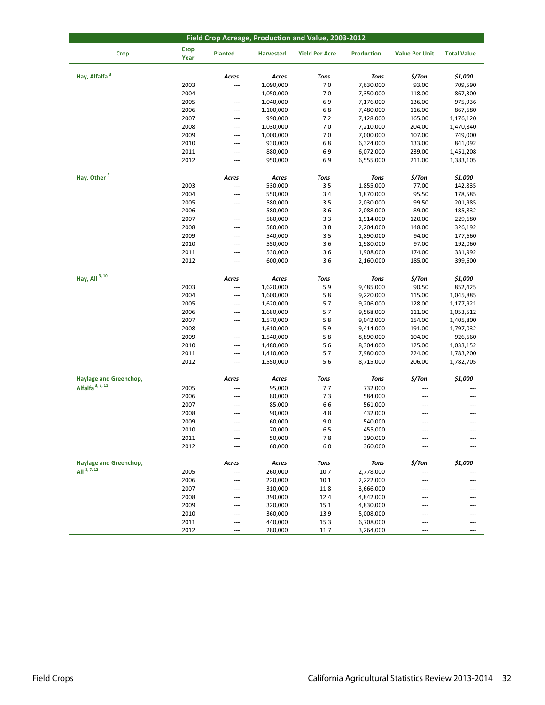| Field Crop Acreage, Production and Value, 2003-2012   |                     |              |                  |                       |                    |                       |                    |  |  |
|-------------------------------------------------------|---------------------|--------------|------------------|-----------------------|--------------------|-----------------------|--------------------|--|--|
| <b>Crop</b>                                           | <b>Crop</b><br>Year | Planted      | <b>Harvested</b> | <b>Yield Per Acre</b> | <b>Production</b>  | <b>Value Per Unit</b> | <b>Total Value</b> |  |  |
| Hay, Alfalfa <sup>3</sup>                             |                     | Acres        | Acres            | <b>Tons</b>           | <b>Tons</b>        | \$/Ton                | \$1,000            |  |  |
|                                                       | 2003                | ---          | 1,090,000        | 7.0                   | 7,630,000          | 93.00                 | 709,590            |  |  |
|                                                       | 2004                | ---          | 1,050,000        | 7.0                   | 7,350,000          | 118.00                | 867,300            |  |  |
|                                                       | 2005                | ---          | 1,040,000        | 6.9                   | 7,176,000          | 136.00                | 975,936            |  |  |
|                                                       | 2006                | ---          | 1,100,000        | 6.8                   | 7,480,000          | 116.00                | 867,680            |  |  |
|                                                       | 2007                | ---          | 990,000          | 7.2                   | 7,128,000          | 165.00                | 1,176,120          |  |  |
|                                                       | 2008                | ---          | 1,030,000        | 7.0                   | 7,210,000          | 204.00                | 1,470,840          |  |  |
|                                                       | 2009                | ---          | 1,000,000        | 7.0                   | 7,000,000          | 107.00                | 749,000            |  |  |
|                                                       | 2010                | ---          | 930,000          | 6.8                   | 6,324,000          | 133.00                | 841,092            |  |  |
|                                                       | 2011                | ---          | 880,000          | 6.9                   | 6,072,000          | 239.00                | 1,451,208          |  |  |
|                                                       | 2012                | ---          | 950,000          | 6.9                   | 6,555,000          | 211.00                | 1,383,105          |  |  |
|                                                       |                     |              |                  |                       |                    |                       |                    |  |  |
| Hay, Other <sup>3</sup>                               |                     | Acres        | Acres            | <b>Tons</b>           | <b>Tons</b>        | \$/Ton                | \$1,000            |  |  |
|                                                       | 2003                | ---          | 530,000          | 3.5                   | 1,855,000          | 77.00                 | 142,835            |  |  |
|                                                       | 2004                | ---          | 550,000          | 3.4                   | 1,870,000          | 95.50                 | 178,585            |  |  |
|                                                       | 2005                | ---          | 580,000          | 3.5                   | 2,030,000          | 99.50                 | 201,985            |  |  |
|                                                       | 2006                | ---          | 580,000          | 3.6                   | 2,088,000          | 89.00                 | 185,832            |  |  |
|                                                       | 2007                | ---          | 580,000          | 3.3                   | 1,914,000          | 120.00                | 229,680            |  |  |
|                                                       | 2008                | ---          | 580,000          | 3.8                   | 2,204,000          | 148.00                | 326,192            |  |  |
|                                                       | 2009                | ---          | 540,000          | 3.5                   | 1,890,000          | 94.00                 | 177,660            |  |  |
|                                                       | 2010                | ---          | 550,000          | 3.6                   | 1,980,000          | 97.00                 | 192,060            |  |  |
|                                                       | 2011                | ---          | 530,000          | 3.6                   | 1,908,000          | 174.00                | 331,992            |  |  |
|                                                       | 2012                | ---          | 600,000          | 3.6                   | 2,160,000          | 185.00                | 399,600            |  |  |
| Hay, All $3, 10$                                      |                     | Acres        | Acres            | <b>Tons</b>           | <b>Tons</b>        | \$/Ton                | \$1,000            |  |  |
|                                                       | 2003                | ---          | 1,620,000        | 5.9                   | 9,485,000          | 90.50                 | 852,425            |  |  |
|                                                       | 2004                | ---          | 1,600,000        | 5.8                   | 9,220,000          | 115.00                | 1,045,885          |  |  |
|                                                       | 2005                | ---          | 1,620,000        | 5.7                   | 9,206,000          | 128.00                | 1,177,921          |  |  |
|                                                       | 2006                | ---          | 1,680,000        | 5.7                   | 9,568,000          | 111.00                | 1,053,512          |  |  |
|                                                       | 2007                | ---          | 1,570,000        | 5.8                   | 9,042,000          | 154.00                | 1,405,800          |  |  |
|                                                       | 2008                | ---          | 1,610,000        | 5.9                   | 9,414,000          | 191.00                | 1,797,032          |  |  |
|                                                       | 2009                | ---          | 1,540,000        | 5.8                   | 8,890,000          | 104.00                | 926,660            |  |  |
|                                                       | 2010                | ---          | 1,480,000        | 5.6                   | 8,304,000          | 125.00                | 1,033,152          |  |  |
|                                                       | 2011                | ---          | 1,410,000        | 5.7                   | 7,980,000          | 224.00                | 1,783,200          |  |  |
|                                                       | 2012                | ---          | 1,550,000        | 5.6                   | 8,715,000          | 206.00                | 1,782,705          |  |  |
|                                                       |                     |              |                  |                       |                    |                       |                    |  |  |
| Haylage and Greenchop,<br>Alfalfa <sup>3, 7, 11</sup> | 2005                | Acres<br>--- | Acres            | Tons                  | <b>Tons</b>        | \$/Ton                | \$1,000            |  |  |
|                                                       | 2006                | ---          | 95,000<br>80,000 | 7.7<br>7.3            | 732,000            | $---$                 | ---                |  |  |
|                                                       | 2007                | ---          | 85,000           | 6.6                   | 584,000<br>561,000 | ---                   | ---                |  |  |
|                                                       | 2008                | ---          | 90,000           | 4.8                   | 432,000            | ---                   |                    |  |  |
|                                                       | 2009                | ---          | 60,000           | 9.0                   | 540,000            | $\overline{a}$        | ---                |  |  |
|                                                       | 2010                | ---          | 70,000           | 6.5                   | 455,000            | $---$                 | ---                |  |  |
|                                                       | 2011                | ---          | 50,000           | 7.8                   | 390,000            | ---                   |                    |  |  |
|                                                       | 2012                |              | 60,000           | 6.0                   | 360,000            |                       |                    |  |  |
|                                                       |                     |              |                  |                       |                    |                       |                    |  |  |
| Haylage and Greenchop,                                |                     | Acres        | Acres            | Tons                  | Tons               | \$/Ton                | \$1,000            |  |  |
| All $3, 7, 12$                                        | 2005                | ---          | 260,000          | 10.7                  | 2,778,000          | ---                   |                    |  |  |
|                                                       | 2006                | ---          | 220,000          | 10.1                  | 2,222,000          | $---$                 |                    |  |  |
|                                                       | 2007                | ---          | 310,000          | 11.8                  | 3,666,000          | ---                   |                    |  |  |
|                                                       | 2008                | ---          | 390,000          | 12.4                  | 4,842,000          | ---                   |                    |  |  |
|                                                       | 2009                | ---          | 320,000          | 15.1                  | 4,830,000          | $\overline{a}$        |                    |  |  |
|                                                       | 2010                | ---<br>---   | 360,000          | 13.9                  | 5,008,000          | $---$<br>---          | <br>---            |  |  |
|                                                       | 2011                | ---          | 440,000          | 15.3                  | 6,708,000          |                       | ---                |  |  |
|                                                       | 2012                |              | 280,000          | 11.7                  | 3,264,000          | ---                   |                    |  |  |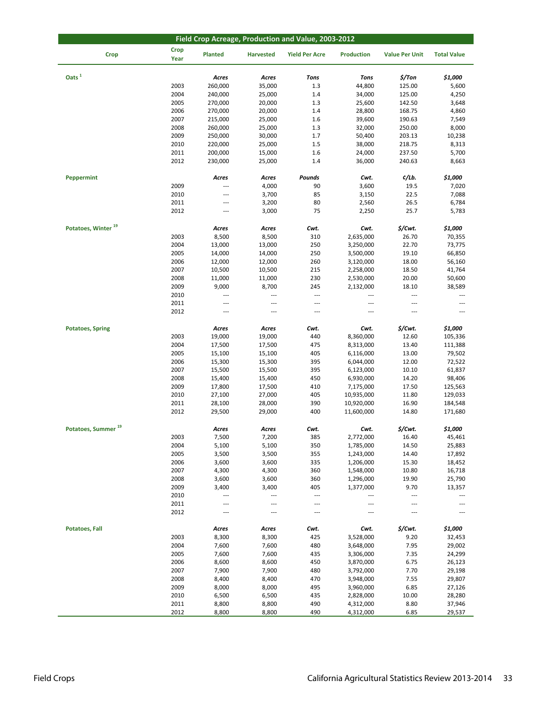| Field Crop Acreage, Production and Value, 2003-2012 |                     |                          |                          |                          |                   |                          |                    |  |  |  |
|-----------------------------------------------------|---------------------|--------------------------|--------------------------|--------------------------|-------------------|--------------------------|--------------------|--|--|--|
| <b>Crop</b>                                         | <b>Crop</b><br>Year | <b>Planted</b>           | <b>Harvested</b>         | <b>Yield Per Acre</b>    | <b>Production</b> | <b>Value Per Unit</b>    | <b>Total Value</b> |  |  |  |
| Oats <sup>1</sup>                                   |                     | Acres                    | Acres                    | <b>Tons</b>              | <b>Tons</b>       | \$/Ton                   | \$1,000            |  |  |  |
|                                                     | 2003                | 260,000                  | 35,000                   | 1.3                      | 44,800            | 125.00                   | 5,600              |  |  |  |
|                                                     | 2004                | 240,000                  | 25,000                   | 1.4                      | 34,000            | 125.00                   | 4,250              |  |  |  |
|                                                     | 2005                | 270,000                  | 20,000                   | 1.3                      | 25,600            | 142.50                   | 3,648              |  |  |  |
|                                                     | 2006                | 270,000                  | 20,000                   | 1.4                      | 28,800            | 168.75                   | 4,860              |  |  |  |
|                                                     | 2007                | 215,000                  | 25,000                   | 1.6                      | 39,600            | 190.63                   | 7,549              |  |  |  |
|                                                     | 2008                | 260,000                  | 25,000                   | 1.3                      | 32,000            | 250.00                   | 8,000              |  |  |  |
|                                                     | 2009                | 250,000                  | 30,000                   | 1.7                      | 50,400            | 203.13                   | 10,238             |  |  |  |
|                                                     | 2010                | 220,000                  | 25,000                   | 1.5                      | 38,000            | 218.75                   | 8,313              |  |  |  |
|                                                     | 2011                | 200,000                  | 15,000                   | 1.6                      | 24,000            | 237.50                   | 5,700              |  |  |  |
|                                                     | 2012                | 230,000                  | 25,000                   | 1.4                      | 36,000            | 240.63                   | 8,663              |  |  |  |
|                                                     |                     |                          |                          |                          |                   |                          |                    |  |  |  |
| <b>Peppermint</b>                                   |                     | Acres                    | Acres                    | Pounds                   | Cwt.              | ¢/Lb.                    | \$1,000            |  |  |  |
|                                                     | 2009                | ---                      | 4,000                    | 90                       | 3,600             | 19.5                     | 7,020              |  |  |  |
|                                                     | 2010                | ---                      | 3,700                    | 85                       | 3,150             | 22.5                     | 7,088              |  |  |  |
|                                                     | 2011                | ---                      | 3,200                    | 80                       | 2,560             | 26.5                     | 6,784              |  |  |  |
|                                                     | 2012                | $\overline{a}$           | 3,000                    | 75                       | 2,250             | 25.7                     | 5,783              |  |  |  |
| Potatoes, Winter <sup>19</sup>                      |                     | Acres                    | Acres                    | Cwt.                     | Cwt.              | \$/Cwt.                  | \$1,000            |  |  |  |
|                                                     | 2003                | 8,500                    | 8,500                    | 310                      | 2,635,000         | 26.70                    | 70,355             |  |  |  |
|                                                     | 2004                | 13,000                   | 13,000                   | 250                      | 3,250,000         | 22.70                    | 73,775             |  |  |  |
|                                                     | 2005                | 14,000                   | 14,000                   | 250                      | 3,500,000         | 19.10                    | 66,850             |  |  |  |
|                                                     | 2006                | 12,000                   | 12,000                   | 260                      | 3,120,000         | 18.00                    | 56,160             |  |  |  |
|                                                     | 2007                | 10,500                   | 10,500                   | 215                      | 2,258,000         | 18.50                    | 41,764             |  |  |  |
|                                                     | 2008                | 11,000                   | 11,000                   | 230                      | 2,530,000         | 20.00                    | 50,600             |  |  |  |
|                                                     | 2009                | 9,000                    | 8,700                    | 245                      | 2,132,000         | 18.10                    | 38,589             |  |  |  |
|                                                     | 2010                | ---                      | $\cdots$                 | $\cdots$                 | ---               | ---                      | $\overline{a}$     |  |  |  |
|                                                     | 2011                | ---                      | $\cdots$                 | $\overline{\phantom{a}}$ | ---               | ---                      | ---                |  |  |  |
|                                                     | 2012                |                          | $\overline{\phantom{a}}$ | ---                      |                   | ---                      |                    |  |  |  |
|                                                     |                     |                          |                          |                          |                   |                          |                    |  |  |  |
| <b>Potatoes, Spring</b>                             |                     | Acres                    | Acres                    | Cwt.                     | Cwt.              | \$/Cwt.                  | \$1,000            |  |  |  |
|                                                     | 2003                | 19,000                   | 19,000                   | 440                      | 8,360,000         | 12.60                    | 105,336            |  |  |  |
|                                                     | 2004                | 17,500                   | 17,500                   | 475                      | 8,313,000         | 13.40                    | 111,388            |  |  |  |
|                                                     | 2005                | 15,100                   | 15,100                   | 405                      | 6,116,000         | 13.00                    | 79,502             |  |  |  |
|                                                     | 2006                | 15,300                   | 15,300                   | 395                      | 6,044,000         | 12.00                    | 72,522             |  |  |  |
|                                                     | 2007                | 15,500                   | 15,500                   | 395                      | 6,123,000         | 10.10                    | 61,837             |  |  |  |
|                                                     | 2008                | 15,400                   | 15,400                   | 450                      | 6,930,000         | 14.20                    | 98,406             |  |  |  |
|                                                     | 2009                | 17,800                   | 17,500                   | 410                      | 7,175,000         | 17.50                    | 125,563            |  |  |  |
|                                                     | 2010                | 27,100                   | 27,000                   | 405                      | 10,935,000        | 11.80                    | 129,033            |  |  |  |
|                                                     | 2011                | 28,100                   | 28,000                   | 390                      | 10,920,000        | 16.90                    | 184,548            |  |  |  |
|                                                     | 2012                | 29,500                   | 29,000                   | 400                      | 11,600,000        | 14.80                    | 171,680            |  |  |  |
| Potatoes, Summer <sup>19</sup>                      |                     | Acres                    | Acres                    | Cwt.                     | Cwt.              | \$/Cwt.                  | \$1,000            |  |  |  |
|                                                     | 2003                | 7,500                    | 7,200                    | 385                      | 2,772,000         | 16.40                    | 45,461             |  |  |  |
|                                                     | 2004                | 5,100                    | 5,100                    | 350                      | 1,785,000         | 14.50                    | 25,883             |  |  |  |
|                                                     | 2005                | 3,500                    | 3,500                    | 355                      | 1,243,000         | 14.40                    | 17,892             |  |  |  |
|                                                     | 2006                | 3,600                    | 3,600                    | 335                      | 1,206,000         | 15.30                    | 18,452             |  |  |  |
|                                                     | 2007                | 4,300                    | 4,300                    | 360                      | 1,548,000         | 10.80                    | 16,718             |  |  |  |
|                                                     | 2008                | 3,600                    | 3,600                    | 360                      | 1,296,000         | 19.90                    | 25,790             |  |  |  |
|                                                     | 2009                | 3,400                    | 3,400                    | 405                      | 1,377,000         | 9.70                     | 13,357             |  |  |  |
|                                                     | 2010                | $\overline{\phantom{a}}$ | $\overline{\phantom{a}}$ | $\sim$ $\sim$            | ---               | $\overline{\phantom{a}}$ | $\overline{a}$     |  |  |  |
|                                                     | 2011                | ---                      | $\overline{\phantom{a}}$ | $\overline{\phantom{a}}$ | ---               | ---                      | ---                |  |  |  |
|                                                     | 2012                | ---                      | ---                      | $\overline{a}$           | ---               | ---                      |                    |  |  |  |
| <b>Potatoes, Fall</b>                               |                     | Acres                    | Acres                    | Cwt.                     | Cwt.              | \$/Cwt.                  | \$1,000            |  |  |  |
|                                                     | 2003                | 8,300                    | 8,300                    | 425                      | 3,528,000         | 9.20                     | 32,453             |  |  |  |
|                                                     | 2004                | 7,600                    | 7,600                    | 480                      | 3,648,000         | 7.95                     | 29,002             |  |  |  |
|                                                     | 2005                | 7,600                    | 7,600                    | 435                      | 3,306,000         | 7.35                     | 24,299             |  |  |  |
|                                                     | 2006                | 8,600                    | 8,600                    | 450                      | 3,870,000         | 6.75                     | 26,123             |  |  |  |
|                                                     | 2007                | 7,900                    | 7,900                    | 480                      | 3,792,000         | 7.70                     | 29,198             |  |  |  |
|                                                     | 2008                | 8,400                    | 8,400                    | 470                      | 3,948,000         | 7.55                     | 29,807             |  |  |  |
|                                                     | 2009                | 8,000                    | 8,000                    | 495                      | 3,960,000         | 6.85                     | 27,126             |  |  |  |
|                                                     | 2010                | 6,500                    | 6,500                    | 435                      | 2,828,000         | 10.00                    | 28,280             |  |  |  |
|                                                     | 2011                | 8,800                    | 8,800                    | 490                      | 4,312,000         | 8.80                     | 37,946             |  |  |  |
|                                                     | 2012                | 8,800                    | 8,800                    | 490                      | 4,312,000         | 6.85                     | 29,537             |  |  |  |
|                                                     |                     |                          |                          |                          |                   |                          |                    |  |  |  |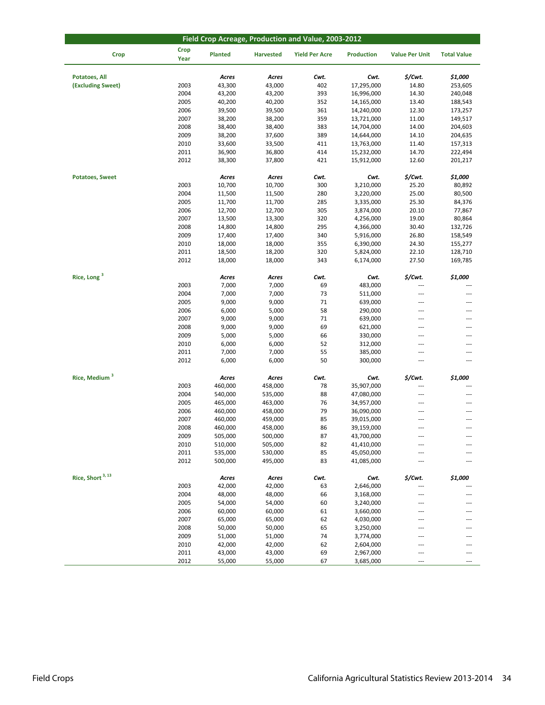| Field Crop Acreage, Production and Value, 2003-2012 |                     |                  |                  |                       |                   |                       |                    |  |  |
|-----------------------------------------------------|---------------------|------------------|------------------|-----------------------|-------------------|-----------------------|--------------------|--|--|
| <b>Crop</b>                                         | <b>Crop</b><br>Year | Planted          | <b>Harvested</b> | <b>Yield Per Acre</b> | <b>Production</b> | <b>Value Per Unit</b> | <b>Total Value</b> |  |  |
| Potatoes, All                                       |                     | Acres            | Acres            | Cwt.                  | Cwt.              | \$/Cwt.               | \$1,000            |  |  |
| (Excluding Sweet)                                   | 2003                | 43,300           | 43,000           | 402                   | 17,295,000        | 14.80                 | 253,605            |  |  |
|                                                     | 2004                | 43,200           | 43,200           | 393                   | 16,996,000        | 14.30                 | 240,048            |  |  |
|                                                     | 2005                | 40,200           | 40,200           | 352                   | 14,165,000        | 13.40                 | 188,543            |  |  |
|                                                     | 2006                | 39,500           | 39,500           | 361                   | 14,240,000        | 12.30                 | 173,257            |  |  |
|                                                     | 2007                | 38,200           | 38,200           | 359                   | 13,721,000        | 11.00                 | 149,517            |  |  |
|                                                     | 2008                | 38,400           | 38,400           | 383                   | 14,704,000        | 14.00                 | 204,603            |  |  |
|                                                     | 2009                | 38,200           | 37,600           | 389                   | 14,644,000        | 14.10                 | 204,635            |  |  |
|                                                     | 2010                | 33,600           | 33,500           | 411                   | 13,763,000        | 11.40                 | 157,313            |  |  |
|                                                     | 2011                | 36,900           | 36,800           | 414                   | 15,232,000        | 14.70                 | 222,494            |  |  |
|                                                     | 2012                | 38,300           | 37,800           | 421                   | 15,912,000        | 12.60                 | 201,217            |  |  |
| <b>Potatoes, Sweet</b>                              |                     | Acres            | Acres            | Cwt.                  | Cwt.              | \$/Cwt.               | \$1,000            |  |  |
|                                                     | 2003                | 10,700           | 10,700           | 300                   | 3,210,000         | 25.20                 | 80,892             |  |  |
|                                                     | 2004                | 11,500           | 11,500           | 280                   | 3,220,000         | 25.00                 | 80,500             |  |  |
|                                                     | 2005                | 11,700           | 11,700           | 285                   | 3,335,000         | 25.30                 | 84,376             |  |  |
|                                                     | 2006                | 12,700           | 12,700           | 305                   | 3,874,000         | 20.10                 | 77,867             |  |  |
|                                                     | 2007                | 13,500           | 13,300           | 320                   | 4,256,000         | 19.00                 | 80,864             |  |  |
|                                                     | 2008                | 14,800           | 14,800           | 295                   | 4,366,000         | 30.40                 | 132,726            |  |  |
|                                                     | 2009                | 17,400           | 17,400           | 340                   | 5,916,000         | 26.80                 | 158,549            |  |  |
|                                                     | 2010                | 18,000           | 18,000           | 355                   | 6,390,000         | 24.30                 | 155,277            |  |  |
|                                                     | 2011                | 18,500           | 18,200           | 320                   | 5,824,000         | 22.10                 | 128,710            |  |  |
|                                                     | 2012                | 18,000           | 18,000           | 343                   | 6,174,000         | 27.50                 | 169,785            |  |  |
| Rice, Long <sup>3</sup>                             |                     | Acres            | Acres            | Cwt.                  | Cwt.              | \$/Cwt.               | \$1,000            |  |  |
|                                                     | 2003                | 7,000            | 7,000            | 69                    | 483,000           | ---                   | ---                |  |  |
|                                                     | 2004                | 7,000            | 7,000            | 73                    | 511,000           | ---                   | ---                |  |  |
|                                                     | 2005                | 9,000            | 9,000            | 71                    | 639,000           | ---                   | ---                |  |  |
|                                                     | 2006                | 6,000            | 5,000            | 58                    | 290,000           | ---                   | ---                |  |  |
|                                                     | 2007                | 9,000            | 9,000            | 71                    | 639,000           | $\overline{a}$        | ---                |  |  |
|                                                     | 2008                | 9,000            | 9,000            | 69                    | 621,000           | $---$                 | ---                |  |  |
|                                                     | 2009                | 5,000            | 5,000            | 66                    | 330,000           | ---                   | ---                |  |  |
|                                                     | 2010                | 6,000            | 6,000            | 52                    | 312,000           | $\cdots$              | ---                |  |  |
|                                                     | 2011                | 7,000            | 7,000            | 55                    | 385,000           | ---                   | ---                |  |  |
|                                                     | 2012                | 6,000            | 6,000            | 50                    | 300,000           | $\cdots$              | ---                |  |  |
| Rice, Medium <sup>3</sup>                           |                     | Acres            | Acres            | Cwt.                  | Cwt.              | \$/Cwt.               | \$1,000            |  |  |
|                                                     | 2003                | 460,000          | 458,000          | 78                    | 35,907,000        | ---                   | ---                |  |  |
|                                                     | 2004                | 540,000          | 535,000          | 88                    | 47,080,000        | ---                   | ---                |  |  |
|                                                     | 2005                | 465,000          | 463,000          | 76                    | 34,957,000        | $\cdots$              | ---                |  |  |
|                                                     | 2006                | 460,000          | 458,000          | 79                    | 36,090,000        | $\cdots$              | ---                |  |  |
|                                                     | 2007                | 460,000          | 459,000          | 85                    | 39,015,000        | ---                   | ---                |  |  |
|                                                     | 2008                | 460,000          | 458,000          | 86                    | 39,159,000        | ---                   | ---                |  |  |
|                                                     | 2009                | 505,000          | 500,000          | 87                    | 43,700,000        |                       |                    |  |  |
|                                                     | 2010                | 510,000          | 505,000          | 82                    | 41,410,000        | ---                   |                    |  |  |
|                                                     | 2011                | 535,000          | 530,000          | 85                    | 45,050,000        |                       |                    |  |  |
|                                                     | 2012                | 500,000          | 495,000          | 83                    | 41,085,000        | ---                   |                    |  |  |
| Rice, Short <sup>3, 13</sup>                        |                     |                  |                  |                       |                   |                       |                    |  |  |
|                                                     |                     | Acres            | Acres            | Cwt.                  | Cwt.              | \$/Cwt.               | \$1,000            |  |  |
|                                                     | 2003<br>2004        | 42,000<br>48,000 | 42,000           | 63                    | 2,646,000         | ---                   |                    |  |  |
|                                                     |                     |                  | 48,000           | 66                    | 3,168,000         | ---                   |                    |  |  |
|                                                     | 2005                | 54,000           | 54,000           | 60                    | 3,240,000         | $---$                 |                    |  |  |
|                                                     | 2006                | 60,000           | 60,000           | 61                    | 3,660,000         | ---                   |                    |  |  |
|                                                     | 2007                | 65,000           | 65,000           | 62                    | 4,030,000         | $---$                 |                    |  |  |
|                                                     | 2008                | 50,000           | 50,000           | 65                    | 3,250,000         | ---                   |                    |  |  |
|                                                     | 2009                | 51,000           | 51,000<br>42,000 | 74                    | 3,774,000         | $---$                 |                    |  |  |
|                                                     | 2010<br>2011        | 42,000           | 43,000           | 62                    | 2,604,000         | $---$                 |                    |  |  |
|                                                     |                     | 43,000           |                  | 69                    | 2,967,000         | ---                   |                    |  |  |
|                                                     | 2012                | 55,000           | 55,000           | 67                    | 3,685,000         | ---                   |                    |  |  |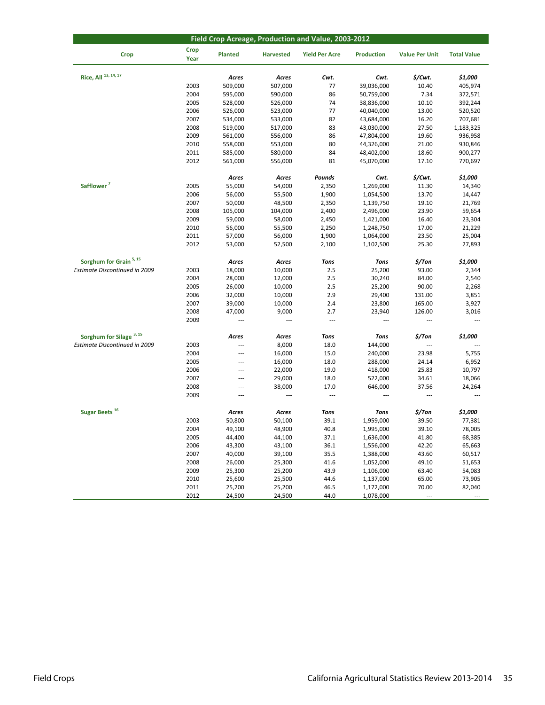| Field Crop Acreage, Production and Value, 2003-2012 |                     |                          |                  |                       |                   |                          |                          |  |  |
|-----------------------------------------------------|---------------------|--------------------------|------------------|-----------------------|-------------------|--------------------------|--------------------------|--|--|
| <b>Crop</b>                                         | <b>Crop</b><br>Year | Planted                  | <b>Harvested</b> | <b>Yield Per Acre</b> | <b>Production</b> | <b>Value Per Unit</b>    | <b>Total Value</b>       |  |  |
| Rice, All 13, 14, 17                                |                     | Acres                    | Acres            | Cwt.                  | Cwt.              | \$/Cwt.                  | \$1,000                  |  |  |
|                                                     | 2003                | 509,000                  | 507,000          | 77                    | 39,036,000        | 10.40                    | 405,974                  |  |  |
|                                                     | 2004                | 595,000                  | 590,000          | 86                    | 50,759,000        | 7.34                     | 372,571                  |  |  |
|                                                     | 2005                | 528,000                  | 526,000          | 74                    | 38,836,000        | 10.10                    | 392,244                  |  |  |
|                                                     | 2006                | 526,000                  | 523,000          | 77                    | 40,040,000        | 13.00                    | 520,520                  |  |  |
|                                                     | 2007                | 534,000                  | 533,000          | 82                    | 43,684,000        | 16.20                    | 707,681                  |  |  |
|                                                     | 2008                | 519,000                  | 517,000          | 83                    | 43,030,000        | 27.50                    | 1,183,325                |  |  |
|                                                     | 2009                | 561,000                  | 556,000          | 86                    | 47,804,000        | 19.60                    | 936,958                  |  |  |
|                                                     | 2010                | 558,000                  | 553,000          | 80                    | 44,326,000        | 21.00                    | 930,846                  |  |  |
|                                                     | 2011                | 585,000                  | 580,000          | 84                    | 48,402,000        | 18.60                    | 900,277                  |  |  |
|                                                     | 2012                | 561,000                  | 556,000          | 81                    | 45,070,000        | 17.10                    | 770,697                  |  |  |
|                                                     |                     | Acres                    | Acres            | Pounds                | Cwt.              | \$/Cwt.                  | \$1,000                  |  |  |
| Safflower <sup>7</sup>                              | 2005                | 55,000                   | 54,000           | 2,350                 | 1,269,000         | 11.30                    | 14,340                   |  |  |
|                                                     | 2006                | 56,000                   | 55,500           | 1,900                 | 1,054,500         | 13.70                    | 14,447                   |  |  |
|                                                     | 2007                | 50,000                   | 48,500           | 2,350                 | 1,139,750         | 19.10                    | 21,769                   |  |  |
|                                                     | 2008                | 105,000                  | 104,000          | 2,400                 | 2,496,000         | 23.90                    | 59,654                   |  |  |
|                                                     | 2009                | 59,000                   | 58,000           | 2,450                 | 1,421,000         | 16.40                    | 23,304                   |  |  |
|                                                     | 2010                | 56,000                   | 55,500           | 2,250                 | 1,248,750         | 17.00                    | 21,229                   |  |  |
|                                                     | 2011                | 57,000                   | 56,000           | 1,900                 | 1,064,000         | 23.50                    | 25,004                   |  |  |
|                                                     | 2012                | 53,000                   | 52,500           | 2,100                 | 1,102,500         | 25.30                    | 27,893                   |  |  |
| Sorghum for Grain <sup>5, 15</sup>                  |                     | Acres                    | Acres            | <b>Tons</b>           | <b>Tons</b>       | \$/Ton                   | \$1,000                  |  |  |
| <b>Estimate Discontinued in 2009</b>                | 2003                | 18,000                   | 10,000           | 2.5                   | 25,200            | 93.00                    | 2,344                    |  |  |
|                                                     | 2004                | 28,000                   | 12,000           | 2.5                   | 30,240            | 84.00                    | 2,540                    |  |  |
|                                                     | 2005                | 26,000                   | 10,000           | 2.5                   | 25,200            | 90.00                    | 2,268                    |  |  |
|                                                     | 2006                | 32,000                   | 10,000           | 2.9                   | 29,400            | 131.00                   | 3,851                    |  |  |
|                                                     | 2007                | 39,000                   | 10,000           | 2.4                   | 23,800            | 165.00                   | 3,927                    |  |  |
|                                                     | 2008                | 47,000                   | 9,000            | 2.7                   | 23,940            | 126.00                   | 3,016                    |  |  |
|                                                     | 2009                | ---                      | ---              | ---                   | ---               | $---$                    | $\overline{\phantom{a}}$ |  |  |
| Sorghum for Silage <sup>3, 15</sup>                 |                     | Acres                    | Acres            | <b>Tons</b>           | <b>Tons</b>       | \$/Ton                   | \$1,000                  |  |  |
| Estimate Discontinued in 2009                       | 2003                | ---                      | 8,000            | 18.0                  | 144,000           | ---                      |                          |  |  |
|                                                     | 2004                | ---                      | 16,000           | 15.0                  | 240,000           | 23.98                    | 5,755                    |  |  |
|                                                     | 2005                | $\overline{a}$           | 16,000           | 18.0                  | 288,000           | 24.14                    | 6,952                    |  |  |
|                                                     | 2006                | ---                      | 22,000           | 19.0                  | 418,000           | 25.83                    | 10,797                   |  |  |
|                                                     | 2007                | $\overline{\phantom{a}}$ | 29,000           | 18.0                  | 522,000           | 34.61                    | 18,066                   |  |  |
|                                                     | 2008                | ---                      | 38,000           | 17.0                  | 646,000           | 37.56                    | 24,264                   |  |  |
|                                                     | 2009                | $\overline{a}$           | ---              | $\overline{a}$        | $\overline{a}$    | $\sim$                   | $\overline{\phantom{a}}$ |  |  |
| Sugar Beets <sup>16</sup>                           |                     | Acres                    | Acres            | <b>Tons</b>           | <b>Tons</b>       | \$/Ton                   | \$1,000                  |  |  |
|                                                     | 2003                | 50,800                   | 50,100           | 39.1                  | 1,959,000         | 39.50                    | 77,381                   |  |  |
|                                                     | 2004                | 49,100                   | 48,900           | 40.8                  | 1,995,000         | 39.10                    | 78,005                   |  |  |
|                                                     | 2005                | 44,400                   | 44,100           | 37.1                  | 1,636,000         | 41.80                    | 68,385                   |  |  |
|                                                     | 2006                | 43,300                   | 43,100           | 36.1                  | 1,556,000         | 42.20                    | 65,663                   |  |  |
|                                                     | 2007                | 40,000                   | 39,100           | 35.5                  | 1,388,000         | 43.60                    | 60,517                   |  |  |
|                                                     | 2008                | 26,000                   | 25,300           | 41.6                  | 1,052,000         | 49.10                    | 51,653                   |  |  |
|                                                     | 2009                | 25,300                   | 25,200           | 43.9                  | 1,106,000         | 63.40                    | 54,083                   |  |  |
|                                                     | 2010                | 25,600                   | 25,500           | 44.6                  | 1,137,000         | 65.00                    | 73,905                   |  |  |
|                                                     | 2011                | 25,200                   | 25,200           | 46.5                  | 1,172,000         | 70.00                    | 82,040                   |  |  |
|                                                     | 2012                | 24,500                   | 24,500           | 44.0                  | 1,078,000         | $\overline{\phantom{a}}$ |                          |  |  |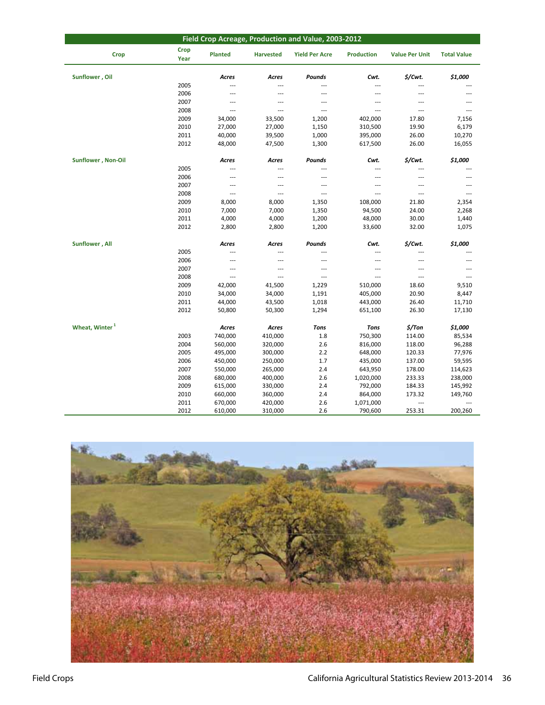| Field Crop Acreage, Production and Value, 2003-2012 |              |                          |                  |                       |                   |                          |                    |  |  |  |
|-----------------------------------------------------|--------------|--------------------------|------------------|-----------------------|-------------------|--------------------------|--------------------|--|--|--|
| Crop                                                | Crop<br>Year | <b>Planted</b>           | <b>Harvested</b> | <b>Yield Per Acre</b> | <b>Production</b> | <b>Value Per Unit</b>    | <b>Total Value</b> |  |  |  |
| Sunflower, Oil                                      |              | Acres                    | Acres            | <b>Pounds</b>         | Cwt.              | \$/Cwt.                  | \$1,000            |  |  |  |
|                                                     | 2005         | $\overline{\phantom{a}}$ | ---              | ---                   | ---               | ---                      |                    |  |  |  |
|                                                     | 2006         | $---$                    | ---              | $\overline{a}$        | $\overline{a}$    | ---                      |                    |  |  |  |
|                                                     | 2007         | $\overline{\phantom{a}}$ | ---              | ---                   | $\overline{a}$    | $\overline{a}$           | ---                |  |  |  |
|                                                     | 2008         | $\cdots$                 | ---              | ---                   | ---               | $\overline{a}$           | $\overline{a}$     |  |  |  |
|                                                     | 2009         | 34,000                   | 33,500           | 1,200                 | 402,000           | 17.80                    | 7,156              |  |  |  |
|                                                     | 2010         | 27,000                   | 27,000           | 1,150                 | 310,500           | 19.90                    | 6,179              |  |  |  |
|                                                     | 2011         | 40,000                   | 39,500           | 1,000                 | 395,000           | 26.00                    | 10,270             |  |  |  |
|                                                     | 2012         | 48,000                   | 47,500           | 1,300                 | 617,500           | 26.00                    | 16,055             |  |  |  |
| <b>Sunflower, Non-Oil</b>                           |              | Acres                    | Acres            | Pounds                | Cwt.              | \$/Cwt.                  | \$1,000            |  |  |  |
|                                                     | 2005         | ---                      | ---              | ---                   | $\overline{a}$    | $\overline{a}$           |                    |  |  |  |
|                                                     | 2006         | $---$                    | ---              | $\overline{a}$        | $---$             | $---$                    | ---                |  |  |  |
|                                                     | 2007         | $\cdots$                 | ---              | ---                   | $---$             | $\overline{\phantom{a}}$ | $---$              |  |  |  |
|                                                     | 2008         | $---$                    | $\overline{a}$   | $\overline{a}$        | $---$             | $---$                    | $---$              |  |  |  |
|                                                     | 2009         | 8,000                    | 8,000            | 1,350                 | 108,000           | 21.80                    | 2,354              |  |  |  |
|                                                     | 2010         | 7,000                    | 7,000            | 1,350                 | 94,500            | 24.00                    | 2,268              |  |  |  |
|                                                     | 2011         | 4,000                    | 4,000            | 1,200                 | 48,000            | 30.00                    | 1,440              |  |  |  |
|                                                     | 2012         | 2,800                    | 2,800            | 1,200                 | 33,600            | 32.00                    | 1,075              |  |  |  |
| Sunflower, All                                      |              | Acres                    | Acres            | Pounds                | Cwt.              | \$/Cwt.                  | \$1,000            |  |  |  |
|                                                     | 2005         | $\overline{\phantom{a}}$ | ---              | ---                   | ---               | ---                      |                    |  |  |  |
|                                                     | 2006         | $\sim$                   | ---              | ---                   | ---               | $\overline{a}$           |                    |  |  |  |
|                                                     | 2007         | $\sim$                   | ---              | ---                   | ---               | ---                      |                    |  |  |  |
|                                                     | 2008         | $\cdots$                 | ---              | ---                   | ---               | ---                      | ---                |  |  |  |
|                                                     | 2009         | 42,000                   | 41,500           | 1,229                 | 510,000           | 18.60                    | 9,510              |  |  |  |
|                                                     | 2010         | 34,000                   | 34,000           | 1,191                 | 405,000           | 20.90                    | 8,447              |  |  |  |
|                                                     | 2011         | 44,000                   | 43,500           | 1,018                 | 443,000           | 26.40                    | 11,710             |  |  |  |
|                                                     | 2012         | 50,800                   | 50,300           | 1,294                 | 651,100           | 26.30                    | 17,130             |  |  |  |
| Wheat, Winter <sup>1</sup>                          |              | Acres                    | Acres            | <b>Tons</b>           | <b>Tons</b>       | $$/$ Ton                 | \$1,000            |  |  |  |
|                                                     | 2003         | 740,000                  | 410,000          | 1.8                   | 750,300           | 114.00                   | 85,534             |  |  |  |
|                                                     | 2004         | 560,000                  | 320,000          | 2.6                   | 816,000           | 118.00                   | 96,288             |  |  |  |
|                                                     | 2005         | 495,000                  | 300,000          | 2.2                   | 648,000           | 120.33                   | 77,976             |  |  |  |
|                                                     | 2006         | 450,000                  | 250,000          | 1.7                   | 435,000           | 137.00                   | 59,595             |  |  |  |
|                                                     | 2007         | 550,000                  | 265,000          | 2.4                   | 643,950           | 178.00                   | 114,623            |  |  |  |
|                                                     | 2008         | 680,000                  | 400,000          | 2.6                   | 1,020,000         | 233.33                   | 238,000            |  |  |  |
|                                                     | 2009         | 615,000                  | 330,000          | 2.4                   | 792,000           | 184.33                   | 145,992            |  |  |  |
|                                                     | 2010         | 660,000                  | 360,000          | 2.4                   | 864,000           | 173.32                   | 149,760            |  |  |  |
|                                                     | 2011         | 670,000                  | 420,000          | 2.6                   | 1,071,000         | ---                      | ---                |  |  |  |
|                                                     | 2012         | 610,000                  | 310,000          | 2.6                   | 790,600           | 253.31                   | 200,260            |  |  |  |

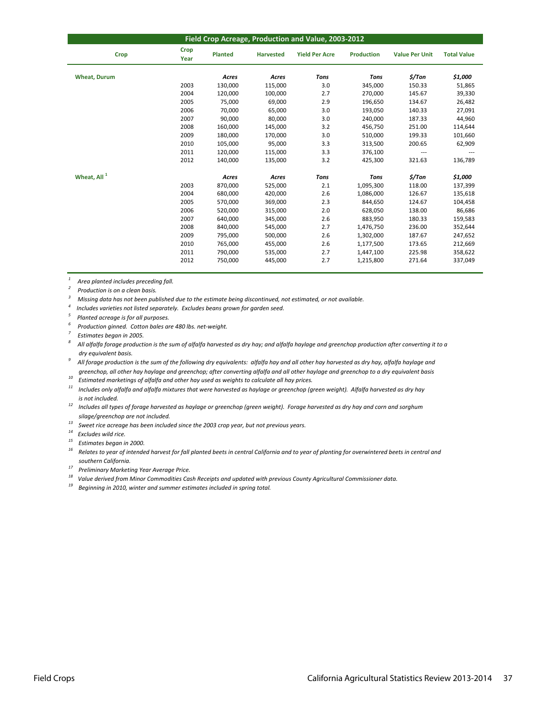| Field Crop Acreage, Production and Value, 2003-2012 |              |                |                  |                       |                   |                       |                    |  |  |  |
|-----------------------------------------------------|--------------|----------------|------------------|-----------------------|-------------------|-----------------------|--------------------|--|--|--|
| Crop                                                | Crop<br>Year | <b>Planted</b> | <b>Harvested</b> | <b>Yield Per Acre</b> | <b>Production</b> | <b>Value Per Unit</b> | <b>Total Value</b> |  |  |  |
| <b>Wheat, Durum</b>                                 |              | Acres          | Acres            | <b>Tons</b>           | <b>Tons</b>       | \$/Ton                | \$1,000            |  |  |  |
|                                                     | 2003         | 130,000        | 115,000          | 3.0                   | 345,000           | 150.33                | 51,865             |  |  |  |
|                                                     | 2004         | 120,000        | 100,000          | 2.7                   | 270,000           | 145.67                | 39,330             |  |  |  |
|                                                     | 2005         | 75,000         | 69,000           | 2.9                   | 196,650           | 134.67                | 26,482             |  |  |  |
|                                                     | 2006         | 70,000         | 65,000           | 3.0                   | 193,050           | 140.33                | 27,091             |  |  |  |
|                                                     | 2007         | 90,000         | 80,000           | 3.0                   | 240,000           | 187.33                | 44,960             |  |  |  |
|                                                     | 2008         | 160,000        | 145,000          | 3.2                   | 456,750           | 251.00                | 114,644            |  |  |  |
|                                                     | 2009         | 180,000        | 170,000          | 3.0                   | 510,000           | 199.33                | 101,660            |  |  |  |
|                                                     | 2010         | 105,000        | 95,000           | 3.3                   | 313,500           | 200.65                | 62,909             |  |  |  |
|                                                     | 2011         | 120,000        | 115,000          | 3.3                   | 376,100           | $\cdots$              |                    |  |  |  |
|                                                     | 2012         | 140,000        | 135,000          | 3.2                   | 425,300           | 321.63                | 136,789            |  |  |  |
| Wheat, All <sup>1</sup>                             |              | Acres          | Acres            | <b>Tons</b>           | <b>Tons</b>       | \$/Ton                | \$1,000            |  |  |  |
|                                                     | 2003         | 870,000        | 525,000          | 2.1                   | 1,095,300         | 118.00                | 137,399            |  |  |  |
|                                                     | 2004         | 680,000        | 420,000          | 2.6                   | 1,086,000         | 126.67                | 135,618            |  |  |  |
|                                                     | 2005         | 570,000        | 369,000          | 2.3                   | 844,650           | 124.67                | 104,458            |  |  |  |
|                                                     | 2006         | 520,000        | 315,000          | 2.0                   | 628,050           | 138.00                | 86,686             |  |  |  |
|                                                     | 2007         | 640,000        | 345,000          | 2.6                   | 883,950           | 180.33                | 159,583            |  |  |  |
|                                                     | 2008         | 840,000        | 545,000          | 2.7                   | 1,476,750         | 236.00                | 352,644            |  |  |  |
|                                                     | 2009         | 795,000        | 500,000          | 2.6                   | 1,302,000         | 187.67                | 247,652            |  |  |  |
|                                                     | 2010         | 765,000        | 455,000          | 2.6                   | 1,177,500         | 173.65                | 212,669            |  |  |  |
|                                                     | 2011         | 790,000        | 535,000          | 2.7                   | 1,447,100         | 225.98                | 358,622            |  |  |  |
|                                                     | 2012         | 750,000        | 445,000          | 2.7                   | 1,215,800         | 271.64                | 337,049            |  |  |  |

*<sup>1</sup> Area planted includes preceding fall.*

*<sup>2</sup> Production is on a clean basis.*

<sup>3</sup> Missing data has not been published due to the estimate being discontinued, not estimated, or not available.

*4 Includes varieties not listed separately. Excludes beans grown for garden seed.*

*<sup>5</sup> Planted acreage is for all purposes.*

*<sup>6</sup> Production ginned. Cotton bales are 480 lbs. net‐weight.*

*<sup>7</sup> Estimates began in 2005.*

 *dry equivalent basis.* All alfalfa forage production is the sum of alfalfa harvested as dry hay; and alfalfa haylage and greenchop production after converting it to a

greenchop, all other hay haylage and greenchop; after converting alfalfa and all other haylage and greenchop to a dry equivalent basis All forage production is the sum of the following dry equivalents: alfalfa hay and all other hay harvested as dry hay, alfalfa haylage and

*<sup>10</sup> Estimated marketings of alfalfa and other hay used as weights to calculate all hay prices.*

 $11$  Includes only alfalfa and alfalfa mixtures that were harvested as haylage or greenchop (green weight). Alfalfa harvested as dry hay  *is not included.*

<sup>12</sup> Includes all types of forage harvested as haylage or greenchop (green weight). Forage harvested as dry hay and corn and sorghum  *silage/greenchop are not included.*

*<sup>13</sup> Sweet rice acreage has been included since the 2003 crop year, but not previous years.*

*<sup>14</sup> Excludes wild rice.*

*<sup>15</sup> Estimates began in 2000.*

<sup>16</sup> Relates to year of intended harvest for fall planted beets in central California and to year of planting for overwintered beets in central and  *southern California.*

*<sup>17</sup> Preliminary Marketing Year Average Price.*

 $18$  Value derived from Minor Commodities Cash Receipts and updated with previous County Agricultural Commissioner data.

*<sup>19</sup> Beginning in 2010, winter and summer estimates included in spring total.*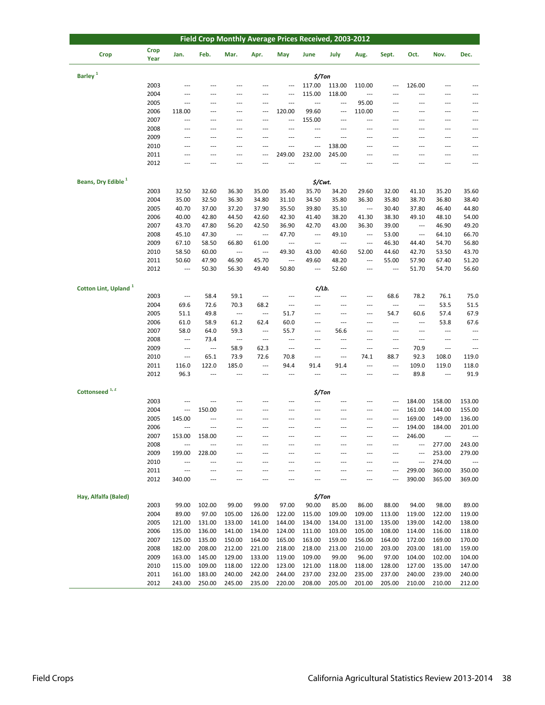| <b>Crop</b><br><b>Crop</b><br>Jan.<br>Feb.<br>Mar.<br>May<br>June<br>July<br>Sept.<br>Oct.<br>Apr.<br>Aug.<br>Nov.<br>Dec.<br>Year<br>Barley <sup>1</sup><br>$$/$ Ton<br>2003<br>117.00<br>113.00<br>110.00<br>126.00<br>---<br>---<br>---<br>2004<br>115.00<br>118.00<br>$\overline{\phantom{a}}$<br>---<br>$\overline{a}$<br>---<br>$---$<br>---<br>---<br>---<br>---<br>2005<br>95.00<br><br>$\overline{\phantom{a}}$<br>---<br>---<br>---<br>---<br>---<br>---<br>---<br>---<br>2006<br>99.60<br>110.00<br>118.00<br>120.00<br>---<br>---<br>---<br>---<br>---<br>---<br>---<br>---<br>2007<br>155.00<br>$\overline{\phantom{a}}$<br>$\overline{\phantom{a}}$<br>---<br>$\overline{a}$<br>$\overline{a}$<br>---<br>---<br>---<br>---<br>---<br>---<br>2008<br>$\overline{a}$<br>$\overline{a}$<br>$\overline{a}$<br>---<br>---<br>---<br>---<br>$\overline{a}$<br>---<br>$---$<br>---<br>$---$<br>2009<br>---<br>$\overline{a}$<br>---<br>---<br>---<br>---<br>---<br>---<br>---<br>---<br>---<br>---<br>2010<br>138.00<br>$\overline{a}$<br>---<br>---<br>---<br>---<br>---<br>---<br>---<br>$---$<br>$---$<br>---<br>2011<br>249.00<br>232.00<br>245.00<br>---<br>---<br>---<br>---<br>---<br>---<br>---<br>---<br>2012<br>$\overline{a}$<br>---<br>---<br>---<br>$\overline{\phantom{a}}$<br>$---$<br>$\overline{a}$<br>---<br>$---$<br>Beans, Dry Edible <sup>1</sup><br>\$/Cwt.<br>2003<br>36.30<br>35.70<br>34.20<br>35.60<br>32.50<br>32.60<br>35.00<br>35.40<br>29.60<br>32.00<br>41.10<br>35.20<br>2004<br>35.00<br>32.50<br>36.30<br>34.80<br>34.50<br>35.80<br>36.30<br>35.80<br>38.70<br>36.80<br>38.40<br>31.10<br>2005<br>40.70<br>37.00<br>37.20<br>35.50<br>39.80<br>37.80<br>44.80<br>37.90<br>35.10<br>$\ldots$<br>30.40<br>46.40<br>2006<br>40.00<br>42.80<br>44.50<br>42.30<br>41.40<br>38.20<br>41.30<br>38.30<br>54.00<br>42.60<br>49.10<br>48.10<br>2007<br>43.70<br>47.80<br>56.20<br>36.90<br>42.70<br>39.00<br>46.90<br>49.20<br>42.50<br>43.00<br>36.30<br>---<br>2008<br>45.10<br>47.30<br>47.70<br>66.70<br>49.10<br>53.00<br>64.10<br>$\sim$<br>$\overline{\phantom{a}}$<br>$\overline{a}$<br>$\overline{\phantom{a}}$<br>$\overline{\phantom{a}}$<br>2009<br>56.80<br>67.10<br>58.50<br>66.80<br>46.30<br>44.40<br>54.70<br>61.00<br>---<br>$\overline{\phantom{a}}$<br>$\overline{a}$<br>$\overline{\phantom{a}}$<br>2010<br>58.50<br>60.00<br>49.30<br>40.60<br>52.00<br>44.60<br>42.70<br>53.50<br>43.70<br>$\overline{\phantom{a}}$<br>$\overline{\phantom{a}}$<br>43.00<br>2011<br>47.90<br>46.90<br>45.70<br>48.20<br>55.00<br>57.90<br>67.40<br>51.20<br>50.60<br>---<br>49.60<br>---<br>2012<br>50.30<br>52.60<br>51.70<br>54.70<br>56.60<br>---<br>56.30<br>49.40<br>50.80<br>---<br>---<br>---<br>Cotton Lint, Upland <sup>1</sup><br>¢/Lb.<br>2003<br>58.4<br>59.1<br>68.6<br>78.2<br>76.1<br>75.0<br>$\overline{\phantom{a}}$<br>$\cdots$<br>---<br>---<br>---<br>---<br>2004<br>69.6<br>72.6<br>70.3<br>68.2<br>53.5<br>51.5<br>---<br>$\overline{\phantom{a}}$<br>$\overline{\phantom{a}}$<br>---<br>---<br>---<br>2005<br>49.8<br>51.7<br>60.6<br>57.4<br>67.9<br>51.1<br>---<br>$\hspace{0.05cm} \ldots$<br>54.7<br>---<br>---<br>2006<br>61.0<br>58.9<br>67.6<br>61.2<br>62.4<br>60.0<br>53.8<br>---<br>---<br>---<br>---<br>---<br>2007<br>58.0<br>59.3<br>64.0<br>55.7<br>56.6<br>$\overline{\phantom{a}}$<br>---<br>---<br>---<br>---<br>---<br>$\sim$<br>2008<br>$\overline{\phantom{a}}$<br>73.4<br>$\sim$ $\sim$<br>$\overline{a}$<br>---<br>---<br>---<br>---<br>---<br>---<br>$\overline{a}$<br>$\sim$<br>2009<br>58.9<br>70.9<br>$\hspace{0.05cm} \ldots$<br>62.3<br>$\overline{\phantom{a}}$<br>---<br>$\overline{\phantom{a}}$<br>$\overline{\phantom{a}}$<br>---<br>$\overline{a}$<br>---<br>$---$<br>2010<br>65.1<br>73.9<br>88.7<br>92.3<br>108.0<br>72.6<br>70.8<br>74.1<br>119.0<br>$\overline{\phantom{a}}$<br>---<br>---<br>2011<br>116.0<br>122.0<br>185.0<br>109.0<br>119.0<br>118.0<br>94.4<br>91.4<br>91.4<br>$---$<br>---<br>---<br>2012<br>96.3<br>89.8<br>91.9<br>---<br>---<br>---<br>---<br>$\overline{a}$<br>---<br>Cottonseed <sup>1,2</sup><br>\$/Ton<br>2003<br>184.00<br>158.00<br>153.00<br>---<br>$---$<br>$---$<br>---<br>---<br>$---$<br>$---$<br>---<br>---<br>2004<br>150.00<br>161.00<br>144.00<br>155.00<br>$\overline{\phantom{a}}$<br>---<br>---<br>---<br>---<br>---<br>---<br>2005<br>145.00<br>169.00<br>149.00<br>136.00<br>$\cdots$<br>---<br>$---$<br>$---$<br>$---$<br>---<br>---<br>---<br>2006<br>194.00<br>184.00<br>201.00<br>---<br>---<br>---<br>---<br>2007<br>153.00<br>158.00<br>246.00<br>---<br>---<br>2008<br>277.00<br>243.00<br><br>---<br>---<br>---<br>---<br>2009<br>199.00<br>253.00<br>279.00<br>228.00<br>$\overline{\phantom{a}}$<br>---<br>---<br>---<br>$---$<br>$---$<br>---<br>---<br>2010<br>274.00<br>$\overline{\phantom{a}}$<br>$\overline{\phantom{a}}$<br>---<br>$\overline{\phantom{a}}$<br>---<br>---<br>$---$<br>---<br>---<br>---<br>---<br>2011<br>299.00<br>360.00<br>350.00<br>$\overline{\phantom{a}}$<br>---<br>---<br>$---$<br>---<br>---<br>---<br>---<br>---<br>2012<br>340.00<br>390.00<br>365.00<br>369.00<br>---<br>---<br>---<br>---<br>---<br>---<br>---<br>\$/Ton<br>Hay, Alfalfa (Baled)<br>2003<br>102.00<br>99.00<br>97.00<br>90.00<br>85.00<br>86.00<br>88.00<br>94.00<br>98.00<br>89.00<br>99.00<br>99.00<br>2004<br>89.00<br>97.00<br>105.00<br>126.00<br>122.00<br>109.00<br>109.00<br>113.00<br>119.00<br>122.00<br>119.00<br>115.00<br>2005<br>133.00<br>141.00<br>144.00<br>134.00<br>134.00<br>131.00<br>135.00<br>142.00<br>138.00<br>121.00<br>131.00<br>139.00<br>2006<br>135.00<br>136.00<br>141.00<br>134.00<br>124.00<br>111.00<br>103.00<br>105.00<br>108.00<br>116.00<br>118.00<br>114.00<br>2007<br>164.00<br>169.00<br>170.00<br>125.00<br>135.00<br>150.00<br>165.00<br>163.00<br>159.00<br>156.00<br>164.00<br>172.00<br>2008<br>182.00<br>208.00<br>212.00<br>221.00<br>218.00<br>213.00<br>210.00<br>203.00<br>181.00<br>159.00<br>218.00<br>203.00<br>2009<br>145.00<br>129.00<br>133.00<br>109.00<br>99.00<br>96.00<br>97.00<br>102.00<br>104.00<br>163.00<br>119.00<br>104.00<br>2010<br>115.00<br>109.00<br>118.00<br>122.00<br>123.00<br>121.00<br>118.00<br>128.00<br>127.00<br>135.00<br>147.00<br>118.00<br>2011<br>161.00<br>183.00<br>240.00<br>242.00<br>244.00<br>237.00<br>232.00<br>235.00<br>237.00<br>240.00<br>239.00<br>240.00 |      |        |        |        |        |        |        | Field Crop Monthly Average Prices Received, 2003-2012 |        |        |        |        |        |
|---------------------------------------------------------------------------------------------------------------------------------------------------------------------------------------------------------------------------------------------------------------------------------------------------------------------------------------------------------------------------------------------------------------------------------------------------------------------------------------------------------------------------------------------------------------------------------------------------------------------------------------------------------------------------------------------------------------------------------------------------------------------------------------------------------------------------------------------------------------------------------------------------------------------------------------------------------------------------------------------------------------------------------------------------------------------------------------------------------------------------------------------------------------------------------------------------------------------------------------------------------------------------------------------------------------------------------------------------------------------------------------------------------------------------------------------------------------------------------------------------------------------------------------------------------------------------------------------------------------------------------------------------------------------------------------------------------------------------------------------------------------------------------------------------------------------------------------------------------------------------------------------------------------------------------------------------------------------------------------------------------------------------------------------------------------------------------------------------------------------------------------------------------------------------------------------------------------------------------------------------------------------------------------------------------------------------------------------------------------------------------------------------------------------------------------------------------------------------------------------------------------------------------------------------------------------------------------------------------------------------------------------------------------------------------------------------------------------------------------------------------------------------------------------------------------------------------------------------------------------------------------------------------------------------------------------------------------------------------------------------------------------------------------------------------------------------------------------------------------------------------------------------------------------------------------------------------------------------------------------------------------------------------------------------------------------------------------------------------------------------------------------------------------------------------------------------------------------------------------------------------------------------------------------------------------------------------------------------------------------------------------------------------------------------------------------------------------------------------------------------------------------------------------------------------------------------------------------------------------------------------------------------------------------------------------------------------------------------------------------------------------------------------------------------------------------------------------------------------------------------------------------------------------------------------------------------------------------------------------------------------------------------------------------------------------------------------------------------------------------------------------------------------------------------------------------------------------------------------------------------------------------------------------------------------------------------------------------------------------------------------------------------------------------------------------------------------------------------------------------------------------------------------------------------------------------------------------------------------------------------------------------------------------------------------------------------------------------------------------------------------------------------------------------------------------------------------------------------------------------------------------------------------------------------------------------------------------------------------------------------------------------------------------------------------------------------------------------------------------------------------------------------------------------------------------------------------------------------------------------------------------------------------------------------------------------------------------------------------------------------------------------------------------------------------------------------------------------------------------------------------------------------------------------------------------------------------------------------------------------------------------------------------------------------------------------------------------------------------------------------------------------------------------------------------------------------------------------------------------------------------------------------------------------------------------------------------------------------------------------------------------------------------------------------------------------------------------------------------------------------------------------------------------------------------|------|--------|--------|--------|--------|--------|--------|-------------------------------------------------------|--------|--------|--------|--------|--------|
|                                                                                                                                                                                                                                                                                                                                                                                                                                                                                                                                                                                                                                                                                                                                                                                                                                                                                                                                                                                                                                                                                                                                                                                                                                                                                                                                                                                                                                                                                                                                                                                                                                                                                                                                                                                                                                                                                                                                                                                                                                                                                                                                                                                                                                                                                                                                                                                                                                                                                                                                                                                                                                                                                                                                                                                                                                                                                                                                                                                                                                                                                                                                                                                                                                                                                                                                                                                                                                                                                                                                                                                                                                                                                                                                                                                                                                                                                                                                                                                                                                                                                                                                                                                                                                                                                                                                                                                                                                                                                                                                                                                                                                                                                                                                                                                                                                                                                                                                                                                                                                                                                                                                                                                                                                                                                                                                                                                                                                                                                                                                                                                                                                                                                                                                                                                                                                                                                                                                                                                                                                                                                                                                                                                                                                                                                                                                                                                                                                 |      |        |        |        |        |        |        |                                                       |        |        |        |        |        |
|                                                                                                                                                                                                                                                                                                                                                                                                                                                                                                                                                                                                                                                                                                                                                                                                                                                                                                                                                                                                                                                                                                                                                                                                                                                                                                                                                                                                                                                                                                                                                                                                                                                                                                                                                                                                                                                                                                                                                                                                                                                                                                                                                                                                                                                                                                                                                                                                                                                                                                                                                                                                                                                                                                                                                                                                                                                                                                                                                                                                                                                                                                                                                                                                                                                                                                                                                                                                                                                                                                                                                                                                                                                                                                                                                                                                                                                                                                                                                                                                                                                                                                                                                                                                                                                                                                                                                                                                                                                                                                                                                                                                                                                                                                                                                                                                                                                                                                                                                                                                                                                                                                                                                                                                                                                                                                                                                                                                                                                                                                                                                                                                                                                                                                                                                                                                                                                                                                                                                                                                                                                                                                                                                                                                                                                                                                                                                                                                                                 |      |        |        |        |        |        |        |                                                       |        |        |        |        |        |
|                                                                                                                                                                                                                                                                                                                                                                                                                                                                                                                                                                                                                                                                                                                                                                                                                                                                                                                                                                                                                                                                                                                                                                                                                                                                                                                                                                                                                                                                                                                                                                                                                                                                                                                                                                                                                                                                                                                                                                                                                                                                                                                                                                                                                                                                                                                                                                                                                                                                                                                                                                                                                                                                                                                                                                                                                                                                                                                                                                                                                                                                                                                                                                                                                                                                                                                                                                                                                                                                                                                                                                                                                                                                                                                                                                                                                                                                                                                                                                                                                                                                                                                                                                                                                                                                                                                                                                                                                                                                                                                                                                                                                                                                                                                                                                                                                                                                                                                                                                                                                                                                                                                                                                                                                                                                                                                                                                                                                                                                                                                                                                                                                                                                                                                                                                                                                                                                                                                                                                                                                                                                                                                                                                                                                                                                                                                                                                                                                                 |      |        |        |        |        |        |        |                                                       |        |        |        |        |        |
|                                                                                                                                                                                                                                                                                                                                                                                                                                                                                                                                                                                                                                                                                                                                                                                                                                                                                                                                                                                                                                                                                                                                                                                                                                                                                                                                                                                                                                                                                                                                                                                                                                                                                                                                                                                                                                                                                                                                                                                                                                                                                                                                                                                                                                                                                                                                                                                                                                                                                                                                                                                                                                                                                                                                                                                                                                                                                                                                                                                                                                                                                                                                                                                                                                                                                                                                                                                                                                                                                                                                                                                                                                                                                                                                                                                                                                                                                                                                                                                                                                                                                                                                                                                                                                                                                                                                                                                                                                                                                                                                                                                                                                                                                                                                                                                                                                                                                                                                                                                                                                                                                                                                                                                                                                                                                                                                                                                                                                                                                                                                                                                                                                                                                                                                                                                                                                                                                                                                                                                                                                                                                                                                                                                                                                                                                                                                                                                                                                 |      |        |        |        |        |        |        |                                                       |        |        |        |        |        |
|                                                                                                                                                                                                                                                                                                                                                                                                                                                                                                                                                                                                                                                                                                                                                                                                                                                                                                                                                                                                                                                                                                                                                                                                                                                                                                                                                                                                                                                                                                                                                                                                                                                                                                                                                                                                                                                                                                                                                                                                                                                                                                                                                                                                                                                                                                                                                                                                                                                                                                                                                                                                                                                                                                                                                                                                                                                                                                                                                                                                                                                                                                                                                                                                                                                                                                                                                                                                                                                                                                                                                                                                                                                                                                                                                                                                                                                                                                                                                                                                                                                                                                                                                                                                                                                                                                                                                                                                                                                                                                                                                                                                                                                                                                                                                                                                                                                                                                                                                                                                                                                                                                                                                                                                                                                                                                                                                                                                                                                                                                                                                                                                                                                                                                                                                                                                                                                                                                                                                                                                                                                                                                                                                                                                                                                                                                                                                                                                                                 |      |        |        |        |        |        |        |                                                       |        |        |        |        |        |
|                                                                                                                                                                                                                                                                                                                                                                                                                                                                                                                                                                                                                                                                                                                                                                                                                                                                                                                                                                                                                                                                                                                                                                                                                                                                                                                                                                                                                                                                                                                                                                                                                                                                                                                                                                                                                                                                                                                                                                                                                                                                                                                                                                                                                                                                                                                                                                                                                                                                                                                                                                                                                                                                                                                                                                                                                                                                                                                                                                                                                                                                                                                                                                                                                                                                                                                                                                                                                                                                                                                                                                                                                                                                                                                                                                                                                                                                                                                                                                                                                                                                                                                                                                                                                                                                                                                                                                                                                                                                                                                                                                                                                                                                                                                                                                                                                                                                                                                                                                                                                                                                                                                                                                                                                                                                                                                                                                                                                                                                                                                                                                                                                                                                                                                                                                                                                                                                                                                                                                                                                                                                                                                                                                                                                                                                                                                                                                                                                                 |      |        |        |        |        |        |        |                                                       |        |        |        |        |        |
|                                                                                                                                                                                                                                                                                                                                                                                                                                                                                                                                                                                                                                                                                                                                                                                                                                                                                                                                                                                                                                                                                                                                                                                                                                                                                                                                                                                                                                                                                                                                                                                                                                                                                                                                                                                                                                                                                                                                                                                                                                                                                                                                                                                                                                                                                                                                                                                                                                                                                                                                                                                                                                                                                                                                                                                                                                                                                                                                                                                                                                                                                                                                                                                                                                                                                                                                                                                                                                                                                                                                                                                                                                                                                                                                                                                                                                                                                                                                                                                                                                                                                                                                                                                                                                                                                                                                                                                                                                                                                                                                                                                                                                                                                                                                                                                                                                                                                                                                                                                                                                                                                                                                                                                                                                                                                                                                                                                                                                                                                                                                                                                                                                                                                                                                                                                                                                                                                                                                                                                                                                                                                                                                                                                                                                                                                                                                                                                                                                 |      |        |        |        |        |        |        |                                                       |        |        |        |        |        |
|                                                                                                                                                                                                                                                                                                                                                                                                                                                                                                                                                                                                                                                                                                                                                                                                                                                                                                                                                                                                                                                                                                                                                                                                                                                                                                                                                                                                                                                                                                                                                                                                                                                                                                                                                                                                                                                                                                                                                                                                                                                                                                                                                                                                                                                                                                                                                                                                                                                                                                                                                                                                                                                                                                                                                                                                                                                                                                                                                                                                                                                                                                                                                                                                                                                                                                                                                                                                                                                                                                                                                                                                                                                                                                                                                                                                                                                                                                                                                                                                                                                                                                                                                                                                                                                                                                                                                                                                                                                                                                                                                                                                                                                                                                                                                                                                                                                                                                                                                                                                                                                                                                                                                                                                                                                                                                                                                                                                                                                                                                                                                                                                                                                                                                                                                                                                                                                                                                                                                                                                                                                                                                                                                                                                                                                                                                                                                                                                                                 |      |        |        |        |        |        |        |                                                       |        |        |        |        |        |
|                                                                                                                                                                                                                                                                                                                                                                                                                                                                                                                                                                                                                                                                                                                                                                                                                                                                                                                                                                                                                                                                                                                                                                                                                                                                                                                                                                                                                                                                                                                                                                                                                                                                                                                                                                                                                                                                                                                                                                                                                                                                                                                                                                                                                                                                                                                                                                                                                                                                                                                                                                                                                                                                                                                                                                                                                                                                                                                                                                                                                                                                                                                                                                                                                                                                                                                                                                                                                                                                                                                                                                                                                                                                                                                                                                                                                                                                                                                                                                                                                                                                                                                                                                                                                                                                                                                                                                                                                                                                                                                                                                                                                                                                                                                                                                                                                                                                                                                                                                                                                                                                                                                                                                                                                                                                                                                                                                                                                                                                                                                                                                                                                                                                                                                                                                                                                                                                                                                                                                                                                                                                                                                                                                                                                                                                                                                                                                                                                                 |      |        |        |        |        |        |        |                                                       |        |        |        |        |        |
|                                                                                                                                                                                                                                                                                                                                                                                                                                                                                                                                                                                                                                                                                                                                                                                                                                                                                                                                                                                                                                                                                                                                                                                                                                                                                                                                                                                                                                                                                                                                                                                                                                                                                                                                                                                                                                                                                                                                                                                                                                                                                                                                                                                                                                                                                                                                                                                                                                                                                                                                                                                                                                                                                                                                                                                                                                                                                                                                                                                                                                                                                                                                                                                                                                                                                                                                                                                                                                                                                                                                                                                                                                                                                                                                                                                                                                                                                                                                                                                                                                                                                                                                                                                                                                                                                                                                                                                                                                                                                                                                                                                                                                                                                                                                                                                                                                                                                                                                                                                                                                                                                                                                                                                                                                                                                                                                                                                                                                                                                                                                                                                                                                                                                                                                                                                                                                                                                                                                                                                                                                                                                                                                                                                                                                                                                                                                                                                                                                 |      |        |        |        |        |        |        |                                                       |        |        |        |        |        |
|                                                                                                                                                                                                                                                                                                                                                                                                                                                                                                                                                                                                                                                                                                                                                                                                                                                                                                                                                                                                                                                                                                                                                                                                                                                                                                                                                                                                                                                                                                                                                                                                                                                                                                                                                                                                                                                                                                                                                                                                                                                                                                                                                                                                                                                                                                                                                                                                                                                                                                                                                                                                                                                                                                                                                                                                                                                                                                                                                                                                                                                                                                                                                                                                                                                                                                                                                                                                                                                                                                                                                                                                                                                                                                                                                                                                                                                                                                                                                                                                                                                                                                                                                                                                                                                                                                                                                                                                                                                                                                                                                                                                                                                                                                                                                                                                                                                                                                                                                                                                                                                                                                                                                                                                                                                                                                                                                                                                                                                                                                                                                                                                                                                                                                                                                                                                                                                                                                                                                                                                                                                                                                                                                                                                                                                                                                                                                                                                                                 |      |        |        |        |        |        |        |                                                       |        |        |        |        |        |
|                                                                                                                                                                                                                                                                                                                                                                                                                                                                                                                                                                                                                                                                                                                                                                                                                                                                                                                                                                                                                                                                                                                                                                                                                                                                                                                                                                                                                                                                                                                                                                                                                                                                                                                                                                                                                                                                                                                                                                                                                                                                                                                                                                                                                                                                                                                                                                                                                                                                                                                                                                                                                                                                                                                                                                                                                                                                                                                                                                                                                                                                                                                                                                                                                                                                                                                                                                                                                                                                                                                                                                                                                                                                                                                                                                                                                                                                                                                                                                                                                                                                                                                                                                                                                                                                                                                                                                                                                                                                                                                                                                                                                                                                                                                                                                                                                                                                                                                                                                                                                                                                                                                                                                                                                                                                                                                                                                                                                                                                                                                                                                                                                                                                                                                                                                                                                                                                                                                                                                                                                                                                                                                                                                                                                                                                                                                                                                                                                                 |      |        |        |        |        |        |        |                                                       |        |        |        |        |        |
|                                                                                                                                                                                                                                                                                                                                                                                                                                                                                                                                                                                                                                                                                                                                                                                                                                                                                                                                                                                                                                                                                                                                                                                                                                                                                                                                                                                                                                                                                                                                                                                                                                                                                                                                                                                                                                                                                                                                                                                                                                                                                                                                                                                                                                                                                                                                                                                                                                                                                                                                                                                                                                                                                                                                                                                                                                                                                                                                                                                                                                                                                                                                                                                                                                                                                                                                                                                                                                                                                                                                                                                                                                                                                                                                                                                                                                                                                                                                                                                                                                                                                                                                                                                                                                                                                                                                                                                                                                                                                                                                                                                                                                                                                                                                                                                                                                                                                                                                                                                                                                                                                                                                                                                                                                                                                                                                                                                                                                                                                                                                                                                                                                                                                                                                                                                                                                                                                                                                                                                                                                                                                                                                                                                                                                                                                                                                                                                                                                 |      |        |        |        |        |        |        |                                                       |        |        |        |        |        |
|                                                                                                                                                                                                                                                                                                                                                                                                                                                                                                                                                                                                                                                                                                                                                                                                                                                                                                                                                                                                                                                                                                                                                                                                                                                                                                                                                                                                                                                                                                                                                                                                                                                                                                                                                                                                                                                                                                                                                                                                                                                                                                                                                                                                                                                                                                                                                                                                                                                                                                                                                                                                                                                                                                                                                                                                                                                                                                                                                                                                                                                                                                                                                                                                                                                                                                                                                                                                                                                                                                                                                                                                                                                                                                                                                                                                                                                                                                                                                                                                                                                                                                                                                                                                                                                                                                                                                                                                                                                                                                                                                                                                                                                                                                                                                                                                                                                                                                                                                                                                                                                                                                                                                                                                                                                                                                                                                                                                                                                                                                                                                                                                                                                                                                                                                                                                                                                                                                                                                                                                                                                                                                                                                                                                                                                                                                                                                                                                                                 |      |        |        |        |        |        |        |                                                       |        |        |        |        |        |
|                                                                                                                                                                                                                                                                                                                                                                                                                                                                                                                                                                                                                                                                                                                                                                                                                                                                                                                                                                                                                                                                                                                                                                                                                                                                                                                                                                                                                                                                                                                                                                                                                                                                                                                                                                                                                                                                                                                                                                                                                                                                                                                                                                                                                                                                                                                                                                                                                                                                                                                                                                                                                                                                                                                                                                                                                                                                                                                                                                                                                                                                                                                                                                                                                                                                                                                                                                                                                                                                                                                                                                                                                                                                                                                                                                                                                                                                                                                                                                                                                                                                                                                                                                                                                                                                                                                                                                                                                                                                                                                                                                                                                                                                                                                                                                                                                                                                                                                                                                                                                                                                                                                                                                                                                                                                                                                                                                                                                                                                                                                                                                                                                                                                                                                                                                                                                                                                                                                                                                                                                                                                                                                                                                                                                                                                                                                                                                                                                                 |      |        |        |        |        |        |        |                                                       |        |        |        |        |        |
|                                                                                                                                                                                                                                                                                                                                                                                                                                                                                                                                                                                                                                                                                                                                                                                                                                                                                                                                                                                                                                                                                                                                                                                                                                                                                                                                                                                                                                                                                                                                                                                                                                                                                                                                                                                                                                                                                                                                                                                                                                                                                                                                                                                                                                                                                                                                                                                                                                                                                                                                                                                                                                                                                                                                                                                                                                                                                                                                                                                                                                                                                                                                                                                                                                                                                                                                                                                                                                                                                                                                                                                                                                                                                                                                                                                                                                                                                                                                                                                                                                                                                                                                                                                                                                                                                                                                                                                                                                                                                                                                                                                                                                                                                                                                                                                                                                                                                                                                                                                                                                                                                                                                                                                                                                                                                                                                                                                                                                                                                                                                                                                                                                                                                                                                                                                                                                                                                                                                                                                                                                                                                                                                                                                                                                                                                                                                                                                                                                 |      |        |        |        |        |        |        |                                                       |        |        |        |        |        |
|                                                                                                                                                                                                                                                                                                                                                                                                                                                                                                                                                                                                                                                                                                                                                                                                                                                                                                                                                                                                                                                                                                                                                                                                                                                                                                                                                                                                                                                                                                                                                                                                                                                                                                                                                                                                                                                                                                                                                                                                                                                                                                                                                                                                                                                                                                                                                                                                                                                                                                                                                                                                                                                                                                                                                                                                                                                                                                                                                                                                                                                                                                                                                                                                                                                                                                                                                                                                                                                                                                                                                                                                                                                                                                                                                                                                                                                                                                                                                                                                                                                                                                                                                                                                                                                                                                                                                                                                                                                                                                                                                                                                                                                                                                                                                                                                                                                                                                                                                                                                                                                                                                                                                                                                                                                                                                                                                                                                                                                                                                                                                                                                                                                                                                                                                                                                                                                                                                                                                                                                                                                                                                                                                                                                                                                                                                                                                                                                                                 |      |        |        |        |        |        |        |                                                       |        |        |        |        |        |
|                                                                                                                                                                                                                                                                                                                                                                                                                                                                                                                                                                                                                                                                                                                                                                                                                                                                                                                                                                                                                                                                                                                                                                                                                                                                                                                                                                                                                                                                                                                                                                                                                                                                                                                                                                                                                                                                                                                                                                                                                                                                                                                                                                                                                                                                                                                                                                                                                                                                                                                                                                                                                                                                                                                                                                                                                                                                                                                                                                                                                                                                                                                                                                                                                                                                                                                                                                                                                                                                                                                                                                                                                                                                                                                                                                                                                                                                                                                                                                                                                                                                                                                                                                                                                                                                                                                                                                                                                                                                                                                                                                                                                                                                                                                                                                                                                                                                                                                                                                                                                                                                                                                                                                                                                                                                                                                                                                                                                                                                                                                                                                                                                                                                                                                                                                                                                                                                                                                                                                                                                                                                                                                                                                                                                                                                                                                                                                                                                                 |      |        |        |        |        |        |        |                                                       |        |        |        |        |        |
|                                                                                                                                                                                                                                                                                                                                                                                                                                                                                                                                                                                                                                                                                                                                                                                                                                                                                                                                                                                                                                                                                                                                                                                                                                                                                                                                                                                                                                                                                                                                                                                                                                                                                                                                                                                                                                                                                                                                                                                                                                                                                                                                                                                                                                                                                                                                                                                                                                                                                                                                                                                                                                                                                                                                                                                                                                                                                                                                                                                                                                                                                                                                                                                                                                                                                                                                                                                                                                                                                                                                                                                                                                                                                                                                                                                                                                                                                                                                                                                                                                                                                                                                                                                                                                                                                                                                                                                                                                                                                                                                                                                                                                                                                                                                                                                                                                                                                                                                                                                                                                                                                                                                                                                                                                                                                                                                                                                                                                                                                                                                                                                                                                                                                                                                                                                                                                                                                                                                                                                                                                                                                                                                                                                                                                                                                                                                                                                                                                 |      |        |        |        |        |        |        |                                                       |        |        |        |        |        |
|                                                                                                                                                                                                                                                                                                                                                                                                                                                                                                                                                                                                                                                                                                                                                                                                                                                                                                                                                                                                                                                                                                                                                                                                                                                                                                                                                                                                                                                                                                                                                                                                                                                                                                                                                                                                                                                                                                                                                                                                                                                                                                                                                                                                                                                                                                                                                                                                                                                                                                                                                                                                                                                                                                                                                                                                                                                                                                                                                                                                                                                                                                                                                                                                                                                                                                                                                                                                                                                                                                                                                                                                                                                                                                                                                                                                                                                                                                                                                                                                                                                                                                                                                                                                                                                                                                                                                                                                                                                                                                                                                                                                                                                                                                                                                                                                                                                                                                                                                                                                                                                                                                                                                                                                                                                                                                                                                                                                                                                                                                                                                                                                                                                                                                                                                                                                                                                                                                                                                                                                                                                                                                                                                                                                                                                                                                                                                                                                                                 |      |        |        |        |        |        |        |                                                       |        |        |        |        |        |
|                                                                                                                                                                                                                                                                                                                                                                                                                                                                                                                                                                                                                                                                                                                                                                                                                                                                                                                                                                                                                                                                                                                                                                                                                                                                                                                                                                                                                                                                                                                                                                                                                                                                                                                                                                                                                                                                                                                                                                                                                                                                                                                                                                                                                                                                                                                                                                                                                                                                                                                                                                                                                                                                                                                                                                                                                                                                                                                                                                                                                                                                                                                                                                                                                                                                                                                                                                                                                                                                                                                                                                                                                                                                                                                                                                                                                                                                                                                                                                                                                                                                                                                                                                                                                                                                                                                                                                                                                                                                                                                                                                                                                                                                                                                                                                                                                                                                                                                                                                                                                                                                                                                                                                                                                                                                                                                                                                                                                                                                                                                                                                                                                                                                                                                                                                                                                                                                                                                                                                                                                                                                                                                                                                                                                                                                                                                                                                                                                                 |      |        |        |        |        |        |        |                                                       |        |        |        |        |        |
|                                                                                                                                                                                                                                                                                                                                                                                                                                                                                                                                                                                                                                                                                                                                                                                                                                                                                                                                                                                                                                                                                                                                                                                                                                                                                                                                                                                                                                                                                                                                                                                                                                                                                                                                                                                                                                                                                                                                                                                                                                                                                                                                                                                                                                                                                                                                                                                                                                                                                                                                                                                                                                                                                                                                                                                                                                                                                                                                                                                                                                                                                                                                                                                                                                                                                                                                                                                                                                                                                                                                                                                                                                                                                                                                                                                                                                                                                                                                                                                                                                                                                                                                                                                                                                                                                                                                                                                                                                                                                                                                                                                                                                                                                                                                                                                                                                                                                                                                                                                                                                                                                                                                                                                                                                                                                                                                                                                                                                                                                                                                                                                                                                                                                                                                                                                                                                                                                                                                                                                                                                                                                                                                                                                                                                                                                                                                                                                                                                 |      |        |        |        |        |        |        |                                                       |        |        |        |        |        |
|                                                                                                                                                                                                                                                                                                                                                                                                                                                                                                                                                                                                                                                                                                                                                                                                                                                                                                                                                                                                                                                                                                                                                                                                                                                                                                                                                                                                                                                                                                                                                                                                                                                                                                                                                                                                                                                                                                                                                                                                                                                                                                                                                                                                                                                                                                                                                                                                                                                                                                                                                                                                                                                                                                                                                                                                                                                                                                                                                                                                                                                                                                                                                                                                                                                                                                                                                                                                                                                                                                                                                                                                                                                                                                                                                                                                                                                                                                                                                                                                                                                                                                                                                                                                                                                                                                                                                                                                                                                                                                                                                                                                                                                                                                                                                                                                                                                                                                                                                                                                                                                                                                                                                                                                                                                                                                                                                                                                                                                                                                                                                                                                                                                                                                                                                                                                                                                                                                                                                                                                                                                                                                                                                                                                                                                                                                                                                                                                                                 |      |        |        |        |        |        |        |                                                       |        |        |        |        |        |
|                                                                                                                                                                                                                                                                                                                                                                                                                                                                                                                                                                                                                                                                                                                                                                                                                                                                                                                                                                                                                                                                                                                                                                                                                                                                                                                                                                                                                                                                                                                                                                                                                                                                                                                                                                                                                                                                                                                                                                                                                                                                                                                                                                                                                                                                                                                                                                                                                                                                                                                                                                                                                                                                                                                                                                                                                                                                                                                                                                                                                                                                                                                                                                                                                                                                                                                                                                                                                                                                                                                                                                                                                                                                                                                                                                                                                                                                                                                                                                                                                                                                                                                                                                                                                                                                                                                                                                                                                                                                                                                                                                                                                                                                                                                                                                                                                                                                                                                                                                                                                                                                                                                                                                                                                                                                                                                                                                                                                                                                                                                                                                                                                                                                                                                                                                                                                                                                                                                                                                                                                                                                                                                                                                                                                                                                                                                                                                                                                                 |      |        |        |        |        |        |        |                                                       |        |        |        |        |        |
|                                                                                                                                                                                                                                                                                                                                                                                                                                                                                                                                                                                                                                                                                                                                                                                                                                                                                                                                                                                                                                                                                                                                                                                                                                                                                                                                                                                                                                                                                                                                                                                                                                                                                                                                                                                                                                                                                                                                                                                                                                                                                                                                                                                                                                                                                                                                                                                                                                                                                                                                                                                                                                                                                                                                                                                                                                                                                                                                                                                                                                                                                                                                                                                                                                                                                                                                                                                                                                                                                                                                                                                                                                                                                                                                                                                                                                                                                                                                                                                                                                                                                                                                                                                                                                                                                                                                                                                                                                                                                                                                                                                                                                                                                                                                                                                                                                                                                                                                                                                                                                                                                                                                                                                                                                                                                                                                                                                                                                                                                                                                                                                                                                                                                                                                                                                                                                                                                                                                                                                                                                                                                                                                                                                                                                                                                                                                                                                                                                 |      |        |        |        |        |        |        |                                                       |        |        |        |        |        |
|                                                                                                                                                                                                                                                                                                                                                                                                                                                                                                                                                                                                                                                                                                                                                                                                                                                                                                                                                                                                                                                                                                                                                                                                                                                                                                                                                                                                                                                                                                                                                                                                                                                                                                                                                                                                                                                                                                                                                                                                                                                                                                                                                                                                                                                                                                                                                                                                                                                                                                                                                                                                                                                                                                                                                                                                                                                                                                                                                                                                                                                                                                                                                                                                                                                                                                                                                                                                                                                                                                                                                                                                                                                                                                                                                                                                                                                                                                                                                                                                                                                                                                                                                                                                                                                                                                                                                                                                                                                                                                                                                                                                                                                                                                                                                                                                                                                                                                                                                                                                                                                                                                                                                                                                                                                                                                                                                                                                                                                                                                                                                                                                                                                                                                                                                                                                                                                                                                                                                                                                                                                                                                                                                                                                                                                                                                                                                                                                                                 |      |        |        |        |        |        |        |                                                       |        |        |        |        |        |
|                                                                                                                                                                                                                                                                                                                                                                                                                                                                                                                                                                                                                                                                                                                                                                                                                                                                                                                                                                                                                                                                                                                                                                                                                                                                                                                                                                                                                                                                                                                                                                                                                                                                                                                                                                                                                                                                                                                                                                                                                                                                                                                                                                                                                                                                                                                                                                                                                                                                                                                                                                                                                                                                                                                                                                                                                                                                                                                                                                                                                                                                                                                                                                                                                                                                                                                                                                                                                                                                                                                                                                                                                                                                                                                                                                                                                                                                                                                                                                                                                                                                                                                                                                                                                                                                                                                                                                                                                                                                                                                                                                                                                                                                                                                                                                                                                                                                                                                                                                                                                                                                                                                                                                                                                                                                                                                                                                                                                                                                                                                                                                                                                                                                                                                                                                                                                                                                                                                                                                                                                                                                                                                                                                                                                                                                                                                                                                                                                                 |      |        |        |        |        |        |        |                                                       |        |        |        |        |        |
|                                                                                                                                                                                                                                                                                                                                                                                                                                                                                                                                                                                                                                                                                                                                                                                                                                                                                                                                                                                                                                                                                                                                                                                                                                                                                                                                                                                                                                                                                                                                                                                                                                                                                                                                                                                                                                                                                                                                                                                                                                                                                                                                                                                                                                                                                                                                                                                                                                                                                                                                                                                                                                                                                                                                                                                                                                                                                                                                                                                                                                                                                                                                                                                                                                                                                                                                                                                                                                                                                                                                                                                                                                                                                                                                                                                                                                                                                                                                                                                                                                                                                                                                                                                                                                                                                                                                                                                                                                                                                                                                                                                                                                                                                                                                                                                                                                                                                                                                                                                                                                                                                                                                                                                                                                                                                                                                                                                                                                                                                                                                                                                                                                                                                                                                                                                                                                                                                                                                                                                                                                                                                                                                                                                                                                                                                                                                                                                                                                 |      |        |        |        |        |        |        |                                                       |        |        |        |        |        |
|                                                                                                                                                                                                                                                                                                                                                                                                                                                                                                                                                                                                                                                                                                                                                                                                                                                                                                                                                                                                                                                                                                                                                                                                                                                                                                                                                                                                                                                                                                                                                                                                                                                                                                                                                                                                                                                                                                                                                                                                                                                                                                                                                                                                                                                                                                                                                                                                                                                                                                                                                                                                                                                                                                                                                                                                                                                                                                                                                                                                                                                                                                                                                                                                                                                                                                                                                                                                                                                                                                                                                                                                                                                                                                                                                                                                                                                                                                                                                                                                                                                                                                                                                                                                                                                                                                                                                                                                                                                                                                                                                                                                                                                                                                                                                                                                                                                                                                                                                                                                                                                                                                                                                                                                                                                                                                                                                                                                                                                                                                                                                                                                                                                                                                                                                                                                                                                                                                                                                                                                                                                                                                                                                                                                                                                                                                                                                                                                                                 |      |        |        |        |        |        |        |                                                       |        |        |        |        |        |
|                                                                                                                                                                                                                                                                                                                                                                                                                                                                                                                                                                                                                                                                                                                                                                                                                                                                                                                                                                                                                                                                                                                                                                                                                                                                                                                                                                                                                                                                                                                                                                                                                                                                                                                                                                                                                                                                                                                                                                                                                                                                                                                                                                                                                                                                                                                                                                                                                                                                                                                                                                                                                                                                                                                                                                                                                                                                                                                                                                                                                                                                                                                                                                                                                                                                                                                                                                                                                                                                                                                                                                                                                                                                                                                                                                                                                                                                                                                                                                                                                                                                                                                                                                                                                                                                                                                                                                                                                                                                                                                                                                                                                                                                                                                                                                                                                                                                                                                                                                                                                                                                                                                                                                                                                                                                                                                                                                                                                                                                                                                                                                                                                                                                                                                                                                                                                                                                                                                                                                                                                                                                                                                                                                                                                                                                                                                                                                                                                                 |      |        |        |        |        |        |        |                                                       |        |        |        |        |        |
|                                                                                                                                                                                                                                                                                                                                                                                                                                                                                                                                                                                                                                                                                                                                                                                                                                                                                                                                                                                                                                                                                                                                                                                                                                                                                                                                                                                                                                                                                                                                                                                                                                                                                                                                                                                                                                                                                                                                                                                                                                                                                                                                                                                                                                                                                                                                                                                                                                                                                                                                                                                                                                                                                                                                                                                                                                                                                                                                                                                                                                                                                                                                                                                                                                                                                                                                                                                                                                                                                                                                                                                                                                                                                                                                                                                                                                                                                                                                                                                                                                                                                                                                                                                                                                                                                                                                                                                                                                                                                                                                                                                                                                                                                                                                                                                                                                                                                                                                                                                                                                                                                                                                                                                                                                                                                                                                                                                                                                                                                                                                                                                                                                                                                                                                                                                                                                                                                                                                                                                                                                                                                                                                                                                                                                                                                                                                                                                                                                 |      |        |        |        |        |        |        |                                                       |        |        |        |        |        |
|                                                                                                                                                                                                                                                                                                                                                                                                                                                                                                                                                                                                                                                                                                                                                                                                                                                                                                                                                                                                                                                                                                                                                                                                                                                                                                                                                                                                                                                                                                                                                                                                                                                                                                                                                                                                                                                                                                                                                                                                                                                                                                                                                                                                                                                                                                                                                                                                                                                                                                                                                                                                                                                                                                                                                                                                                                                                                                                                                                                                                                                                                                                                                                                                                                                                                                                                                                                                                                                                                                                                                                                                                                                                                                                                                                                                                                                                                                                                                                                                                                                                                                                                                                                                                                                                                                                                                                                                                                                                                                                                                                                                                                                                                                                                                                                                                                                                                                                                                                                                                                                                                                                                                                                                                                                                                                                                                                                                                                                                                                                                                                                                                                                                                                                                                                                                                                                                                                                                                                                                                                                                                                                                                                                                                                                                                                                                                                                                                                 |      |        |        |        |        |        |        |                                                       |        |        |        |        |        |
|                                                                                                                                                                                                                                                                                                                                                                                                                                                                                                                                                                                                                                                                                                                                                                                                                                                                                                                                                                                                                                                                                                                                                                                                                                                                                                                                                                                                                                                                                                                                                                                                                                                                                                                                                                                                                                                                                                                                                                                                                                                                                                                                                                                                                                                                                                                                                                                                                                                                                                                                                                                                                                                                                                                                                                                                                                                                                                                                                                                                                                                                                                                                                                                                                                                                                                                                                                                                                                                                                                                                                                                                                                                                                                                                                                                                                                                                                                                                                                                                                                                                                                                                                                                                                                                                                                                                                                                                                                                                                                                                                                                                                                                                                                                                                                                                                                                                                                                                                                                                                                                                                                                                                                                                                                                                                                                                                                                                                                                                                                                                                                                                                                                                                                                                                                                                                                                                                                                                                                                                                                                                                                                                                                                                                                                                                                                                                                                                                                 |      |        |        |        |        |        |        |                                                       |        |        |        |        |        |
|                                                                                                                                                                                                                                                                                                                                                                                                                                                                                                                                                                                                                                                                                                                                                                                                                                                                                                                                                                                                                                                                                                                                                                                                                                                                                                                                                                                                                                                                                                                                                                                                                                                                                                                                                                                                                                                                                                                                                                                                                                                                                                                                                                                                                                                                                                                                                                                                                                                                                                                                                                                                                                                                                                                                                                                                                                                                                                                                                                                                                                                                                                                                                                                                                                                                                                                                                                                                                                                                                                                                                                                                                                                                                                                                                                                                                                                                                                                                                                                                                                                                                                                                                                                                                                                                                                                                                                                                                                                                                                                                                                                                                                                                                                                                                                                                                                                                                                                                                                                                                                                                                                                                                                                                                                                                                                                                                                                                                                                                                                                                                                                                                                                                                                                                                                                                                                                                                                                                                                                                                                                                                                                                                                                                                                                                                                                                                                                                                                 |      |        |        |        |        |        |        |                                                       |        |        |        |        |        |
|                                                                                                                                                                                                                                                                                                                                                                                                                                                                                                                                                                                                                                                                                                                                                                                                                                                                                                                                                                                                                                                                                                                                                                                                                                                                                                                                                                                                                                                                                                                                                                                                                                                                                                                                                                                                                                                                                                                                                                                                                                                                                                                                                                                                                                                                                                                                                                                                                                                                                                                                                                                                                                                                                                                                                                                                                                                                                                                                                                                                                                                                                                                                                                                                                                                                                                                                                                                                                                                                                                                                                                                                                                                                                                                                                                                                                                                                                                                                                                                                                                                                                                                                                                                                                                                                                                                                                                                                                                                                                                                                                                                                                                                                                                                                                                                                                                                                                                                                                                                                                                                                                                                                                                                                                                                                                                                                                                                                                                                                                                                                                                                                                                                                                                                                                                                                                                                                                                                                                                                                                                                                                                                                                                                                                                                                                                                                                                                                                                 |      |        |        |        |        |        |        |                                                       |        |        |        |        |        |
|                                                                                                                                                                                                                                                                                                                                                                                                                                                                                                                                                                                                                                                                                                                                                                                                                                                                                                                                                                                                                                                                                                                                                                                                                                                                                                                                                                                                                                                                                                                                                                                                                                                                                                                                                                                                                                                                                                                                                                                                                                                                                                                                                                                                                                                                                                                                                                                                                                                                                                                                                                                                                                                                                                                                                                                                                                                                                                                                                                                                                                                                                                                                                                                                                                                                                                                                                                                                                                                                                                                                                                                                                                                                                                                                                                                                                                                                                                                                                                                                                                                                                                                                                                                                                                                                                                                                                                                                                                                                                                                                                                                                                                                                                                                                                                                                                                                                                                                                                                                                                                                                                                                                                                                                                                                                                                                                                                                                                                                                                                                                                                                                                                                                                                                                                                                                                                                                                                                                                                                                                                                                                                                                                                                                                                                                                                                                                                                                                                 |      |        |        |        |        |        |        |                                                       |        |        |        |        |        |
|                                                                                                                                                                                                                                                                                                                                                                                                                                                                                                                                                                                                                                                                                                                                                                                                                                                                                                                                                                                                                                                                                                                                                                                                                                                                                                                                                                                                                                                                                                                                                                                                                                                                                                                                                                                                                                                                                                                                                                                                                                                                                                                                                                                                                                                                                                                                                                                                                                                                                                                                                                                                                                                                                                                                                                                                                                                                                                                                                                                                                                                                                                                                                                                                                                                                                                                                                                                                                                                                                                                                                                                                                                                                                                                                                                                                                                                                                                                                                                                                                                                                                                                                                                                                                                                                                                                                                                                                                                                                                                                                                                                                                                                                                                                                                                                                                                                                                                                                                                                                                                                                                                                                                                                                                                                                                                                                                                                                                                                                                                                                                                                                                                                                                                                                                                                                                                                                                                                                                                                                                                                                                                                                                                                                                                                                                                                                                                                                                                 |      |        |        |        |        |        |        |                                                       |        |        |        |        |        |
|                                                                                                                                                                                                                                                                                                                                                                                                                                                                                                                                                                                                                                                                                                                                                                                                                                                                                                                                                                                                                                                                                                                                                                                                                                                                                                                                                                                                                                                                                                                                                                                                                                                                                                                                                                                                                                                                                                                                                                                                                                                                                                                                                                                                                                                                                                                                                                                                                                                                                                                                                                                                                                                                                                                                                                                                                                                                                                                                                                                                                                                                                                                                                                                                                                                                                                                                                                                                                                                                                                                                                                                                                                                                                                                                                                                                                                                                                                                                                                                                                                                                                                                                                                                                                                                                                                                                                                                                                                                                                                                                                                                                                                                                                                                                                                                                                                                                                                                                                                                                                                                                                                                                                                                                                                                                                                                                                                                                                                                                                                                                                                                                                                                                                                                                                                                                                                                                                                                                                                                                                                                                                                                                                                                                                                                                                                                                                                                                                                 |      |        |        |        |        |        |        |                                                       |        |        |        |        |        |
|                                                                                                                                                                                                                                                                                                                                                                                                                                                                                                                                                                                                                                                                                                                                                                                                                                                                                                                                                                                                                                                                                                                                                                                                                                                                                                                                                                                                                                                                                                                                                                                                                                                                                                                                                                                                                                                                                                                                                                                                                                                                                                                                                                                                                                                                                                                                                                                                                                                                                                                                                                                                                                                                                                                                                                                                                                                                                                                                                                                                                                                                                                                                                                                                                                                                                                                                                                                                                                                                                                                                                                                                                                                                                                                                                                                                                                                                                                                                                                                                                                                                                                                                                                                                                                                                                                                                                                                                                                                                                                                                                                                                                                                                                                                                                                                                                                                                                                                                                                                                                                                                                                                                                                                                                                                                                                                                                                                                                                                                                                                                                                                                                                                                                                                                                                                                                                                                                                                                                                                                                                                                                                                                                                                                                                                                                                                                                                                                                                 |      |        |        |        |        |        |        |                                                       |        |        |        |        |        |
|                                                                                                                                                                                                                                                                                                                                                                                                                                                                                                                                                                                                                                                                                                                                                                                                                                                                                                                                                                                                                                                                                                                                                                                                                                                                                                                                                                                                                                                                                                                                                                                                                                                                                                                                                                                                                                                                                                                                                                                                                                                                                                                                                                                                                                                                                                                                                                                                                                                                                                                                                                                                                                                                                                                                                                                                                                                                                                                                                                                                                                                                                                                                                                                                                                                                                                                                                                                                                                                                                                                                                                                                                                                                                                                                                                                                                                                                                                                                                                                                                                                                                                                                                                                                                                                                                                                                                                                                                                                                                                                                                                                                                                                                                                                                                                                                                                                                                                                                                                                                                                                                                                                                                                                                                                                                                                                                                                                                                                                                                                                                                                                                                                                                                                                                                                                                                                                                                                                                                                                                                                                                                                                                                                                                                                                                                                                                                                                                                                 |      |        |        |        |        |        |        |                                                       |        |        |        |        |        |
|                                                                                                                                                                                                                                                                                                                                                                                                                                                                                                                                                                                                                                                                                                                                                                                                                                                                                                                                                                                                                                                                                                                                                                                                                                                                                                                                                                                                                                                                                                                                                                                                                                                                                                                                                                                                                                                                                                                                                                                                                                                                                                                                                                                                                                                                                                                                                                                                                                                                                                                                                                                                                                                                                                                                                                                                                                                                                                                                                                                                                                                                                                                                                                                                                                                                                                                                                                                                                                                                                                                                                                                                                                                                                                                                                                                                                                                                                                                                                                                                                                                                                                                                                                                                                                                                                                                                                                                                                                                                                                                                                                                                                                                                                                                                                                                                                                                                                                                                                                                                                                                                                                                                                                                                                                                                                                                                                                                                                                                                                                                                                                                                                                                                                                                                                                                                                                                                                                                                                                                                                                                                                                                                                                                                                                                                                                                                                                                                                                 |      |        |        |        |        |        |        |                                                       |        |        |        |        |        |
|                                                                                                                                                                                                                                                                                                                                                                                                                                                                                                                                                                                                                                                                                                                                                                                                                                                                                                                                                                                                                                                                                                                                                                                                                                                                                                                                                                                                                                                                                                                                                                                                                                                                                                                                                                                                                                                                                                                                                                                                                                                                                                                                                                                                                                                                                                                                                                                                                                                                                                                                                                                                                                                                                                                                                                                                                                                                                                                                                                                                                                                                                                                                                                                                                                                                                                                                                                                                                                                                                                                                                                                                                                                                                                                                                                                                                                                                                                                                                                                                                                                                                                                                                                                                                                                                                                                                                                                                                                                                                                                                                                                                                                                                                                                                                                                                                                                                                                                                                                                                                                                                                                                                                                                                                                                                                                                                                                                                                                                                                                                                                                                                                                                                                                                                                                                                                                                                                                                                                                                                                                                                                                                                                                                                                                                                                                                                                                                                                                 |      |        |        |        |        |        |        |                                                       |        |        |        |        |        |
|                                                                                                                                                                                                                                                                                                                                                                                                                                                                                                                                                                                                                                                                                                                                                                                                                                                                                                                                                                                                                                                                                                                                                                                                                                                                                                                                                                                                                                                                                                                                                                                                                                                                                                                                                                                                                                                                                                                                                                                                                                                                                                                                                                                                                                                                                                                                                                                                                                                                                                                                                                                                                                                                                                                                                                                                                                                                                                                                                                                                                                                                                                                                                                                                                                                                                                                                                                                                                                                                                                                                                                                                                                                                                                                                                                                                                                                                                                                                                                                                                                                                                                                                                                                                                                                                                                                                                                                                                                                                                                                                                                                                                                                                                                                                                                                                                                                                                                                                                                                                                                                                                                                                                                                                                                                                                                                                                                                                                                                                                                                                                                                                                                                                                                                                                                                                                                                                                                                                                                                                                                                                                                                                                                                                                                                                                                                                                                                                                                 |      |        |        |        |        |        |        |                                                       |        |        |        |        |        |
|                                                                                                                                                                                                                                                                                                                                                                                                                                                                                                                                                                                                                                                                                                                                                                                                                                                                                                                                                                                                                                                                                                                                                                                                                                                                                                                                                                                                                                                                                                                                                                                                                                                                                                                                                                                                                                                                                                                                                                                                                                                                                                                                                                                                                                                                                                                                                                                                                                                                                                                                                                                                                                                                                                                                                                                                                                                                                                                                                                                                                                                                                                                                                                                                                                                                                                                                                                                                                                                                                                                                                                                                                                                                                                                                                                                                                                                                                                                                                                                                                                                                                                                                                                                                                                                                                                                                                                                                                                                                                                                                                                                                                                                                                                                                                                                                                                                                                                                                                                                                                                                                                                                                                                                                                                                                                                                                                                                                                                                                                                                                                                                                                                                                                                                                                                                                                                                                                                                                                                                                                                                                                                                                                                                                                                                                                                                                                                                                                                 |      |        |        |        |        |        |        |                                                       |        |        |        |        |        |
|                                                                                                                                                                                                                                                                                                                                                                                                                                                                                                                                                                                                                                                                                                                                                                                                                                                                                                                                                                                                                                                                                                                                                                                                                                                                                                                                                                                                                                                                                                                                                                                                                                                                                                                                                                                                                                                                                                                                                                                                                                                                                                                                                                                                                                                                                                                                                                                                                                                                                                                                                                                                                                                                                                                                                                                                                                                                                                                                                                                                                                                                                                                                                                                                                                                                                                                                                                                                                                                                                                                                                                                                                                                                                                                                                                                                                                                                                                                                                                                                                                                                                                                                                                                                                                                                                                                                                                                                                                                                                                                                                                                                                                                                                                                                                                                                                                                                                                                                                                                                                                                                                                                                                                                                                                                                                                                                                                                                                                                                                                                                                                                                                                                                                                                                                                                                                                                                                                                                                                                                                                                                                                                                                                                                                                                                                                                                                                                                                                 |      |        |        |        |        |        |        |                                                       |        |        |        |        |        |
|                                                                                                                                                                                                                                                                                                                                                                                                                                                                                                                                                                                                                                                                                                                                                                                                                                                                                                                                                                                                                                                                                                                                                                                                                                                                                                                                                                                                                                                                                                                                                                                                                                                                                                                                                                                                                                                                                                                                                                                                                                                                                                                                                                                                                                                                                                                                                                                                                                                                                                                                                                                                                                                                                                                                                                                                                                                                                                                                                                                                                                                                                                                                                                                                                                                                                                                                                                                                                                                                                                                                                                                                                                                                                                                                                                                                                                                                                                                                                                                                                                                                                                                                                                                                                                                                                                                                                                                                                                                                                                                                                                                                                                                                                                                                                                                                                                                                                                                                                                                                                                                                                                                                                                                                                                                                                                                                                                                                                                                                                                                                                                                                                                                                                                                                                                                                                                                                                                                                                                                                                                                                                                                                                                                                                                                                                                                                                                                                                                 |      |        |        |        |        |        |        |                                                       |        |        |        |        |        |
|                                                                                                                                                                                                                                                                                                                                                                                                                                                                                                                                                                                                                                                                                                                                                                                                                                                                                                                                                                                                                                                                                                                                                                                                                                                                                                                                                                                                                                                                                                                                                                                                                                                                                                                                                                                                                                                                                                                                                                                                                                                                                                                                                                                                                                                                                                                                                                                                                                                                                                                                                                                                                                                                                                                                                                                                                                                                                                                                                                                                                                                                                                                                                                                                                                                                                                                                                                                                                                                                                                                                                                                                                                                                                                                                                                                                                                                                                                                                                                                                                                                                                                                                                                                                                                                                                                                                                                                                                                                                                                                                                                                                                                                                                                                                                                                                                                                                                                                                                                                                                                                                                                                                                                                                                                                                                                                                                                                                                                                                                                                                                                                                                                                                                                                                                                                                                                                                                                                                                                                                                                                                                                                                                                                                                                                                                                                                                                                                                                 |      |        |        |        |        |        |        |                                                       |        |        |        |        |        |
|                                                                                                                                                                                                                                                                                                                                                                                                                                                                                                                                                                                                                                                                                                                                                                                                                                                                                                                                                                                                                                                                                                                                                                                                                                                                                                                                                                                                                                                                                                                                                                                                                                                                                                                                                                                                                                                                                                                                                                                                                                                                                                                                                                                                                                                                                                                                                                                                                                                                                                                                                                                                                                                                                                                                                                                                                                                                                                                                                                                                                                                                                                                                                                                                                                                                                                                                                                                                                                                                                                                                                                                                                                                                                                                                                                                                                                                                                                                                                                                                                                                                                                                                                                                                                                                                                                                                                                                                                                                                                                                                                                                                                                                                                                                                                                                                                                                                                                                                                                                                                                                                                                                                                                                                                                                                                                                                                                                                                                                                                                                                                                                                                                                                                                                                                                                                                                                                                                                                                                                                                                                                                                                                                                                                                                                                                                                                                                                                                                 |      |        |        |        |        |        |        |                                                       |        |        |        |        |        |
|                                                                                                                                                                                                                                                                                                                                                                                                                                                                                                                                                                                                                                                                                                                                                                                                                                                                                                                                                                                                                                                                                                                                                                                                                                                                                                                                                                                                                                                                                                                                                                                                                                                                                                                                                                                                                                                                                                                                                                                                                                                                                                                                                                                                                                                                                                                                                                                                                                                                                                                                                                                                                                                                                                                                                                                                                                                                                                                                                                                                                                                                                                                                                                                                                                                                                                                                                                                                                                                                                                                                                                                                                                                                                                                                                                                                                                                                                                                                                                                                                                                                                                                                                                                                                                                                                                                                                                                                                                                                                                                                                                                                                                                                                                                                                                                                                                                                                                                                                                                                                                                                                                                                                                                                                                                                                                                                                                                                                                                                                                                                                                                                                                                                                                                                                                                                                                                                                                                                                                                                                                                                                                                                                                                                                                                                                                                                                                                                                                 |      |        |        |        |        |        |        |                                                       |        |        |        |        |        |
|                                                                                                                                                                                                                                                                                                                                                                                                                                                                                                                                                                                                                                                                                                                                                                                                                                                                                                                                                                                                                                                                                                                                                                                                                                                                                                                                                                                                                                                                                                                                                                                                                                                                                                                                                                                                                                                                                                                                                                                                                                                                                                                                                                                                                                                                                                                                                                                                                                                                                                                                                                                                                                                                                                                                                                                                                                                                                                                                                                                                                                                                                                                                                                                                                                                                                                                                                                                                                                                                                                                                                                                                                                                                                                                                                                                                                                                                                                                                                                                                                                                                                                                                                                                                                                                                                                                                                                                                                                                                                                                                                                                                                                                                                                                                                                                                                                                                                                                                                                                                                                                                                                                                                                                                                                                                                                                                                                                                                                                                                                                                                                                                                                                                                                                                                                                                                                                                                                                                                                                                                                                                                                                                                                                                                                                                                                                                                                                                                                 |      |        |        |        |        |        |        |                                                       |        |        |        |        |        |
|                                                                                                                                                                                                                                                                                                                                                                                                                                                                                                                                                                                                                                                                                                                                                                                                                                                                                                                                                                                                                                                                                                                                                                                                                                                                                                                                                                                                                                                                                                                                                                                                                                                                                                                                                                                                                                                                                                                                                                                                                                                                                                                                                                                                                                                                                                                                                                                                                                                                                                                                                                                                                                                                                                                                                                                                                                                                                                                                                                                                                                                                                                                                                                                                                                                                                                                                                                                                                                                                                                                                                                                                                                                                                                                                                                                                                                                                                                                                                                                                                                                                                                                                                                                                                                                                                                                                                                                                                                                                                                                                                                                                                                                                                                                                                                                                                                                                                                                                                                                                                                                                                                                                                                                                                                                                                                                                                                                                                                                                                                                                                                                                                                                                                                                                                                                                                                                                                                                                                                                                                                                                                                                                                                                                                                                                                                                                                                                                                                 |      |        |        |        |        |        |        |                                                       |        |        |        |        |        |
|                                                                                                                                                                                                                                                                                                                                                                                                                                                                                                                                                                                                                                                                                                                                                                                                                                                                                                                                                                                                                                                                                                                                                                                                                                                                                                                                                                                                                                                                                                                                                                                                                                                                                                                                                                                                                                                                                                                                                                                                                                                                                                                                                                                                                                                                                                                                                                                                                                                                                                                                                                                                                                                                                                                                                                                                                                                                                                                                                                                                                                                                                                                                                                                                                                                                                                                                                                                                                                                                                                                                                                                                                                                                                                                                                                                                                                                                                                                                                                                                                                                                                                                                                                                                                                                                                                                                                                                                                                                                                                                                                                                                                                                                                                                                                                                                                                                                                                                                                                                                                                                                                                                                                                                                                                                                                                                                                                                                                                                                                                                                                                                                                                                                                                                                                                                                                                                                                                                                                                                                                                                                                                                                                                                                                                                                                                                                                                                                                                 |      |        |        |        |        |        |        |                                                       |        |        |        |        |        |
|                                                                                                                                                                                                                                                                                                                                                                                                                                                                                                                                                                                                                                                                                                                                                                                                                                                                                                                                                                                                                                                                                                                                                                                                                                                                                                                                                                                                                                                                                                                                                                                                                                                                                                                                                                                                                                                                                                                                                                                                                                                                                                                                                                                                                                                                                                                                                                                                                                                                                                                                                                                                                                                                                                                                                                                                                                                                                                                                                                                                                                                                                                                                                                                                                                                                                                                                                                                                                                                                                                                                                                                                                                                                                                                                                                                                                                                                                                                                                                                                                                                                                                                                                                                                                                                                                                                                                                                                                                                                                                                                                                                                                                                                                                                                                                                                                                                                                                                                                                                                                                                                                                                                                                                                                                                                                                                                                                                                                                                                                                                                                                                                                                                                                                                                                                                                                                                                                                                                                                                                                                                                                                                                                                                                                                                                                                                                                                                                                                 |      |        |        |        |        |        |        |                                                       |        |        |        |        |        |
|                                                                                                                                                                                                                                                                                                                                                                                                                                                                                                                                                                                                                                                                                                                                                                                                                                                                                                                                                                                                                                                                                                                                                                                                                                                                                                                                                                                                                                                                                                                                                                                                                                                                                                                                                                                                                                                                                                                                                                                                                                                                                                                                                                                                                                                                                                                                                                                                                                                                                                                                                                                                                                                                                                                                                                                                                                                                                                                                                                                                                                                                                                                                                                                                                                                                                                                                                                                                                                                                                                                                                                                                                                                                                                                                                                                                                                                                                                                                                                                                                                                                                                                                                                                                                                                                                                                                                                                                                                                                                                                                                                                                                                                                                                                                                                                                                                                                                                                                                                                                                                                                                                                                                                                                                                                                                                                                                                                                                                                                                                                                                                                                                                                                                                                                                                                                                                                                                                                                                                                                                                                                                                                                                                                                                                                                                                                                                                                                                                 |      |        |        |        |        |        |        |                                                       |        |        |        |        |        |
|                                                                                                                                                                                                                                                                                                                                                                                                                                                                                                                                                                                                                                                                                                                                                                                                                                                                                                                                                                                                                                                                                                                                                                                                                                                                                                                                                                                                                                                                                                                                                                                                                                                                                                                                                                                                                                                                                                                                                                                                                                                                                                                                                                                                                                                                                                                                                                                                                                                                                                                                                                                                                                                                                                                                                                                                                                                                                                                                                                                                                                                                                                                                                                                                                                                                                                                                                                                                                                                                                                                                                                                                                                                                                                                                                                                                                                                                                                                                                                                                                                                                                                                                                                                                                                                                                                                                                                                                                                                                                                                                                                                                                                                                                                                                                                                                                                                                                                                                                                                                                                                                                                                                                                                                                                                                                                                                                                                                                                                                                                                                                                                                                                                                                                                                                                                                                                                                                                                                                                                                                                                                                                                                                                                                                                                                                                                                                                                                                                 |      |        |        |        |        |        |        |                                                       |        |        |        |        |        |
|                                                                                                                                                                                                                                                                                                                                                                                                                                                                                                                                                                                                                                                                                                                                                                                                                                                                                                                                                                                                                                                                                                                                                                                                                                                                                                                                                                                                                                                                                                                                                                                                                                                                                                                                                                                                                                                                                                                                                                                                                                                                                                                                                                                                                                                                                                                                                                                                                                                                                                                                                                                                                                                                                                                                                                                                                                                                                                                                                                                                                                                                                                                                                                                                                                                                                                                                                                                                                                                                                                                                                                                                                                                                                                                                                                                                                                                                                                                                                                                                                                                                                                                                                                                                                                                                                                                                                                                                                                                                                                                                                                                                                                                                                                                                                                                                                                                                                                                                                                                                                                                                                                                                                                                                                                                                                                                                                                                                                                                                                                                                                                                                                                                                                                                                                                                                                                                                                                                                                                                                                                                                                                                                                                                                                                                                                                                                                                                                                                 |      |        |        |        |        |        |        |                                                       |        |        |        |        |        |
|                                                                                                                                                                                                                                                                                                                                                                                                                                                                                                                                                                                                                                                                                                                                                                                                                                                                                                                                                                                                                                                                                                                                                                                                                                                                                                                                                                                                                                                                                                                                                                                                                                                                                                                                                                                                                                                                                                                                                                                                                                                                                                                                                                                                                                                                                                                                                                                                                                                                                                                                                                                                                                                                                                                                                                                                                                                                                                                                                                                                                                                                                                                                                                                                                                                                                                                                                                                                                                                                                                                                                                                                                                                                                                                                                                                                                                                                                                                                                                                                                                                                                                                                                                                                                                                                                                                                                                                                                                                                                                                                                                                                                                                                                                                                                                                                                                                                                                                                                                                                                                                                                                                                                                                                                                                                                                                                                                                                                                                                                                                                                                                                                                                                                                                                                                                                                                                                                                                                                                                                                                                                                                                                                                                                                                                                                                                                                                                                                                 |      |        |        |        |        |        |        |                                                       |        |        |        |        |        |
|                                                                                                                                                                                                                                                                                                                                                                                                                                                                                                                                                                                                                                                                                                                                                                                                                                                                                                                                                                                                                                                                                                                                                                                                                                                                                                                                                                                                                                                                                                                                                                                                                                                                                                                                                                                                                                                                                                                                                                                                                                                                                                                                                                                                                                                                                                                                                                                                                                                                                                                                                                                                                                                                                                                                                                                                                                                                                                                                                                                                                                                                                                                                                                                                                                                                                                                                                                                                                                                                                                                                                                                                                                                                                                                                                                                                                                                                                                                                                                                                                                                                                                                                                                                                                                                                                                                                                                                                                                                                                                                                                                                                                                                                                                                                                                                                                                                                                                                                                                                                                                                                                                                                                                                                                                                                                                                                                                                                                                                                                                                                                                                                                                                                                                                                                                                                                                                                                                                                                                                                                                                                                                                                                                                                                                                                                                                                                                                                                                 | 2012 | 243.00 | 250.00 | 245.00 | 235.00 | 220.00 | 208.00 | 205.00                                                | 201.00 | 205.00 | 210.00 | 210.00 | 212.00 |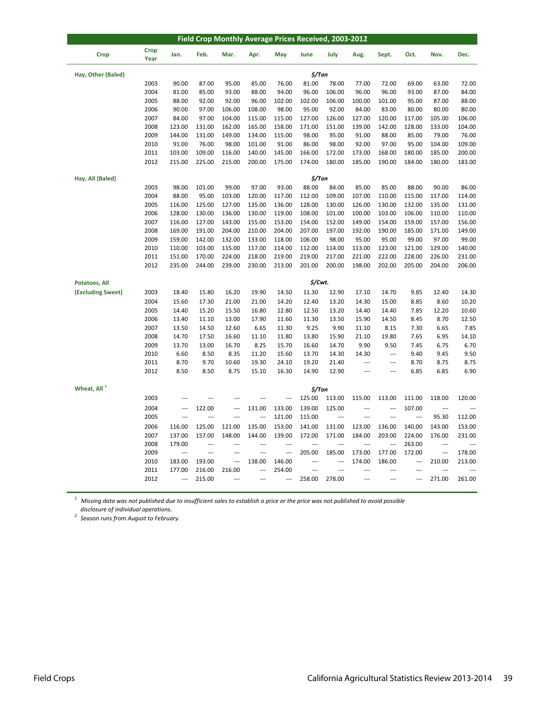| Field Crop Monthly Average Prices Received, 2003-2012 |                     |                          |                  |                  |                  |                  |                  |                 |                          |                          |                          |                          |                 |
|-------------------------------------------------------|---------------------|--------------------------|------------------|------------------|------------------|------------------|------------------|-----------------|--------------------------|--------------------------|--------------------------|--------------------------|-----------------|
| <b>Crop</b>                                           | <b>Crop</b><br>Year | Jan.                     | Feb.             | Mar.             | Apr.             | May              | June             | July            | Aug.                     | Sept.                    | Oct.                     | Nov.                     | Dec.            |
| Hay, Other (Baled)                                    |                     |                          |                  |                  |                  |                  | $$/$ Ton         |                 |                          |                          |                          |                          |                 |
|                                                       | 2003                | 90.00                    | 87.00            | 95.00            | 85.00            | 76.00            | 81.00            | 78.00           | 77.00                    | 72.00                    | 69.00                    | 63.00                    | 72.00           |
|                                                       | 2004                | 81.00                    | 85.00            | 93.00            | 88.00            | 94.00            | 96.00            | 106.00          | 96.00                    | 96.00                    | 93.00                    | 87.00                    | 84.00           |
|                                                       | 2005                | 88.00                    | 92.00            | 92.00            | 96.00            | 102.00           | 102.00           | 106.00          | 100.00                   | 101.00                   | 95.00                    | 87.00                    | 88.00           |
|                                                       | 2006                | 90.00                    | 97.00            | 106.00           | 108.00           | 98.00            | 95.00            | 92.00           | 84.00                    | 83.00                    | 80.00                    | 80.00                    | 80.00           |
|                                                       | 2007                | 84.00                    | 97.00            | 104.00           | 115.00           | 115.00           | 127.00           | 126.00          | 127.00                   | 120.00                   | 117.00                   | 105.00                   | 106.00          |
|                                                       | 2008                | 123.00                   | 131.00           | 162.00           | 165.00           | 158.00           | 171.00           | 151.00          | 139.00                   | 142.00                   | 128.00                   | 133.00                   | 104.00          |
|                                                       | 2009                | 144.00                   | 131.00           | 149.00           | 134.00           | 115.00           | 98.00            | 95.00           | 91.00                    | 88.00                    | 85.00                    | 79.00                    | 76.00           |
|                                                       | 2010                | 91.00                    | 76.00            | 98.00            | 101.00           | 91.00            | 86.00            | 98.00           | 92.00                    | 97.00                    | 95.00                    | 104.00                   | 109.00          |
|                                                       | 2011                | 103.00                   | 109.00           | 116.00           | 140.00           | 145.00           | 166.00           | 172.00          | 173.00                   | 168.00                   | 180.00                   | 185.00                   | 200.00          |
|                                                       | 2012                | 215.00                   | 225.00           | 215.00           | 200.00           | 175.00           | 174.00           | 180.00          | 185.00                   | 190.00                   | 184.00                   | 180.00                   | 183.00          |
| Hay, All (Baled)                                      |                     |                          |                  |                  |                  |                  | $$/$ Ton         |                 |                          |                          |                          |                          |                 |
|                                                       | 2003                | 98.00                    | 101.00           | 99.00            | 97.00            | 93.00            | 88.00            | 84.00           | 85.00                    | 85.00                    | 88.00                    | 90.00                    | 86.00           |
|                                                       | 2004                | 88.00                    | 95.00            | 103.00           | 120.00           | 117.00           | 112.00           | 109.00          | 107.00                   | 110.00                   | 115.00                   | 117.00                   | 114.00          |
|                                                       | 2005                | 116.00                   | 125.00           | 127.00           | 135.00           | 136.00           | 128.00           | 130.00          | 126.00                   | 130.00                   | 132.00                   | 135.00                   | 131.00          |
|                                                       | 2006                | 128.00                   | 130.00           | 136.00           | 130.00           | 119.00           | 108.00           | 101.00          | 100.00                   | 103.00                   | 106.00                   | 110.00                   | 110.00          |
|                                                       | 2007                | 116.00                   | 127.00           | 143.00           | 155.00           | 153.00           | 154.00           | 152.00          | 149.00                   | 154.00                   | 159.00                   | 157.00                   | 156.00          |
|                                                       | 2008                | 169.00<br>159.00         | 191.00           | 204.00           | 210.00           | 204.00           | 207.00<br>106.00 | 197.00          | 192.00                   | 190.00                   | 185.00                   | 171.00                   | 149.00          |
|                                                       | 2009<br>2010        | 110.00                   | 142.00<br>103.00 | 132.00<br>115.00 | 133.00<br>117.00 | 118.00<br>114.00 | 112.00           | 98.00<br>114.00 | 95.00<br>113.00          | 95.00<br>123.00          | 99.00<br>121.00          | 97.00<br>129.00          | 99.00<br>140.00 |
|                                                       | 2011                | 151.00                   | 170.00           | 224.00           | 218.00           | 219.00           | 219.00           | 217.00          | 221.00                   | 222.00                   | 228.00                   | 226.00                   | 231.00          |
|                                                       | 2012                | 235.00                   | 244.00           | 239.00           | 230.00           | 213.00           | 201.00           | 200.00          | 198.00                   | 202.00                   | 205.00                   | 204.00                   | 206.00          |
|                                                       |                     |                          |                  |                  |                  |                  |                  |                 |                          |                          |                          |                          |                 |
| <b>Potatoes, All</b>                                  |                     |                          |                  |                  |                  |                  | \$/Cwt.          |                 |                          |                          |                          |                          |                 |
| (Excluding Sweet)                                     | 2003                | 18.40                    | 15.80            | 16.20            | 19.90            | 14.50            | 11.30            | 12.90           | 17.10                    | 14.70                    | 9.85                     | 12.40                    | 14.30           |
|                                                       | 2004                | 15.60                    | 17.30            | 21.00            | 21.00            | 14.20            | 12.40            | 13.20           | 14.30                    | 15.00                    | 8.85                     | 8.60                     | 10.20           |
|                                                       | 2005                | 14.40                    | 15.20            | 15.50            | 16.80            | 12.80            | 12.50            | 13.20           | 14.40                    | 14.40                    | 7.85                     | 12.20                    | 10.60           |
|                                                       | 2006<br>2007        | 13.40<br>13.50           | 11.10            | 13.00<br>12.60   | 17.90            | 11.60<br>11.30   | 11.30<br>9.25    | 13.50<br>9.90   | 15.90<br>11.10           | 14.50                    | 8.45<br>7.30             | 8.70<br>6.65             | 12.50           |
|                                                       | 2008                | 14.70                    | 14.50<br>17.50   | 16.60            | 6.65<br>11.10    | 11.80            | 13.80            | 15.90           | 21.10                    | 8.15<br>19.80            | 7.65                     | 6.95                     | 7.85<br>14.10   |
|                                                       | 2009                | 13.70                    | 13.00            | 16.70            | 8.25             | 15.70            | 16.60            | 14.70           | 9.90                     | 9.50                     | 7.45                     | 6.75                     | 6.70            |
|                                                       | 2010                | 6.60                     | 8.50             | 8.35             | 11.20            | 15.60            | 13.70            | 14.30           | 14.30                    | ---                      | 9.40                     | 9.45                     | 9.50            |
|                                                       | 2011                | 8.70                     | 9.70             | 10.60            | 19.30            | 24.10            | 19.20            | 21.40           | ---                      | ---                      | 8.70                     | 8.75                     | 8.75            |
|                                                       | 2012                | 8.50                     | 8.50             | 8.75             | 15.10            | 16.30            | 14.90            | 12.90           | $\overline{\phantom{a}}$ | $\overline{\phantom{a}}$ | 6.85                     | 6.85                     | 6.90            |
| Wheat, All <sup>1</sup>                               |                     |                          |                  |                  |                  |                  |                  |                 |                          |                          |                          |                          |                 |
|                                                       | 2003                | ---                      | ---              | ---              | ---              |                  | \$/Ton<br>125.00 | 113.00          | 115.00                   | 113.00                   | 111.00                   | 118.00                   | 120.00          |
|                                                       | 2004                | $\overline{a}$           | 122.00           | $\overline{a}$   | 131.00           | 133.00           | 139.00           | 125.00          | ---                      | ---                      | 107.00                   | $\overline{a}$           |                 |
|                                                       | 2005                | ---                      | ---              | ---              | ---              | 121.00           | 115.00           | ---             | ---                      | ---                      | ---                      | 95.30                    | 112.00          |
|                                                       | 2006                | 116.00                   | 125.00           | 121.00           | 135.00           | 153.00           | 141.00           | 131.00          | 123.00                   | 136.00                   | 140.00                   | 143.00                   | 153.00          |
|                                                       | 2007                | 137.00                   | 157.00           | 148.00           | 144.00           | 139.00           | 172.00           | 171.00          | 184.00                   | 203.00                   | 224.00                   | 176.00                   | 231.00          |
|                                                       | 2008                | 179.00                   | $\overline{a}$   | ---              | ---              | ---              | ---              | ---             | ---                      | ---                      | 263.00                   | $\overline{\phantom{a}}$ |                 |
|                                                       | 2009                | ---                      | ---              | $\overline{a}$   | ---              | ---              | 205.00           | 185.00          | 173.00                   | 177.00                   | 172.00                   | $\overline{\phantom{a}}$ | 178.00          |
|                                                       | 2010                | 183.00                   | 193.00           |                  | 138.00           | 146.00           |                  | ---             | 174.00                   | 186.00                   | $\overline{\phantom{a}}$ | 210.00                   | 213.00          |
|                                                       | 2011                | 177.00                   | 216.00           | 216.00           | ---              | 254.00           | ---              |                 | ---                      | ---                      | $\overline{a}$           |                          |                 |
|                                                       | 2012                | $\overline{\phantom{a}}$ | 215.00           | $\sim$           | $\sim$           | $\overline{a}$   | 258.00           | 278.00          | $\overline{a}$           | $\overline{a}$           | $\overline{a}$           | 271.00                   | 261.00          |
|                                                       |                     |                          |                  |                  |                  |                  |                  |                 |                          |                          |                          |                          |                 |

 *disclosure of individual operations.*  $^{\rm 1}$  Missing data was not published due to insufficient sales to establish a price or the price was not published to avoid possible

*<sup>2</sup> Season runs from August to February.*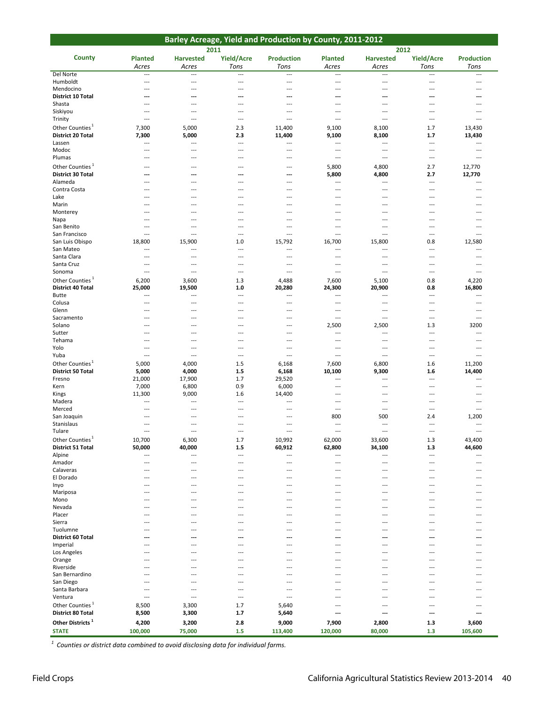| 2011<br>2012<br><b>County</b><br>Yield/Acre<br>Yield/Acre<br><b>Planted</b><br><b>Harvested</b><br><b>Production</b><br><b>Planted</b><br><b>Harvested</b><br><b>Production</b><br>Tons<br>Tons<br>Tons<br>Tons<br>Acres<br>Acres<br>Acres<br>Acres<br>Del Norte<br>$\overline{a}$<br>$\overline{a}$<br>$\overline{a}$<br>$\overline{a}$<br>$\overline{a}$<br>$\overline{a}$<br>$\overline{a}$<br>$\overline{a}$<br>Humboldt<br>$\overline{a}$<br>$\overline{a}$<br>---<br>$\overline{a}$<br>---<br>$- - -$<br>$---$<br>$- - -$<br>Mendocino<br>$\overline{a}$<br>$\overline{a}$<br>$\overline{a}$<br>---<br>$\overline{a}$<br>$\sim$<br>$\sim$<br>$\overline{a}$<br><b>District 10 Total</b><br>$\overline{a}$<br>$\overline{a}$<br>---<br>---<br>$\overline{\phantom{a}}$<br>$\overline{a}$<br>---<br>---<br>Shasta<br>$\overline{a}$<br>$\overline{a}$<br>$\overline{a}$<br>$\overline{a}$<br>$\overline{a}$<br>$---$<br>---<br>---<br>Siskiyou<br>$\overline{a}$<br>$\sim$<br>---<br>$-$<br>$\overline{a}$<br>$---$<br>$-$<br>$-$<br>Trinity<br>$\overline{a}$<br>$\overline{a}$<br>---<br>$\overline{\phantom{a}}$<br>$\overline{a}$<br>$\overline{a}$<br>---<br>$\overline{\phantom{a}}$<br>Other Counties <sup>1</sup><br>5,000<br>11,400<br>9,100<br>13,430<br>7,300<br>2.3<br>8,100<br>1.7<br><b>District 20 Total</b><br>7,300<br>5,000<br>2.3<br>11,400<br>9,100<br>8,100<br>13,430<br>1.7<br>Lassen<br>$\overline{\phantom{a}}$<br>$\qquad \qquad -\qquad$<br>$\overline{\phantom{a}}$<br>$\hspace{0.05cm} \ldots$<br>$\overline{\phantom{a}}$<br>$\overline{\phantom{a}}$<br>$\overline{\phantom{a}}$<br>$\overline{\phantom{a}}$<br>Modoc<br>$\overline{a}$<br>$\overline{\phantom{a}}$<br>---<br>$-$<br>$\overline{a}$<br>$---$<br>---<br>$-$<br>Plumas<br>$\overline{a}$<br>$\overline{a}$<br>$\sim$<br>$\overline{\phantom{a}}$<br>$\sim$<br>$---$<br>$\sim$<br>$- - -$<br>Other Counties <sup>1</sup><br>2.7<br>12,770<br>5,800<br>4,800<br>$\overline{a}$<br>---<br>$\overline{a}$<br>---<br><b>District 30 Total</b><br>5,800<br>4,800<br>2.7<br>12,770<br>---<br>---<br>---<br>---<br>Alameda<br>$\overline{\phantom{a}}$<br>$\overline{\phantom{a}}$<br>$\overline{\phantom{a}}$<br>$---$<br>$\overline{\phantom{a}}$<br>$---$<br>$\overline{a}$<br>$- - -$<br>Contra Costa<br>$\overline{\phantom{a}}$<br>$\overline{\phantom{a}}$<br>$---$<br>$\overline{\phantom{a}}$<br>$\overline{\phantom{a}}$<br>$\overline{a}$<br>$\overline{\phantom{a}}$<br>$\overline{\phantom{a}}$<br>Lake<br>$\overline{a}$<br>$\overline{a}$<br>---<br>$\overline{\phantom{a}}$<br>$\overline{a}$<br>$\overline{a}$<br>---<br>$-$<br>Marin<br>$\overline{a}$<br>---<br>$\overline{a}$<br>---<br>---<br>---<br>---<br>$---$<br>Monterey<br>---<br>---<br>$\overline{a}$<br>$\overline{\phantom{a}}$<br>---<br>---<br>$\overline{\phantom{a}}$<br>---<br>Napa<br>$\overline{\phantom{a}}$<br>$\overline{\phantom{a}}$<br>$---$<br>$\overline{\phantom{a}}$<br>$\overline{\phantom{a}}$<br>$\overline{a}$<br>$\overline{\phantom{a}}$<br>$-$<br>San Benito<br>$\overline{a}$<br>---<br>$\overline{a}$<br>$\overline{a}$<br>$\overline{a}$<br>$---$<br>$\overline{\phantom{a}}$<br>---<br>San Francisco<br>$\overline{\phantom{a}}$<br>$\overline{a}$<br>$\overline{a}$<br>$\overline{\phantom{a}}$<br>$\overline{a}$<br>$\overline{a}$<br>$\overline{\phantom{a}}$<br>$\overline{\phantom{a}}$<br>1.0<br>San Luis Obispo<br>18,800<br>15,900<br>15,792<br>16,700<br>15,800<br>0.8<br>12,580<br>San Mateo<br>$\overline{\phantom{a}}$<br>$\overline{\phantom{a}}$<br>$\overline{a}$<br>$\overline{\phantom{a}}$<br>$\overline{\phantom{a}}$<br>$\overline{a}$<br>$\overline{\phantom{a}}$<br>$\overline{\phantom{a}}$<br>Santa Clara<br>$---$<br>$\sim$<br>$---$<br>$\overline{\phantom{a}}$<br>$---$<br>$\overline{a}$<br>$---$<br>$\overline{\phantom{a}}$<br>Santa Cruz<br>$\overline{a}$<br>$\overline{a}$<br>$\overline{a}$<br>$\overline{a}$<br>$\overline{\phantom{a}}$<br>$\overline{\phantom{a}}$<br>$\overline{a}$<br>$\overline{\phantom{a}}$<br>Sonoma<br>$\overline{\phantom{a}}$<br>$\overline{\phantom{a}}$<br>$\overline{a}$<br>$\overline{\phantom{a}}$<br>$\overline{\phantom{a}}$<br>$\overline{a}$<br>$\overline{a}$<br>$\overline{\phantom{a}}$<br>Other Counties <sup>1</sup><br>6,200<br>3,600<br>1.3<br>4,488<br>7,600<br>5,100<br>4,220<br>0.8<br><b>District 40 Total</b><br>20,900<br>16,800<br>25,000<br>19,500<br>1.0<br>20,280<br>24,300<br>0.8<br>Butte<br>$\overline{a}$<br>$\overline{a}$<br>$\overline{a}$<br>$\overline{a}$<br>$\overline{\phantom{a}}$<br>$\overline{a}$<br>$\overline{a}$<br>$\sim$<br>Colusa<br>---<br>---<br>$\overline{a}$<br>$\overline{\phantom{a}}$<br>---<br>$\overline{a}$<br>$\overline{\phantom{a}}$<br>---<br>Glenn<br>$\overline{a}$<br>$\sim$<br>$---$<br>$-$<br>$\overline{a}$<br>$---$<br>$\overline{a}$<br>$-$<br>Sacramento<br>$\overline{a}$<br>$\overline{\phantom{a}}$<br>$\overline{\phantom{a}}$<br>$\overline{a}$<br>$\overline{\phantom{a}}$<br>$\overline{\phantom{a}}$<br>$---$<br>$\overline{\phantom{a}}$<br>2,500<br>3200<br>2,500<br>1.3<br>Solano<br>$\overline{\phantom{a}}$<br>$\overline{\phantom{a}}$<br>$\overline{a}$<br>$\overline{\phantom{a}}$<br>Sutter<br>$\overline{a}$<br>$---$<br>---<br>$\sim$<br>$---$<br>$\sim$<br>$---$<br>$- - -$<br>Tehama<br>---<br>$\overline{\phantom{a}}$<br>$\overline{a}$<br>$\overline{\phantom{a}}$<br>---<br>$\overline{a}$<br>$\overline{\phantom{a}}$<br>$\overline{\phantom{a}}$<br>Yolo<br>$\overline{a}$<br>$\sim$<br>$---$<br>$-$<br>$\overline{a}$<br>$\sim$<br>$\overline{a}$<br>$-$<br>Yuba<br>$\overline{a}$<br>$\overline{a}$<br>$\overline{a}$<br>$\overline{a}$<br>$\overline{a}$<br>$\overline{a}$<br>$\overline{a}$<br>$\overline{\phantom{a}}$<br>Other Counties <sup>1</sup><br>5,000<br>4,000<br>1.5<br>6,168<br>7,600<br>6,800<br>11,200<br>1.6<br><b>District 50 Total</b><br>5,000<br>4,000<br>$1.5$<br>6,168<br>10,100<br>9,300<br>14,400<br>1.6<br>17,900<br>21,000<br>1.7<br>29,520<br>Fresno<br>$\overline{\phantom{a}}$<br>$\overline{\phantom{a}}$<br>$\overline{a}$<br>---<br>7,000<br>6,800<br>0.9<br>6,000<br>Kern<br>$\overline{a}$<br>$---$<br>$---$<br>$-$<br>11,300<br>9,000<br>14,400<br>Kings<br>1.6<br>$\overline{a}$<br>$\overline{\phantom{a}}$<br>$\overline{\phantom{a}}$<br>$\overline{\phantom{a}}$<br>Madera<br>$\overline{a}$<br>$\sim$<br>$---$<br>$-$<br>$\overline{a}$<br>$---$<br>$\overline{a}$<br>$-$<br>Merced<br>$\overline{\phantom{a}}$<br>$\overline{a}$<br>$\overline{a}$<br>$\overline{\phantom{a}}$<br>$\overline{\phantom{a}}$<br>$---$<br>$\overline{\phantom{a}}$<br>$- - -$<br>1,200<br>800<br>500<br>San Joaquin<br>2.4<br>$\overline{a}$<br>---<br>$---$<br>Stanislaus<br>$\overline{a}$<br>$\sim$<br>$---$<br>$-$<br>$\overline{a}$<br>$---$<br>$-$<br>$\sim$<br>Tulare<br>$\overline{\phantom{a}}$<br>---<br>$\overline{a}$<br>---<br>---<br>---<br>---<br>$\overline{a}$<br>Other Counties <sup>1</sup><br>10,700<br>1.7<br>10,992<br>62,000<br>1.3<br>43,400<br>6,300<br>33,600<br><b>District 51 Total</b><br>50,000<br>40,000<br>62,800<br>$1.5$<br>60,912<br>34,100<br>1.3<br>44,600<br>Alpine<br>$\overline{\phantom{a}}$<br>$\overline{\phantom{a}}$<br>$\overline{\phantom{a}}$<br>$\overline{\phantom{a}}$<br>$\overline{\phantom{a}}$<br>$\overline{a}$<br>$\overline{\phantom{a}}$<br>---<br>Amador<br>$\overline{\phantom{a}}$<br>$\overline{a}$<br>$\overline{a}$<br>$\overline{\phantom{a}}$<br>$\overline{a}$<br>$\overline{a}$<br>$\overline{\phantom{a}}$<br>$\overline{\phantom{a}}$<br>Calaveras<br>$\overline{a}$<br>$\overline{a}$<br>$\overline{a}$<br>$\overline{\phantom{a}}$<br>$\overline{a}$<br>$---$<br>---<br>---<br>El Dorado<br>$\overline{a}$<br>$\overline{a}$<br>$---$<br>$-$<br>$\overline{a}$<br>$---$<br>$-$<br>---<br>Inyo<br>$\overline{\phantom{a}}$<br>$---$<br>$\sim$<br>$---$<br>$- - -$<br>$---$<br>$---$<br>$\overline{\phantom{a}}$<br>Mariposa<br>---<br>---<br>---<br>$\overline{a}$<br>$\overline{a}$<br>$\overline{a}$<br>$\overline{a}$<br>---<br>Mono<br>$\overline{a}$<br>---<br>$\overline{a}$<br>---<br>$\overline{a}$<br>$\overline{a}$<br>---<br>---<br>Nevada<br>---<br>$\overline{a}$<br>---<br>$---$<br>---<br>$\overline{\phantom{a}}$<br>$\overline{\phantom{a}}$<br>---<br>Placer<br>$\overline{a}$<br>$\overline{a}$<br>$---$<br>$\overline{a}$<br>$\overline{a}$<br>$---$<br>$-$<br>---<br>Sierra<br>$---$<br>$\sim$<br>$---$<br>$- - -$<br>$---$<br>$---$<br>$\overline{\phantom{a}}$<br>$- - -$<br>Tuolumne<br>---<br>---<br>---<br>$\overline{a}$<br>---<br>$\overline{a}$<br>$\overline{a}$<br>---<br>District 60 Total<br>---<br>---<br>---<br>---<br>---<br>---<br>---<br>---<br>Imperial<br>---<br>$---$<br>$\overline{a}$<br>$\overline{\phantom{a}}$<br>$---$<br>$\overline{\phantom{a}}$<br>$\overline{\phantom{a}}$<br>---<br>Los Angeles<br>$\overline{a}$<br>$\overline{a}$<br>$---$<br>$\overline{a}$<br>$\overline{a}$<br>$---$<br>$---$<br>---<br>Orange<br>$\overline{\phantom{a}}$<br>$\sim$ $\sim$<br>$---$<br>$- - -$<br>$---$<br>$---$<br>$---$<br>$- - -$<br>Riverside<br>$\overline{a}$<br>---<br>$\overline{a}$<br>---<br>---<br>$---$<br>$\overline{a}$<br>---<br>San Bernardino<br>$\overline{a}$<br>$\overline{a}$<br>$\overline{a}$<br>---<br>$\overline{a}$<br>$---$<br>$---$<br>---<br>San Diego<br>---<br>$\overline{\phantom{a}}$<br>$\overline{\phantom{a}}$<br>$---$<br>$\overline{\phantom{a}}$<br>$\overline{\phantom{a}}$<br>$---$<br>---<br>Santa Barbara<br>$-$<br>$\overline{a}$<br>$---$<br>$-$<br>$\overline{a}$<br>$---$<br>$---$<br>---<br>Ventura<br>$\overline{\phantom{a}}$<br>$\overline{a}$<br>$\sim$ $\sim$<br>$- - -$<br>$---$<br>$---$<br>$---$<br>$- - -$<br>Other Counties <sup>1</sup><br>8,500<br>3,300<br>1.7<br>5,640<br>$\overline{a}$<br>$---$<br>$-$<br>---<br><b>District 80 Total</b><br>8,500<br>3,300<br>1.7<br>5,640<br>---<br>---<br>---<br>---<br>Other Districts <sup>1</sup><br>4,200<br>3,200<br>2.8<br>9,000<br>7,900<br>2,800<br>1.3<br>3,600 |  |  | Barley Acreage, Yield and Production by County, 2011-2012 |  |  |
|---------------------------------------------------------------------------------------------------------------------------------------------------------------------------------------------------------------------------------------------------------------------------------------------------------------------------------------------------------------------------------------------------------------------------------------------------------------------------------------------------------------------------------------------------------------------------------------------------------------------------------------------------------------------------------------------------------------------------------------------------------------------------------------------------------------------------------------------------------------------------------------------------------------------------------------------------------------------------------------------------------------------------------------------------------------------------------------------------------------------------------------------------------------------------------------------------------------------------------------------------------------------------------------------------------------------------------------------------------------------------------------------------------------------------------------------------------------------------------------------------------------------------------------------------------------------------------------------------------------------------------------------------------------------------------------------------------------------------------------------------------------------------------------------------------------------------------------------------------------------------------------------------------------------------------------------------------------------------------------------------------------------------------------------------------------------------------------------------------------------------------------------------------------------------------------------------------------------------------------------------------------------------------------------------------------------------------------------------------------------------------------------------------------------------------------------------------------------------------------------------------------------------------------------------------------------------------------------------------------------------------------------------------------------------------------------------------------------------------------------------------------------------------------------------------------------------------------------------------------------------------------------------------------------------------------------------------------------------------------------------------------------------------------------------------------------------------------------------------------------------------------------------------------------------------------------------------------------------------------------------------------------------------------------------------------------------------------------------------------------------------------------------------------------------------------------------------------------------------------------------------------------------------------------------------------------------------------------------------------------------------------------------------------------------------------------------------------------------------------------------------------------------------------------------------------------------------------------------------------------------------------------------------------------------------------------------------------------------------------------------------------------------------------------------------------------------------------------------------------------------------------------------------------------------------------------------------------------------------------------------------------------------------------------------------------------------------------------------------------------------------------------------------------------------------------------------------------------------------------------------------------------------------------------------------------------------------------------------------------------------------------------------------------------------------------------------------------------------------------------------------------------------------------------------------------------------------------------------------------------------------------------------------------------------------------------------------------------------------------------------------------------------------------------------------------------------------------------------------------------------------------------------------------------------------------------------------------------------------------------------------------------------------------------------------------------------------------------------------------------------------------------------------------------------------------------------------------------------------------------------------------------------------------------------------------------------------------------------------------------------------------------------------------------------------------------------------------------------------------------------------------------------------------------------------------------------------------------------------------------------------------------------------------------------------------------------------------------------------------------------------------------------------------------------------------------------------------------------------------------------------------------------------------------------------------------------------------------------------------------------------------------------------------------------------------------------------------------------------------------------------------------------------------------------------------------------------------------------------------------------------------------------------------------------------------------------------------------------------------------------------------------------------------------------------------------------------------------------------------------------------------------------------------------------------------------------------------------------------------------------------------------------------------------------------------------------------------------------------------------------------------------------------------------------------------------------------------------------------------------------------------------------------------------------------------------------------------------------------------------------------------------------------------------------------------------------------------------------------------------------------------------------------------------------------------------------------------------------------------------------------------------------------------------------------------------------------------------------------------------------------------------------------------------------------------------------------------------------------------------------------------------------------------------------------------------------------------------------------------------------------------------------------------------------------------------------------------------------------------------------------------------------------------------------------------------------------------------------------------------------------------------------------------------------------------------------------------------------------------------------------------------------------------------------------------------------------------------------------------------------------------------------------------------------------------------------------------------------------------------------------------------------------------------------------------------------------------------------------------------------------------------------------------------------------------------------------------------------------------------------------------------------------------------------------------------------------------------------------------------------------------------------------------------------------------------------------------------------------------------------------------------------------------------------------------------------------------------------------------------------------------------------------------------------------------------------------------------------------------------------------------------------------------------------------------------------------------------------------------------------------------------------------------------------------------------------------------------------------------------------------------------------------------------------------------------------------------------------------------------------------------------------------------------------------------------------------------------------------------------------------------------------------------------------------------------------------------------------------------------------------------------------------------------------------------------------------------------------------------------------------------------------------------------------------------------------------------------|--|--|-----------------------------------------------------------|--|--|
|                                                                                                                                                                                                                                                                                                                                                                                                                                                                                                                                                                                                                                                                                                                                                                                                                                                                                                                                                                                                                                                                                                                                                                                                                                                                                                                                                                                                                                                                                                                                                                                                                                                                                                                                                                                                                                                                                                                                                                                                                                                                                                                                                                                                                                                                                                                                                                                                                                                                                                                                                                                                                                                                                                                                                                                                                                                                                                                                                                                                                                                                                                                                                                                                                                                                                                                                                                                                                                                                                                                                                                                                                                                                                                                                                                                                                                                                                                                                                                                                                                                                                                                                                                                                                                                                                                                                                                                                                                                                                                                                                                                                                                                                                                                                                                                                                                                                                                                                                                                                                                                                                                                                                                                                                                                                                                                                                                                                                                                                                                                                                                                                                                                                                                                                                                                                                                                                                                                                                                                                                                                                                                                                                                                                                                                                                                                                                                                                                                                                                                                                                                                                                                                                                                                                                                                                                                                                                                                                                                                                                                                                                                                                                                                                                                                                                                                                                                                                                                                                                                                                                                                                                                                                                                                                                                                                                                                                                                                                                                                                                                                                                                                                                                                                                                                                                                                                                                                                                                                                                                                                                                                                                                                                                                                                                                                                                                                                                                                                                                                                                                                                                                                                                                                                                                                                                                                                                                                                                                                                                                                                                                                                                                                                                                                                                                                                                                                                                                                                                                                                                                                                                             |  |  |                                                           |  |  |
|                                                                                                                                                                                                                                                                                                                                                                                                                                                                                                                                                                                                                                                                                                                                                                                                                                                                                                                                                                                                                                                                                                                                                                                                                                                                                                                                                                                                                                                                                                                                                                                                                                                                                                                                                                                                                                                                                                                                                                                                                                                                                                                                                                                                                                                                                                                                                                                                                                                                                                                                                                                                                                                                                                                                                                                                                                                                                                                                                                                                                                                                                                                                                                                                                                                                                                                                                                                                                                                                                                                                                                                                                                                                                                                                                                                                                                                                                                                                                                                                                                                                                                                                                                                                                                                                                                                                                                                                                                                                                                                                                                                                                                                                                                                                                                                                                                                                                                                                                                                                                                                                                                                                                                                                                                                                                                                                                                                                                                                                                                                                                                                                                                                                                                                                                                                                                                                                                                                                                                                                                                                                                                                                                                                                                                                                                                                                                                                                                                                                                                                                                                                                                                                                                                                                                                                                                                                                                                                                                                                                                                                                                                                                                                                                                                                                                                                                                                                                                                                                                                                                                                                                                                                                                                                                                                                                                                                                                                                                                                                                                                                                                                                                                                                                                                                                                                                                                                                                                                                                                                                                                                                                                                                                                                                                                                                                                                                                                                                                                                                                                                                                                                                                                                                                                                                                                                                                                                                                                                                                                                                                                                                                                                                                                                                                                                                                                                                                                                                                                                                                                                                                                             |  |  |                                                           |  |  |
|                                                                                                                                                                                                                                                                                                                                                                                                                                                                                                                                                                                                                                                                                                                                                                                                                                                                                                                                                                                                                                                                                                                                                                                                                                                                                                                                                                                                                                                                                                                                                                                                                                                                                                                                                                                                                                                                                                                                                                                                                                                                                                                                                                                                                                                                                                                                                                                                                                                                                                                                                                                                                                                                                                                                                                                                                                                                                                                                                                                                                                                                                                                                                                                                                                                                                                                                                                                                                                                                                                                                                                                                                                                                                                                                                                                                                                                                                                                                                                                                                                                                                                                                                                                                                                                                                                                                                                                                                                                                                                                                                                                                                                                                                                                                                                                                                                                                                                                                                                                                                                                                                                                                                                                                                                                                                                                                                                                                                                                                                                                                                                                                                                                                                                                                                                                                                                                                                                                                                                                                                                                                                                                                                                                                                                                                                                                                                                                                                                                                                                                                                                                                                                                                                                                                                                                                                                                                                                                                                                                                                                                                                                                                                                                                                                                                                                                                                                                                                                                                                                                                                                                                                                                                                                                                                                                                                                                                                                                                                                                                                                                                                                                                                                                                                                                                                                                                                                                                                                                                                                                                                                                                                                                                                                                                                                                                                                                                                                                                                                                                                                                                                                                                                                                                                                                                                                                                                                                                                                                                                                                                                                                                                                                                                                                                                                                                                                                                                                                                                                                                                                                                                             |  |  |                                                           |  |  |
|                                                                                                                                                                                                                                                                                                                                                                                                                                                                                                                                                                                                                                                                                                                                                                                                                                                                                                                                                                                                                                                                                                                                                                                                                                                                                                                                                                                                                                                                                                                                                                                                                                                                                                                                                                                                                                                                                                                                                                                                                                                                                                                                                                                                                                                                                                                                                                                                                                                                                                                                                                                                                                                                                                                                                                                                                                                                                                                                                                                                                                                                                                                                                                                                                                                                                                                                                                                                                                                                                                                                                                                                                                                                                                                                                                                                                                                                                                                                                                                                                                                                                                                                                                                                                                                                                                                                                                                                                                                                                                                                                                                                                                                                                                                                                                                                                                                                                                                                                                                                                                                                                                                                                                                                                                                                                                                                                                                                                                                                                                                                                                                                                                                                                                                                                                                                                                                                                                                                                                                                                                                                                                                                                                                                                                                                                                                                                                                                                                                                                                                                                                                                                                                                                                                                                                                                                                                                                                                                                                                                                                                                                                                                                                                                                                                                                                                                                                                                                                                                                                                                                                                                                                                                                                                                                                                                                                                                                                                                                                                                                                                                                                                                                                                                                                                                                                                                                                                                                                                                                                                                                                                                                                                                                                                                                                                                                                                                                                                                                                                                                                                                                                                                                                                                                                                                                                                                                                                                                                                                                                                                                                                                                                                                                                                                                                                                                                                                                                                                                                                                                                                                                             |  |  |                                                           |  |  |
|                                                                                                                                                                                                                                                                                                                                                                                                                                                                                                                                                                                                                                                                                                                                                                                                                                                                                                                                                                                                                                                                                                                                                                                                                                                                                                                                                                                                                                                                                                                                                                                                                                                                                                                                                                                                                                                                                                                                                                                                                                                                                                                                                                                                                                                                                                                                                                                                                                                                                                                                                                                                                                                                                                                                                                                                                                                                                                                                                                                                                                                                                                                                                                                                                                                                                                                                                                                                                                                                                                                                                                                                                                                                                                                                                                                                                                                                                                                                                                                                                                                                                                                                                                                                                                                                                                                                                                                                                                                                                                                                                                                                                                                                                                                                                                                                                                                                                                                                                                                                                                                                                                                                                                                                                                                                                                                                                                                                                                                                                                                                                                                                                                                                                                                                                                                                                                                                                                                                                                                                                                                                                                                                                                                                                                                                                                                                                                                                                                                                                                                                                                                                                                                                                                                                                                                                                                                                                                                                                                                                                                                                                                                                                                                                                                                                                                                                                                                                                                                                                                                                                                                                                                                                                                                                                                                                                                                                                                                                                                                                                                                                                                                                                                                                                                                                                                                                                                                                                                                                                                                                                                                                                                                                                                                                                                                                                                                                                                                                                                                                                                                                                                                                                                                                                                                                                                                                                                                                                                                                                                                                                                                                                                                                                                                                                                                                                                                                                                                                                                                                                                                                                             |  |  |                                                           |  |  |
|                                                                                                                                                                                                                                                                                                                                                                                                                                                                                                                                                                                                                                                                                                                                                                                                                                                                                                                                                                                                                                                                                                                                                                                                                                                                                                                                                                                                                                                                                                                                                                                                                                                                                                                                                                                                                                                                                                                                                                                                                                                                                                                                                                                                                                                                                                                                                                                                                                                                                                                                                                                                                                                                                                                                                                                                                                                                                                                                                                                                                                                                                                                                                                                                                                                                                                                                                                                                                                                                                                                                                                                                                                                                                                                                                                                                                                                                                                                                                                                                                                                                                                                                                                                                                                                                                                                                                                                                                                                                                                                                                                                                                                                                                                                                                                                                                                                                                                                                                                                                                                                                                                                                                                                                                                                                                                                                                                                                                                                                                                                                                                                                                                                                                                                                                                                                                                                                                                                                                                                                                                                                                                                                                                                                                                                                                                                                                                                                                                                                                                                                                                                                                                                                                                                                                                                                                                                                                                                                                                                                                                                                                                                                                                                                                                                                                                                                                                                                                                                                                                                                                                                                                                                                                                                                                                                                                                                                                                                                                                                                                                                                                                                                                                                                                                                                                                                                                                                                                                                                                                                                                                                                                                                                                                                                                                                                                                                                                                                                                                                                                                                                                                                                                                                                                                                                                                                                                                                                                                                                                                                                                                                                                                                                                                                                                                                                                                                                                                                                                                                                                                                                                             |  |  |                                                           |  |  |
|                                                                                                                                                                                                                                                                                                                                                                                                                                                                                                                                                                                                                                                                                                                                                                                                                                                                                                                                                                                                                                                                                                                                                                                                                                                                                                                                                                                                                                                                                                                                                                                                                                                                                                                                                                                                                                                                                                                                                                                                                                                                                                                                                                                                                                                                                                                                                                                                                                                                                                                                                                                                                                                                                                                                                                                                                                                                                                                                                                                                                                                                                                                                                                                                                                                                                                                                                                                                                                                                                                                                                                                                                                                                                                                                                                                                                                                                                                                                                                                                                                                                                                                                                                                                                                                                                                                                                                                                                                                                                                                                                                                                                                                                                                                                                                                                                                                                                                                                                                                                                                                                                                                                                                                                                                                                                                                                                                                                                                                                                                                                                                                                                                                                                                                                                                                                                                                                                                                                                                                                                                                                                                                                                                                                                                                                                                                                                                                                                                                                                                                                                                                                                                                                                                                                                                                                                                                                                                                                                                                                                                                                                                                                                                                                                                                                                                                                                                                                                                                                                                                                                                                                                                                                                                                                                                                                                                                                                                                                                                                                                                                                                                                                                                                                                                                                                                                                                                                                                                                                                                                                                                                                                                                                                                                                                                                                                                                                                                                                                                                                                                                                                                                                                                                                                                                                                                                                                                                                                                                                                                                                                                                                                                                                                                                                                                                                                                                                                                                                                                                                                                                                                             |  |  |                                                           |  |  |
|                                                                                                                                                                                                                                                                                                                                                                                                                                                                                                                                                                                                                                                                                                                                                                                                                                                                                                                                                                                                                                                                                                                                                                                                                                                                                                                                                                                                                                                                                                                                                                                                                                                                                                                                                                                                                                                                                                                                                                                                                                                                                                                                                                                                                                                                                                                                                                                                                                                                                                                                                                                                                                                                                                                                                                                                                                                                                                                                                                                                                                                                                                                                                                                                                                                                                                                                                                                                                                                                                                                                                                                                                                                                                                                                                                                                                                                                                                                                                                                                                                                                                                                                                                                                                                                                                                                                                                                                                                                                                                                                                                                                                                                                                                                                                                                                                                                                                                                                                                                                                                                                                                                                                                                                                                                                                                                                                                                                                                                                                                                                                                                                                                                                                                                                                                                                                                                                                                                                                                                                                                                                                                                                                                                                                                                                                                                                                                                                                                                                                                                                                                                                                                                                                                                                                                                                                                                                                                                                                                                                                                                                                                                                                                                                                                                                                                                                                                                                                                                                                                                                                                                                                                                                                                                                                                                                                                                                                                                                                                                                                                                                                                                                                                                                                                                                                                                                                                                                                                                                                                                                                                                                                                                                                                                                                                                                                                                                                                                                                                                                                                                                                                                                                                                                                                                                                                                                                                                                                                                                                                                                                                                                                                                                                                                                                                                                                                                                                                                                                                                                                                                                                             |  |  |                                                           |  |  |
|                                                                                                                                                                                                                                                                                                                                                                                                                                                                                                                                                                                                                                                                                                                                                                                                                                                                                                                                                                                                                                                                                                                                                                                                                                                                                                                                                                                                                                                                                                                                                                                                                                                                                                                                                                                                                                                                                                                                                                                                                                                                                                                                                                                                                                                                                                                                                                                                                                                                                                                                                                                                                                                                                                                                                                                                                                                                                                                                                                                                                                                                                                                                                                                                                                                                                                                                                                                                                                                                                                                                                                                                                                                                                                                                                                                                                                                                                                                                                                                                                                                                                                                                                                                                                                                                                                                                                                                                                                                                                                                                                                                                                                                                                                                                                                                                                                                                                                                                                                                                                                                                                                                                                                                                                                                                                                                                                                                                                                                                                                                                                                                                                                                                                                                                                                                                                                                                                                                                                                                                                                                                                                                                                                                                                                                                                                                                                                                                                                                                                                                                                                                                                                                                                                                                                                                                                                                                                                                                                                                                                                                                                                                                                                                                                                                                                                                                                                                                                                                                                                                                                                                                                                                                                                                                                                                                                                                                                                                                                                                                                                                                                                                                                                                                                                                                                                                                                                                                                                                                                                                                                                                                                                                                                                                                                                                                                                                                                                                                                                                                                                                                                                                                                                                                                                                                                                                                                                                                                                                                                                                                                                                                                                                                                                                                                                                                                                                                                                                                                                                                                                                                                             |  |  |                                                           |  |  |
|                                                                                                                                                                                                                                                                                                                                                                                                                                                                                                                                                                                                                                                                                                                                                                                                                                                                                                                                                                                                                                                                                                                                                                                                                                                                                                                                                                                                                                                                                                                                                                                                                                                                                                                                                                                                                                                                                                                                                                                                                                                                                                                                                                                                                                                                                                                                                                                                                                                                                                                                                                                                                                                                                                                                                                                                                                                                                                                                                                                                                                                                                                                                                                                                                                                                                                                                                                                                                                                                                                                                                                                                                                                                                                                                                                                                                                                                                                                                                                                                                                                                                                                                                                                                                                                                                                                                                                                                                                                                                                                                                                                                                                                                                                                                                                                                                                                                                                                                                                                                                                                                                                                                                                                                                                                                                                                                                                                                                                                                                                                                                                                                                                                                                                                                                                                                                                                                                                                                                                                                                                                                                                                                                                                                                                                                                                                                                                                                                                                                                                                                                                                                                                                                                                                                                                                                                                                                                                                                                                                                                                                                                                                                                                                                                                                                                                                                                                                                                                                                                                                                                                                                                                                                                                                                                                                                                                                                                                                                                                                                                                                                                                                                                                                                                                                                                                                                                                                                                                                                                                                                                                                                                                                                                                                                                                                                                                                                                                                                                                                                                                                                                                                                                                                                                                                                                                                                                                                                                                                                                                                                                                                                                                                                                                                                                                                                                                                                                                                                                                                                                                                                                             |  |  |                                                           |  |  |
|                                                                                                                                                                                                                                                                                                                                                                                                                                                                                                                                                                                                                                                                                                                                                                                                                                                                                                                                                                                                                                                                                                                                                                                                                                                                                                                                                                                                                                                                                                                                                                                                                                                                                                                                                                                                                                                                                                                                                                                                                                                                                                                                                                                                                                                                                                                                                                                                                                                                                                                                                                                                                                                                                                                                                                                                                                                                                                                                                                                                                                                                                                                                                                                                                                                                                                                                                                                                                                                                                                                                                                                                                                                                                                                                                                                                                                                                                                                                                                                                                                                                                                                                                                                                                                                                                                                                                                                                                                                                                                                                                                                                                                                                                                                                                                                                                                                                                                                                                                                                                                                                                                                                                                                                                                                                                                                                                                                                                                                                                                                                                                                                                                                                                                                                                                                                                                                                                                                                                                                                                                                                                                                                                                                                                                                                                                                                                                                                                                                                                                                                                                                                                                                                                                                                                                                                                                                                                                                                                                                                                                                                                                                                                                                                                                                                                                                                                                                                                                                                                                                                                                                                                                                                                                                                                                                                                                                                                                                                                                                                                                                                                                                                                                                                                                                                                                                                                                                                                                                                                                                                                                                                                                                                                                                                                                                                                                                                                                                                                                                                                                                                                                                                                                                                                                                                                                                                                                                                                                                                                                                                                                                                                                                                                                                                                                                                                                                                                                                                                                                                                                                                                             |  |  |                                                           |  |  |
|                                                                                                                                                                                                                                                                                                                                                                                                                                                                                                                                                                                                                                                                                                                                                                                                                                                                                                                                                                                                                                                                                                                                                                                                                                                                                                                                                                                                                                                                                                                                                                                                                                                                                                                                                                                                                                                                                                                                                                                                                                                                                                                                                                                                                                                                                                                                                                                                                                                                                                                                                                                                                                                                                                                                                                                                                                                                                                                                                                                                                                                                                                                                                                                                                                                                                                                                                                                                                                                                                                                                                                                                                                                                                                                                                                                                                                                                                                                                                                                                                                                                                                                                                                                                                                                                                                                                                                                                                                                                                                                                                                                                                                                                                                                                                                                                                                                                                                                                                                                                                                                                                                                                                                                                                                                                                                                                                                                                                                                                                                                                                                                                                                                                                                                                                                                                                                                                                                                                                                                                                                                                                                                                                                                                                                                                                                                                                                                                                                                                                                                                                                                                                                                                                                                                                                                                                                                                                                                                                                                                                                                                                                                                                                                                                                                                                                                                                                                                                                                                                                                                                                                                                                                                                                                                                                                                                                                                                                                                                                                                                                                                                                                                                                                                                                                                                                                                                                                                                                                                                                                                                                                                                                                                                                                                                                                                                                                                                                                                                                                                                                                                                                                                                                                                                                                                                                                                                                                                                                                                                                                                                                                                                                                                                                                                                                                                                                                                                                                                                                                                                                                                                             |  |  |                                                           |  |  |
|                                                                                                                                                                                                                                                                                                                                                                                                                                                                                                                                                                                                                                                                                                                                                                                                                                                                                                                                                                                                                                                                                                                                                                                                                                                                                                                                                                                                                                                                                                                                                                                                                                                                                                                                                                                                                                                                                                                                                                                                                                                                                                                                                                                                                                                                                                                                                                                                                                                                                                                                                                                                                                                                                                                                                                                                                                                                                                                                                                                                                                                                                                                                                                                                                                                                                                                                                                                                                                                                                                                                                                                                                                                                                                                                                                                                                                                                                                                                                                                                                                                                                                                                                                                                                                                                                                                                                                                                                                                                                                                                                                                                                                                                                                                                                                                                                                                                                                                                                                                                                                                                                                                                                                                                                                                                                                                                                                                                                                                                                                                                                                                                                                                                                                                                                                                                                                                                                                                                                                                                                                                                                                                                                                                                                                                                                                                                                                                                                                                                                                                                                                                                                                                                                                                                                                                                                                                                                                                                                                                                                                                                                                                                                                                                                                                                                                                                                                                                                                                                                                                                                                                                                                                                                                                                                                                                                                                                                                                                                                                                                                                                                                                                                                                                                                                                                                                                                                                                                                                                                                                                                                                                                                                                                                                                                                                                                                                                                                                                                                                                                                                                                                                                                                                                                                                                                                                                                                                                                                                                                                                                                                                                                                                                                                                                                                                                                                                                                                                                                                                                                                                                                             |  |  |                                                           |  |  |
|                                                                                                                                                                                                                                                                                                                                                                                                                                                                                                                                                                                                                                                                                                                                                                                                                                                                                                                                                                                                                                                                                                                                                                                                                                                                                                                                                                                                                                                                                                                                                                                                                                                                                                                                                                                                                                                                                                                                                                                                                                                                                                                                                                                                                                                                                                                                                                                                                                                                                                                                                                                                                                                                                                                                                                                                                                                                                                                                                                                                                                                                                                                                                                                                                                                                                                                                                                                                                                                                                                                                                                                                                                                                                                                                                                                                                                                                                                                                                                                                                                                                                                                                                                                                                                                                                                                                                                                                                                                                                                                                                                                                                                                                                                                                                                                                                                                                                                                                                                                                                                                                                                                                                                                                                                                                                                                                                                                                                                                                                                                                                                                                                                                                                                                                                                                                                                                                                                                                                                                                                                                                                                                                                                                                                                                                                                                                                                                                                                                                                                                                                                                                                                                                                                                                                                                                                                                                                                                                                                                                                                                                                                                                                                                                                                                                                                                                                                                                                                                                                                                                                                                                                                                                                                                                                                                                                                                                                                                                                                                                                                                                                                                                                                                                                                                                                                                                                                                                                                                                                                                                                                                                                                                                                                                                                                                                                                                                                                                                                                                                                                                                                                                                                                                                                                                                                                                                                                                                                                                                                                                                                                                                                                                                                                                                                                                                                                                                                                                                                                                                                                                                                             |  |  |                                                           |  |  |
|                                                                                                                                                                                                                                                                                                                                                                                                                                                                                                                                                                                                                                                                                                                                                                                                                                                                                                                                                                                                                                                                                                                                                                                                                                                                                                                                                                                                                                                                                                                                                                                                                                                                                                                                                                                                                                                                                                                                                                                                                                                                                                                                                                                                                                                                                                                                                                                                                                                                                                                                                                                                                                                                                                                                                                                                                                                                                                                                                                                                                                                                                                                                                                                                                                                                                                                                                                                                                                                                                                                                                                                                                                                                                                                                                                                                                                                                                                                                                                                                                                                                                                                                                                                                                                                                                                                                                                                                                                                                                                                                                                                                                                                                                                                                                                                                                                                                                                                                                                                                                                                                                                                                                                                                                                                                                                                                                                                                                                                                                                                                                                                                                                                                                                                                                                                                                                                                                                                                                                                                                                                                                                                                                                                                                                                                                                                                                                                                                                                                                                                                                                                                                                                                                                                                                                                                                                                                                                                                                                                                                                                                                                                                                                                                                                                                                                                                                                                                                                                                                                                                                                                                                                                                                                                                                                                                                                                                                                                                                                                                                                                                                                                                                                                                                                                                                                                                                                                                                                                                                                                                                                                                                                                                                                                                                                                                                                                                                                                                                                                                                                                                                                                                                                                                                                                                                                                                                                                                                                                                                                                                                                                                                                                                                                                                                                                                                                                                                                                                                                                                                                                                                             |  |  |                                                           |  |  |
|                                                                                                                                                                                                                                                                                                                                                                                                                                                                                                                                                                                                                                                                                                                                                                                                                                                                                                                                                                                                                                                                                                                                                                                                                                                                                                                                                                                                                                                                                                                                                                                                                                                                                                                                                                                                                                                                                                                                                                                                                                                                                                                                                                                                                                                                                                                                                                                                                                                                                                                                                                                                                                                                                                                                                                                                                                                                                                                                                                                                                                                                                                                                                                                                                                                                                                                                                                                                                                                                                                                                                                                                                                                                                                                                                                                                                                                                                                                                                                                                                                                                                                                                                                                                                                                                                                                                                                                                                                                                                                                                                                                                                                                                                                                                                                                                                                                                                                                                                                                                                                                                                                                                                                                                                                                                                                                                                                                                                                                                                                                                                                                                                                                                                                                                                                                                                                                                                                                                                                                                                                                                                                                                                                                                                                                                                                                                                                                                                                                                                                                                                                                                                                                                                                                                                                                                                                                                                                                                                                                                                                                                                                                                                                                                                                                                                                                                                                                                                                                                                                                                                                                                                                                                                                                                                                                                                                                                                                                                                                                                                                                                                                                                                                                                                                                                                                                                                                                                                                                                                                                                                                                                                                                                                                                                                                                                                                                                                                                                                                                                                                                                                                                                                                                                                                                                                                                                                                                                                                                                                                                                                                                                                                                                                                                                                                                                                                                                                                                                                                                                                                                                                             |  |  |                                                           |  |  |
|                                                                                                                                                                                                                                                                                                                                                                                                                                                                                                                                                                                                                                                                                                                                                                                                                                                                                                                                                                                                                                                                                                                                                                                                                                                                                                                                                                                                                                                                                                                                                                                                                                                                                                                                                                                                                                                                                                                                                                                                                                                                                                                                                                                                                                                                                                                                                                                                                                                                                                                                                                                                                                                                                                                                                                                                                                                                                                                                                                                                                                                                                                                                                                                                                                                                                                                                                                                                                                                                                                                                                                                                                                                                                                                                                                                                                                                                                                                                                                                                                                                                                                                                                                                                                                                                                                                                                                                                                                                                                                                                                                                                                                                                                                                                                                                                                                                                                                                                                                                                                                                                                                                                                                                                                                                                                                                                                                                                                                                                                                                                                                                                                                                                                                                                                                                                                                                                                                                                                                                                                                                                                                                                                                                                                                                                                                                                                                                                                                                                                                                                                                                                                                                                                                                                                                                                                                                                                                                                                                                                                                                                                                                                                                                                                                                                                                                                                                                                                                                                                                                                                                                                                                                                                                                                                                                                                                                                                                                                                                                                                                                                                                                                                                                                                                                                                                                                                                                                                                                                                                                                                                                                                                                                                                                                                                                                                                                                                                                                                                                                                                                                                                                                                                                                                                                                                                                                                                                                                                                                                                                                                                                                                                                                                                                                                                                                                                                                                                                                                                                                                                                                                             |  |  |                                                           |  |  |
|                                                                                                                                                                                                                                                                                                                                                                                                                                                                                                                                                                                                                                                                                                                                                                                                                                                                                                                                                                                                                                                                                                                                                                                                                                                                                                                                                                                                                                                                                                                                                                                                                                                                                                                                                                                                                                                                                                                                                                                                                                                                                                                                                                                                                                                                                                                                                                                                                                                                                                                                                                                                                                                                                                                                                                                                                                                                                                                                                                                                                                                                                                                                                                                                                                                                                                                                                                                                                                                                                                                                                                                                                                                                                                                                                                                                                                                                                                                                                                                                                                                                                                                                                                                                                                                                                                                                                                                                                                                                                                                                                                                                                                                                                                                                                                                                                                                                                                                                                                                                                                                                                                                                                                                                                                                                                                                                                                                                                                                                                                                                                                                                                                                                                                                                                                                                                                                                                                                                                                                                                                                                                                                                                                                                                                                                                                                                                                                                                                                                                                                                                                                                                                                                                                                                                                                                                                                                                                                                                                                                                                                                                                                                                                                                                                                                                                                                                                                                                                                                                                                                                                                                                                                                                                                                                                                                                                                                                                                                                                                                                                                                                                                                                                                                                                                                                                                                                                                                                                                                                                                                                                                                                                                                                                                                                                                                                                                                                                                                                                                                                                                                                                                                                                                                                                                                                                                                                                                                                                                                                                                                                                                                                                                                                                                                                                                                                                                                                                                                                                                                                                                                                             |  |  |                                                           |  |  |
|                                                                                                                                                                                                                                                                                                                                                                                                                                                                                                                                                                                                                                                                                                                                                                                                                                                                                                                                                                                                                                                                                                                                                                                                                                                                                                                                                                                                                                                                                                                                                                                                                                                                                                                                                                                                                                                                                                                                                                                                                                                                                                                                                                                                                                                                                                                                                                                                                                                                                                                                                                                                                                                                                                                                                                                                                                                                                                                                                                                                                                                                                                                                                                                                                                                                                                                                                                                                                                                                                                                                                                                                                                                                                                                                                                                                                                                                                                                                                                                                                                                                                                                                                                                                                                                                                                                                                                                                                                                                                                                                                                                                                                                                                                                                                                                                                                                                                                                                                                                                                                                                                                                                                                                                                                                                                                                                                                                                                                                                                                                                                                                                                                                                                                                                                                                                                                                                                                                                                                                                                                                                                                                                                                                                                                                                                                                                                                                                                                                                                                                                                                                                                                                                                                                                                                                                                                                                                                                                                                                                                                                                                                                                                                                                                                                                                                                                                                                                                                                                                                                                                                                                                                                                                                                                                                                                                                                                                                                                                                                                                                                                                                                                                                                                                                                                                                                                                                                                                                                                                                                                                                                                                                                                                                                                                                                                                                                                                                                                                                                                                                                                                                                                                                                                                                                                                                                                                                                                                                                                                                                                                                                                                                                                                                                                                                                                                                                                                                                                                                                                                                                                                             |  |  |                                                           |  |  |
|                                                                                                                                                                                                                                                                                                                                                                                                                                                                                                                                                                                                                                                                                                                                                                                                                                                                                                                                                                                                                                                                                                                                                                                                                                                                                                                                                                                                                                                                                                                                                                                                                                                                                                                                                                                                                                                                                                                                                                                                                                                                                                                                                                                                                                                                                                                                                                                                                                                                                                                                                                                                                                                                                                                                                                                                                                                                                                                                                                                                                                                                                                                                                                                                                                                                                                                                                                                                                                                                                                                                                                                                                                                                                                                                                                                                                                                                                                                                                                                                                                                                                                                                                                                                                                                                                                                                                                                                                                                                                                                                                                                                                                                                                                                                                                                                                                                                                                                                                                                                                                                                                                                                                                                                                                                                                                                                                                                                                                                                                                                                                                                                                                                                                                                                                                                                                                                                                                                                                                                                                                                                                                                                                                                                                                                                                                                                                                                                                                                                                                                                                                                                                                                                                                                                                                                                                                                                                                                                                                                                                                                                                                                                                                                                                                                                                                                                                                                                                                                                                                                                                                                                                                                                                                                                                                                                                                                                                                                                                                                                                                                                                                                                                                                                                                                                                                                                                                                                                                                                                                                                                                                                                                                                                                                                                                                                                                                                                                                                                                                                                                                                                                                                                                                                                                                                                                                                                                                                                                                                                                                                                                                                                                                                                                                                                                                                                                                                                                                                                                                                                                                                                             |  |  |                                                           |  |  |
|                                                                                                                                                                                                                                                                                                                                                                                                                                                                                                                                                                                                                                                                                                                                                                                                                                                                                                                                                                                                                                                                                                                                                                                                                                                                                                                                                                                                                                                                                                                                                                                                                                                                                                                                                                                                                                                                                                                                                                                                                                                                                                                                                                                                                                                                                                                                                                                                                                                                                                                                                                                                                                                                                                                                                                                                                                                                                                                                                                                                                                                                                                                                                                                                                                                                                                                                                                                                                                                                                                                                                                                                                                                                                                                                                                                                                                                                                                                                                                                                                                                                                                                                                                                                                                                                                                                                                                                                                                                                                                                                                                                                                                                                                                                                                                                                                                                                                                                                                                                                                                                                                                                                                                                                                                                                                                                                                                                                                                                                                                                                                                                                                                                                                                                                                                                                                                                                                                                                                                                                                                                                                                                                                                                                                                                                                                                                                                                                                                                                                                                                                                                                                                                                                                                                                                                                                                                                                                                                                                                                                                                                                                                                                                                                                                                                                                                                                                                                                                                                                                                                                                                                                                                                                                                                                                                                                                                                                                                                                                                                                                                                                                                                                                                                                                                                                                                                                                                                                                                                                                                                                                                                                                                                                                                                                                                                                                                                                                                                                                                                                                                                                                                                                                                                                                                                                                                                                                                                                                                                                                                                                                                                                                                                                                                                                                                                                                                                                                                                                                                                                                                                                             |  |  |                                                           |  |  |
|                                                                                                                                                                                                                                                                                                                                                                                                                                                                                                                                                                                                                                                                                                                                                                                                                                                                                                                                                                                                                                                                                                                                                                                                                                                                                                                                                                                                                                                                                                                                                                                                                                                                                                                                                                                                                                                                                                                                                                                                                                                                                                                                                                                                                                                                                                                                                                                                                                                                                                                                                                                                                                                                                                                                                                                                                                                                                                                                                                                                                                                                                                                                                                                                                                                                                                                                                                                                                                                                                                                                                                                                                                                                                                                                                                                                                                                                                                                                                                                                                                                                                                                                                                                                                                                                                                                                                                                                                                                                                                                                                                                                                                                                                                                                                                                                                                                                                                                                                                                                                                                                                                                                                                                                                                                                                                                                                                                                                                                                                                                                                                                                                                                                                                                                                                                                                                                                                                                                                                                                                                                                                                                                                                                                                                                                                                                                                                                                                                                                                                                                                                                                                                                                                                                                                                                                                                                                                                                                                                                                                                                                                                                                                                                                                                                                                                                                                                                                                                                                                                                                                                                                                                                                                                                                                                                                                                                                                                                                                                                                                                                                                                                                                                                                                                                                                                                                                                                                                                                                                                                                                                                                                                                                                                                                                                                                                                                                                                                                                                                                                                                                                                                                                                                                                                                                                                                                                                                                                                                                                                                                                                                                                                                                                                                                                                                                                                                                                                                                                                                                                                                                                             |  |  |                                                           |  |  |
|                                                                                                                                                                                                                                                                                                                                                                                                                                                                                                                                                                                                                                                                                                                                                                                                                                                                                                                                                                                                                                                                                                                                                                                                                                                                                                                                                                                                                                                                                                                                                                                                                                                                                                                                                                                                                                                                                                                                                                                                                                                                                                                                                                                                                                                                                                                                                                                                                                                                                                                                                                                                                                                                                                                                                                                                                                                                                                                                                                                                                                                                                                                                                                                                                                                                                                                                                                                                                                                                                                                                                                                                                                                                                                                                                                                                                                                                                                                                                                                                                                                                                                                                                                                                                                                                                                                                                                                                                                                                                                                                                                                                                                                                                                                                                                                                                                                                                                                                                                                                                                                                                                                                                                                                                                                                                                                                                                                                                                                                                                                                                                                                                                                                                                                                                                                                                                                                                                                                                                                                                                                                                                                                                                                                                                                                                                                                                                                                                                                                                                                                                                                                                                                                                                                                                                                                                                                                                                                                                                                                                                                                                                                                                                                                                                                                                                                                                                                                                                                                                                                                                                                                                                                                                                                                                                                                                                                                                                                                                                                                                                                                                                                                                                                                                                                                                                                                                                                                                                                                                                                                                                                                                                                                                                                                                                                                                                                                                                                                                                                                                                                                                                                                                                                                                                                                                                                                                                                                                                                                                                                                                                                                                                                                                                                                                                                                                                                                                                                                                                                                                                                                                             |  |  |                                                           |  |  |
|                                                                                                                                                                                                                                                                                                                                                                                                                                                                                                                                                                                                                                                                                                                                                                                                                                                                                                                                                                                                                                                                                                                                                                                                                                                                                                                                                                                                                                                                                                                                                                                                                                                                                                                                                                                                                                                                                                                                                                                                                                                                                                                                                                                                                                                                                                                                                                                                                                                                                                                                                                                                                                                                                                                                                                                                                                                                                                                                                                                                                                                                                                                                                                                                                                                                                                                                                                                                                                                                                                                                                                                                                                                                                                                                                                                                                                                                                                                                                                                                                                                                                                                                                                                                                                                                                                                                                                                                                                                                                                                                                                                                                                                                                                                                                                                                                                                                                                                                                                                                                                                                                                                                                                                                                                                                                                                                                                                                                                                                                                                                                                                                                                                                                                                                                                                                                                                                                                                                                                                                                                                                                                                                                                                                                                                                                                                                                                                                                                                                                                                                                                                                                                                                                                                                                                                                                                                                                                                                                                                                                                                                                                                                                                                                                                                                                                                                                                                                                                                                                                                                                                                                                                                                                                                                                                                                                                                                                                                                                                                                                                                                                                                                                                                                                                                                                                                                                                                                                                                                                                                                                                                                                                                                                                                                                                                                                                                                                                                                                                                                                                                                                                                                                                                                                                                                                                                                                                                                                                                                                                                                                                                                                                                                                                                                                                                                                                                                                                                                                                                                                                                                                             |  |  |                                                           |  |  |
|                                                                                                                                                                                                                                                                                                                                                                                                                                                                                                                                                                                                                                                                                                                                                                                                                                                                                                                                                                                                                                                                                                                                                                                                                                                                                                                                                                                                                                                                                                                                                                                                                                                                                                                                                                                                                                                                                                                                                                                                                                                                                                                                                                                                                                                                                                                                                                                                                                                                                                                                                                                                                                                                                                                                                                                                                                                                                                                                                                                                                                                                                                                                                                                                                                                                                                                                                                                                                                                                                                                                                                                                                                                                                                                                                                                                                                                                                                                                                                                                                                                                                                                                                                                                                                                                                                                                                                                                                                                                                                                                                                                                                                                                                                                                                                                                                                                                                                                                                                                                                                                                                                                                                                                                                                                                                                                                                                                                                                                                                                                                                                                                                                                                                                                                                                                                                                                                                                                                                                                                                                                                                                                                                                                                                                                                                                                                                                                                                                                                                                                                                                                                                                                                                                                                                                                                                                                                                                                                                                                                                                                                                                                                                                                                                                                                                                                                                                                                                                                                                                                                                                                                                                                                                                                                                                                                                                                                                                                                                                                                                                                                                                                                                                                                                                                                                                                                                                                                                                                                                                                                                                                                                                                                                                                                                                                                                                                                                                                                                                                                                                                                                                                                                                                                                                                                                                                                                                                                                                                                                                                                                                                                                                                                                                                                                                                                                                                                                                                                                                                                                                                                                             |  |  |                                                           |  |  |
|                                                                                                                                                                                                                                                                                                                                                                                                                                                                                                                                                                                                                                                                                                                                                                                                                                                                                                                                                                                                                                                                                                                                                                                                                                                                                                                                                                                                                                                                                                                                                                                                                                                                                                                                                                                                                                                                                                                                                                                                                                                                                                                                                                                                                                                                                                                                                                                                                                                                                                                                                                                                                                                                                                                                                                                                                                                                                                                                                                                                                                                                                                                                                                                                                                                                                                                                                                                                                                                                                                                                                                                                                                                                                                                                                                                                                                                                                                                                                                                                                                                                                                                                                                                                                                                                                                                                                                                                                                                                                                                                                                                                                                                                                                                                                                                                                                                                                                                                                                                                                                                                                                                                                                                                                                                                                                                                                                                                                                                                                                                                                                                                                                                                                                                                                                                                                                                                                                                                                                                                                                                                                                                                                                                                                                                                                                                                                                                                                                                                                                                                                                                                                                                                                                                                                                                                                                                                                                                                                                                                                                                                                                                                                                                                                                                                                                                                                                                                                                                                                                                                                                                                                                                                                                                                                                                                                                                                                                                                                                                                                                                                                                                                                                                                                                                                                                                                                                                                                                                                                                                                                                                                                                                                                                                                                                                                                                                                                                                                                                                                                                                                                                                                                                                                                                                                                                                                                                                                                                                                                                                                                                                                                                                                                                                                                                                                                                                                                                                                                                                                                                                                                             |  |  |                                                           |  |  |
|                                                                                                                                                                                                                                                                                                                                                                                                                                                                                                                                                                                                                                                                                                                                                                                                                                                                                                                                                                                                                                                                                                                                                                                                                                                                                                                                                                                                                                                                                                                                                                                                                                                                                                                                                                                                                                                                                                                                                                                                                                                                                                                                                                                                                                                                                                                                                                                                                                                                                                                                                                                                                                                                                                                                                                                                                                                                                                                                                                                                                                                                                                                                                                                                                                                                                                                                                                                                                                                                                                                                                                                                                                                                                                                                                                                                                                                                                                                                                                                                                                                                                                                                                                                                                                                                                                                                                                                                                                                                                                                                                                                                                                                                                                                                                                                                                                                                                                                                                                                                                                                                                                                                                                                                                                                                                                                                                                                                                                                                                                                                                                                                                                                                                                                                                                                                                                                                                                                                                                                                                                                                                                                                                                                                                                                                                                                                                                                                                                                                                                                                                                                                                                                                                                                                                                                                                                                                                                                                                                                                                                                                                                                                                                                                                                                                                                                                                                                                                                                                                                                                                                                                                                                                                                                                                                                                                                                                                                                                                                                                                                                                                                                                                                                                                                                                                                                                                                                                                                                                                                                                                                                                                                                                                                                                                                                                                                                                                                                                                                                                                                                                                                                                                                                                                                                                                                                                                                                                                                                                                                                                                                                                                                                                                                                                                                                                                                                                                                                                                                                                                                                                                             |  |  |                                                           |  |  |
|                                                                                                                                                                                                                                                                                                                                                                                                                                                                                                                                                                                                                                                                                                                                                                                                                                                                                                                                                                                                                                                                                                                                                                                                                                                                                                                                                                                                                                                                                                                                                                                                                                                                                                                                                                                                                                                                                                                                                                                                                                                                                                                                                                                                                                                                                                                                                                                                                                                                                                                                                                                                                                                                                                                                                                                                                                                                                                                                                                                                                                                                                                                                                                                                                                                                                                                                                                                                                                                                                                                                                                                                                                                                                                                                                                                                                                                                                                                                                                                                                                                                                                                                                                                                                                                                                                                                                                                                                                                                                                                                                                                                                                                                                                                                                                                                                                                                                                                                                                                                                                                                                                                                                                                                                                                                                                                                                                                                                                                                                                                                                                                                                                                                                                                                                                                                                                                                                                                                                                                                                                                                                                                                                                                                                                                                                                                                                                                                                                                                                                                                                                                                                                                                                                                                                                                                                                                                                                                                                                                                                                                                                                                                                                                                                                                                                                                                                                                                                                                                                                                                                                                                                                                                                                                                                                                                                                                                                                                                                                                                                                                                                                                                                                                                                                                                                                                                                                                                                                                                                                                                                                                                                                                                                                                                                                                                                                                                                                                                                                                                                                                                                                                                                                                                                                                                                                                                                                                                                                                                                                                                                                                                                                                                                                                                                                                                                                                                                                                                                                                                                                                                                             |  |  |                                                           |  |  |
|                                                                                                                                                                                                                                                                                                                                                                                                                                                                                                                                                                                                                                                                                                                                                                                                                                                                                                                                                                                                                                                                                                                                                                                                                                                                                                                                                                                                                                                                                                                                                                                                                                                                                                                                                                                                                                                                                                                                                                                                                                                                                                                                                                                                                                                                                                                                                                                                                                                                                                                                                                                                                                                                                                                                                                                                                                                                                                                                                                                                                                                                                                                                                                                                                                                                                                                                                                                                                                                                                                                                                                                                                                                                                                                                                                                                                                                                                                                                                                                                                                                                                                                                                                                                                                                                                                                                                                                                                                                                                                                                                                                                                                                                                                                                                                                                                                                                                                                                                                                                                                                                                                                                                                                                                                                                                                                                                                                                                                                                                                                                                                                                                                                                                                                                                                                                                                                                                                                                                                                                                                                                                                                                                                                                                                                                                                                                                                                                                                                                                                                                                                                                                                                                                                                                                                                                                                                                                                                                                                                                                                                                                                                                                                                                                                                                                                                                                                                                                                                                                                                                                                                                                                                                                                                                                                                                                                                                                                                                                                                                                                                                                                                                                                                                                                                                                                                                                                                                                                                                                                                                                                                                                                                                                                                                                                                                                                                                                                                                                                                                                                                                                                                                                                                                                                                                                                                                                                                                                                                                                                                                                                                                                                                                                                                                                                                                                                                                                                                                                                                                                                                                                             |  |  |                                                           |  |  |
|                                                                                                                                                                                                                                                                                                                                                                                                                                                                                                                                                                                                                                                                                                                                                                                                                                                                                                                                                                                                                                                                                                                                                                                                                                                                                                                                                                                                                                                                                                                                                                                                                                                                                                                                                                                                                                                                                                                                                                                                                                                                                                                                                                                                                                                                                                                                                                                                                                                                                                                                                                                                                                                                                                                                                                                                                                                                                                                                                                                                                                                                                                                                                                                                                                                                                                                                                                                                                                                                                                                                                                                                                                                                                                                                                                                                                                                                                                                                                                                                                                                                                                                                                                                                                                                                                                                                                                                                                                                                                                                                                                                                                                                                                                                                                                                                                                                                                                                                                                                                                                                                                                                                                                                                                                                                                                                                                                                                                                                                                                                                                                                                                                                                                                                                                                                                                                                                                                                                                                                                                                                                                                                                                                                                                                                                                                                                                                                                                                                                                                                                                                                                                                                                                                                                                                                                                                                                                                                                                                                                                                                                                                                                                                                                                                                                                                                                                                                                                                                                                                                                                                                                                                                                                                                                                                                                                                                                                                                                                                                                                                                                                                                                                                                                                                                                                                                                                                                                                                                                                                                                                                                                                                                                                                                                                                                                                                                                                                                                                                                                                                                                                                                                                                                                                                                                                                                                                                                                                                                                                                                                                                                                                                                                                                                                                                                                                                                                                                                                                                                                                                                                                             |  |  |                                                           |  |  |
|                                                                                                                                                                                                                                                                                                                                                                                                                                                                                                                                                                                                                                                                                                                                                                                                                                                                                                                                                                                                                                                                                                                                                                                                                                                                                                                                                                                                                                                                                                                                                                                                                                                                                                                                                                                                                                                                                                                                                                                                                                                                                                                                                                                                                                                                                                                                                                                                                                                                                                                                                                                                                                                                                                                                                                                                                                                                                                                                                                                                                                                                                                                                                                                                                                                                                                                                                                                                                                                                                                                                                                                                                                                                                                                                                                                                                                                                                                                                                                                                                                                                                                                                                                                                                                                                                                                                                                                                                                                                                                                                                                                                                                                                                                                                                                                                                                                                                                                                                                                                                                                                                                                                                                                                                                                                                                                                                                                                                                                                                                                                                                                                                                                                                                                                                                                                                                                                                                                                                                                                                                                                                                                                                                                                                                                                                                                                                                                                                                                                                                                                                                                                                                                                                                                                                                                                                                                                                                                                                                                                                                                                                                                                                                                                                                                                                                                                                                                                                                                                                                                                                                                                                                                                                                                                                                                                                                                                                                                                                                                                                                                                                                                                                                                                                                                                                                                                                                                                                                                                                                                                                                                                                                                                                                                                                                                                                                                                                                                                                                                                                                                                                                                                                                                                                                                                                                                                                                                                                                                                                                                                                                                                                                                                                                                                                                                                                                                                                                                                                                                                                                                                                             |  |  |                                                           |  |  |
|                                                                                                                                                                                                                                                                                                                                                                                                                                                                                                                                                                                                                                                                                                                                                                                                                                                                                                                                                                                                                                                                                                                                                                                                                                                                                                                                                                                                                                                                                                                                                                                                                                                                                                                                                                                                                                                                                                                                                                                                                                                                                                                                                                                                                                                                                                                                                                                                                                                                                                                                                                                                                                                                                                                                                                                                                                                                                                                                                                                                                                                                                                                                                                                                                                                                                                                                                                                                                                                                                                                                                                                                                                                                                                                                                                                                                                                                                                                                                                                                                                                                                                                                                                                                                                                                                                                                                                                                                                                                                                                                                                                                                                                                                                                                                                                                                                                                                                                                                                                                                                                                                                                                                                                                                                                                                                                                                                                                                                                                                                                                                                                                                                                                                                                                                                                                                                                                                                                                                                                                                                                                                                                                                                                                                                                                                                                                                                                                                                                                                                                                                                                                                                                                                                                                                                                                                                                                                                                                                                                                                                                                                                                                                                                                                                                                                                                                                                                                                                                                                                                                                                                                                                                                                                                                                                                                                                                                                                                                                                                                                                                                                                                                                                                                                                                                                                                                                                                                                                                                                                                                                                                                                                                                                                                                                                                                                                                                                                                                                                                                                                                                                                                                                                                                                                                                                                                                                                                                                                                                                                                                                                                                                                                                                                                                                                                                                                                                                                                                                                                                                                                                                             |  |  |                                                           |  |  |
|                                                                                                                                                                                                                                                                                                                                                                                                                                                                                                                                                                                                                                                                                                                                                                                                                                                                                                                                                                                                                                                                                                                                                                                                                                                                                                                                                                                                                                                                                                                                                                                                                                                                                                                                                                                                                                                                                                                                                                                                                                                                                                                                                                                                                                                                                                                                                                                                                                                                                                                                                                                                                                                                                                                                                                                                                                                                                                                                                                                                                                                                                                                                                                                                                                                                                                                                                                                                                                                                                                                                                                                                                                                                                                                                                                                                                                                                                                                                                                                                                                                                                                                                                                                                                                                                                                                                                                                                                                                                                                                                                                                                                                                                                                                                                                                                                                                                                                                                                                                                                                                                                                                                                                                                                                                                                                                                                                                                                                                                                                                                                                                                                                                                                                                                                                                                                                                                                                                                                                                                                                                                                                                                                                                                                                                                                                                                                                                                                                                                                                                                                                                                                                                                                                                                                                                                                                                                                                                                                                                                                                                                                                                                                                                                                                                                                                                                                                                                                                                                                                                                                                                                                                                                                                                                                                                                                                                                                                                                                                                                                                                                                                                                                                                                                                                                                                                                                                                                                                                                                                                                                                                                                                                                                                                                                                                                                                                                                                                                                                                                                                                                                                                                                                                                                                                                                                                                                                                                                                                                                                                                                                                                                                                                                                                                                                                                                                                                                                                                                                                                                                                                                             |  |  |                                                           |  |  |
|                                                                                                                                                                                                                                                                                                                                                                                                                                                                                                                                                                                                                                                                                                                                                                                                                                                                                                                                                                                                                                                                                                                                                                                                                                                                                                                                                                                                                                                                                                                                                                                                                                                                                                                                                                                                                                                                                                                                                                                                                                                                                                                                                                                                                                                                                                                                                                                                                                                                                                                                                                                                                                                                                                                                                                                                                                                                                                                                                                                                                                                                                                                                                                                                                                                                                                                                                                                                                                                                                                                                                                                                                                                                                                                                                                                                                                                                                                                                                                                                                                                                                                                                                                                                                                                                                                                                                                                                                                                                                                                                                                                                                                                                                                                                                                                                                                                                                                                                                                                                                                                                                                                                                                                                                                                                                                                                                                                                                                                                                                                                                                                                                                                                                                                                                                                                                                                                                                                                                                                                                                                                                                                                                                                                                                                                                                                                                                                                                                                                                                                                                                                                                                                                                                                                                                                                                                                                                                                                                                                                                                                                                                                                                                                                                                                                                                                                                                                                                                                                                                                                                                                                                                                                                                                                                                                                                                                                                                                                                                                                                                                                                                                                                                                                                                                                                                                                                                                                                                                                                                                                                                                                                                                                                                                                                                                                                                                                                                                                                                                                                                                                                                                                                                                                                                                                                                                                                                                                                                                                                                                                                                                                                                                                                                                                                                                                                                                                                                                                                                                                                                                                                             |  |  |                                                           |  |  |
|                                                                                                                                                                                                                                                                                                                                                                                                                                                                                                                                                                                                                                                                                                                                                                                                                                                                                                                                                                                                                                                                                                                                                                                                                                                                                                                                                                                                                                                                                                                                                                                                                                                                                                                                                                                                                                                                                                                                                                                                                                                                                                                                                                                                                                                                                                                                                                                                                                                                                                                                                                                                                                                                                                                                                                                                                                                                                                                                                                                                                                                                                                                                                                                                                                                                                                                                                                                                                                                                                                                                                                                                                                                                                                                                                                                                                                                                                                                                                                                                                                                                                                                                                                                                                                                                                                                                                                                                                                                                                                                                                                                                                                                                                                                                                                                                                                                                                                                                                                                                                                                                                                                                                                                                                                                                                                                                                                                                                                                                                                                                                                                                                                                                                                                                                                                                                                                                                                                                                                                                                                                                                                                                                                                                                                                                                                                                                                                                                                                                                                                                                                                                                                                                                                                                                                                                                                                                                                                                                                                                                                                                                                                                                                                                                                                                                                                                                                                                                                                                                                                                                                                                                                                                                                                                                                                                                                                                                                                                                                                                                                                                                                                                                                                                                                                                                                                                                                                                                                                                                                                                                                                                                                                                                                                                                                                                                                                                                                                                                                                                                                                                                                                                                                                                                                                                                                                                                                                                                                                                                                                                                                                                                                                                                                                                                                                                                                                                                                                                                                                                                                                                                             |  |  |                                                           |  |  |
|                                                                                                                                                                                                                                                                                                                                                                                                                                                                                                                                                                                                                                                                                                                                                                                                                                                                                                                                                                                                                                                                                                                                                                                                                                                                                                                                                                                                                                                                                                                                                                                                                                                                                                                                                                                                                                                                                                                                                                                                                                                                                                                                                                                                                                                                                                                                                                                                                                                                                                                                                                                                                                                                                                                                                                                                                                                                                                                                                                                                                                                                                                                                                                                                                                                                                                                                                                                                                                                                                                                                                                                                                                                                                                                                                                                                                                                                                                                                                                                                                                                                                                                                                                                                                                                                                                                                                                                                                                                                                                                                                                                                                                                                                                                                                                                                                                                                                                                                                                                                                                                                                                                                                                                                                                                                                                                                                                                                                                                                                                                                                                                                                                                                                                                                                                                                                                                                                                                                                                                                                                                                                                                                                                                                                                                                                                                                                                                                                                                                                                                                                                                                                                                                                                                                                                                                                                                                                                                                                                                                                                                                                                                                                                                                                                                                                                                                                                                                                                                                                                                                                                                                                                                                                                                                                                                                                                                                                                                                                                                                                                                                                                                                                                                                                                                                                                                                                                                                                                                                                                                                                                                                                                                                                                                                                                                                                                                                                                                                                                                                                                                                                                                                                                                                                                                                                                                                                                                                                                                                                                                                                                                                                                                                                                                                                                                                                                                                                                                                                                                                                                                                                             |  |  |                                                           |  |  |
|                                                                                                                                                                                                                                                                                                                                                                                                                                                                                                                                                                                                                                                                                                                                                                                                                                                                                                                                                                                                                                                                                                                                                                                                                                                                                                                                                                                                                                                                                                                                                                                                                                                                                                                                                                                                                                                                                                                                                                                                                                                                                                                                                                                                                                                                                                                                                                                                                                                                                                                                                                                                                                                                                                                                                                                                                                                                                                                                                                                                                                                                                                                                                                                                                                                                                                                                                                                                                                                                                                                                                                                                                                                                                                                                                                                                                                                                                                                                                                                                                                                                                                                                                                                                                                                                                                                                                                                                                                                                                                                                                                                                                                                                                                                                                                                                                                                                                                                                                                                                                                                                                                                                                                                                                                                                                                                                                                                                                                                                                                                                                                                                                                                                                                                                                                                                                                                                                                                                                                                                                                                                                                                                                                                                                                                                                                                                                                                                                                                                                                                                                                                                                                                                                                                                                                                                                                                                                                                                                                                                                                                                                                                                                                                                                                                                                                                                                                                                                                                                                                                                                                                                                                                                                                                                                                                                                                                                                                                                                                                                                                                                                                                                                                                                                                                                                                                                                                                                                                                                                                                                                                                                                                                                                                                                                                                                                                                                                                                                                                                                                                                                                                                                                                                                                                                                                                                                                                                                                                                                                                                                                                                                                                                                                                                                                                                                                                                                                                                                                                                                                                                                                             |  |  |                                                           |  |  |
|                                                                                                                                                                                                                                                                                                                                                                                                                                                                                                                                                                                                                                                                                                                                                                                                                                                                                                                                                                                                                                                                                                                                                                                                                                                                                                                                                                                                                                                                                                                                                                                                                                                                                                                                                                                                                                                                                                                                                                                                                                                                                                                                                                                                                                                                                                                                                                                                                                                                                                                                                                                                                                                                                                                                                                                                                                                                                                                                                                                                                                                                                                                                                                                                                                                                                                                                                                                                                                                                                                                                                                                                                                                                                                                                                                                                                                                                                                                                                                                                                                                                                                                                                                                                                                                                                                                                                                                                                                                                                                                                                                                                                                                                                                                                                                                                                                                                                                                                                                                                                                                                                                                                                                                                                                                                                                                                                                                                                                                                                                                                                                                                                                                                                                                                                                                                                                                                                                                                                                                                                                                                                                                                                                                                                                                                                                                                                                                                                                                                                                                                                                                                                                                                                                                                                                                                                                                                                                                                                                                                                                                                                                                                                                                                                                                                                                                                                                                                                                                                                                                                                                                                                                                                                                                                                                                                                                                                                                                                                                                                                                                                                                                                                                                                                                                                                                                                                                                                                                                                                                                                                                                                                                                                                                                                                                                                                                                                                                                                                                                                                                                                                                                                                                                                                                                                                                                                                                                                                                                                                                                                                                                                                                                                                                                                                                                                                                                                                                                                                                                                                                                                                             |  |  |                                                           |  |  |
|                                                                                                                                                                                                                                                                                                                                                                                                                                                                                                                                                                                                                                                                                                                                                                                                                                                                                                                                                                                                                                                                                                                                                                                                                                                                                                                                                                                                                                                                                                                                                                                                                                                                                                                                                                                                                                                                                                                                                                                                                                                                                                                                                                                                                                                                                                                                                                                                                                                                                                                                                                                                                                                                                                                                                                                                                                                                                                                                                                                                                                                                                                                                                                                                                                                                                                                                                                                                                                                                                                                                                                                                                                                                                                                                                                                                                                                                                                                                                                                                                                                                                                                                                                                                                                                                                                                                                                                                                                                                                                                                                                                                                                                                                                                                                                                                                                                                                                                                                                                                                                                                                                                                                                                                                                                                                                                                                                                                                                                                                                                                                                                                                                                                                                                                                                                                                                                                                                                                                                                                                                                                                                                                                                                                                                                                                                                                                                                                                                                                                                                                                                                                                                                                                                                                                                                                                                                                                                                                                                                                                                                                                                                                                                                                                                                                                                                                                                                                                                                                                                                                                                                                                                                                                                                                                                                                                                                                                                                                                                                                                                                                                                                                                                                                                                                                                                                                                                                                                                                                                                                                                                                                                                                                                                                                                                                                                                                                                                                                                                                                                                                                                                                                                                                                                                                                                                                                                                                                                                                                                                                                                                                                                                                                                                                                                                                                                                                                                                                                                                                                                                                                                             |  |  |                                                           |  |  |
|                                                                                                                                                                                                                                                                                                                                                                                                                                                                                                                                                                                                                                                                                                                                                                                                                                                                                                                                                                                                                                                                                                                                                                                                                                                                                                                                                                                                                                                                                                                                                                                                                                                                                                                                                                                                                                                                                                                                                                                                                                                                                                                                                                                                                                                                                                                                                                                                                                                                                                                                                                                                                                                                                                                                                                                                                                                                                                                                                                                                                                                                                                                                                                                                                                                                                                                                                                                                                                                                                                                                                                                                                                                                                                                                                                                                                                                                                                                                                                                                                                                                                                                                                                                                                                                                                                                                                                                                                                                                                                                                                                                                                                                                                                                                                                                                                                                                                                                                                                                                                                                                                                                                                                                                                                                                                                                                                                                                                                                                                                                                                                                                                                                                                                                                                                                                                                                                                                                                                                                                                                                                                                                                                                                                                                                                                                                                                                                                                                                                                                                                                                                                                                                                                                                                                                                                                                                                                                                                                                                                                                                                                                                                                                                                                                                                                                                                                                                                                                                                                                                                                                                                                                                                                                                                                                                                                                                                                                                                                                                                                                                                                                                                                                                                                                                                                                                                                                                                                                                                                                                                                                                                                                                                                                                                                                                                                                                                                                                                                                                                                                                                                                                                                                                                                                                                                                                                                                                                                                                                                                                                                                                                                                                                                                                                                                                                                                                                                                                                                                                                                                                                                             |  |  |                                                           |  |  |
|                                                                                                                                                                                                                                                                                                                                                                                                                                                                                                                                                                                                                                                                                                                                                                                                                                                                                                                                                                                                                                                                                                                                                                                                                                                                                                                                                                                                                                                                                                                                                                                                                                                                                                                                                                                                                                                                                                                                                                                                                                                                                                                                                                                                                                                                                                                                                                                                                                                                                                                                                                                                                                                                                                                                                                                                                                                                                                                                                                                                                                                                                                                                                                                                                                                                                                                                                                                                                                                                                                                                                                                                                                                                                                                                                                                                                                                                                                                                                                                                                                                                                                                                                                                                                                                                                                                                                                                                                                                                                                                                                                                                                                                                                                                                                                                                                                                                                                                                                                                                                                                                                                                                                                                                                                                                                                                                                                                                                                                                                                                                                                                                                                                                                                                                                                                                                                                                                                                                                                                                                                                                                                                                                                                                                                                                                                                                                                                                                                                                                                                                                                                                                                                                                                                                                                                                                                                                                                                                                                                                                                                                                                                                                                                                                                                                                                                                                                                                                                                                                                                                                                                                                                                                                                                                                                                                                                                                                                                                                                                                                                                                                                                                                                                                                                                                                                                                                                                                                                                                                                                                                                                                                                                                                                                                                                                                                                                                                                                                                                                                                                                                                                                                                                                                                                                                                                                                                                                                                                                                                                                                                                                                                                                                                                                                                                                                                                                                                                                                                                                                                                                                                             |  |  |                                                           |  |  |
|                                                                                                                                                                                                                                                                                                                                                                                                                                                                                                                                                                                                                                                                                                                                                                                                                                                                                                                                                                                                                                                                                                                                                                                                                                                                                                                                                                                                                                                                                                                                                                                                                                                                                                                                                                                                                                                                                                                                                                                                                                                                                                                                                                                                                                                                                                                                                                                                                                                                                                                                                                                                                                                                                                                                                                                                                                                                                                                                                                                                                                                                                                                                                                                                                                                                                                                                                                                                                                                                                                                                                                                                                                                                                                                                                                                                                                                                                                                                                                                                                                                                                                                                                                                                                                                                                                                                                                                                                                                                                                                                                                                                                                                                                                                                                                                                                                                                                                                                                                                                                                                                                                                                                                                                                                                                                                                                                                                                                                                                                                                                                                                                                                                                                                                                                                                                                                                                                                                                                                                                                                                                                                                                                                                                                                                                                                                                                                                                                                                                                                                                                                                                                                                                                                                                                                                                                                                                                                                                                                                                                                                                                                                                                                                                                                                                                                                                                                                                                                                                                                                                                                                                                                                                                                                                                                                                                                                                                                                                                                                                                                                                                                                                                                                                                                                                                                                                                                                                                                                                                                                                                                                                                                                                                                                                                                                                                                                                                                                                                                                                                                                                                                                                                                                                                                                                                                                                                                                                                                                                                                                                                                                                                                                                                                                                                                                                                                                                                                                                                                                                                                                                                             |  |  |                                                           |  |  |
|                                                                                                                                                                                                                                                                                                                                                                                                                                                                                                                                                                                                                                                                                                                                                                                                                                                                                                                                                                                                                                                                                                                                                                                                                                                                                                                                                                                                                                                                                                                                                                                                                                                                                                                                                                                                                                                                                                                                                                                                                                                                                                                                                                                                                                                                                                                                                                                                                                                                                                                                                                                                                                                                                                                                                                                                                                                                                                                                                                                                                                                                                                                                                                                                                                                                                                                                                                                                                                                                                                                                                                                                                                                                                                                                                                                                                                                                                                                                                                                                                                                                                                                                                                                                                                                                                                                                                                                                                                                                                                                                                                                                                                                                                                                                                                                                                                                                                                                                                                                                                                                                                                                                                                                                                                                                                                                                                                                                                                                                                                                                                                                                                                                                                                                                                                                                                                                                                                                                                                                                                                                                                                                                                                                                                                                                                                                                                                                                                                                                                                                                                                                                                                                                                                                                                                                                                                                                                                                                                                                                                                                                                                                                                                                                                                                                                                                                                                                                                                                                                                                                                                                                                                                                                                                                                                                                                                                                                                                                                                                                                                                                                                                                                                                                                                                                                                                                                                                                                                                                                                                                                                                                                                                                                                                                                                                                                                                                                                                                                                                                                                                                                                                                                                                                                                                                                                                                                                                                                                                                                                                                                                                                                                                                                                                                                                                                                                                                                                                                                                                                                                                                                             |  |  |                                                           |  |  |
|                                                                                                                                                                                                                                                                                                                                                                                                                                                                                                                                                                                                                                                                                                                                                                                                                                                                                                                                                                                                                                                                                                                                                                                                                                                                                                                                                                                                                                                                                                                                                                                                                                                                                                                                                                                                                                                                                                                                                                                                                                                                                                                                                                                                                                                                                                                                                                                                                                                                                                                                                                                                                                                                                                                                                                                                                                                                                                                                                                                                                                                                                                                                                                                                                                                                                                                                                                                                                                                                                                                                                                                                                                                                                                                                                                                                                                                                                                                                                                                                                                                                                                                                                                                                                                                                                                                                                                                                                                                                                                                                                                                                                                                                                                                                                                                                                                                                                                                                                                                                                                                                                                                                                                                                                                                                                                                                                                                                                                                                                                                                                                                                                                                                                                                                                                                                                                                                                                                                                                                                                                                                                                                                                                                                                                                                                                                                                                                                                                                                                                                                                                                                                                                                                                                                                                                                                                                                                                                                                                                                                                                                                                                                                                                                                                                                                                                                                                                                                                                                                                                                                                                                                                                                                                                                                                                                                                                                                                                                                                                                                                                                                                                                                                                                                                                                                                                                                                                                                                                                                                                                                                                                                                                                                                                                                                                                                                                                                                                                                                                                                                                                                                                                                                                                                                                                                                                                                                                                                                                                                                                                                                                                                                                                                                                                                                                                                                                                                                                                                                                                                                                                                             |  |  |                                                           |  |  |
|                                                                                                                                                                                                                                                                                                                                                                                                                                                                                                                                                                                                                                                                                                                                                                                                                                                                                                                                                                                                                                                                                                                                                                                                                                                                                                                                                                                                                                                                                                                                                                                                                                                                                                                                                                                                                                                                                                                                                                                                                                                                                                                                                                                                                                                                                                                                                                                                                                                                                                                                                                                                                                                                                                                                                                                                                                                                                                                                                                                                                                                                                                                                                                                                                                                                                                                                                                                                                                                                                                                                                                                                                                                                                                                                                                                                                                                                                                                                                                                                                                                                                                                                                                                                                                                                                                                                                                                                                                                                                                                                                                                                                                                                                                                                                                                                                                                                                                                                                                                                                                                                                                                                                                                                                                                                                                                                                                                                                                                                                                                                                                                                                                                                                                                                                                                                                                                                                                                                                                                                                                                                                                                                                                                                                                                                                                                                                                                                                                                                                                                                                                                                                                                                                                                                                                                                                                                                                                                                                                                                                                                                                                                                                                                                                                                                                                                                                                                                                                                                                                                                                                                                                                                                                                                                                                                                                                                                                                                                                                                                                                                                                                                                                                                                                                                                                                                                                                                                                                                                                                                                                                                                                                                                                                                                                                                                                                                                                                                                                                                                                                                                                                                                                                                                                                                                                                                                                                                                                                                                                                                                                                                                                                                                                                                                                                                                                                                                                                                                                                                                                                                                                             |  |  |                                                           |  |  |
|                                                                                                                                                                                                                                                                                                                                                                                                                                                                                                                                                                                                                                                                                                                                                                                                                                                                                                                                                                                                                                                                                                                                                                                                                                                                                                                                                                                                                                                                                                                                                                                                                                                                                                                                                                                                                                                                                                                                                                                                                                                                                                                                                                                                                                                                                                                                                                                                                                                                                                                                                                                                                                                                                                                                                                                                                                                                                                                                                                                                                                                                                                                                                                                                                                                                                                                                                                                                                                                                                                                                                                                                                                                                                                                                                                                                                                                                                                                                                                                                                                                                                                                                                                                                                                                                                                                                                                                                                                                                                                                                                                                                                                                                                                                                                                                                                                                                                                                                                                                                                                                                                                                                                                                                                                                                                                                                                                                                                                                                                                                                                                                                                                                                                                                                                                                                                                                                                                                                                                                                                                                                                                                                                                                                                                                                                                                                                                                                                                                                                                                                                                                                                                                                                                                                                                                                                                                                                                                                                                                                                                                                                                                                                                                                                                                                                                                                                                                                                                                                                                                                                                                                                                                                                                                                                                                                                                                                                                                                                                                                                                                                                                                                                                                                                                                                                                                                                                                                                                                                                                                                                                                                                                                                                                                                                                                                                                                                                                                                                                                                                                                                                                                                                                                                                                                                                                                                                                                                                                                                                                                                                                                                                                                                                                                                                                                                                                                                                                                                                                                                                                                                                             |  |  |                                                           |  |  |
|                                                                                                                                                                                                                                                                                                                                                                                                                                                                                                                                                                                                                                                                                                                                                                                                                                                                                                                                                                                                                                                                                                                                                                                                                                                                                                                                                                                                                                                                                                                                                                                                                                                                                                                                                                                                                                                                                                                                                                                                                                                                                                                                                                                                                                                                                                                                                                                                                                                                                                                                                                                                                                                                                                                                                                                                                                                                                                                                                                                                                                                                                                                                                                                                                                                                                                                                                                                                                                                                                                                                                                                                                                                                                                                                                                                                                                                                                                                                                                                                                                                                                                                                                                                                                                                                                                                                                                                                                                                                                                                                                                                                                                                                                                                                                                                                                                                                                                                                                                                                                                                                                                                                                                                                                                                                                                                                                                                                                                                                                                                                                                                                                                                                                                                                                                                                                                                                                                                                                                                                                                                                                                                                                                                                                                                                                                                                                                                                                                                                                                                                                                                                                                                                                                                                                                                                                                                                                                                                                                                                                                                                                                                                                                                                                                                                                                                                                                                                                                                                                                                                                                                                                                                                                                                                                                                                                                                                                                                                                                                                                                                                                                                                                                                                                                                                                                                                                                                                                                                                                                                                                                                                                                                                                                                                                                                                                                                                                                                                                                                                                                                                                                                                                                                                                                                                                                                                                                                                                                                                                                                                                                                                                                                                                                                                                                                                                                                                                                                                                                                                                                                                                             |  |  |                                                           |  |  |
|                                                                                                                                                                                                                                                                                                                                                                                                                                                                                                                                                                                                                                                                                                                                                                                                                                                                                                                                                                                                                                                                                                                                                                                                                                                                                                                                                                                                                                                                                                                                                                                                                                                                                                                                                                                                                                                                                                                                                                                                                                                                                                                                                                                                                                                                                                                                                                                                                                                                                                                                                                                                                                                                                                                                                                                                                                                                                                                                                                                                                                                                                                                                                                                                                                                                                                                                                                                                                                                                                                                                                                                                                                                                                                                                                                                                                                                                                                                                                                                                                                                                                                                                                                                                                                                                                                                                                                                                                                                                                                                                                                                                                                                                                                                                                                                                                                                                                                                                                                                                                                                                                                                                                                                                                                                                                                                                                                                                                                                                                                                                                                                                                                                                                                                                                                                                                                                                                                                                                                                                                                                                                                                                                                                                                                                                                                                                                                                                                                                                                                                                                                                                                                                                                                                                                                                                                                                                                                                                                                                                                                                                                                                                                                                                                                                                                                                                                                                                                                                                                                                                                                                                                                                                                                                                                                                                                                                                                                                                                                                                                                                                                                                                                                                                                                                                                                                                                                                                                                                                                                                                                                                                                                                                                                                                                                                                                                                                                                                                                                                                                                                                                                                                                                                                                                                                                                                                                                                                                                                                                                                                                                                                                                                                                                                                                                                                                                                                                                                                                                                                                                                                                             |  |  |                                                           |  |  |
|                                                                                                                                                                                                                                                                                                                                                                                                                                                                                                                                                                                                                                                                                                                                                                                                                                                                                                                                                                                                                                                                                                                                                                                                                                                                                                                                                                                                                                                                                                                                                                                                                                                                                                                                                                                                                                                                                                                                                                                                                                                                                                                                                                                                                                                                                                                                                                                                                                                                                                                                                                                                                                                                                                                                                                                                                                                                                                                                                                                                                                                                                                                                                                                                                                                                                                                                                                                                                                                                                                                                                                                                                                                                                                                                                                                                                                                                                                                                                                                                                                                                                                                                                                                                                                                                                                                                                                                                                                                                                                                                                                                                                                                                                                                                                                                                                                                                                                                                                                                                                                                                                                                                                                                                                                                                                                                                                                                                                                                                                                                                                                                                                                                                                                                                                                                                                                                                                                                                                                                                                                                                                                                                                                                                                                                                                                                                                                                                                                                                                                                                                                                                                                                                                                                                                                                                                                                                                                                                                                                                                                                                                                                                                                                                                                                                                                                                                                                                                                                                                                                                                                                                                                                                                                                                                                                                                                                                                                                                                                                                                                                                                                                                                                                                                                                                                                                                                                                                                                                                                                                                                                                                                                                                                                                                                                                                                                                                                                                                                                                                                                                                                                                                                                                                                                                                                                                                                                                                                                                                                                                                                                                                                                                                                                                                                                                                                                                                                                                                                                                                                                                                                             |  |  |                                                           |  |  |
|                                                                                                                                                                                                                                                                                                                                                                                                                                                                                                                                                                                                                                                                                                                                                                                                                                                                                                                                                                                                                                                                                                                                                                                                                                                                                                                                                                                                                                                                                                                                                                                                                                                                                                                                                                                                                                                                                                                                                                                                                                                                                                                                                                                                                                                                                                                                                                                                                                                                                                                                                                                                                                                                                                                                                                                                                                                                                                                                                                                                                                                                                                                                                                                                                                                                                                                                                                                                                                                                                                                                                                                                                                                                                                                                                                                                                                                                                                                                                                                                                                                                                                                                                                                                                                                                                                                                                                                                                                                                                                                                                                                                                                                                                                                                                                                                                                                                                                                                                                                                                                                                                                                                                                                                                                                                                                                                                                                                                                                                                                                                                                                                                                                                                                                                                                                                                                                                                                                                                                                                                                                                                                                                                                                                                                                                                                                                                                                                                                                                                                                                                                                                                                                                                                                                                                                                                                                                                                                                                                                                                                                                                                                                                                                                                                                                                                                                                                                                                                                                                                                                                                                                                                                                                                                                                                                                                                                                                                                                                                                                                                                                                                                                                                                                                                                                                                                                                                                                                                                                                                                                                                                                                                                                                                                                                                                                                                                                                                                                                                                                                                                                                                                                                                                                                                                                                                                                                                                                                                                                                                                                                                                                                                                                                                                                                                                                                                                                                                                                                                                                                                                                                             |  |  |                                                           |  |  |
|                                                                                                                                                                                                                                                                                                                                                                                                                                                                                                                                                                                                                                                                                                                                                                                                                                                                                                                                                                                                                                                                                                                                                                                                                                                                                                                                                                                                                                                                                                                                                                                                                                                                                                                                                                                                                                                                                                                                                                                                                                                                                                                                                                                                                                                                                                                                                                                                                                                                                                                                                                                                                                                                                                                                                                                                                                                                                                                                                                                                                                                                                                                                                                                                                                                                                                                                                                                                                                                                                                                                                                                                                                                                                                                                                                                                                                                                                                                                                                                                                                                                                                                                                                                                                                                                                                                                                                                                                                                                                                                                                                                                                                                                                                                                                                                                                                                                                                                                                                                                                                                                                                                                                                                                                                                                                                                                                                                                                                                                                                                                                                                                                                                                                                                                                                                                                                                                                                                                                                                                                                                                                                                                                                                                                                                                                                                                                                                                                                                                                                                                                                                                                                                                                                                                                                                                                                                                                                                                                                                                                                                                                                                                                                                                                                                                                                                                                                                                                                                                                                                                                                                                                                                                                                                                                                                                                                                                                                                                                                                                                                                                                                                                                                                                                                                                                                                                                                                                                                                                                                                                                                                                                                                                                                                                                                                                                                                                                                                                                                                                                                                                                                                                                                                                                                                                                                                                                                                                                                                                                                                                                                                                                                                                                                                                                                                                                                                                                                                                                                                                                                                                                             |  |  |                                                           |  |  |
|                                                                                                                                                                                                                                                                                                                                                                                                                                                                                                                                                                                                                                                                                                                                                                                                                                                                                                                                                                                                                                                                                                                                                                                                                                                                                                                                                                                                                                                                                                                                                                                                                                                                                                                                                                                                                                                                                                                                                                                                                                                                                                                                                                                                                                                                                                                                                                                                                                                                                                                                                                                                                                                                                                                                                                                                                                                                                                                                                                                                                                                                                                                                                                                                                                                                                                                                                                                                                                                                                                                                                                                                                                                                                                                                                                                                                                                                                                                                                                                                                                                                                                                                                                                                                                                                                                                                                                                                                                                                                                                                                                                                                                                                                                                                                                                                                                                                                                                                                                                                                                                                                                                                                                                                                                                                                                                                                                                                                                                                                                                                                                                                                                                                                                                                                                                                                                                                                                                                                                                                                                                                                                                                                                                                                                                                                                                                                                                                                                                                                                                                                                                                                                                                                                                                                                                                                                                                                                                                                                                                                                                                                                                                                                                                                                                                                                                                                                                                                                                                                                                                                                                                                                                                                                                                                                                                                                                                                                                                                                                                                                                                                                                                                                                                                                                                                                                                                                                                                                                                                                                                                                                                                                                                                                                                                                                                                                                                                                                                                                                                                                                                                                                                                                                                                                                                                                                                                                                                                                                                                                                                                                                                                                                                                                                                                                                                                                                                                                                                                                                                                                                                                             |  |  |                                                           |  |  |
|                                                                                                                                                                                                                                                                                                                                                                                                                                                                                                                                                                                                                                                                                                                                                                                                                                                                                                                                                                                                                                                                                                                                                                                                                                                                                                                                                                                                                                                                                                                                                                                                                                                                                                                                                                                                                                                                                                                                                                                                                                                                                                                                                                                                                                                                                                                                                                                                                                                                                                                                                                                                                                                                                                                                                                                                                                                                                                                                                                                                                                                                                                                                                                                                                                                                                                                                                                                                                                                                                                                                                                                                                                                                                                                                                                                                                                                                                                                                                                                                                                                                                                                                                                                                                                                                                                                                                                                                                                                                                                                                                                                                                                                                                                                                                                                                                                                                                                                                                                                                                                                                                                                                                                                                                                                                                                                                                                                                                                                                                                                                                                                                                                                                                                                                                                                                                                                                                                                                                                                                                                                                                                                                                                                                                                                                                                                                                                                                                                                                                                                                                                                                                                                                                                                                                                                                                                                                                                                                                                                                                                                                                                                                                                                                                                                                                                                                                                                                                                                                                                                                                                                                                                                                                                                                                                                                                                                                                                                                                                                                                                                                                                                                                                                                                                                                                                                                                                                                                                                                                                                                                                                                                                                                                                                                                                                                                                                                                                                                                                                                                                                                                                                                                                                                                                                                                                                                                                                                                                                                                                                                                                                                                                                                                                                                                                                                                                                                                                                                                                                                                                                                                             |  |  |                                                           |  |  |
|                                                                                                                                                                                                                                                                                                                                                                                                                                                                                                                                                                                                                                                                                                                                                                                                                                                                                                                                                                                                                                                                                                                                                                                                                                                                                                                                                                                                                                                                                                                                                                                                                                                                                                                                                                                                                                                                                                                                                                                                                                                                                                                                                                                                                                                                                                                                                                                                                                                                                                                                                                                                                                                                                                                                                                                                                                                                                                                                                                                                                                                                                                                                                                                                                                                                                                                                                                                                                                                                                                                                                                                                                                                                                                                                                                                                                                                                                                                                                                                                                                                                                                                                                                                                                                                                                                                                                                                                                                                                                                                                                                                                                                                                                                                                                                                                                                                                                                                                                                                                                                                                                                                                                                                                                                                                                                                                                                                                                                                                                                                                                                                                                                                                                                                                                                                                                                                                                                                                                                                                                                                                                                                                                                                                                                                                                                                                                                                                                                                                                                                                                                                                                                                                                                                                                                                                                                                                                                                                                                                                                                                                                                                                                                                                                                                                                                                                                                                                                                                                                                                                                                                                                                                                                                                                                                                                                                                                                                                                                                                                                                                                                                                                                                                                                                                                                                                                                                                                                                                                                                                                                                                                                                                                                                                                                                                                                                                                                                                                                                                                                                                                                                                                                                                                                                                                                                                                                                                                                                                                                                                                                                                                                                                                                                                                                                                                                                                                                                                                                                                                                                                                                             |  |  |                                                           |  |  |
|                                                                                                                                                                                                                                                                                                                                                                                                                                                                                                                                                                                                                                                                                                                                                                                                                                                                                                                                                                                                                                                                                                                                                                                                                                                                                                                                                                                                                                                                                                                                                                                                                                                                                                                                                                                                                                                                                                                                                                                                                                                                                                                                                                                                                                                                                                                                                                                                                                                                                                                                                                                                                                                                                                                                                                                                                                                                                                                                                                                                                                                                                                                                                                                                                                                                                                                                                                                                                                                                                                                                                                                                                                                                                                                                                                                                                                                                                                                                                                                                                                                                                                                                                                                                                                                                                                                                                                                                                                                                                                                                                                                                                                                                                                                                                                                                                                                                                                                                                                                                                                                                                                                                                                                                                                                                                                                                                                                                                                                                                                                                                                                                                                                                                                                                                                                                                                                                                                                                                                                                                                                                                                                                                                                                                                                                                                                                                                                                                                                                                                                                                                                                                                                                                                                                                                                                                                                                                                                                                                                                                                                                                                                                                                                                                                                                                                                                                                                                                                                                                                                                                                                                                                                                                                                                                                                                                                                                                                                                                                                                                                                                                                                                                                                                                                                                                                                                                                                                                                                                                                                                                                                                                                                                                                                                                                                                                                                                                                                                                                                                                                                                                                                                                                                                                                                                                                                                                                                                                                                                                                                                                                                                                                                                                                                                                                                                                                                                                                                                                                                                                                                                                             |  |  |                                                           |  |  |
|                                                                                                                                                                                                                                                                                                                                                                                                                                                                                                                                                                                                                                                                                                                                                                                                                                                                                                                                                                                                                                                                                                                                                                                                                                                                                                                                                                                                                                                                                                                                                                                                                                                                                                                                                                                                                                                                                                                                                                                                                                                                                                                                                                                                                                                                                                                                                                                                                                                                                                                                                                                                                                                                                                                                                                                                                                                                                                                                                                                                                                                                                                                                                                                                                                                                                                                                                                                                                                                                                                                                                                                                                                                                                                                                                                                                                                                                                                                                                                                                                                                                                                                                                                                                                                                                                                                                                                                                                                                                                                                                                                                                                                                                                                                                                                                                                                                                                                                                                                                                                                                                                                                                                                                                                                                                                                                                                                                                                                                                                                                                                                                                                                                                                                                                                                                                                                                                                                                                                                                                                                                                                                                                                                                                                                                                                                                                                                                                                                                                                                                                                                                                                                                                                                                                                                                                                                                                                                                                                                                                                                                                                                                                                                                                                                                                                                                                                                                                                                                                                                                                                                                                                                                                                                                                                                                                                                                                                                                                                                                                                                                                                                                                                                                                                                                                                                                                                                                                                                                                                                                                                                                                                                                                                                                                                                                                                                                                                                                                                                                                                                                                                                                                                                                                                                                                                                                                                                                                                                                                                                                                                                                                                                                                                                                                                                                                                                                                                                                                                                                                                                                                                             |  |  |                                                           |  |  |
|                                                                                                                                                                                                                                                                                                                                                                                                                                                                                                                                                                                                                                                                                                                                                                                                                                                                                                                                                                                                                                                                                                                                                                                                                                                                                                                                                                                                                                                                                                                                                                                                                                                                                                                                                                                                                                                                                                                                                                                                                                                                                                                                                                                                                                                                                                                                                                                                                                                                                                                                                                                                                                                                                                                                                                                                                                                                                                                                                                                                                                                                                                                                                                                                                                                                                                                                                                                                                                                                                                                                                                                                                                                                                                                                                                                                                                                                                                                                                                                                                                                                                                                                                                                                                                                                                                                                                                                                                                                                                                                                                                                                                                                                                                                                                                                                                                                                                                                                                                                                                                                                                                                                                                                                                                                                                                                                                                                                                                                                                                                                                                                                                                                                                                                                                                                                                                                                                                                                                                                                                                                                                                                                                                                                                                                                                                                                                                                                                                                                                                                                                                                                                                                                                                                                                                                                                                                                                                                                                                                                                                                                                                                                                                                                                                                                                                                                                                                                                                                                                                                                                                                                                                                                                                                                                                                                                                                                                                                                                                                                                                                                                                                                                                                                                                                                                                                                                                                                                                                                                                                                                                                                                                                                                                                                                                                                                                                                                                                                                                                                                                                                                                                                                                                                                                                                                                                                                                                                                                                                                                                                                                                                                                                                                                                                                                                                                                                                                                                                                                                                                                                                                             |  |  |                                                           |  |  |
|                                                                                                                                                                                                                                                                                                                                                                                                                                                                                                                                                                                                                                                                                                                                                                                                                                                                                                                                                                                                                                                                                                                                                                                                                                                                                                                                                                                                                                                                                                                                                                                                                                                                                                                                                                                                                                                                                                                                                                                                                                                                                                                                                                                                                                                                                                                                                                                                                                                                                                                                                                                                                                                                                                                                                                                                                                                                                                                                                                                                                                                                                                                                                                                                                                                                                                                                                                                                                                                                                                                                                                                                                                                                                                                                                                                                                                                                                                                                                                                                                                                                                                                                                                                                                                                                                                                                                                                                                                                                                                                                                                                                                                                                                                                                                                                                                                                                                                                                                                                                                                                                                                                                                                                                                                                                                                                                                                                                                                                                                                                                                                                                                                                                                                                                                                                                                                                                                                                                                                                                                                                                                                                                                                                                                                                                                                                                                                                                                                                                                                                                                                                                                                                                                                                                                                                                                                                                                                                                                                                                                                                                                                                                                                                                                                                                                                                                                                                                                                                                                                                                                                                                                                                                                                                                                                                                                                                                                                                                                                                                                                                                                                                                                                                                                                                                                                                                                                                                                                                                                                                                                                                                                                                                                                                                                                                                                                                                                                                                                                                                                                                                                                                                                                                                                                                                                                                                                                                                                                                                                                                                                                                                                                                                                                                                                                                                                                                                                                                                                                                                                                                                                             |  |  |                                                           |  |  |
|                                                                                                                                                                                                                                                                                                                                                                                                                                                                                                                                                                                                                                                                                                                                                                                                                                                                                                                                                                                                                                                                                                                                                                                                                                                                                                                                                                                                                                                                                                                                                                                                                                                                                                                                                                                                                                                                                                                                                                                                                                                                                                                                                                                                                                                                                                                                                                                                                                                                                                                                                                                                                                                                                                                                                                                                                                                                                                                                                                                                                                                                                                                                                                                                                                                                                                                                                                                                                                                                                                                                                                                                                                                                                                                                                                                                                                                                                                                                                                                                                                                                                                                                                                                                                                                                                                                                                                                                                                                                                                                                                                                                                                                                                                                                                                                                                                                                                                                                                                                                                                                                                                                                                                                                                                                                                                                                                                                                                                                                                                                                                                                                                                                                                                                                                                                                                                                                                                                                                                                                                                                                                                                                                                                                                                                                                                                                                                                                                                                                                                                                                                                                                                                                                                                                                                                                                                                                                                                                                                                                                                                                                                                                                                                                                                                                                                                                                                                                                                                                                                                                                                                                                                                                                                                                                                                                                                                                                                                                                                                                                                                                                                                                                                                                                                                                                                                                                                                                                                                                                                                                                                                                                                                                                                                                                                                                                                                                                                                                                                                                                                                                                                                                                                                                                                                                                                                                                                                                                                                                                                                                                                                                                                                                                                                                                                                                                                                                                                                                                                                                                                                                                             |  |  |                                                           |  |  |
|                                                                                                                                                                                                                                                                                                                                                                                                                                                                                                                                                                                                                                                                                                                                                                                                                                                                                                                                                                                                                                                                                                                                                                                                                                                                                                                                                                                                                                                                                                                                                                                                                                                                                                                                                                                                                                                                                                                                                                                                                                                                                                                                                                                                                                                                                                                                                                                                                                                                                                                                                                                                                                                                                                                                                                                                                                                                                                                                                                                                                                                                                                                                                                                                                                                                                                                                                                                                                                                                                                                                                                                                                                                                                                                                                                                                                                                                                                                                                                                                                                                                                                                                                                                                                                                                                                                                                                                                                                                                                                                                                                                                                                                                                                                                                                                                                                                                                                                                                                                                                                                                                                                                                                                                                                                                                                                                                                                                                                                                                                                                                                                                                                                                                                                                                                                                                                                                                                                                                                                                                                                                                                                                                                                                                                                                                                                                                                                                                                                                                                                                                                                                                                                                                                                                                                                                                                                                                                                                                                                                                                                                                                                                                                                                                                                                                                                                                                                                                                                                                                                                                                                                                                                                                                                                                                                                                                                                                                                                                                                                                                                                                                                                                                                                                                                                                                                                                                                                                                                                                                                                                                                                                                                                                                                                                                                                                                                                                                                                                                                                                                                                                                                                                                                                                                                                                                                                                                                                                                                                                                                                                                                                                                                                                                                                                                                                                                                                                                                                                                                                                                                                                             |  |  |                                                           |  |  |
|                                                                                                                                                                                                                                                                                                                                                                                                                                                                                                                                                                                                                                                                                                                                                                                                                                                                                                                                                                                                                                                                                                                                                                                                                                                                                                                                                                                                                                                                                                                                                                                                                                                                                                                                                                                                                                                                                                                                                                                                                                                                                                                                                                                                                                                                                                                                                                                                                                                                                                                                                                                                                                                                                                                                                                                                                                                                                                                                                                                                                                                                                                                                                                                                                                                                                                                                                                                                                                                                                                                                                                                                                                                                                                                                                                                                                                                                                                                                                                                                                                                                                                                                                                                                                                                                                                                                                                                                                                                                                                                                                                                                                                                                                                                                                                                                                                                                                                                                                                                                                                                                                                                                                                                                                                                                                                                                                                                                                                                                                                                                                                                                                                                                                                                                                                                                                                                                                                                                                                                                                                                                                                                                                                                                                                                                                                                                                                                                                                                                                                                                                                                                                                                                                                                                                                                                                                                                                                                                                                                                                                                                                                                                                                                                                                                                                                                                                                                                                                                                                                                                                                                                                                                                                                                                                                                                                                                                                                                                                                                                                                                                                                                                                                                                                                                                                                                                                                                                                                                                                                                                                                                                                                                                                                                                                                                                                                                                                                                                                                                                                                                                                                                                                                                                                                                                                                                                                                                                                                                                                                                                                                                                                                                                                                                                                                                                                                                                                                                                                                                                                                                                                             |  |  |                                                           |  |  |
|                                                                                                                                                                                                                                                                                                                                                                                                                                                                                                                                                                                                                                                                                                                                                                                                                                                                                                                                                                                                                                                                                                                                                                                                                                                                                                                                                                                                                                                                                                                                                                                                                                                                                                                                                                                                                                                                                                                                                                                                                                                                                                                                                                                                                                                                                                                                                                                                                                                                                                                                                                                                                                                                                                                                                                                                                                                                                                                                                                                                                                                                                                                                                                                                                                                                                                                                                                                                                                                                                                                                                                                                                                                                                                                                                                                                                                                                                                                                                                                                                                                                                                                                                                                                                                                                                                                                                                                                                                                                                                                                                                                                                                                                                                                                                                                                                                                                                                                                                                                                                                                                                                                                                                                                                                                                                                                                                                                                                                                                                                                                                                                                                                                                                                                                                                                                                                                                                                                                                                                                                                                                                                                                                                                                                                                                                                                                                                                                                                                                                                                                                                                                                                                                                                                                                                                                                                                                                                                                                                                                                                                                                                                                                                                                                                                                                                                                                                                                                                                                                                                                                                                                                                                                                                                                                                                                                                                                                                                                                                                                                                                                                                                                                                                                                                                                                                                                                                                                                                                                                                                                                                                                                                                                                                                                                                                                                                                                                                                                                                                                                                                                                                                                                                                                                                                                                                                                                                                                                                                                                                                                                                                                                                                                                                                                                                                                                                                                                                                                                                                                                                                                                             |  |  |                                                           |  |  |
|                                                                                                                                                                                                                                                                                                                                                                                                                                                                                                                                                                                                                                                                                                                                                                                                                                                                                                                                                                                                                                                                                                                                                                                                                                                                                                                                                                                                                                                                                                                                                                                                                                                                                                                                                                                                                                                                                                                                                                                                                                                                                                                                                                                                                                                                                                                                                                                                                                                                                                                                                                                                                                                                                                                                                                                                                                                                                                                                                                                                                                                                                                                                                                                                                                                                                                                                                                                                                                                                                                                                                                                                                                                                                                                                                                                                                                                                                                                                                                                                                                                                                                                                                                                                                                                                                                                                                                                                                                                                                                                                                                                                                                                                                                                                                                                                                                                                                                                                                                                                                                                                                                                                                                                                                                                                                                                                                                                                                                                                                                                                                                                                                                                                                                                                                                                                                                                                                                                                                                                                                                                                                                                                                                                                                                                                                                                                                                                                                                                                                                                                                                                                                                                                                                                                                                                                                                                                                                                                                                                                                                                                                                                                                                                                                                                                                                                                                                                                                                                                                                                                                                                                                                                                                                                                                                                                                                                                                                                                                                                                                                                                                                                                                                                                                                                                                                                                                                                                                                                                                                                                                                                                                                                                                                                                                                                                                                                                                                                                                                                                                                                                                                                                                                                                                                                                                                                                                                                                                                                                                                                                                                                                                                                                                                                                                                                                                                                                                                                                                                                                                                                                                             |  |  |                                                           |  |  |
|                                                                                                                                                                                                                                                                                                                                                                                                                                                                                                                                                                                                                                                                                                                                                                                                                                                                                                                                                                                                                                                                                                                                                                                                                                                                                                                                                                                                                                                                                                                                                                                                                                                                                                                                                                                                                                                                                                                                                                                                                                                                                                                                                                                                                                                                                                                                                                                                                                                                                                                                                                                                                                                                                                                                                                                                                                                                                                                                                                                                                                                                                                                                                                                                                                                                                                                                                                                                                                                                                                                                                                                                                                                                                                                                                                                                                                                                                                                                                                                                                                                                                                                                                                                                                                                                                                                                                                                                                                                                                                                                                                                                                                                                                                                                                                                                                                                                                                                                                                                                                                                                                                                                                                                                                                                                                                                                                                                                                                                                                                                                                                                                                                                                                                                                                                                                                                                                                                                                                                                                                                                                                                                                                                                                                                                                                                                                                                                                                                                                                                                                                                                                                                                                                                                                                                                                                                                                                                                                                                                                                                                                                                                                                                                                                                                                                                                                                                                                                                                                                                                                                                                                                                                                                                                                                                                                                                                                                                                                                                                                                                                                                                                                                                                                                                                                                                                                                                                                                                                                                                                                                                                                                                                                                                                                                                                                                                                                                                                                                                                                                                                                                                                                                                                                                                                                                                                                                                                                                                                                                                                                                                                                                                                                                                                                                                                                                                                                                                                                                                                                                                                                                             |  |  |                                                           |  |  |
|                                                                                                                                                                                                                                                                                                                                                                                                                                                                                                                                                                                                                                                                                                                                                                                                                                                                                                                                                                                                                                                                                                                                                                                                                                                                                                                                                                                                                                                                                                                                                                                                                                                                                                                                                                                                                                                                                                                                                                                                                                                                                                                                                                                                                                                                                                                                                                                                                                                                                                                                                                                                                                                                                                                                                                                                                                                                                                                                                                                                                                                                                                                                                                                                                                                                                                                                                                                                                                                                                                                                                                                                                                                                                                                                                                                                                                                                                                                                                                                                                                                                                                                                                                                                                                                                                                                                                                                                                                                                                                                                                                                                                                                                                                                                                                                                                                                                                                                                                                                                                                                                                                                                                                                                                                                                                                                                                                                                                                                                                                                                                                                                                                                                                                                                                                                                                                                                                                                                                                                                                                                                                                                                                                                                                                                                                                                                                                                                                                                                                                                                                                                                                                                                                                                                                                                                                                                                                                                                                                                                                                                                                                                                                                                                                                                                                                                                                                                                                                                                                                                                                                                                                                                                                                                                                                                                                                                                                                                                                                                                                                                                                                                                                                                                                                                                                                                                                                                                                                                                                                                                                                                                                                                                                                                                                                                                                                                                                                                                                                                                                                                                                                                                                                                                                                                                                                                                                                                                                                                                                                                                                                                                                                                                                                                                                                                                                                                                                                                                                                                                                                                                                             |  |  |                                                           |  |  |
| <b>STATE</b><br>105,600<br>100,000<br>75,000<br>$1.5$<br>113,400<br>120,000<br>80,000<br>1.3                                                                                                                                                                                                                                                                                                                                                                                                                                                                                                                                                                                                                                                                                                                                                                                                                                                                                                                                                                                                                                                                                                                                                                                                                                                                                                                                                                                                                                                                                                                                                                                                                                                                                                                                                                                                                                                                                                                                                                                                                                                                                                                                                                                                                                                                                                                                                                                                                                                                                                                                                                                                                                                                                                                                                                                                                                                                                                                                                                                                                                                                                                                                                                                                                                                                                                                                                                                                                                                                                                                                                                                                                                                                                                                                                                                                                                                                                                                                                                                                                                                                                                                                                                                                                                                                                                                                                                                                                                                                                                                                                                                                                                                                                                                                                                                                                                                                                                                                                                                                                                                                                                                                                                                                                                                                                                                                                                                                                                                                                                                                                                                                                                                                                                                                                                                                                                                                                                                                                                                                                                                                                                                                                                                                                                                                                                                                                                                                                                                                                                                                                                                                                                                                                                                                                                                                                                                                                                                                                                                                                                                                                                                                                                                                                                                                                                                                                                                                                                                                                                                                                                                                                                                                                                                                                                                                                                                                                                                                                                                                                                                                                                                                                                                                                                                                                                                                                                                                                                                                                                                                                                                                                                                                                                                                                                                                                                                                                                                                                                                                                                                                                                                                                                                                                                                                                                                                                                                                                                                                                                                                                                                                                                                                                                                                                                                                                                                                                                                                                                                                |  |  |                                                           |  |  |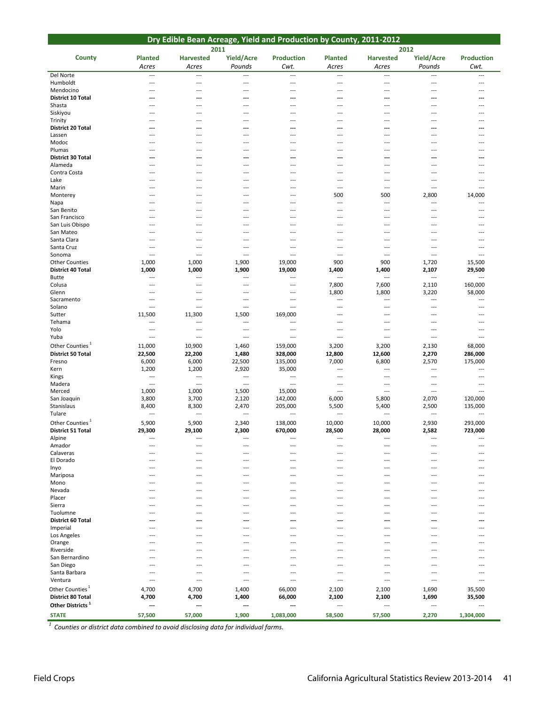| Dry Edible Bean Acreage, Yield and Production by County, 2011-2012 |                                   |                                   |                                                      |                                                      |                                 |                          |                                   |                                    |  |
|--------------------------------------------------------------------|-----------------------------------|-----------------------------------|------------------------------------------------------|------------------------------------------------------|---------------------------------|--------------------------|-----------------------------------|------------------------------------|--|
| <b>County</b>                                                      | <b>Planted</b>                    | 2011<br><b>Harvested</b>          | <b>Yield/Acre</b>                                    | <b>Production</b>                                    | <b>Planted</b>                  | 2012<br><b>Harvested</b> | Yield/Acre                        | <b>Production</b>                  |  |
|                                                                    | Acres                             | Acres                             | Pounds                                               | Cwt.                                                 | Acres                           | Acres                    | Pounds                            | Cwt.                               |  |
| Del Norte                                                          | $\overline{\phantom{a}}$          | $\overline{a}$                    | $\overline{\phantom{a}}$                             | $\overline{\phantom{a}}$                             | $\overline{a}$                  | $\overline{a}$           | ---                               | $\overline{a}$                     |  |
| Humboldt                                                           | $\overline{a}$                    | $\overline{a}$                    | $\overline{\phantom{a}}$                             | $\overline{a}$                                       | $\overline{a}$                  | $\overline{a}$           | ---                               | $\overline{a}$                     |  |
| Mendocino<br><b>District 10 Total</b>                              | $\overline{a}$<br>---             | $\overline{a}$<br>---             | ---<br>---                                           | ---<br>---                                           | ---<br>---                      | ---<br>---               | $---$<br>---                      | ---                                |  |
| Shasta                                                             | $\overline{a}$                    | $---$                             | ---                                                  | $\overline{\phantom{a}}$                             | $\overline{a}$                  | $\overline{a}$           | ---                               | $\overline{a}$                     |  |
| Siskiyou                                                           | ---                               | $---$                             | ---                                                  | ---                                                  | $---$                           | ---                      | ---                               | ---                                |  |
| Trinity<br>District 20 Total                                       | ---<br>---                        | $\overline{a}$<br>$\overline{a}$  | ---<br>---                                           | ---<br>---                                           | ---<br>---                      | ---<br>---               | ---<br>---                        | $---$                              |  |
| Lassen                                                             | ---                               | ---                               | ---                                                  | ---                                                  | ---                             | ---                      | ---                               |                                    |  |
| Modoc                                                              | ---                               | $---$                             | $\overline{a}$                                       | ---                                                  | $\overline{a}$                  | ---                      | $---$                             | ---                                |  |
| Plumas                                                             | ---                               | $---$                             | ---                                                  | ---                                                  | ---                             | ---                      | ---                               | ---                                |  |
| District 30 Total<br>Alameda                                       | ---<br>$\overline{a}$             | ---<br>$---$                      | ---<br>$\overline{a}$                                | ---<br>$\overline{a}$                                | ---<br>---                      | ---<br>---               | ---<br>$\overline{a}$             |                                    |  |
| Contra Costa                                                       | ---                               | ---                               | ---                                                  | ---                                                  | ---                             | ---                      | ---                               |                                    |  |
| Lake                                                               | $\overline{a}$                    | $\overline{a}$                    | $\overline{a}$                                       | ---                                                  | $-$                             | $\overline{a}$           | $\overline{a}$                    | $\overline{a}$                     |  |
| Marin<br>Monterey                                                  | ---<br>---                        | $---$<br>---                      | ---<br>---                                           | ---<br>---                                           | $- - -$<br>500                  | $---$<br>500             | $---$<br>2,800                    | $\sim$<br>14,000                   |  |
| Napa                                                               | $\overline{a}$                    | $---$                             | $\overline{a}$                                       | $\overline{a}$                                       | $\overline{a}$                  | $---$                    | $---$                             | $\overline{a}$                     |  |
| San Benito                                                         | ---                               | ---                               | ---                                                  | ---                                                  | ---                             | $---$                    | ---                               | $---$                              |  |
| San Francisco                                                      | $\overline{a}$                    | $---$                             | $\overline{a}$                                       | ---                                                  | $\overline{a}$                  | $---$                    | $---$                             | $---$                              |  |
| San Luis Obispo<br>San Mateo                                       | ---<br>---                        | $---$<br>---                      | $\overline{\phantom{a}}$<br>---                      | ---<br>---                                           | $---$<br>---                    | ---<br>---               | ---<br>---                        | $---$<br>---                       |  |
| Santa Clara                                                        | $\overline{a}$                    | $---$                             | $\overline{a}$                                       | ---                                                  | $\overline{a}$                  | ---                      | $\overline{a}$                    | ---                                |  |
| Santa Cruz                                                         | ---                               | ---                               | ---                                                  | ---                                                  | ---                             | ---                      | ---                               | $---$                              |  |
| Sonoma<br><b>Other Counties</b>                                    | $\overline{a}$<br>1,000           | $\overline{a}$<br>1,000           | $\overline{a}$<br>1,900                              | $\overline{\phantom{a}}$<br>19,000                   | ---<br>900                      | $\overline{a}$<br>900    | $\overline{a}$<br>1,720           | $\sim$<br>15,500                   |  |
| District 40 Total                                                  | 1,000                             | 1,000                             | 1,900                                                | 19,000                                               | 1,400                           | 1,400                    | 2,107                             | 29,500                             |  |
| Butte                                                              | $---$                             | $---$                             | $-$                                                  | $\overline{a}$                                       | $\overline{a}$                  | $\overline{a}$           | $\overline{a}$                    | $\overline{\phantom{a}}$           |  |
| Colusa                                                             | $---$                             | $\overline{\phantom{a}}$          | ---                                                  | $\overline{\phantom{a}}$                             | 7,800                           | 7,600                    | 2,110                             | 160,000                            |  |
| Glenn<br>Sacramento                                                | $\overline{a}$<br>$---$           | $\overline{a}$<br>$\overline{a}$  | $\overline{a}$<br>$- - -$                            | $\overline{\phantom{a}}$<br>$\overline{a}$           | 1,800<br>$\overline{a}$         | 1,800<br>---             | 3,220<br>$\overline{a}$           | 58,000<br>$\overline{\phantom{a}}$ |  |
| Solano                                                             | $\overline{a}$                    | ---                               | $\overline{\phantom{a}}$                             | ---                                                  | ---                             | ---                      | ---                               | ---                                |  |
| Sutter                                                             | 11,500                            | 11,300                            | 1,500                                                | 169,000                                              | $\overline{a}$                  | $\overline{a}$           | $---$                             |                                    |  |
| Tehama                                                             | $\overline{a}$<br>$\overline{a}$  | ---<br>$---$                      | $\overline{\phantom{a}}$<br>$\overline{\phantom{a}}$ | $\overline{\phantom{a}}$<br>$\overline{\phantom{a}}$ | ---<br>$\overline{a}$           | $---$<br>$---$           | ---<br>$---$                      | ---<br>$\overline{a}$              |  |
| Yolo<br>Yuba                                                       | $\overline{a}$                    | $\overline{a}$                    | $\overline{\phantom{a}}$                             | $\overline{\phantom{a}}$                             | $\overline{a}$                  | $\overline{a}$           | $\overline{a}$                    | $\overline{\phantom{a}}$           |  |
| Other Counties <sup>1</sup>                                        | 11,000                            | 10,900                            | 1,460                                                | 159,000                                              | 3,200                           | 3,200                    | 2,130                             | 68,000                             |  |
| <b>District 50 Total</b>                                           | 22,500                            | 22,200                            | 1,480                                                | 328,000                                              | 12,800                          | 12,600                   | 2,270                             | 286,000                            |  |
| Fresno                                                             | 6,000                             | 6,000                             | 22,500                                               | 135,000                                              | 7,000                           | 6,800                    | 2,570                             | 175,000                            |  |
| Kern<br>Kings                                                      | 1,200<br>$\overline{\phantom{a}}$ | 1,200<br>$\overline{\phantom{a}}$ | 2,920<br>$\overline{\phantom{a}}$                    | 35,000<br>$\overline{\phantom{a}}$                   | $\overline{\phantom{a}}$<br>--- | $\overline{a}$<br>---    | ---<br>---                        | ---<br>---                         |  |
| Madera                                                             | $\overline{\phantom{a}}$          | $\overline{\phantom{a}}$          | $\overline{\phantom{a}}$                             | $\overline{\phantom{a}}$                             | ---                             | $---$                    | $---$                             | $---$                              |  |
| Merced                                                             | 1,000                             | 1,000                             | 1,500                                                | 15,000                                               | $\overline{a}$                  | $\overline{a}$           | ---                               | $\overline{a}$                     |  |
| San Joaquin<br>Stanislaus                                          | 3,800                             | 3,700                             | 2,120<br>2,470                                       | 142,000                                              | 6,000<br>5,500                  | 5,800<br>5,400           | 2,070<br>2,500                    | 120,000<br>135,000                 |  |
| Tulare                                                             | 8,400<br>$\overline{a}$           | 8,300<br>$\overline{\phantom{a}}$ | $\overline{\phantom{a}}$                             | 205,000<br>$\overline{\phantom{a}}$                  | $\overline{\phantom{a}}$        | ---                      | $\overline{a}$                    | $\overline{\phantom{a}}$           |  |
| Other Counties <sup>1</sup>                                        | 5,900                             | 5,900                             | 2,340                                                | 138,000                                              | 10,000                          | 10,000                   | 2,930                             | 293,000                            |  |
| <b>District 51 Total</b>                                           | 29,300                            | 29,100                            | 2,300                                                | 670,000                                              | 28,500                          | 28,000                   | 2,582                             | 723,000                            |  |
| Alpine<br>Amador                                                   | ---                               | $\overline{a}$                    | $---$                                                | ---                                                  | ---                             | ---                      | $---$                             | ---                                |  |
| Calaveras                                                          | ---                               | ---                               |                                                      | ---                                                  | ---                             |                          |                                   |                                    |  |
| El Dorado                                                          | ---                               | $---$                             | ---                                                  | ---                                                  | ---                             | ---                      | $---$                             |                                    |  |
| Inyo                                                               | ---                               | ---                               | ---                                                  | ---                                                  | ---                             | ---                      | ---                               | ---                                |  |
| Mariposa<br>Mono                                                   | ---                               | $---$                             | ---                                                  | ---                                                  | $---$                           | ---                      | $---$                             |                                    |  |
| Nevada                                                             | ---                               | ---                               | ---                                                  | ---                                                  | ---                             | ---                      |                                   |                                    |  |
| Placer                                                             | ---                               | ---                               | ---                                                  | ---                                                  | ---                             | ---                      | $---$                             |                                    |  |
| Sierra<br>Tuolumne                                                 | ---                               | $---$                             | ---                                                  | ---                                                  | $\overline{\phantom{a}}$        | ---                      | $---$                             | ---                                |  |
| District 60 Total                                                  |                                   |                                   |                                                      |                                                      |                                 | ---                      |                                   |                                    |  |
| Imperial                                                           | ---                               | ---                               | ---                                                  | ---                                                  | ---                             | ---                      | ---                               |                                    |  |
| Los Angeles                                                        | $---$                             | ---                               | ---                                                  | ---                                                  | $---$                           | $\overline{a}$           | $---$                             |                                    |  |
| Orange<br>Riverside                                                | ---                               | $---$                             | ---                                                  | ---                                                  | $\overline{\phantom{a}}$        | ---                      | $---$                             | ---                                |  |
| San Bernardino                                                     | $-$ --                            | ---                               | ---                                                  | ---                                                  | ---                             | ---                      | ---                               |                                    |  |
| San Diego                                                          | ---                               | ---                               | ---                                                  | ---                                                  | ---                             | ---                      |                                   |                                    |  |
| Santa Barbara<br>Ventura                                           | ---<br>$\overline{a}$             | ---<br>$\overline{\phantom{a}}$   | ---<br>---                                           | ---<br>---                                           | $---$<br>---                    | $\overline{a}$<br>---    | $---$<br>$\overline{\phantom{a}}$ | ---                                |  |
| Other Counties <sup>1</sup>                                        | 4,700                             | 4,700                             | 1,400                                                | 66,000                                               | 2,100                           | 2,100                    | 1,690                             | 35,500                             |  |
| District 80 Total                                                  | 4,700                             | 4,700                             | 1,400                                                | 66,000                                               | 2,100                           | 2,100                    | 1,690                             | 35,500                             |  |
| Other Districts <sup>1</sup>                                       | ---                               | ---                               | ---                                                  | ---                                                  | ---                             | $---$                    | $\overline{a}$                    | $\overline{a}$                     |  |
| <b>STATE</b>                                                       | 57,500                            | 57,000                            | 1,900                                                | 1,083,000                                            | 58,500                          | 57,500                   | 2,270                             | 1,304,000                          |  |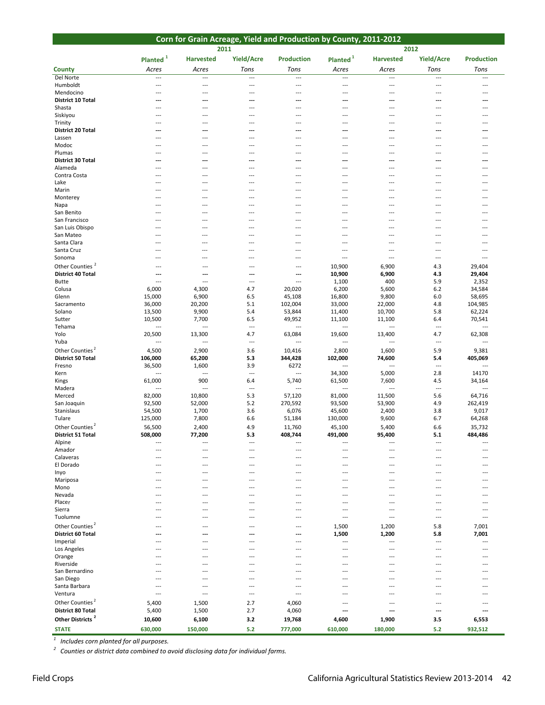| Corn for Grain Acreage, Yield and Production by County, 2011-2012 |                          |                                    |                                 |                          |                                 |                          |                                   |                                    |  |  |
|-------------------------------------------------------------------|--------------------------|------------------------------------|---------------------------------|--------------------------|---------------------------------|--------------------------|-----------------------------------|------------------------------------|--|--|
|                                                                   |                          | 2011                               |                                 |                          |                                 | 2012                     |                                   |                                    |  |  |
|                                                                   | Planted <sup>1</sup>     | <b>Harvested</b>                   | <b>Yield/Acre</b>               | <b>Production</b>        | Planted <sup>1</sup>            | <b>Harvested</b>         | Yield/Acre                        | <b>Production</b>                  |  |  |
| <b>County</b>                                                     | Acres                    | Acres                              | Tons                            | Tons                     | Acres                           | Acres                    | Tons                              | Tons                               |  |  |
| Del Norte                                                         | $\overline{\phantom{a}}$ | ---                                | $\overline{a}$                  | $\overline{a}$           | $\overline{a}$                  | $\overline{a}$           | $\overline{a}$                    | $\overline{\phantom{a}}$           |  |  |
| Humboldt                                                          | $\overline{\phantom{a}}$ | $\hspace{0.05cm} \ldots$           | $\overline{a}$                  | $\overline{a}$           | $\overline{\phantom{a}}$        | ---                      | $\overline{\phantom{a}}$          | $\overline{\phantom{a}}$           |  |  |
| Mendocino                                                         | $---$                    | ---                                | ---                             | ---                      | $\overline{a}$                  | $---$                    | $---$                             | ---                                |  |  |
| <b>District 10 Total</b>                                          | ---                      | ---                                | ---                             | ---                      | ---                             | ---                      | ---                               | ---                                |  |  |
| Shasta                                                            | ---                      | $\overline{a}$                     | $\overline{a}$                  | $---$                    | $\overline{a}$                  | $---$                    | $---$                             | ---                                |  |  |
| Siskiyou<br>Trinity                                               | ---                      | ---<br>---                         | ---<br>---                      | ---<br>---               | $\overline{\phantom{a}}$<br>--- | ---<br>---               | $\overline{\phantom{a}}$<br>---   | ---                                |  |  |
| <b>District 20 Total</b>                                          | ---                      | ---                                | ---                             | ---                      | ---                             | ---                      | ---                               | ---                                |  |  |
| Lassen                                                            | ---                      | ---                                | ---                             | $\overline{\phantom{a}}$ | $\overline{\phantom{a}}$        | $\overline{\phantom{a}}$ | $\overline{\phantom{a}}$          | $\overline{a}$                     |  |  |
| Modoc                                                             | ---                      | $---$                              | ---                             | $-$ --                   | $\sim$                          | $\overline{a}$           | $---$                             | ---                                |  |  |
| Plumas                                                            | $---$                    | $---$                              | $\overline{a}$                  | $-$ --                   | $\overline{\phantom{a}}$        | $---$                    | $---$                             | ---                                |  |  |
| District 30 Total<br>Alameda                                      | ---<br>---               | ---<br>---                         | ---<br>---                      | ---<br>$-$ --            | ---<br>$\overline{\phantom{a}}$ | ---<br>$---$             | ---<br>$---$                      | ---<br>---                         |  |  |
| Contra Costa                                                      | ---                      | ---                                | ---                             | ---                      | $\overline{a}$                  | $\overline{a}$           | ---                               | ---                                |  |  |
| Lake                                                              | ---                      | $\overline{a}$                     | ---                             | ---                      | $\overline{a}$                  | $---$                    | $---$                             | ---                                |  |  |
| Marin                                                             | ---                      | $-$ --                             | $\overline{a}$                  | $---$                    | $\overline{a}$                  | $---$                    | $---$                             | ---                                |  |  |
| Monterey                                                          | ---                      | ---                                | ---                             | ---                      | ---                             | ---                      | $---$                             |                                    |  |  |
| Napa                                                              | $-$ --                   | ---                                | ---                             | ---                      | $\overline{a}$                  | $---$                    | $---$                             | ---                                |  |  |
| San Benito                                                        | ---                      | $\overline{\phantom{a}}$           | $\overline{a}$                  | $\overline{\phantom{a}}$ | $\overline{a}$                  | ---                      | ---                               | ---                                |  |  |
| San Francisco<br>San Luis Obispo                                  | ---                      | ---<br>---                         | ---<br>$---$                    | ---                      | $---$<br>$---$                  | ---<br>$---$             | ---<br>$-$                        |                                    |  |  |
| San Mateo                                                         | ---                      | ---                                | ---                             | ---                      | $\overline{a}$                  | ---                      | ---                               | ---                                |  |  |
| Santa Clara                                                       | ---                      | ---                                | ---                             | ---                      | $\overline{a}$                  | $---$                    | $---$                             | ---                                |  |  |
| Santa Cruz                                                        | ---                      | ---                                | ---                             | ---                      | $\overline{\phantom{a}}$        | ---                      | $\overline{a}$                    | ---                                |  |  |
| Sonoma                                                            | ---                      | ---                                | ---                             | ---                      | $\overline{\phantom{a}}$        | $\overline{\phantom{a}}$ | $\overline{\phantom{a}}$          | $\overline{a}$                     |  |  |
| Other Counties <sup>2</sup>                                       | ---                      | ---                                | ---                             | ---                      | 10,900                          | 6,900                    | 4.3                               | 29,404                             |  |  |
| <b>District 40 Total</b>                                          | ---                      | ---                                | ---                             | ---                      | 10,900                          | 6,900                    | 4.3                               | 29,404                             |  |  |
| Butte<br>Colusa                                                   | ---<br>6,000             | $\overline{a}$<br>4,300            | $\overline{a}$<br>4.7           | ---<br>20,020            | 1,100<br>6,200                  | 400<br>5,600             | 5.9<br>6.2                        | 2,352<br>34,584                    |  |  |
| Glenn                                                             | 15,000                   | 6,900                              | 6.5                             | 45,108                   | 16,800                          | 9,800                    | 6.0                               | 58,695                             |  |  |
| Sacramento                                                        | 36,000                   | 20,200                             | 5.1                             | 102,004                  | 33,000                          | 22,000                   | 4.8                               | 104,985                            |  |  |
| Solano                                                            | 13,500                   | 9,900                              | 5.4                             | 53,844                   | 11,400                          | 10,700                   | 5.8                               | 62,224                             |  |  |
| Sutter                                                            | 10,500                   | 7,700                              | 6.5                             | 49,952                   | 11,100                          | 11,100                   | 6.4                               | 70,541                             |  |  |
| Tehama                                                            | $\overline{\phantom{a}}$ | $\overline{\phantom{a}}$           | $\overline{\phantom{a}}$        | $\overline{a}$           | $\overline{\phantom{a}}$        | $\overline{a}$           | $\qquad \qquad -\qquad$           | $\overline{a}$                     |  |  |
| Yolo<br>Yuba                                                      | 20,500<br>---            | 13,300<br>$\overline{\phantom{a}}$ | 4.7<br>$\overline{\phantom{a}}$ | 63,084<br>$\overline{a}$ | 19,600<br>$\overline{a}$        | 13,400<br>$\overline{a}$ | 4.7<br>$\overline{\phantom{a}}$   | 62,308<br>$\overline{\phantom{a}}$ |  |  |
| Other Counties <sup>2</sup>                                       | 4,500                    | 2,900                              |                                 |                          |                                 |                          |                                   |                                    |  |  |
| <b>District 50 Total</b>                                          | 106,000                  | 65,200                             | 3.6<br>5.3                      | 10,416<br>344,428        | 2,800<br>102,000                | 1,600<br>74,600          | 5.9<br>5.4                        | 9,381<br>405,069                   |  |  |
| Fresno                                                            | 36,500                   | 1,600                              | 3.9                             | 6272                     | $\overline{a}$                  | $\overline{a}$           | $\qquad \qquad -\qquad$           | $\overline{a}$                     |  |  |
| Kern                                                              | $\overline{a}$           | ---                                | $\overline{\phantom{a}}$        | ---                      | 34,300                          | 5,000                    | 2.8                               | 14170                              |  |  |
| Kings                                                             | 61,000                   | 900                                | 6.4                             | 5,740                    | 61,500                          | 7,600                    | 4.5                               | 34,164                             |  |  |
| Madera                                                            | $\overline{a}$           | ---                                | $\overline{\phantom{a}}$        | $\overline{\phantom{a}}$ | $\overline{\phantom{a}}$        | $\overline{a}$           | $\overline{\phantom{a}}$          | $\overline{\phantom{a}}$           |  |  |
| Merced<br>San Joaquin                                             | 82,000<br>92,500         | 10,800<br>52,000                   | 5.3<br>5.2                      | 57,120<br>270,592        | 81,000<br>93,500                | 11,500<br>53,900         | 5.6<br>4.9                        | 64,716<br>262,419                  |  |  |
| Stanislaus                                                        | 54,500                   | 1,700                              | 3.6                             | 6,076                    | 45,600                          | 2,400                    | 3.8                               | 9,017                              |  |  |
| Tulare                                                            | 125,000                  | 7,800                              | 6.6                             | 51,184                   | 130,000                         | 9,600                    | 6.7                               | 64,268                             |  |  |
| Other Counties <sup>2</sup>                                       | 56,500                   | 2,400                              | 4.9                             | 11,760                   | 45,100                          | 5,400                    | 6.6                               | 35,732                             |  |  |
| District 51 Total                                                 | 508,000                  | 77,200                             | 5.3                             | 408,744                  | 491,000                         | 95,400                   | 5.1                               | 484,486                            |  |  |
| Alpine                                                            | $\overline{\phantom{a}}$ | ---                                | $\overline{a}$                  | ---                      | $\overline{a}$                  | $\overline{a}$           | $\overline{\phantom{a}}$          | $- - -$                            |  |  |
| Amador                                                            | ---                      | ---                                | ---                             |                          |                                 |                          |                                   |                                    |  |  |
| Calaveras<br>El Dorado                                            | ---<br>---               | $---$<br>---                       | ---<br>---                      | ---                      | ---<br>÷÷                       | ---                      | $---$                             | ---                                |  |  |
| Inyo                                                              | ---                      | ---                                | ---                             | ---                      | ---                             | ---                      | $- - -$                           | $---$                              |  |  |
| Mariposa                                                          | ---                      | ---                                | ---                             | ---                      | ---                             | ---                      | $\overline{\phantom{a}}$          |                                    |  |  |
| Mono                                                              |                          | ---                                | ---                             |                          |                                 |                          |                                   |                                    |  |  |
| Nevada                                                            | ---                      | ---                                | ---                             | ---                      | $\overline{\phantom{a}}$        | ---                      | $---$                             |                                    |  |  |
| Placer                                                            |                          | ---                                |                                 |                          | ÷÷                              |                          |                                   |                                    |  |  |
| Sierra<br>Tuolumne                                                | ---<br>---               | $---$<br>$---$                     | ---<br>---                      | ---<br>---               | $---$<br>$\overline{a}$         | $\overline{a}$<br>$---$  | $---$<br>$- - -$                  | $---$<br>$- - -$                   |  |  |
| Other Counties <sup>2</sup>                                       |                          |                                    |                                 |                          |                                 |                          |                                   |                                    |  |  |
| <b>District 60 Total</b>                                          | $- - -$<br>---           | ---<br>---                         | ---<br>…                        | ---<br>---               | 1,500<br>1,500                  | 1,200<br>1,200           | 5.8<br>5.8                        | 7,001<br>7,001                     |  |  |
| Imperial                                                          | ---                      | $---$                              | ---                             | ---                      | $\overline{a}$                  | ---                      | $\overline{\phantom{a}}$          | $\overline{\phantom{a}}$           |  |  |
| Los Angeles                                                       | ---                      | ---                                | ---                             | ---                      | ---                             | ---                      | $\overline{\phantom{a}}$          | ---                                |  |  |
| Orange                                                            | ---                      | $---$                              | ---                             |                          | $---$                           | ---                      | $---$                             |                                    |  |  |
| Riverside                                                         | ---                      | ---                                | ---                             | ---                      | ---                             | ---                      | $\overline{\phantom{a}}$          |                                    |  |  |
| San Bernardino                                                    | ---                      | ---                                | ---                             |                          | ---                             | ---                      | $\overline{a}$                    |                                    |  |  |
| San Diego                                                         | $---$                    | ---                                | ---                             | ---                      | $\overline{\phantom{a}}$        | $\overline{\phantom{a}}$ | $- - -$                           | ---                                |  |  |
| Santa Barbara<br>Ventura                                          | ---<br>$\overline{a}$    | ---<br>$\overline{a}$              | ---<br>$\overline{a}$           | ---<br>$\overline{a}$    | $\overline{\phantom{a}}$<br>$-$ | ---<br>$---$             | $\overline{\phantom{a}}$<br>$---$ | ---                                |  |  |
| Other Counties <sup>2</sup>                                       | 5,400                    | 1,500                              | 2.7                             | 4,060                    | $---$                           | $---$                    | $---$                             | $---$                              |  |  |
| <b>District 80 Total</b>                                          | 5,400                    | 1,500                              | 2.7                             | 4,060                    | ---                             | ---                      | ---                               | ---                                |  |  |
|                                                                   |                          |                                    |                                 |                          |                                 |                          |                                   |                                    |  |  |
| Other Districts <sup>2</sup>                                      | 10,600                   | 6,100                              | 3.2                             | 19,768                   | 4,600                           | 1,900                    | 3.5                               | 6,553                              |  |  |

*<sup>1</sup> Includes corn planted for all purposes.*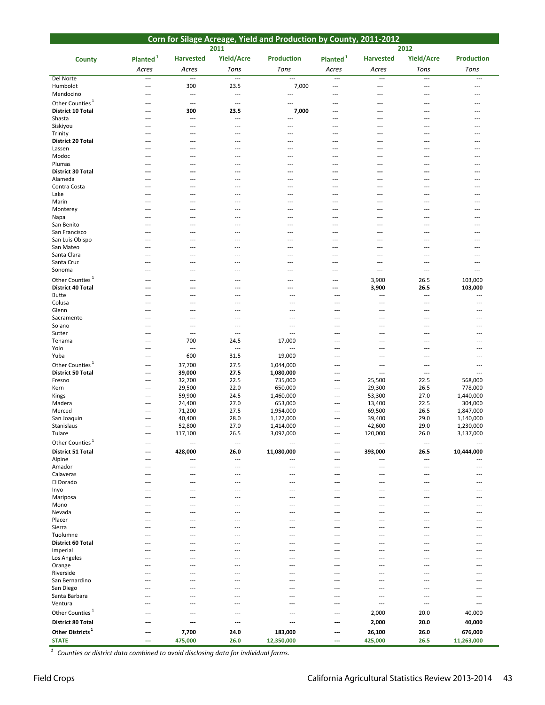| Corn for Silage Acreage, Yield and Production by County, 2011-2012 |                                   |                                            |                                  |                                    |                                   |                                 |                                 |                         |  |
|--------------------------------------------------------------------|-----------------------------------|--------------------------------------------|----------------------------------|------------------------------------|-----------------------------------|---------------------------------|---------------------------------|-------------------------|--|
|                                                                    |                                   |                                            | 2011                             |                                    |                                   |                                 | 2012                            |                         |  |
| County                                                             | Planted $1$                       | <b>Harvested</b>                           | <b>Yield/Acre</b>                | <b>Production</b>                  | Planted $1$                       | <b>Harvested</b>                | <b>Yield/Acre</b>               | <b>Production</b>       |  |
|                                                                    | Acres                             | Acres                                      | Tons                             | Tons                               | Acres                             | Acres                           | Tons                            | Tons                    |  |
| Del Norte                                                          | $\overline{a}$                    | ---                                        | $\overline{a}$                   | $\overline{a}$                     | ---                               | $\overline{\phantom{a}}$        | $\overline{\phantom{a}}$        | $---$                   |  |
| Humboldt<br>Mendocino                                              | $\overline{a}$<br>$---$           | 300<br>$\overline{a}$                      | 23.5<br>$\overline{\phantom{a}}$ | 7,000<br>$\overline{a}$            | ---<br>---                        | $\overline{a}$<br>$---$         | ---<br>$\overline{\phantom{a}}$ | $\overline{a}$<br>$---$ |  |
| Other Counties <sup>1</sup>                                        | $---$                             | $\overline{\phantom{a}}$                   | $\hspace{0.05cm} \ldots$         | ---                                | ---                               | ---                             | ---                             | ---                     |  |
| District 10 Total                                                  | ---                               | 300                                        | 23.5                             | 7,000                              | ---                               | ---                             | ---                             | ---                     |  |
| Shasta                                                             | $---$                             | $\overline{a}$                             | ---                              | $\overline{\phantom{a}}$           | ---                               | ---                             |                                 | ---                     |  |
| Siskiyou<br>Trinity                                                | $\overline{a}$                    | ---                                        | $\cdots$<br>---                  | ---<br>---                         | ---<br>---                        | ---<br>$\overline{\phantom{a}}$ | ---<br>---                      | ---<br>---              |  |
| <b>District 20 Total</b>                                           | $---$<br>---                      | $\overline{\phantom{a}}$<br>---            | ---                              | ---                                | ---                               | ---                             | ---                             | ---                     |  |
| Lassen                                                             | $---$                             | $\overline{a}$                             | ---                              | $---$                              | ---                               | $\overline{a}$                  | ---                             | $---$                   |  |
| Modoc                                                              | $---$                             | $\overline{\phantom{a}}$                   | ---                              | $\overline{\phantom{a}}$           | ---                               | ---                             | ---                             | ---                     |  |
| Plumas<br>District 30 Total                                        | $---$<br>---                      | $---$<br>---                               | ---<br>---                       | $\overline{a}$<br>---              | ---<br>---                        | $\overline{a}$<br>---           | ---<br>---                      | $---$<br>---            |  |
| Alameda                                                            | $---$                             | $---$                                      | $\cdots$                         | $---$                              | ---                               | $---$                           | $---$                           | $---$                   |  |
| Contra Costa                                                       |                                   | ---                                        | ---                              | ---                                | ---                               | ---                             | ---                             | ---                     |  |
| Lake                                                               | $---$                             | $\overline{a}$                             | ---                              | ---                                | ---                               | ---                             | ---                             | ---                     |  |
| Marin<br>Monterey                                                  | $---$<br>$\overline{a}$           | $---$<br>---                               | ---<br>---                       | $- - -$                            | $---$<br>---                      | $---$<br>---                    | ---                             | $---$<br>---            |  |
| Napa                                                               | $---$                             | $---$                                      | $---$                            | $---$                              | $---$                             | $---$                           | $---$                           | $---$                   |  |
| San Benito                                                         | $---$                             | $---$                                      | ---                              | $---$                              | ---                               | $---$                           | ---                             | $---$                   |  |
| San Francisco<br>San Luis Obispo                                   | $\overline{\phantom{a}}$<br>$---$ | $---$<br>$---$                             | ---<br>---                       | ---<br>$\overline{a}$              | ---<br>---                        | $---$<br>$---$                  | ---<br>---                      | $---$<br>$---$          |  |
| San Mateo                                                          | $---$                             | $---$                                      | ---                              | ---                                | ---                               | $---$                           | ---                             | $---$                   |  |
| Santa Clara                                                        | ---                               | $\overline{a}$                             | ---                              | ---                                | ---                               | $---$                           | ---                             | ---                     |  |
| Santa Cruz                                                         | $\overline{\phantom{a}}$          | ---                                        | ---                              | ---                                | ---                               | $---$                           | ---                             | ---                     |  |
| Sonoma                                                             | $---$                             | $---$                                      | $---$                            | ---                                | ---                               | $\overline{a}$                  | $\overline{a}$                  | $\overline{a}$          |  |
| Other Counties <sup>1</sup><br><b>District 40 Total</b>            | $\overline{a}$                    | $\overline{\phantom{a}}$<br>$\overline{a}$ | ---<br>---                       | ---<br>---                         | ---<br>---                        | 3,900<br>3,900                  | 26.5<br>26.5                    | 103,000<br>103,000      |  |
| <b>Butte</b>                                                       | $---$                             | $---$                                      | ---                              | $---$                              | $\overline{a}$                    | $\overline{a}$                  | ---                             | $\overline{a}$          |  |
| Colusa                                                             | $---$                             | $\overline{a}$                             | ---                              | ---                                | ---                               | $\overline{\phantom{a}}$        | ---                             | $\overline{a}$          |  |
| Glenn                                                              | $---$                             | $---$                                      | ---                              | $\overline{\phantom{a}}$           | $---$                             | $---$                           | ---                             | $---$                   |  |
| Sacramento<br>Solano                                               | $---$<br>$-$                      | $---$<br>$\overline{a}$                    | $\cdots$<br>---                  | $---$<br>---                       | $---$<br>---                      | $\cdots$<br>---                 | $---$<br>---                    | $---$<br>---            |  |
| Sutter                                                             | $---$                             | $\overline{\phantom{a}}$                   | $\overline{\phantom{a}}$         | $\overline{\phantom{a}}$           | $\overline{a}$                    | ---                             | ---                             | ---                     |  |
| Tehama                                                             | $---$                             | 700                                        | 24.5                             | 17,000                             | $---$                             | ---                             | ---                             | $---$                   |  |
| Yolo<br>Yuba                                                       | $---$<br>$\overline{a}$           | $\qquad \qquad -$<br>600                   | $\overline{\phantom{a}}$<br>31.5 | $\overline{\phantom{a}}$<br>19,000 | $---$<br>$---$                    | $---$<br>---                    | ---<br>---                      | ---<br>$---$            |  |
| Other Counties <sup>1</sup>                                        | $\overline{a}$                    | 37,700                                     | 27.5                             | 1,044,000                          | $---$                             | ---                             | ---                             | $---$                   |  |
| <b>District 50 Total</b>                                           | $---$                             | 39,000                                     | 27.5                             | 1,080,000                          | ---                               | ---                             | ---                             | $\overline{a}$          |  |
| Fresno                                                             | $\overline{a}$                    | 32,700                                     | 22.5                             | 735,000                            | ---                               | 25,500                          | 22.5                            | 568,000                 |  |
| Kern                                                               | $---$<br>$---$                    | 29,500                                     | 22.0<br>24.5                     | 650,000                            | $\overline{a}$<br>$---$           | 29,300                          | 26.5<br>27.0                    | 778,000                 |  |
| Kings<br>Madera                                                    | $\overline{\phantom{a}}$          | 59,900<br>24,400                           | 27.0                             | 1,460,000<br>653,000               | $---$                             | 53,300<br>13,400                | 22.5                            | 1,440,000<br>304,000    |  |
| Merced                                                             |                                   | 71,200                                     | 27.5                             | 1,954,000                          | $---$                             | 69,500                          | 26.5                            | 1,847,000               |  |
| San Joaquin                                                        | $---$                             | 40,400                                     | 28.0                             | 1,122,000                          | $---$                             | 39,400                          | 29.0                            | 1,140,000               |  |
| Stanislaus<br>Tulare                                               | $\overline{a}$                    | 52,800<br>117,100                          | 27.0<br>26.5                     | 1,414,000<br>3,092,000             | $\overline{a}$                    | 42,600<br>120,000               | 29.0<br>26.0                    | 1,230,000<br>3,137,000  |  |
| Other Counties <sup>1</sup>                                        | $---$                             | $\overline{\phantom{a}}$                   | $\overline{\phantom{a}}$         | $\overline{\phantom{a}}$           | $---$                             | $---$                           | $\overline{a}$                  |                         |  |
| <b>District 51 Total</b>                                           | ---                               | 428,000                                    | 26.0                             | 11,080,000                         | ---                               | 393,000                         | 26.5                            | 10,444,000              |  |
| Alpine                                                             | $---$                             | $\overline{\phantom{a}}$                   | $\qquad \qquad -$                | $\overline{\phantom{a}}$           | $---$                             | $---$                           | $\overline{a}$                  | ---                     |  |
| Amador                                                             | $\overline{a}$                    | ---                                        | ---                              | $\overline{a}$                     | $\overline{a}$                    | ---                             | ---                             |                         |  |
| Calaveras<br>El Dorado                                             | $---$<br>$--$                     | $---$<br>$---$                             | ---<br>---                       | $---$<br>---                       | $---$<br>$\overline{\phantom{a}}$ | ---<br>---                      | ---<br>---                      | ---<br>---              |  |
| Inyo                                                               |                                   | ---                                        | ---                              | ---                                |                                   | ---                             |                                 |                         |  |
| Mariposa                                                           | $---$                             | $---$                                      | ---                              | $---$                              | $---$                             | ---                             | ---                             | $---$                   |  |
| Mono<br>Nevada                                                     | $---$                             | $---$                                      | ---<br>---                       | $---$                              | $- - -$                           | $\overline{a}$<br>---           | ---                             | $- - -$                 |  |
| Placer                                                             | $- - -$                           | $---$                                      | ---                              | $---$                              | $---$                             | ---                             | ---                             | $- - -$                 |  |
| Sierra                                                             | $---$                             | $--$                                       | ---                              | ---                                | ---                               | ---                             | ---                             | $- - -$                 |  |
| Tuolumne                                                           | $-$                               | $---$                                      | ---                              | $---$                              | ---                               | ---                             |                                 | ---                     |  |
| District 60 Total<br>Imperial                                      | ---<br>$---$                      | ---<br>$---$                               | ---<br>---                       | ---<br>$---$                       | ---<br>$---$                      | ---<br>---                      | ---<br>---                      | $---$                   |  |
| Los Angeles                                                        | ---                               | $\overline{\phantom{a}}$                   | ---                              | ---                                | ---                               | ---                             | ---                             | ---                     |  |
| Orange                                                             | $---$                             | $- - -$                                    | ---                              | $---$                              | $---$                             | ---                             |                                 | $---$                   |  |
| Riverside<br>San Bernardino                                        | $---$<br>---                      | ---                                        | ---<br>$---$                     | $---$<br>$---$                     | ---                               | ---<br>---                      | ---                             | $---$<br>---            |  |
| San Diego                                                          | $---$                             | $---$                                      | $---$                            | $---$                              | $---$                             | $---$                           | ---                             | $---$                   |  |
| Santa Barbara                                                      | $---$                             | $---$                                      | $---$                            | $---$                              | ---                               | ---                             | ---                             | $---$                   |  |
| Ventura                                                            | ---                               | $---$                                      | ---                              | $---$                              | ---                               | ---                             | $\overline{\phantom{a}}$        | $\overline{a}$          |  |
| Other Counties <sup>1</sup>                                        | $---$                             | $---$                                      | $\overline{\phantom{a}}$         | $- - -$                            | $---$                             | 2,000                           | 20.0                            | 40,000                  |  |
| <b>District 80 Total</b>                                           | ---                               | ---                                        | ---                              | ---                                | ---                               | 2,000                           | 20.0                            | 40,000                  |  |
| Other Districts <sup>1</sup>                                       | ---                               | 7,700                                      | 24.0                             | 183,000                            | ---                               | 26,100                          | 26.0                            | 676,000                 |  |
| <b>STATE</b>                                                       | ---                               | 475,000                                    | 26.0                             | 12,350,000                         | ---                               | 425,000                         | 26.5                            | 11,263,000              |  |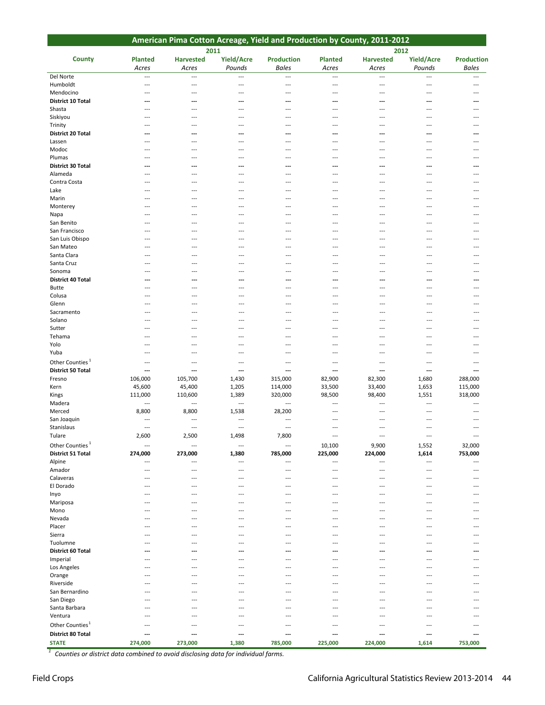|                             |                          |                           |                             |                                   |                         | American Pima Cotton Acreage, Yield and Production by County, 2011-2012 |                          |                            |
|-----------------------------|--------------------------|---------------------------|-----------------------------|-----------------------------------|-------------------------|-------------------------------------------------------------------------|--------------------------|----------------------------|
|                             |                          |                           | 2011                        |                                   |                         | 2012                                                                    |                          |                            |
| <b>County</b>               | <b>Planted</b><br>Acres  | <b>Harvested</b><br>Acres | <b>Yield/Acre</b><br>Pounds | <b>Production</b><br><b>Bales</b> | <b>Planted</b><br>Acres | <b>Harvested</b><br>Acres                                               | Yield/Acre<br>Pounds     | <b>Production</b><br>Bales |
| Del Norte                   | $\overline{a}$           | $\overline{a}$            | $\overline{a}$              | ---                               | $\overline{a}$          | $\overline{a}$                                                          | $\overline{\phantom{a}}$ | $\overline{\phantom{a}}$   |
| Humboldt                    | ---                      | ---                       | ---                         | ---                               | ---                     | ---                                                                     | ---                      | ---                        |
| Mendocino                   | $\overline{\phantom{a}}$ | ---                       | ---                         | ---                               | ---                     | ---                                                                     | ---                      |                            |
| <b>District 10 Total</b>    |                          | ---                       | ---                         | ---                               | ---                     | ---                                                                     | ---                      |                            |
| Shasta                      |                          |                           |                             |                                   |                         |                                                                         |                          |                            |
| Siskiyou                    |                          | ---                       | ---                         | ---                               | ---                     | ---                                                                     | ---                      |                            |
| Trinity                     |                          |                           |                             |                                   |                         |                                                                         |                          |                            |
| <b>District 20 Total</b>    | ---                      | ---                       | ---                         | ---                               | ---                     | ---                                                                     | ---                      |                            |
| Lassen                      |                          |                           |                             | ---                               | ---                     | ---                                                                     | ---                      |                            |
| Modoc                       | $--$                     | ---                       | ---                         | ---                               | ---                     | $-$                                                                     | $\overline{\phantom{a}}$ | ---                        |
| Plumas                      | $\overline{\phantom{a}}$ | ---                       | ---                         | ---                               | ---                     | ---                                                                     | ---                      | ---                        |
| <b>District 30 Total</b>    | ---                      | ---                       | ---                         | ---                               | ---                     | ---                                                                     | ---                      | ---                        |
| Alameda                     | $---$                    | $---$                     | ---                         | ---                               | ---                     | ---                                                                     | $-$ --                   |                            |
| Contra Costa                | $---$                    | ---                       | ---                         | ---                               | ---                     | ---                                                                     | ---                      | ---                        |
| Lake                        | $---$                    | ---                       | $\overline{a}$              | ---                               | ---                     | ---                                                                     | $---$                    | ---                        |
| Marin                       | ---                      | $---$                     | $---$                       | ---                               | ---                     | ---                                                                     | $-$ --                   |                            |
| Monterey                    |                          | ---                       | ---                         |                                   |                         | ---                                                                     |                          |                            |
| Napa                        |                          | ---                       | ---                         | ---                               | ---                     | ---                                                                     | ---                      | ---                        |
| San Benito                  | ---                      | ---                       | ---                         | ---                               | ---                     | ---                                                                     | ---                      |                            |
| San Francisco               |                          |                           |                             |                                   |                         |                                                                         |                          |                            |
| San Luis Obispo             | $---$                    | ---                       | ---                         | ---                               | ---                     | ---                                                                     | ---                      | ---                        |
| San Mateo                   | $---$                    | ---                       | ---                         | ---                               | ---                     | ---                                                                     | ---                      | ---                        |
| Santa Clara                 | ---                      | ---                       | ---                         | ---                               | ---                     | ---                                                                     | ---                      | ---                        |
| Santa Cruz                  |                          | $---$                     | $---$                       | $-$ --                            |                         |                                                                         |                          |                            |
| Sonoma                      | $---$                    | ---                       | ---                         | ---                               | ---                     | ---                                                                     | ---                      | ---                        |
| District 40 Total           | $\overline{a}$           | ---                       | ---                         | ---                               | ---                     | ---                                                                     | ---                      | ---                        |
| Butte                       | ---                      | $---$                     | $---$                       | $-$ --                            | $-$ --                  | ---                                                                     | ---                      |                            |
| Colusa                      |                          | ---                       | ---                         | ---                               | ---                     | ---                                                                     | ---                      |                            |
| Glenn                       | ---                      | ---                       | ---                         | ---                               | ---                     | ---                                                                     | ---                      |                            |
| Sacramento                  |                          | ---                       | ---                         | ---                               |                         |                                                                         |                          |                            |
| Solano                      |                          | ---                       | $---$                       | $---$                             | $\overline{a}$          | ---                                                                     | ---                      |                            |
| Sutter                      |                          |                           |                             |                                   |                         |                                                                         |                          |                            |
| Tehama                      | $--$                     | ---                       | ---                         | ---                               | ---                     | ---                                                                     | ---                      | ---                        |
| Yolo                        | $---$                    | ---                       | ---                         | ---                               | ---                     | ---                                                                     | ---                      | ---                        |
| Yuba                        | $\overline{\phantom{a}}$ | ---                       | ---                         | ---                               | ---                     | ---                                                                     | ---                      | ---                        |
| Other Counties <sup>1</sup> | $-$                      | ---                       | ---                         | $\overline{a}$                    | ---                     | ---                                                                     | $\overline{a}$           | $---$                      |
| <b>District 50 Total</b>    | ---                      | ---                       | ---                         | ---                               | ---                     | ---                                                                     | ---                      | ---                        |
| Fresno                      | 106,000                  | 105,700                   | 1,430                       | 315,000                           | 82,900                  | 82,300                                                                  | 1,680                    | 288,000                    |
| Kern                        | 45,600                   | 45,400                    | 1,205                       | 114,000                           | 33,500                  | 33,400                                                                  | 1,653                    | 115,000                    |
| Kings                       | 111,000                  | 110,600                   | 1,389                       | 320,000                           | 98,500                  | 98,400                                                                  | 1,551                    | 318,000                    |
| Madera                      | ---                      | ---                       | $\overline{\phantom{a}}$    | ---                               |                         |                                                                         | $\overline{\phantom{a}}$ | ---                        |
| Merced                      | 8,800                    | 8,800                     | 1,538                       | 28,200                            | ---<br>---              | ---<br>$\overline{\phantom{a}}$                                         | ---                      | ---                        |
| San Joaquin                 | $\overline{\phantom{a}}$ | ---                       | ---                         | ---                               | ---                     | ---                                                                     | ---                      | ---                        |
| Stanislaus                  | $\overline{\phantom{a}}$ | $---$                     | $---$                       | $\overline{a}$                    | $\overline{a}$          | $\overline{\phantom{a}}$                                                | $\overline{a}$           | $\overline{\phantom{a}}$   |
|                             | 2,600                    | 2,500                     |                             | 7,800                             |                         |                                                                         |                          |                            |
| Tulare                      |                          |                           | 1,498                       |                                   |                         |                                                                         |                          |                            |
| Other Counties <sup>1</sup> | ---                      |                           | ---                         | ---                               | 10,100                  | 9,900                                                                   | 1,552                    | 32,000                     |
| <b>District 51 Total</b>    | 274,000                  | 273,000                   | 1,380                       | 785,000                           | 225,000                 | 224,000                                                                 | 1,614                    | 753,000                    |
| Alpine                      | ---                      |                           | ---                         | ---                               | ---                     | ---                                                                     | ---                      |                            |
| Amador                      | $---$                    | ---                       | ---                         | ---                               | ---                     | ---                                                                     | ---                      |                            |
| Calaveras                   |                          | ---                       | ---                         | ---                               | ---                     | ---                                                                     | ---                      |                            |
| El Dorado                   | $--$                     | ---                       | ---                         | ---                               | ---                     | ---                                                                     | ---                      | ---                        |
| Inyo                        |                          | ---                       | ---                         | ---                               | ---                     | ---                                                                     | ---                      |                            |
| Mariposa                    |                          |                           |                             |                                   |                         |                                                                         |                          |                            |
| Mono                        |                          |                           |                             |                                   |                         |                                                                         |                          |                            |
| Nevada                      |                          | ---                       | ---                         | ---                               | ---                     | ---                                                                     | $-$ --                   |                            |
| Placer                      |                          | ---                       | ---                         | ---                               |                         |                                                                         |                          |                            |
| Sierra                      |                          |                           |                             |                                   |                         |                                                                         |                          |                            |
| Tuolumne                    |                          |                           |                             |                                   |                         |                                                                         |                          |                            |
| District 60 Total           |                          |                           |                             |                                   |                         |                                                                         |                          |                            |
| Imperial                    |                          |                           |                             |                                   |                         |                                                                         |                          |                            |
| Los Angeles                 |                          |                           |                             |                                   |                         |                                                                         |                          |                            |
| Orange                      |                          | ---                       | ---                         | ---                               | ---                     | ---                                                                     | ---                      |                            |
| Riverside                   |                          | ---                       | ---                         | ---                               |                         | ---                                                                     | ---                      |                            |
| San Bernardino              |                          |                           |                             |                                   |                         |                                                                         |                          |                            |
| San Diego                   |                          |                           |                             |                                   |                         |                                                                         |                          |                            |
| Santa Barbara               | ---                      | ---                       | ---                         | ---                               |                         | ---                                                                     | ---                      |                            |
| Ventura                     | ---                      | ---                       | $---$                       | ---                               | ---                     |                                                                         |                          |                            |
| Other Counties <sup>1</sup> | $\overline{\phantom{a}}$ | ---                       | ---                         | ---                               | ---                     | ---                                                                     | ---                      | ---                        |
| <b>District 80 Total</b>    | ---                      | ---                       | ---                         | ---                               | ---                     | ---                                                                     | ---                      |                            |
| <b>STATE</b>                | 274,000                  | 273,000                   | 1,380                       | 785,000                           | 225,000                 | 224,000                                                                 | 1,614                    | 753,000                    |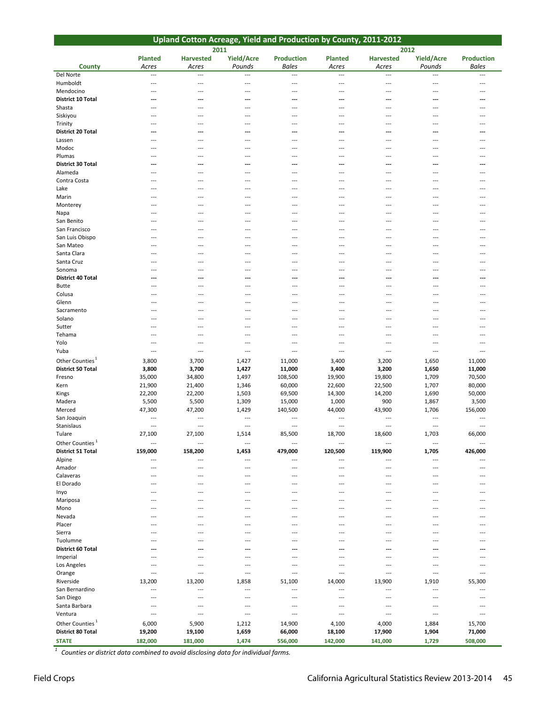|                              |                          | Upland Cotton Acreage, Yield and Production by County, 2011-2012 |                          |                          |                          |                  |                          |                   |
|------------------------------|--------------------------|------------------------------------------------------------------|--------------------------|--------------------------|--------------------------|------------------|--------------------------|-------------------|
|                              |                          |                                                                  | 2011                     |                          |                          |                  | 2012                     |                   |
|                              | <b>Planted</b>           | <b>Harvested</b>                                                 | Yield/Acre               | <b>Production</b>        | <b>Planted</b>           | <b>Harvested</b> | Yield/Acre               | <b>Production</b> |
| <b>County</b>                | Acres                    | Acres                                                            | Pounds                   | <b>Bales</b>             | Acres                    | Acres            | Pounds                   | <b>Bales</b>      |
| Del Norte                    | ---                      | $\overline{\phantom{a}}$                                         | $\overline{a}$           | ---                      | $\overline{\phantom{a}}$ | ---              | $\overline{\phantom{a}}$ | ---               |
| Humboldt                     | $\overline{a}$           | $-$                                                              | $\overline{a}$           | $---$                    | $---$                    | $\overline{a}$   | $-$                      | $---$             |
| Mendocino                    | ---                      | $\overline{\phantom{a}}$                                         | ---                      | $\overline{\phantom{a}}$ | ---                      | ---              | ---                      |                   |
| <b>District 10 Total</b>     |                          | ---                                                              | ---                      | ---                      | ---                      | ---              | ---                      |                   |
| Shasta                       | ---                      | $\overline{\phantom{a}}$                                         | $\overline{a}$           | $\overline{\phantom{a}}$ | ---                      | ---              | $\overline{\phantom{a}}$ | ---               |
| Siskiyou                     |                          | ---                                                              | ---                      | ---                      | ---                      | ---              | $\overline{a}$           | ---               |
| Trinity<br>District 20 Total |                          | $\overline{\phantom{a}}$                                         | ---                      | ---                      | ---                      | ---              | ---                      |                   |
| Lassen                       | ---                      | ---<br>$\overline{\phantom{a}}$                                  | ---<br>---               | ---<br>---               | ---<br>---               | ---<br>---       | ---<br>---               |                   |
| Modoc                        | ---                      | $\overline{\phantom{a}}$                                         | $---$                    | $---$                    | ---                      | ---              | $\overline{\phantom{a}}$ | ---               |
| Plumas                       |                          | $- - -$                                                          | $\overline{\phantom{a}}$ | $---$                    | $---$                    | $---$            | $-$                      |                   |
| District 30 Total            | ---                      | ---                                                              | ---                      | ---                      | ---                      | ---              | $\overline{\phantom{a}}$ | ---               |
| Alameda                      | ---                      | $- - -$                                                          | $\overline{a}$           | ---                      | ---                      | $\overline{a}$   | $-$                      | ---               |
| Contra Costa                 | ---                      | $---$                                                            | $\overline{a}$           | $\overline{a}$           | ---                      | $---$            | $---$                    | ---               |
| Lake                         | ---                      | $---$                                                            | $\overline{a}$           | $\overline{a}$           | ---                      | $---$            | $---$                    | ---               |
| Marin                        |                          | ---                                                              | ---                      | ---                      | ---                      | ---              |                          |                   |
| Monterey                     |                          | ---                                                              | ---                      | ---                      | ---                      | ---              |                          |                   |
| Napa                         |                          | ---                                                              | ---                      | $\overline{\phantom{a}}$ | ---                      | ---              |                          |                   |
| San Benito                   |                          | ---                                                              | ---                      | $- - -$                  | ---                      | ---              | ---                      |                   |
| San Francisco                | ---                      | $\overline{a}$                                                   | ---                      | ---                      | ---                      | ---              | ---                      | ---               |
| San Luis Obispo              |                          | ---                                                              | ---                      | $- - -$                  | ---                      | ---              | ---                      |                   |
| San Mateo                    | $---$                    | $---$                                                            | ---                      | $- - -$                  | $\overline{\phantom{a}}$ | $---$            | $---$                    | $---$             |
| Santa Clara                  | ---                      | $---$                                                            | ---                      | $- - -$                  | $\overline{\phantom{a}}$ | $---$            | $---$                    | $---$             |
| Santa Cruz                   | ---                      | $---$                                                            | ---                      | $---$                    | $\overline{\phantom{a}}$ | $---$            | $---$                    | $---$             |
| Sonoma                       | ---                      | $---$                                                            | ---                      | $---$                    | $\overline{\phantom{a}}$ | $---$            | $---$                    | $---$             |
| District 40 Total            | ---<br>$---$             | ---<br>$---$                                                     | ---<br>---               | ---<br>---               | ---<br>---               | ---<br>$-$       | ---<br>$\overline{a}$    | ---<br>$---$      |
| <b>Butte</b><br>Colusa       | $---$                    | $---$                                                            | ---                      | ---                      | ---                      | $-$              | $\overline{a}$           | $---$             |
| Glenn                        | $---$                    | $\overline{a}$                                                   | ---                      | $\overline{a}$           | ---                      | $\overline{a}$   | ---                      | $---$             |
| Sacramento                   |                          | ---                                                              | ---                      | $\overline{a}$           | ---                      | ---              | ---                      | ---               |
| Solano                       | $-$ --                   | $\overline{a}$                                                   | ---                      | $\overline{a}$           | ---                      | $\overline{a}$   | ---                      | $---$             |
| Sutter                       | ---                      | $\overline{\phantom{a}}$                                         | ---                      | $\overline{\phantom{a}}$ | ---                      | ---              | ---                      | ---               |
| Tehama                       | ---                      | $---$                                                            | ---                      | ---                      | ---                      | ---              | $\overline{\phantom{a}}$ |                   |
| Yolo                         | ---                      | ---                                                              | $\overline{a}$           | ---                      | ---                      | ---              | ---                      |                   |
| Yuba                         | ---                      | ---                                                              | $---$                    | ---                      | ---                      | ---              | $\sim$ $\sim$            | $---$             |
| Other Counties <sup>1</sup>  | 3,800                    | 3,700                                                            | 1,427                    | 11,000                   | 3,400                    | 3,200            | 1,650                    | 11,000            |
| <b>District 50 Total</b>     | 3,800                    | 3,700                                                            | 1,427                    | 11,000                   | 3,400                    | 3,200            | 1,650                    | 11,000            |
| Fresno                       | 35,000                   | 34,800                                                           | 1,497                    | 108,500                  | 19,900                   | 19,800           | 1,709                    | 70,500            |
| Kern                         | 21,900                   | 21,400                                                           | 1,346                    | 60,000                   | 22,600                   | 22,500           | 1,707                    | 80,000            |
| Kings                        | 22,200                   | 22,200                                                           | 1,503                    | 69,500                   | 14,300                   | 14,200           | 1,690                    | 50,000            |
| Madera                       | 5,500                    | 5,500                                                            | 1,309                    | 15,000                   | 1,000                    | 900              | 1,867                    | 3,500             |
| Merced                       | 47,300                   | 47,200                                                           | 1,429                    | 140,500                  | 44,000                   | 43,900           | 1,706                    | 156,000           |
| San Joaquin                  | $- - -$                  | $\overline{a}$                                                   | $\overline{a}$           | $\overline{a}$           | $---$                    | ---              |                          |                   |
| Stanislaus                   | $---$                    | $- - -$                                                          | $\overline{a}$           | ---                      | $---$                    | ---              | $\overline{\phantom{a}}$ | $---$             |
| Tulare                       | 27,100                   | 27,100                                                           | 1,514                    | 85,500                   | 18,700                   | 18,600           | 1,703                    | 66,000            |
| Other Counties <sup>1</sup>  | $\overline{\phantom{a}}$ | $\overline{\phantom{a}}$                                         | $\overline{\phantom{a}}$ | ---                      | $\overline{a}$           | ---              | $---$                    | ---               |
| <b>District 51 Total</b>     | 159,000                  | 158,200                                                          | 1,453                    | 479,000                  | 120,500                  | 119,900          | 1,705                    | 426,000           |
| Alpine                       | ---<br>$---$             | ---                                                              | $\overline{a}$           | $\overline{a}$           | ---                      | ---              | $\overline{\phantom{a}}$ |                   |
| Amador                       |                          | ---                                                              | $\overline{a}$           | ---                      | ---                      | ---<br>---       | ---                      | ---               |
| Calaveras<br>El Dorado       |                          | ---<br>---                                                       | ---<br>---               | ---<br>---               | ---<br>---               | ---              | ---<br>---               |                   |
| Inyo                         |                          |                                                                  | ---                      | ---                      |                          | ---              | ---                      |                   |
| Mariposa                     |                          |                                                                  | ---                      | ---                      | ---                      | $---$            | ---                      |                   |
| Mono                         |                          | $- - -$                                                          | ---                      | $---$                    | ---                      | ---              | ---                      |                   |
| Nevada                       |                          |                                                                  | ---                      | ---                      | ---                      | ---              | ---                      |                   |
| Placer                       |                          |                                                                  | ---                      | ---                      | ---                      |                  | ---                      |                   |
| Sierra                       | ---                      | ---                                                              | ---                      | $- - -$                  | ---                      | ---              | ---                      | ---               |
| Tuolumne                     |                          |                                                                  |                          | ---                      |                          |                  |                          |                   |
| <b>District 60 Total</b>     |                          | ---                                                              | ---                      | ---                      | …                        | ---              | ---                      |                   |
| Imperial                     |                          |                                                                  |                          | ---                      |                          |                  |                          |                   |
| Los Angeles                  |                          | ---                                                              | ---                      | $\overline{a}$           | ---                      | ---              | $---$                    |                   |
| Orange                       | ---                      | $\overline{a}$                                                   | ---                      | $\overline{\phantom{a}}$ | ---                      | ---              | ---                      | ---               |
| Riverside                    | 13,200                   | 13,200                                                           | 1,858                    | 51,100                   | 14,000                   | 13,900           | 1,910                    | 55,300            |
| San Bernardino               | ---                      | $\overline{\phantom{a}}$                                         | ---                      | $\overline{a}$           | ---                      | ---              | $\overline{\phantom{a}}$ |                   |
| San Diego                    | ---                      | ---                                                              | ---                      | ---                      |                          |                  |                          |                   |
| Santa Barbara                | ---                      | ---                                                              | ---                      | $---$                    | ---                      | ---              | ---                      |                   |
| Ventura                      | ---                      | $\overline{\phantom{a}}$                                         | $\overline{\phantom{a}}$ | $\overline{a}$           | $\overline{a}$           | ---              | $\overline{\phantom{a}}$ | ---               |
| Other Counties <sup>1</sup>  | 6,000                    | 5,900                                                            | 1,212                    | 14,900                   | 4,100                    | 4,000            | 1,884                    | 15,700            |
| District 80 Total            | 19,200                   | 19,100                                                           | 1,659                    | 66,000                   | 18,100                   | 17,900           | 1,904                    | 71,000            |
| <b>STATE</b>                 | 182,000                  | 181,000                                                          | 1,474                    | 556,000                  | 142,000                  | 141,000          | 1,729                    | 508,000           |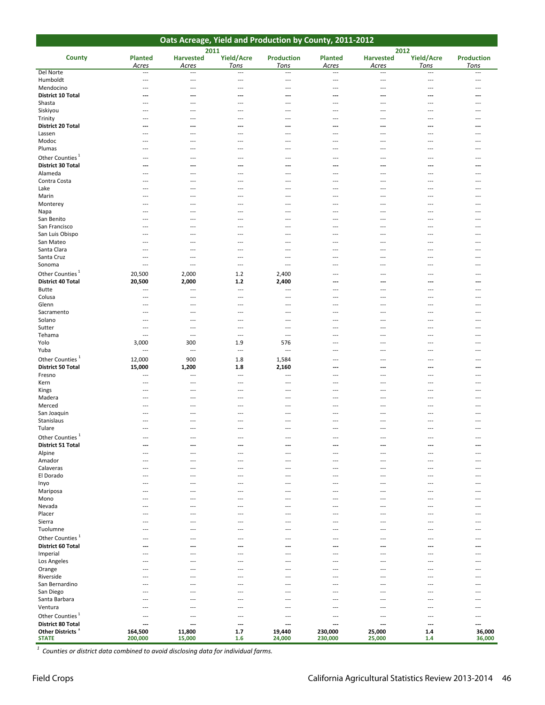| Oats Acreage, Yield and Production by County, 2011-2012 |                                 |                                 |                                            |                                            |                         |                                 |                         |                           |  |  |  |
|---------------------------------------------------------|---------------------------------|---------------------------------|--------------------------------------------|--------------------------------------------|-------------------------|---------------------------------|-------------------------|---------------------------|--|--|--|
|                                                         |                                 |                                 | 2011                                       |                                            |                         | 2012                            |                         |                           |  |  |  |
| <b>County</b>                                           | <b>Planted</b><br>Acres         | <b>Harvested</b><br>Acres       | Yield/Acre<br>Tons                         | <b>Production</b><br>Tons                  | <b>Planted</b><br>Acres | <b>Harvested</b><br>Acres       | Yield/Acre<br>Tons      | <b>Production</b><br>Tons |  |  |  |
| Del Norte                                               | $\overline{\phantom{a}}$        | $---$                           | ---                                        | $---$                                      | $\overline{a}$          | $\overline{\phantom{a}}$        | ---                     | $\overline{\phantom{a}}$  |  |  |  |
| Humboldt                                                | ---                             | ---                             | $---$                                      | $\overline{\phantom{a}}$                   | ---                     | ---                             | $---$                   | ---                       |  |  |  |
| Mendocino                                               | ---                             | ---                             | $\overline{\phantom{a}}$                   | $\overline{\phantom{a}}$                   | ---                     | ---                             | ---                     | ---                       |  |  |  |
| <b>District 10 Total</b><br>Shasta                      | ---<br>$---$                    | ---<br>$---$                    | ---<br>---                                 | ---<br>$---$                               | ---<br>$---$            | ---<br>---                      | ---<br>$---$            | $---$                     |  |  |  |
| Siskiyou                                                | $---$                           | $---$                           | $---$                                      | $---$                                      | ---                     | $---$                           | $---$                   | ---                       |  |  |  |
| Trinity                                                 |                                 | ---                             | ---                                        | $\overline{\phantom{a}}$                   | ---                     |                                 |                         |                           |  |  |  |
| <b>District 20 Total</b>                                | ---                             | ---                             | ---                                        | ---                                        | ---                     | ---                             | ---                     |                           |  |  |  |
| Lassen                                                  | $---$                           | $---$                           | $---$                                      | $---$                                      | $---$                   | $---$                           | $- - -$                 | $---$                     |  |  |  |
| Modoc<br>Plumas                                         | ---<br>---                      | ---<br>---                      | ---<br>---                                 | $---$<br>---                               | ---<br>---              | ---<br>---                      | $---$<br>$\overline{a}$ | ---<br>---                |  |  |  |
| Other Counties <sup>1</sup>                             |                                 | ---                             | ---                                        | ---                                        | ---                     | ---                             |                         |                           |  |  |  |
| <b>District 30 Total</b>                                | ---                             | ---                             | ---                                        | ---                                        | ---                     | ---                             | $---$                   | ---                       |  |  |  |
| Alameda                                                 | $---$                           | ---                             | $\overline{\phantom{a}}$                   | $---$                                      | ---                     | ---                             | ---                     | ---                       |  |  |  |
| Contra Costa                                            | ---                             | ---                             | ---                                        | $\overline{\phantom{a}}$                   | ---                     | ---                             | $-$ --                  | ---                       |  |  |  |
| Lake<br>Marin                                           | $---$<br>$---$                  | $\overline{a}$<br>---           | $---$<br>$---$                             | $---$<br>$---$                             | $\overline{a}$<br>---   | ---<br>$---$                    | $- - -$<br>$---$        | ---<br>---                |  |  |  |
| Monterey                                                | ---                             | ---                             | $---$                                      | $\overline{\phantom{a}}$                   | ---                     | ---                             | $---$                   | $\overline{a}$            |  |  |  |
| Napa                                                    |                                 | ---                             | ---                                        |                                            | ---                     |                                 |                         |                           |  |  |  |
| San Benito                                              | $---$                           | $---$                           | $---$                                      | $---$                                      | $--$                    | $---$                           | $- - -$                 | ---                       |  |  |  |
| San Francisco                                           | ---                             | ---                             | ---                                        | $\cdots$                                   | ---                     | ---                             | $---$                   | ---                       |  |  |  |
| San Luis Obispo<br>San Mateo                            | ---<br>$---$                    | ---<br>$---$                    | ---<br>$---$                               | $\overline{\phantom{a}}$<br>$---$          | ---<br>---              | ---<br>$---$                    | $---$                   |                           |  |  |  |
| Santa Clara                                             | $---$                           | $\overline{\phantom{a}}$        | $---$                                      | $---$                                      | ---                     | ---                             | $---$                   |                           |  |  |  |
| Santa Cruz                                              | $---$                           | $\overline{\phantom{a}}$        | $\overline{a}$                             | ---                                        | ---                     | ---                             | ---                     |                           |  |  |  |
| Sonoma                                                  | $\overline{a}$                  | $\overline{a}$                  | $\qquad \qquad -$                          | $\overline{\phantom{a}}$                   | ---                     | ---                             | $---$                   | ---                       |  |  |  |
| Other Counties <sup>1</sup>                             | 20,500                          | 2,000                           | 1.2                                        | 2,400                                      | ---                     | $---$                           | $---$                   | $---$                     |  |  |  |
| <b>District 40 Total</b>                                | 20,500                          | 2,000                           | $1.2$                                      | 2,400                                      | ---                     | ---                             | ---                     | ---                       |  |  |  |
| <b>Butte</b><br>Colusa                                  | $---$<br>---                    | ---<br>---                      | $\overline{a}$<br>$\overline{\phantom{a}}$ | $\overline{a}$<br>$\overline{a}$           | ---<br>---              | ---<br>---                      | ---<br>---              | ---                       |  |  |  |
| Glenn                                                   | ---                             | ---                             | $\overline{\phantom{a}}$                   | $\overline{\phantom{a}}$                   | ---                     | $---$                           | $---$                   | $---$                     |  |  |  |
| Sacramento                                              | $---$                           | $---$                           | $---$                                      | $---$                                      | ---                     | $---$                           | $---$                   | ---                       |  |  |  |
| Solano                                                  | ---                             | $\overline{\phantom{a}}$        | $---$                                      | $\qquad \qquad -$                          | ---                     | ---                             | $--$                    | $---$                     |  |  |  |
| Sutter<br>Tehama                                        | ---<br>---                      | ---<br>$\overline{\phantom{a}}$ | ---<br>$\overline{a}$                      | $---$<br>$---$                             | ---<br>---              | ---<br>$---$                    | $---$<br>$---$          | $---$<br>$---$            |  |  |  |
| Yolo                                                    | 3,000                           | 300                             | 1.9                                        | 576                                        | ---                     | ---                             | $---$                   |                           |  |  |  |
| Yuba                                                    | $\overline{a}$                  | $\overline{\phantom{a}}$        | $\overline{a}$                             | $\overline{\phantom{a}}$                   | ---                     | ---                             | $-$                     | $---$                     |  |  |  |
| Other Counties <sup>1</sup>                             | 12,000                          | 900                             | 1.8                                        | 1,584                                      | ---                     | ---                             | $\overline{a}$          |                           |  |  |  |
| <b>District 50 Total</b>                                | 15,000                          | 1,200                           | 1.8                                        | 2,160                                      | ---                     | ---                             | $---$                   | ---                       |  |  |  |
| Fresno                                                  | $- - -$<br>$\overline{a}$       | $\overline{a}$<br>---           | $\overline{\phantom{a}}$<br>$\overline{a}$ | $\overline{\phantom{a}}$<br>$\overline{a}$ | $---$<br>---            | $---$<br>---                    | ---                     | ---<br>---                |  |  |  |
| Kern<br>Kings                                           | $---$                           | $---$                           | ---                                        | $\overline{\phantom{a}}$                   | $\overline{a}$          | $---$                           | $---$                   | $---$                     |  |  |  |
| Madera                                                  | $---$                           | $---$                           | $---$                                      | $---$                                      | ---                     | $---$                           | $---$                   | $---$                     |  |  |  |
| Merced                                                  | $\overline{\phantom{a}}$        | $---$                           | ---                                        | ---                                        | ---                     | ---                             | $--$                    | $---$                     |  |  |  |
| San Joaquin                                             |                                 |                                 |                                            |                                            |                         |                                 |                         |                           |  |  |  |
| Stanislaus<br>Tulare                                    | ---<br>$\overline{a}$           | ---<br>$\overline{\phantom{a}}$ | ---<br>$---$                               | $---$<br>$\overline{\phantom{a}}$          | $---$<br>$\overline{a}$ | ---<br>---                      | $- - -$<br>---          | $---$<br>$\overline{a}$   |  |  |  |
| <b>Other Counties</b>                                   | ---                             | ---                             | ---                                        | $---$                                      | ---                     | ---                             | $---$                   | $\overline{\phantom{a}}$  |  |  |  |
| <b>District 51 Total</b>                                | ---                             | ---                             | ---                                        | ---                                        | ---                     | ---                             | ---                     | ---                       |  |  |  |
| Alpine                                                  | $---$                           | ---                             | ---                                        | $\overline{\phantom{a}}$                   | ---                     | ---                             | $---$                   | $---$                     |  |  |  |
| Amador                                                  | $---$                           | $--$                            | $---$                                      | $---$                                      | ---                     | $---$                           | $---$                   |                           |  |  |  |
| Calaveras<br>El Dorado                                  | ---<br>$\overline{a}$           | ---<br>---                      | $\overline{a}$<br>$\overline{a}$           | $---$<br>$\overline{\phantom{a}}$          | ---<br>---              | ---<br>---                      | ---<br>$-$              | ---                       |  |  |  |
| Inyo                                                    | $---$                           | $---$                           | ---                                        | $---$                                      | ---                     | $---$                           | $---$                   | $\cdots$                  |  |  |  |
| Mariposa                                                | ---                             | ---                             | ---                                        | $---$                                      | ---                     | ---                             | ---                     | ---                       |  |  |  |
| Mono                                                    |                                 |                                 | ---                                        | $\overline{\phantom{a}}$                   | ---                     | ---                             |                         |                           |  |  |  |
| Nevada                                                  | ---                             | ---                             | ---                                        | ---                                        | ---                     | ---                             | $---$                   | $---$                     |  |  |  |
| Placer<br>Sierra                                        | $---$<br>$---$                  | ---<br>---                      | $---$<br>---                               | $---$<br>$\overline{\phantom{a}}$          | ---<br>---              | ---<br>---                      | $---$<br>---            | ---<br>---                |  |  |  |
| Tuolumne                                                |                                 | ---                             | ---                                        | $\overline{\phantom{a}}$                   | ---                     | ---                             | ---                     |                           |  |  |  |
| Other Counties <sup>1</sup>                             | $---$                           | ---                             | ---                                        | $\overline{a}$                             | ---                     | ---                             | $---$                   | $---$                     |  |  |  |
| District 60 Total                                       | ---                             | ---                             | ---                                        | $---$                                      | ---                     | ---                             | ---                     |                           |  |  |  |
| Imperial                                                | $---$                           | ---                             | ---                                        | $\overline{\phantom{a}}$                   | ---                     | ---                             | ---                     | $\overline{\phantom{a}}$  |  |  |  |
| Los Angeles                                             | ---<br>$---$                    | ---<br>$---$                    | ---<br>$---$                               | $\overline{\phantom{a}}$<br>$---$          | ---<br>$\overline{a}$   | ---<br>$---$                    | $---$<br>$---$          | $---$                     |  |  |  |
| Orange<br>Riverside                                     | $---$                           | $---$                           | ---                                        | $---$                                      | ---                     | $---$                           | $---$                   | $---$                     |  |  |  |
| San Bernardino                                          |                                 | ---                             | $\overline{a}$                             | $---$                                      |                         | ---                             | $-$                     | ---                       |  |  |  |
| San Diego                                               | $---$                           | ---                             | $---$                                      | $---$                                      | $---$                   | ---                             | $---$                   | $---$                     |  |  |  |
| Santa Barbara                                           | $- - -$                         | ---                             | $---$                                      | $---$                                      | ---                     | ---                             | $---$                   | $---$                     |  |  |  |
| Ventura                                                 | ---                             | ---                             | ---                                        | $---$                                      | ---                     | ---                             | $---$                   | $\overline{ }$            |  |  |  |
| Other Counties <sup>1</sup><br><b>District 80 Total</b> | $\overline{\phantom{a}}$<br>--- | ---<br>---                      | $\overline{\phantom{a}}$<br>---            | $---$<br>---                               | ---<br>---              | $\overline{\phantom{a}}$<br>--- | ---<br>---              | ---<br>---                |  |  |  |
| Other Districts <sup>1</sup>                            | 164,500                         | 11,800                          | 1.7                                        | 19,440                                     | 230,000                 | 25,000                          | 1.4                     | 36,000                    |  |  |  |
| <b>STATE</b>                                            | 200,000                         | 15,000                          | 1.6                                        | 24,000                                     | 230,000                 | 25,000                          | 1.4                     | 36,000                    |  |  |  |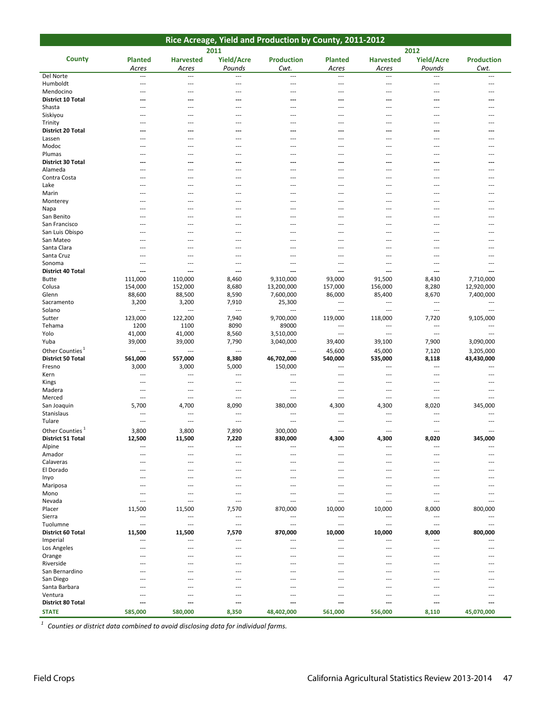|                                      |                       |                                     |                                     | Rice Acreage, Yield and Production by County, 2011-2012 |                |                            |                             |                          |
|--------------------------------------|-----------------------|-------------------------------------|-------------------------------------|---------------------------------------------------------|----------------|----------------------------|-----------------------------|--------------------------|
|                                      |                       |                                     | 2011                                |                                                         |                |                            | 2012                        |                          |
| <b>County</b>                        | <b>Planted</b>        | <b>Harvested</b>                    | <b>Yield/Acre</b>                   | <b>Production</b>                                       | <b>Planted</b> | <b>Harvested</b>           | <b>Yield/Acre</b>           | <b>Production</b>        |
|                                      | Acres                 | Acres                               | Pounds                              | Cwt.                                                    | Acres          | Acres                      | Pounds                      | Cwt.                     |
| Del Norte                            | ---                   | ---                                 |                                     | $\overline{\phantom{a}}$                                | ---            | $\overline{\phantom{a}}$   |                             | $\cdots$                 |
| Humboldt                             | ---                   | ---                                 | $\sim$                              | $\sim$ $\sim$                                           | ---            | ---                        | $\sim$                      | $---$                    |
| Mendocino                            | ---                   | ---                                 | $\overline{a}$                      | $---$                                                   | ---            | ---                        | $\overline{a}$              | $\overline{a}$           |
| District 10 Total                    | ---                   | ---                                 | ---                                 | ---                                                     | ---            | ---                        | ---                         | ---                      |
| Shasta                               | $\overline{a}$        | ---                                 | $---$                               | $---$                                                   | ---            | $---$                      | $\overline{a}$              | ---                      |
| Siskiyou                             | $---$                 | $---$                               | $---$                               | $---$                                                   | $---$          | $---$                      | $---$                       | $---$                    |
| Trinity                              | $---$                 | ---                                 | ---                                 | $\sim$ $\sim$                                           | ---            | ---                        | $\sim$                      | $---$                    |
| District 20 Total                    | ---<br>$\overline{a}$ | ---<br>---                          | $---$<br>$\overline{a}$             | $\overline{\phantom{a}}$<br>$\overline{a}$              | ---<br>---     | ---<br>---                 | $---$<br>$\overline{a}$     | ---<br>$\overline{a}$    |
| Lassen<br>Modoc                      | $---$                 | ---                                 | ---                                 | $\overline{a}$                                          | ---            | $---$                      | $\sim$                      | ---                      |
| Plumas                               | ---                   | ---                                 | $\overline{a}$                      | $\overline{a}$                                          | ---            | ---                        | $\overline{a}$              | ---                      |
| <b>District 30 Total</b>             | ---                   | ---                                 | ---                                 | ---                                                     | ---            | ---                        | ---                         | ---                      |
| Alameda                              | $---$                 | $---$                               | $---$                               | $---$                                                   | $---$          | $---$                      | $---$                       | $---$                    |
| Contra Costa                         | ---                   | $\overline{a}$                      | $\overline{a}$                      | $\sim$                                                  | ---            | $\overline{a}$             | $\sim$                      | ---                      |
| Lake                                 | $---$                 | $---$                               | $---$                               | $---$                                                   | ---            | $---$                      | $---$                       | $---$                    |
| Marin                                | ---                   | $\overline{a}$                      | $\overline{a}$                      | $\sim$                                                  | ---            | ---                        | $\overline{a}$              | $\overline{a}$           |
| Monterey                             | $---$                 | $\overline{a}$                      | $\overline{a}$                      | $\sim$                                                  | $\overline{a}$ | ---                        | $\sim$                      | $\overline{a}$           |
| Napa                                 |                       | ---                                 | $---$                               | ---                                                     | ---            | $---$                      | $---$                       | ---                      |
| San Benito                           | $---$                 | $---$                               | $---$                               | $---$                                                   | ---            | $---$                      | $---$                       | $---$                    |
| San Francisco                        | $---$                 | ---                                 | $---$                               | $\sim$                                                  | ---            | ---                        | $---$                       | $---$                    |
| San Luis Obispo                      | $---$                 | ---                                 | $---$                               | $---$                                                   | ---            | ---                        | $---$                       | $---$                    |
| San Mateo                            | ---                   | ---                                 | ---                                 | ---                                                     | ---            | ---                        | $\overline{a}$              | ---                      |
| Santa Clara                          | ---<br>$---$          | ---<br>---                          | ---<br>$\overline{a}$               | $\overline{a}$<br>---                                   | ---<br>---     | ---<br>---                 | ---<br>$\overline{a}$       | ---                      |
| Santa Cruz<br>Sonoma                 | ---                   | ---                                 | ---                                 | $\overline{\phantom{a}}$                                | ---            | $---$                      | $---$                       | ---<br>---               |
| <b>District 40 Total</b>             | ---                   | ---                                 | ---                                 | ---                                                     | ---            | ---                        | ---                         | ---                      |
| <b>Butte</b>                         | 111,000               | 110,000                             | 8,460                               | 9,310,000                                               | 93,000         | 91,500                     | 8,430                       | 7,710,000                |
| Colusa                               | 154,000               | 152,000                             | 8,680                               | 13,200,000                                              | 157,000        | 156,000                    | 8,280                       | 12,920,000               |
| Glenn                                | 88,600                | 88,500                              | 8,590                               | 7,600,000                                               | 86,000         | 85,400                     | 8,670                       | 7,400,000                |
| Sacramento                           | 3,200                 | 3,200                               | 7,910                               | 25,300                                                  | ---            | $---$                      | $\cdots$                    | $\overline{\phantom{a}}$ |
| Solano                               | ---                   | $\overline{\phantom{a}}$            | $\overline{\phantom{a}}$            | ---                                                     | ---            | $\overline{\phantom{a}}$   | $\qquad \qquad -$           | ---                      |
| Sutter                               | 123,000               | 122,200                             | 7,940                               | 9,700,000                                               | 119,000        | 118,000                    | 7,720                       | 9,105,000                |
| Tehama                               | 1200                  | 1100                                | 8090                                | 89000                                                   | ---            | $\overline{a}$             | $\overline{a}$              | $\sim$                   |
| Yolo                                 | 41,000                | 41,000                              | 8,560                               | 3,510,000                                               | ---            | $---$                      | $\overline{\phantom{a}}$    | $\overline{a}$           |
| Yuba                                 | 39,000                | 39,000                              | 7,790                               | 3,040,000                                               | 39,400         | 39,100                     | 7,900                       | 3,090,000                |
| Other Counties <sup>1</sup>          | ---                   | $\overline{\phantom{a}}$            | $\cdots$                            | $\sim$                                                  | 45,600         | 45,000                     | 7,120                       | 3,205,000                |
| <b>District 50 Total</b>             | 561,000               | 557,000                             | 8,380                               | 46,702,000                                              | 540,000        | 535,000                    | 8,118                       | 43,430,000               |
| Fresno                               | 3,000                 | 3,000                               | 5,000                               | 150,000                                                 | ---            | $\overline{a}$             | $\sim$                      | $\overline{a}$           |
| Kern                                 | ---                   | ---                                 | ---                                 | ---                                                     | ---            | $---$                      | $\overline{a}$              | $---$                    |
| Kings                                | $---$                 | $---$                               | $---$                               | $---$                                                   | $---$          | $---$                      | $---$                       | $---$                    |
| Madera<br>Merced                     | ---<br>---            | ---<br>$\overline{a}$               | $\sim$<br>$\overline{a}$            | $\cdots$<br>$\sim$                                      | $---$<br>---   | ---<br>---                 | $\sim$<br>$\overline{a}$    | $---$<br>$\overline{a}$  |
| San Joaquin                          | 5,700                 | 4,700                               | 8,090                               | 380,000                                                 | 4,300          | 4,300                      | 8,020                       | 345,000                  |
| Stanislaus                           | ---                   | $\overline{\phantom{a}}$            | $\overline{\phantom{a}}$            | ---                                                     | ---            | ---                        | $\overline{\phantom{a}}$    | $\overline{a}$           |
| Tulare                               | ---                   | $\overline{a}$                      | $\overline{a}$                      | $\sim$                                                  | ---            | ---                        | $\sim$                      | ---                      |
| Other Counties <sup>1</sup>          | 3,800                 | 3,800                               | 7,890                               | 300,000                                                 | ---            | ---                        | $\overline{a}$              | $\overline{a}$           |
| District 51 Total                    | 12,500                | 11,500                              | 7,220                               | 830,000                                                 | 4,300          | 4,300                      | 8,020                       | 345,000                  |
| Alpine                               | ---                   | ---                                 | $\overline{\phantom{a}}$            | ---                                                     | ---            | $\overline{\phantom{a}}$   | $\overline{\phantom{a}}$    | ---                      |
| Amador                               | $---$                 | $---$                               | $---$                               | $---$                                                   | $---$          | $---$                      | $---$                       | $---$                    |
| Calaveras                            | $---$                 | $---$                               | $---$                               | $---$                                                   | $---$          | $---$                      | $---$                       |                          |
| El Dorado                            | $---$                 | $---$                               | $---$                               | $\sim$ $\sim$                                           | ---            | ---                        | $---$                       | $---$                    |
| Inyo                                 | $---$                 | $---$                               | $---$                               | $---$                                                   | ---            | $---$                      | $---$                       | $---$                    |
| Mariposa                             | ---                   | ---                                 | ---                                 | $\sim$                                                  | ---            | ---                        | $\sim$                      | $---$                    |
| Mono                                 | ---                   | ---                                 | $\overline{a}$                      | $\sim$                                                  | ---            | ---                        | $---$                       | ---                      |
| Nevada                               | ---                   | $---$                               | $---$                               | ---                                                     | ---            | $---$                      | $\overline{a}$              | ---                      |
| Placer                               | 11,500                | 11,500                              | 7,570                               | 870,000                                                 | 10,000         | 10,000                     | 8,000                       | 800,000                  |
| Sierra                               | ---                   | $\overline{a}$                      | $\overline{a}$                      | $\cdots$                                                | $\overline{a}$ | $\cdots$                   | $\overline{a}$              | $---$                    |
| Tuolumne<br><b>District 60 Total</b> | ---                   | $\overline{a}$                      | $\overline{a}$                      | $\sim$ $\sim$                                           | ---            | $\overline{a}$             | $\sim$                      | $\sim$                   |
|                                      | 11,500                | 11,500                              | 7,570                               | 870,000                                                 | 10,000         | 10,000                     | 8,000                       | 800,000                  |
| Imperial<br>Los Angeles              | ---<br>---            | $\qquad \qquad -$<br>$\overline{a}$ | $\qquad \qquad -$<br>$\overline{a}$ | $\cdots$<br>$\sim$                                      | ---<br>---     | $\cdots$<br>$\overline{a}$ | $\qquad \qquad -$<br>$\sim$ | $\sim$<br>$---$          |
| Orange                               | ---                   | $---$                               | $---$                               | $---$                                                   | $---$          | $---$                      | $---$                       | $---$                    |
| Riverside                            | $---$                 | $---$                               | $---$                               | $---$                                                   | ---            | $---$                      | $---$                       | $- - -$                  |
| San Bernardino                       | $---$                 | $---$                               | $---$                               | $---$                                                   | ---            | $---$                      | $---$                       | $---$                    |
| San Diego                            | $---$                 | ---                                 | $---$                               | $---$                                                   | ---            | $---$                      | $---$                       | ---                      |
| Santa Barbara                        | ---                   | ---                                 | ---                                 | $\overline{a}$                                          | ---            | ---                        | ---                         |                          |
| Ventura                              | ---                   | $---$                               | $\overline{a}$                      | $---$                                                   | ---            | ---                        | $\overline{a}$              | ---                      |
| District 80 Total                    | ---                   | ---                                 | ---                                 | ---                                                     | ---            | ---                        | ---                         | ---                      |
| <b>STATE</b>                         | 585,000               | 580,000                             | 8,350                               | 48,402,000                                              | 561,000        | 556,000                    | 8,110                       | 45,070,000               |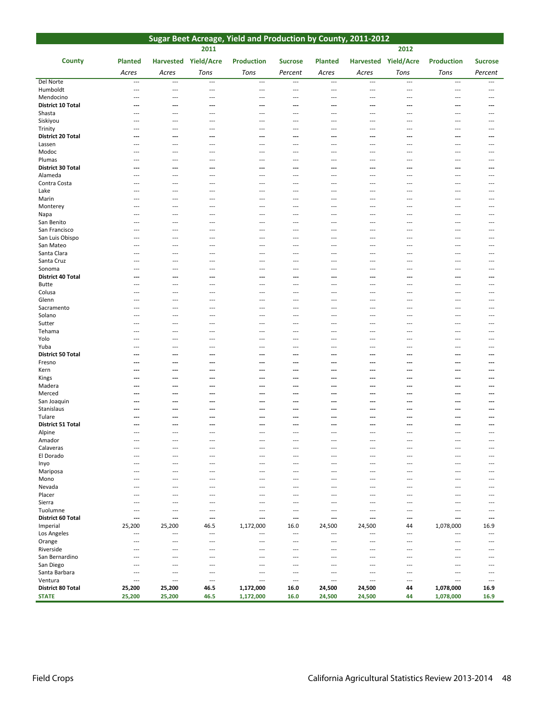| Sugar Beet Acreage, Yield and Production by County, 2011-2012 |                          |                                   |                          |                                            |                                 |                          |                                            |                                 |                                 |                                            |
|---------------------------------------------------------------|--------------------------|-----------------------------------|--------------------------|--------------------------------------------|---------------------------------|--------------------------|--------------------------------------------|---------------------------------|---------------------------------|--------------------------------------------|
|                                                               |                          |                                   | 2011                     |                                            |                                 |                          |                                            | 2012                            |                                 |                                            |
| <b>County</b>                                                 | <b>Planted</b>           |                                   | Harvested Yield/Acre     | <b>Production</b>                          | <b>Sucrose</b>                  | <b>Planted</b>           | Harvested Yield/Acre                       |                                 | <b>Production</b>               | <b>Sucrose</b>                             |
|                                                               | Acres                    | Acres                             | Tons                     | Tons                                       | Percent                         | Acres                    | Acres                                      | Tons                            | Tons                            | Percent                                    |
| Del Norte                                                     | $\overline{a}$           | $\overline{a}$                    | $---$                    | $\overline{a}$                             | $\overline{a}$                  | $---$                    | $\overline{a}$                             | $---$                           | $\overline{a}$                  | $\overline{a}$                             |
| Humboldt                                                      | ---                      | ---                               | $---$                    | $---$                                      | ---                             | $---$                    | $---$                                      | $---$                           | $---$                           | $\cdots$                                   |
| Mendocino                                                     | ---                      | ---                               | ---                      | ---                                        | ---                             | $\overline{a}$           | $---$                                      | $---$                           | ---                             | ---                                        |
| <b>District 10 Total</b><br>Shasta                            | ---<br>---               | ---<br>---                        | ---<br>---               | ---<br>---                                 | ---<br>$\overline{\phantom{a}}$ | ---<br>---               | $---$<br>---                               | ---                             | ---<br>---                      | ---<br>---                                 |
| Siskiyou                                                      | $---$                    | ---                               | $---$                    | $---$                                      | $---$                           | $---$                    | $---$                                      | $---$                           | $---$                           | $\overline{a}$                             |
| Trinity                                                       | ---                      | ---                               | ---                      | ---                                        | ---                             | ---                      | $\overline{a}$                             | $---$                           | ---                             | ---                                        |
| District 20 Total                                             | ---                      | ---                               | ---                      | $---$                                      | ---                             | ---                      | $---$                                      | ---                             | ---                             | $\overline{\phantom{a}}$                   |
| Lassen<br>Modoc                                               | ---<br>---               | ---<br>$---$                      | ---<br>$\overline{a}$    | $\overline{a}$<br>$\overline{\phantom{a}}$ | $\overline{a}$<br>---           | ---<br>---               | $\overline{a}$<br>$\overline{\phantom{a}}$ | ---<br>$\overline{\phantom{a}}$ | ---<br>$\overline{\phantom{a}}$ | $\overline{a}$<br>$\overline{\phantom{a}}$ |
| Plumas                                                        | ---                      | ---                               | ---                      | ---                                        | ---                             | ---                      | $\overline{a}$                             | ---                             | ---                             | ---                                        |
| District 30 Total                                             | ---                      | ---                               | ---                      | ---                                        | ---                             | ---                      | ---                                        | ---                             | ---                             | ---                                        |
| Alameda                                                       | $\overline{a}$           | $\overline{a}$                    | $---$                    | $---$                                      | $---$                           | ---                      | $---$                                      | $---$                           | ---                             | $---$                                      |
| Contra Costa<br>Lake                                          | $---$<br>---             | ---<br>---                        | ---<br>---               | $---$<br>$---$                             | ---<br>$---$                    | ---<br>---               | $---$<br>$\overline{\phantom{a}}$          | $---$<br>$---$                  | ---<br>---                      | $---$<br>$\overline{\phantom{a}}$          |
| Marin                                                         | ---                      | ---                               | ---                      | ---                                        | $\overline{a}$                  | ---                      | $\overline{\phantom{a}}$                   | $---$                           | ---                             | ---                                        |
| Monterey                                                      | ---                      | $\overline{\phantom{a}}$          | ---                      | $\overline{a}$                             | $\overline{a}$                  | ---                      | $\overline{a}$                             | $\overline{a}$                  | ---                             | ---                                        |
| Napa                                                          | ---                      | ---                               | ---                      | ---                                        | ---                             | ---                      | $\overline{\phantom{a}}$                   | $---$                           | ---                             | ---                                        |
| San Benito                                                    | $---$                    | $---$                             | $---$                    | $---$                                      | $---$                           | $---$                    | $---$                                      | $---$                           | $---$                           | $---$                                      |
| San Francisco<br>San Luis Obispo                              | $---$<br>$\overline{a}$  | $---$<br>$\overline{\phantom{a}}$ | ---<br>$\overline{a}$    | $---$<br>$---$                             | $---$<br>---                    | ---<br>---               | $---$<br>$\overline{\phantom{a}}$          | $---$<br>$---$                  | $---$<br>---                    | $---$<br>$\overline{\phantom{a}}$          |
| San Mateo                                                     | ---                      | ---                               | ---                      | $\overline{a}$                             | $\overline{a}$                  | ---                      | $\overline{a}$                             | ---                             | ---                             | ---                                        |
| Santa Clara                                                   | $\overline{\phantom{a}}$ | ---                               | ---                      | $---$                                      | $\overline{\phantom{a}}$        | ---                      | $\overline{\phantom{a}}$                   | $\overline{a}$                  | $\overline{\phantom{a}}$        | ---                                        |
| Santa Cruz                                                    | $\overline{a}$           | ---                               | ---                      | $---$                                      | $---$                           | ---                      | $---$                                      | $---$                           | $\overline{a}$                  | $\overline{a}$                             |
| Sonoma<br>District 40 Total                                   | $---$<br>---             | ---<br>---                        | ---<br>---               | ---<br>---                                 | $---$<br>---                    | ---<br>---               | $---$<br>---                               | $---$<br>---                    | $\overline{a}$<br>---           | $---$<br>---                               |
| <b>Butte</b>                                                  | ---                      | ---                               | ---                      | ---                                        | ---                             | ---                      | $\overline{a}$                             | ---                             | ---                             | ---                                        |
| Colusa                                                        | ---                      | $---$                             | ---                      | $---$                                      | $---$                           | ---                      | $\overline{\phantom{a}}$                   | $---$                           | $\overline{\phantom{a}}$        | $\overline{\phantom{a}}$                   |
| Glenn                                                         | ---                      | ---                               | ---                      | ---                                        | ---                             | ---                      | ---                                        | ---                             | ---                             | ---                                        |
| Sacramento<br>Solano                                          | $---$<br>$---$           | $---$<br>$\overline{a}$           | $---$<br>---             | $---$<br>---                               | $\overline{a}$<br>---           | $---$<br>---             | $---$<br>---                               | $---$<br>$---$                  | $---$<br>$---$                  | $---$<br>---                               |
| Sutter                                                        | ---                      | ---                               | ---                      | $\overline{\phantom{a}}$                   | ---                             | $\overline{a}$           | $\overline{a}$                             | $\overline{\phantom{a}}$        | ---                             | $---$                                      |
| Tehama                                                        | ---                      | $\overline{\phantom{a}}$          | ---                      | $\overline{\phantom{a}}$                   | ---                             | ---                      | $---$                                      | ---                             | ---                             | $\overline{a}$                             |
| Yolo                                                          | ---                      | ---                               | $\overline{a}$           | $\overline{\phantom{a}}$                   | ---                             | $\overline{\phantom{a}}$ | $---$                                      | $\overline{a}$                  | ---                             | $\overline{\phantom{a}}$                   |
| Yuba<br><b>District 50 Total</b>                              | ---<br>---               | ---<br>---                        | ---<br>---               | $\overline{a}$<br>---                      | $\overline{a}$<br>---           | ---<br>…                 | $\overline{a}$<br>$---$                    | $\overline{a}$<br>---           | $\overline{a}$<br>---           | ---<br>---                                 |
| Fresno                                                        | ---                      | ---                               | ---                      | ---                                        | ---                             | ---                      | $\overline{a}$                             | ---                             | ---                             | ---                                        |
| Kern                                                          | ---                      | ---                               | ---                      | $---$                                      | ---                             | ---                      | $---$                                      | ---                             | ---                             | ---                                        |
| Kings                                                         | ---                      | ---                               | ---                      | ---                                        | ---                             | ---                      | $---$                                      | ---                             | ---                             | ---                                        |
| Madera<br>Merced                                              | ---<br>---               | ---<br>---                        | ---<br>---               | ---<br>---                                 | ---<br>---                      | ---<br>---               | ---<br>$\overline{a}$                      | ---<br>---                      | ---<br>---                      | ---<br>---                                 |
| San Joaquin                                                   | ---                      | ---                               | ---                      | ---                                        | ---                             | ---                      | ---                                        | ---                             | ---                             | ---                                        |
| Stanislaus                                                    | ---                      | ---                               | ---                      | ---                                        | ---                             | ---                      | ---                                        | ---                             | ---                             | ---                                        |
| Tulare                                                        | ---                      | ---                               | ---                      | $---$                                      | ---                             | ---                      | ---                                        | ---                             | ---                             | ---                                        |
| <b>District 51 Total</b>                                      | ---                      | ---                               | ---                      | ---                                        | ---                             | ---                      | ---                                        | ---                             | ---                             | ---                                        |
| Alpine<br>Amador                                              | $\overline{\phantom{a}}$ | ---                               | ---                      | $---$                                      | $\overline{\phantom{a}}$        | ---                      | $\overline{\phantom{a}}$                   | $\overline{a}$                  | ---                             | ---                                        |
| Calaveras                                                     | $---$                    | ---                               | ---                      | ---                                        | $---$                           | ---                      | $---$                                      | $---$                           | $\overline{a}$                  | $---$                                      |
| El Dorado                                                     | ---                      | ---                               | $---$                    | ---                                        | $---$                           | ---                      | $---$                                      | $---$                           | ---                             | ---                                        |
| Inyo                                                          | $---$                    | ---                               | ---                      | ---                                        | $--$                            |                          | $---$                                      | $---$                           | ---                             | $---$                                      |
| Mariposa<br>Mono                                              | ---<br>$---$             | ---<br>---                        | ---<br>---               | ---<br>---                                 | $---$<br>$---$                  | ---<br>---               | $\overline{a}$<br>$\overline{\phantom{a}}$ | $---$<br>$---$                  | ---<br>$\overline{\phantom{a}}$ | ---<br>---                                 |
| Nevada                                                        | ---                      | ---                               | ---                      | ---                                        | ---                             |                          | ---                                        | ---                             | $\overline{a}$                  | ---                                        |
| Placer                                                        | ---                      | $\overline{a}$                    | ---                      | ---                                        | $---$                           | ---                      | $\overline{\phantom{a}}$                   | $\overline{a}$                  | $\overline{\phantom{a}}$        | $\overline{\phantom{a}}$                   |
| Sierra                                                        | $---$                    | $\overline{a}$                    | ---                      | ---                                        | $\overline{a}$                  | ---                      | ---                                        | $---$                           | ---                             | ---                                        |
| Tuolumne<br>District 60 Total                                 | ---<br>---               | ---<br>---                        | ---<br>---               | $\overline{a}$<br>---                      | $\overline{a}$<br>---           | ---<br>---               | $\overline{\phantom{a}}$<br>---            | $\overline{a}$<br>---           | $\overline{a}$<br>---           | $---$<br>---                               |
| Imperial                                                      | 25,200                   | 25,200                            | 46.5                     | 1,172,000                                  | 16.0                            | 24,500                   | 24,500                                     | 44                              | 1,078,000                       | 16.9                                       |
| Los Angeles                                                   | ---                      | ---                               | ---                      | $\overline{\phantom{a}}$                   | ---                             | $\overline{\phantom{a}}$ | $\overline{\phantom{a}}$                   | $\overline{\phantom{a}}$        | ---                             | $\overline{a}$                             |
| Orange                                                        | ---                      | $\overline{\phantom{a}}$          | $\overline{a}$           | ---                                        | ---                             | $---$                    | $\overline{a}$                             | $\overline{\phantom{a}}$        | ---                             | $\overline{a}$                             |
| Riverside<br>San Bernardino                                   | $---$<br>---             | $---$<br>---                      | $---$<br>---             | $---$<br>$---$                             | $---$<br>$---$                  | ---<br>---               | $---$<br>$---$                             | $---$<br>$---$                  | $---$<br>---                    | $---$<br>$---$                             |
| San Diego                                                     | ---                      | ---                               | ---                      | ---                                        | ---                             | ---                      | $---$                                      | $---$                           | ---                             | ---                                        |
| Santa Barbara                                                 | ---                      | $---$                             | $\overline{a}$           | $\overline{\phantom{a}}$                   | $---$                           | ---                      | $---$                                      | $---$                           | ---                             | $\overline{a}$                             |
| Ventura                                                       | ---                      | ---                               | $\overline{\phantom{a}}$ | $\overline{\phantom{a}}$                   | $\overline{\phantom{a}}$        | ---                      | $---$                                      | $\overline{a}$                  | ---                             | $\overline{\phantom{a}}$                   |
| District 80 Total<br><b>STATE</b>                             | 25,200<br>25,200         | 25,200<br>25,200                  | 46.5<br>46.5             | 1,172,000<br>1,172,000                     | 16.0<br>16.0                    | 24,500<br>24,500         | 24,500<br>24,500                           | 44<br>44                        | 1,078,000<br>1,078,000          | 16.9<br>16.9                               |
|                                                               |                          |                                   |                          |                                            |                                 |                          |                                            |                                 |                                 |                                            |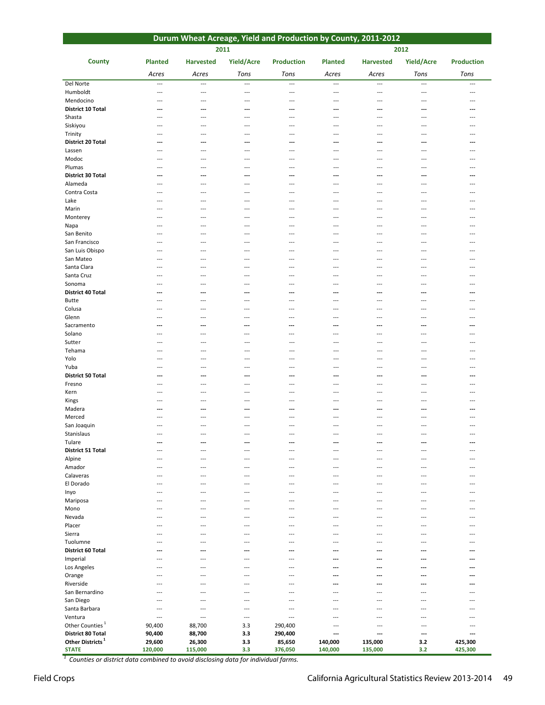|                                                          | Durum Wheat Acreage, Yield and Production by County, 2011-2012 |                                 |                                   |                          |                                                      |                          |                          |                          |  |  |  |
|----------------------------------------------------------|----------------------------------------------------------------|---------------------------------|-----------------------------------|--------------------------|------------------------------------------------------|--------------------------|--------------------------|--------------------------|--|--|--|
|                                                          |                                                                |                                 | 2011                              |                          |                                                      |                          | 2012                     |                          |  |  |  |
| <b>County</b>                                            | <b>Planted</b>                                                 | <b>Harvested</b>                | Yield/Acre                        | <b>Production</b>        | <b>Planted</b>                                       | <b>Harvested</b>         | Yield/Acre               | <b>Production</b>        |  |  |  |
|                                                          |                                                                |                                 |                                   |                          |                                                      |                          |                          |                          |  |  |  |
|                                                          | Acres                                                          | Acres                           | Tons                              | Tons                     | Acres                                                | Acres                    | Tons                     | Tons                     |  |  |  |
| Del Norte                                                | $\overline{a}$                                                 | $\overline{\phantom{a}}$        | $\overline{\phantom{a}}$          | $\overline{\phantom{a}}$ | $\cdots$                                             | ---                      | $\overline{\phantom{a}}$ | $\overline{\phantom{a}}$ |  |  |  |
| Humboldt<br>Mendocino                                    | $\overline{\phantom{a}}$<br>$\overline{\phantom{a}}$           | ---<br>$\overline{\phantom{a}}$ | $\overline{\phantom{a}}$<br>$---$ | ---<br>$---$             | $\overline{\phantom{a}}$<br>$\overline{\phantom{a}}$ | $\overline{a}$<br>$---$  | $---$<br>$---$           | $--$<br>$- - -$          |  |  |  |
| <b>District 10 Total</b>                                 | ---                                                            | ---                             | ---                               | ---                      | ---                                                  | ---                      | ---                      | $\overline{a}$           |  |  |  |
| Shasta                                                   | ---                                                            | ---                             | ---                               | ---                      | ---                                                  | $\overline{\phantom{a}}$ | ---                      | $\overline{a}$           |  |  |  |
| Siskiyou                                                 | ---                                                            | ---                             | ---                               | ---                      | ---                                                  | ---                      | $-$                      | $\overline{\phantom{a}}$ |  |  |  |
| Trinity                                                  | ---                                                            | ---                             | $---$                             | $---$                    | ---                                                  | $---$                    | $---$                    | $- - -$                  |  |  |  |
| <b>District 20 Total</b>                                 | ---                                                            | ---                             | ---                               | ---                      | ---                                                  | ---                      | ---                      |                          |  |  |  |
| Lassen                                                   |                                                                |                                 | ---                               | ---                      |                                                      | ---                      | ---                      |                          |  |  |  |
| Modoc                                                    | ---                                                            | ---                             | ---                               | ---                      | ---                                                  | ---                      | ---                      | ---                      |  |  |  |
| Plumas                                                   | ---                                                            | ---                             | $---$                             | ---                      | $\overline{\phantom{a}}$                             | $---$                    | $- - -$                  | $---$                    |  |  |  |
| District 30 Total<br>Alameda                             | ---<br>---                                                     | ---                             | ---<br>---                        | ---<br>---               | ---<br>---                                           | ---<br>---               | ---<br>---               | $\overline{a}$<br>---    |  |  |  |
| Contra Costa                                             | $---$                                                          | ---                             | ---                               | $---$                    | ---                                                  | $\overline{\phantom{a}}$ | $-$                      | $\overline{\phantom{a}}$ |  |  |  |
| Lake                                                     | $---$                                                          | ---                             | $- - -$                           | ---                      | ---                                                  | ---                      | $\overline{\phantom{a}}$ | $---$                    |  |  |  |
| Marin                                                    | $---$                                                          | ---                             | ---                               | $---$                    | $---$                                                | ---                      | $-$                      | $---$                    |  |  |  |
| Monterey                                                 | ---                                                            | ---                             | ---                               | $\overline{a}$           | $\overline{a}$                                       | ---                      | ---                      |                          |  |  |  |
| Napa                                                     | ---                                                            | ---                             | ---                               | ---                      | ---                                                  | ---                      | ---                      | ---                      |  |  |  |
| San Benito                                               | $---$                                                          | $\overline{\phantom{a}}$        | $- - -$                           | $\overline{\phantom{a}}$ | $\overline{a}$                                       | ---                      | $\sim$                   | $---$                    |  |  |  |
| San Francisco                                            | ---                                                            | ---                             | $-$                               | $\overline{a}$           | $---$                                                | ---                      | ---                      | $---$                    |  |  |  |
| San Luis Obispo                                          | ---                                                            | ---                             | ---                               | ---                      | ---                                                  | ---                      | ---                      | ---                      |  |  |  |
| San Mateo<br>Santa Clara                                 | $--$<br>$\overline{\phantom{a}}$                               | ---<br>$-$                      | ---<br>---                        | ---<br>$- - -$           | $---$<br>$---$                                       | ---<br>---               | ---<br>$\sim$            | ---<br>$---$             |  |  |  |
| Santa Cruz                                               | ---                                                            | $---$                           | $\overline{a}$                    | $\overline{a}$           | $\overline{a}$                                       | $---$                    | $\overline{a}$           | $---$                    |  |  |  |
| Sonoma                                                   | ---                                                            |                                 | ---                               | $\overline{a}$           | $---$                                                | ---                      | $\overline{a}$           | $---$                    |  |  |  |
| <b>District 40 Total</b>                                 | ---                                                            | ---                             | ---                               | ---                      | ---                                                  | ---                      | ---                      |                          |  |  |  |
| <b>Butte</b>                                             | $--$                                                           | ---                             | ---                               | ---                      | $---$                                                | ---                      | ---                      | $--$                     |  |  |  |
| Colusa                                                   | $\overline{\phantom{a}}$                                       | $\sim$                          | $---$                             | $\overline{\phantom{a}}$ | $---$                                                | ---                      | $---$                    | $- - -$                  |  |  |  |
| Glenn                                                    | $---$                                                          | ---                             | $\overline{a}$                    | $\overline{a}$           | $\overline{a}$                                       | ---                      | $---$                    | $---$                    |  |  |  |
| Sacramento                                               | ⊷                                                              | ---                             | ---                               | ---                      | ---                                                  | ---                      | ---                      | ---                      |  |  |  |
| Solano<br>Sutter                                         | ---<br>$\overline{\phantom{a}}$                                | ---<br>---                      | ---<br>$---$                      | ---<br>$\overline{a}$    | $\overline{\phantom{a}}$<br>$\overline{\phantom{a}}$ | ---<br>---               | ---<br>$---$             | ---<br>$- - -$           |  |  |  |
| Tehama                                                   | ---                                                            | ---                             | ---                               | $---$                    | $\overline{a}$                                       | ---                      | $---$                    | $-$                      |  |  |  |
| Yolo                                                     |                                                                | ---                             | ---                               | ---                      | ---                                                  | ---                      | ---                      |                          |  |  |  |
| Yuba                                                     | ---                                                            | ---                             | $\overline{\phantom{a}}$          | ---                      | $\overline{\phantom{a}}$                             | ---                      | $---$                    | $---$                    |  |  |  |
| <b>District 50 Total</b>                                 | ---                                                            | ---                             | ---                               | ---                      | ---                                                  | ---                      | ---                      | ---                      |  |  |  |
| Fresno                                                   | $---$                                                          | $\overline{a}$                  | $---$                             | $---$                    | $\overline{a}$                                       | ---                      | $\overline{a}$           | $\overline{a}$           |  |  |  |
| Kern                                                     | $\overline{a}$                                                 | $---$                           | $\overline{a}$                    | $\overline{a}$           | $-$ --                                               | ---                      | $\overline{a}$           | $\overline{a}$           |  |  |  |
| Kings                                                    | ---                                                            | ---                             | ---                               | ---                      | ---                                                  | ---                      | ---                      | $---$                    |  |  |  |
| Madera                                                   | ---<br>$---$                                                   | ---                             | ---<br>$---$                      | ---<br>$-$               | ---<br>---                                           | ---<br>---               | ---<br>$---$             | ---<br>$\overline{a}$    |  |  |  |
| Merced<br>San Joaquin                                    | $\overline{a}$                                                 | ---                             | ---                               | ---                      | ---                                                  | ---                      | ---                      | $\overline{\phantom{a}}$ |  |  |  |
| Stanislaus                                               |                                                                |                                 |                                   |                          |                                                      |                          |                          |                          |  |  |  |
| Tulare                                                   | ---                                                            | ---                             | ---                               | ---                      | ---                                                  | ---                      | ---                      | ---                      |  |  |  |
| <b>District 51 Total</b>                                 | $---$                                                          | $\overline{a}$                  | $-$                               | $-$                      | $---$                                                | $---$                    | $---$                    | $---$                    |  |  |  |
| Alpine                                                   | ---                                                            | ---                             | $\overline{\phantom{a}}$          | ---                      | $\overline{a}$                                       | ---                      | $\overline{\phantom{a}}$ | ---                      |  |  |  |
| Amador                                                   | $--$                                                           | ---                             | ---                               | ---                      | ---                                                  | ---                      | $\overline{\phantom{a}}$ | ---                      |  |  |  |
| Calaveras                                                | $\overline{\phantom{a}}$                                       | $\overline{\phantom{a}}$        | $---$                             | $\overline{\phantom{a}}$ | $\overline{a}$                                       | ---                      | $\overline{\phantom{a}}$ | $---$                    |  |  |  |
| El Dorado<br>Inyo                                        | ---                                                            | ---                             | ---<br>---                        | $\overline{a}$<br>---    | $---$<br>---                                         | ---<br>---               | ---                      | ---<br>---               |  |  |  |
| Mariposa                                                 | ---                                                            | ---                             | ---                               | ---                      | $---$                                                | ---                      | $\overline{a}$           | $\overline{a}$           |  |  |  |
| Mono                                                     | $--$                                                           | ---                             | ---                               | ---                      | ---                                                  | ---                      | $\overline{\phantom{a}}$ | ---                      |  |  |  |
| Nevada                                                   | $\overline{\phantom{a}}$                                       | $\overline{\phantom{a}}$        | $---$                             | $---$                    | $\overline{a}$                                       | ---                      | $\overline{\phantom{a}}$ | $- - -$                  |  |  |  |
| Placer                                                   | ---                                                            | ---                             | ---                               | ---                      | $\overline{a}$                                       | ---                      | $\overline{a}$           | ---                      |  |  |  |
| Sierra                                                   |                                                                | ---                             | ---                               | ---                      | $\overline{\phantom{a}}$                             | ---                      | ---                      | ---                      |  |  |  |
| Tuolumne                                                 | ---                                                            | ---                             | ---                               | ---                      | $\overline{\phantom{a}}$                             | ---                      | ---                      | ---                      |  |  |  |
| District 60 Total                                        | ---                                                            | ---                             | ---                               | ---                      | ---                                                  | ---                      | $---$                    | ---                      |  |  |  |
| Imperial                                                 | ---<br>---                                                     | $\overline{a}$                  | $---$<br>---                      | $\overline{a}$<br>---    | ---<br>---                                           | ---<br>---               | $---$<br>---             | ---                      |  |  |  |
| Los Angeles<br>Orange                                    | ---                                                            | ---                             | ---                               | $---$                    | ---                                                  | ---                      | ---                      | ---                      |  |  |  |
| Riverside                                                | $---$                                                          | $---$                           | $---$                             | $---$                    | ---                                                  | ---                      | $---$                    | ---                      |  |  |  |
| San Bernardino                                           | $\overline{\phantom{a}}$                                       | $\overline{\phantom{a}}$        | ---                               | $---$                    | $\overline{\phantom{a}}$                             | ---                      | $\overline{\phantom{a}}$ | ---                      |  |  |  |
| San Diego                                                | ---                                                            | ---                             | ---                               | ---                      | ---                                                  | ---                      | ---                      | ---                      |  |  |  |
| Santa Barbara                                            | ---                                                            | $---$                           | ---                               | ---                      | $\overline{\phantom{a}}$                             | ---                      | ---                      | ---                      |  |  |  |
| Ventura                                                  | ---                                                            | $\overline{a}$                  | $\overline{a}$                    | $\overline{a}$           | $---$                                                | ---                      | $\overline{\phantom{a}}$ | ---                      |  |  |  |
| Other Counties <sup>1</sup>                              | 90,400                                                         | 88,700                          | 3.3                               | 290,400                  | $\sim$                                               | ---                      | $\overline{a}$           | $-$                      |  |  |  |
| <b>District 80 Total</b><br>Other Districts <sup>1</sup> | 90,400                                                         | 88,700                          | 3.3<br>3.3                        | 290,400                  | ---                                                  | ---                      | ---<br>3.2               | ---                      |  |  |  |
| <b>STATE</b>                                             | 29,600<br>120,000                                              | 26,300<br>115,000               | 3.3                               | 85,650<br>376,050        | 140,000<br>140,000                                   | 135,000<br>135,000       | 3.2                      | 425,300<br>425,300       |  |  |  |